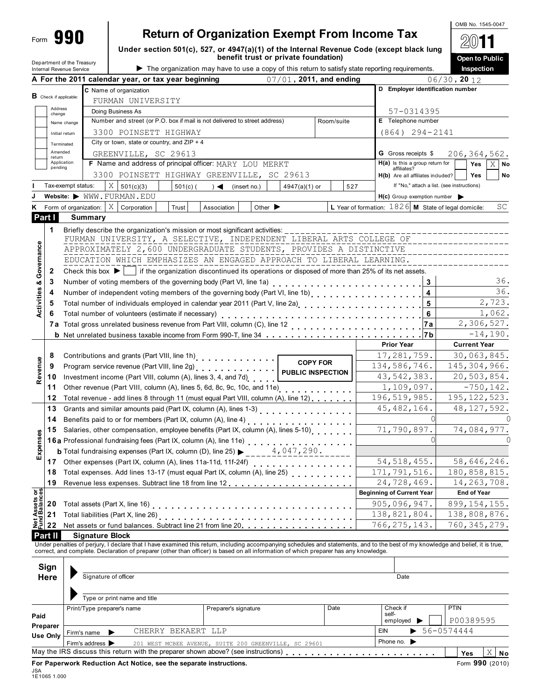# **Return of Organization Exempt From Income Tax**

Under section 501(c), 527, or 4947(a)(1) of the Internal Revenue Code (exc **benefit trust or private foundation)**

| е гах<br>cept black lung              | $\mathbf{T}$   |  |  |  |  |  |  |  |
|---------------------------------------|----------------|--|--|--|--|--|--|--|
|                                       | Open to Public |  |  |  |  |  |  |  |
| g requirements.                       | Inspection     |  |  |  |  |  |  |  |
| $06/30$ , 20 12                       |                |  |  |  |  |  |  |  |
| <b>Employer identification number</b> |                |  |  |  |  |  |  |  |

OMB No. 1545-0047

|                                        |                               | Department of the Treasury<br>Internal Revenue Service                                                                                           |                                                                                          |                    | benefit trust or private foundation)<br>The organization may have to use a copy of this return to satisfy state reporting requirements.                                                                                                                                                                                     |                             |                |  |                                                                                 |               |                   | Inspection          | Open to Public |
|----------------------------------------|-------------------------------|--------------------------------------------------------------------------------------------------------------------------------------------------|------------------------------------------------------------------------------------------|--------------------|-----------------------------------------------------------------------------------------------------------------------------------------------------------------------------------------------------------------------------------------------------------------------------------------------------------------------------|-----------------------------|----------------|--|---------------------------------------------------------------------------------|---------------|-------------------|---------------------|----------------|
|                                        |                               |                                                                                                                                                  | A For the 2011 calendar year, or tax year beginning                                      |                    |                                                                                                                                                                                                                                                                                                                             | 07/01, 2011, and ending     |                |  |                                                                                 |               | $06/30$ , 20 $12$ |                     |                |
|                                        |                               |                                                                                                                                                  | C Name of organization                                                                   |                    |                                                                                                                                                                                                                                                                                                                             |                             |                |  | D Employer identification number                                                |               |                   |                     |                |
|                                        | <b>B</b> Check if applicable: |                                                                                                                                                  | FURMAN UNIVERSITY                                                                        |                    |                                                                                                                                                                                                                                                                                                                             |                             |                |  |                                                                                 |               |                   |                     |                |
|                                        | Address                       |                                                                                                                                                  | Doing Business As                                                                        |                    |                                                                                                                                                                                                                                                                                                                             |                             |                |  | 57-0314395                                                                      |               |                   |                     |                |
|                                        | change                        | Name change                                                                                                                                      |                                                                                          |                    | Number and street (or P.O. box if mail is not delivered to street address)                                                                                                                                                                                                                                                  |                             | Room/suite     |  | E Telephone number                                                              |               |                   |                     |                |
|                                        |                               |                                                                                                                                                  | 3300 POINSETT HIGHWAY                                                                    |                    |                                                                                                                                                                                                                                                                                                                             |                             |                |  | $(864) 294 - 2141$                                                              |               |                   |                     |                |
|                                        |                               | Initial return                                                                                                                                   | City or town, state or country, and $ZIP + 4$                                            |                    |                                                                                                                                                                                                                                                                                                                             |                             |                |  |                                                                                 |               |                   |                     |                |
|                                        | Amended                       | Terminated                                                                                                                                       | GREENVILLE, SC 29613                                                                     |                    |                                                                                                                                                                                                                                                                                                                             |                             |                |  | <b>G</b> Gross receipts \$                                                      |               |                   |                     | 206,364,562.   |
|                                        | return                        | Application                                                                                                                                      |                                                                                          |                    | F Name and address of principal officer: MARY LOU MERKT                                                                                                                                                                                                                                                                     |                             |                |  | $H(a)$ is this a group return for                                               |               |                   | Yes                 | $X \mid$ No    |
|                                        | pending                       |                                                                                                                                                  |                                                                                          |                    | 3300 POINSETT HIGHWAY GREENVILLE, SC 29613                                                                                                                                                                                                                                                                                  |                             |                |  | affiliates?                                                                     |               |                   | Yes                 |                |
|                                        |                               | Tax-exempt status:                                                                                                                               | X                                                                                        |                    |                                                                                                                                                                                                                                                                                                                             |                             |                |  | H(b) Are all affiliates included?<br>If "No," attach a list. (see instructions) |               |                   |                     | No             |
|                                        |                               |                                                                                                                                                  | 501(c)(3)<br>Website: WWW.FURMAN.EDU                                                     | $501(c)$ (         | $\rightarrow$<br>(insert no.)                                                                                                                                                                                                                                                                                               | $4947(a)(1)$ or             | 527            |  |                                                                                 |               |                   |                     |                |
|                                        |                               |                                                                                                                                                  | $\vert X \vert$                                                                          |                    |                                                                                                                                                                                                                                                                                                                             |                             |                |  | $H(c)$ Group exemption number                                                   |               |                   |                     |                |
| Κ                                      |                               | Form of organization:                                                                                                                            | Corporation                                                                              | Trust              | Association                                                                                                                                                                                                                                                                                                                 | Other $\blacktriangleright$ |                |  | L Year of formation: $1826$ M State of legal domicile:                          |               |                   |                     | SC             |
| Part I                                 |                               | <b>Summary</b>                                                                                                                                   |                                                                                          |                    |                                                                                                                                                                                                                                                                                                                             |                             |                |  |                                                                                 |               |                   |                     |                |
|                                        | 1                             |                                                                                                                                                  |                                                                                          |                    |                                                                                                                                                                                                                                                                                                                             |                             |                |  |                                                                                 |               |                   |                     |                |
|                                        |                               |                                                                                                                                                  |                                                                                          |                    | FURMAN UNIVERSITY, A SELECTIVE, INDEPENDENT LIBERAL ARTS COLLEGE OF                                                                                                                                                                                                                                                         |                             |                |  |                                                                                 |               |                   |                     |                |
|                                        |                               |                                                                                                                                                  |                                                                                          |                    | APPROXIMATELY 2,600 UNDERGRADUATE STUDENTS, PROVIDES A DISTINCTIVE                                                                                                                                                                                                                                                          |                             |                |  |                                                                                 |               |                   |                     |                |
|                                        |                               |                                                                                                                                                  |                                                                                          |                    | EDUCATION WHICH EMPHASIZES AN ENGAGED APPROACH TO LIBERAL LEARNING.                                                                                                                                                                                                                                                         |                             |                |  |                                                                                 |               |                   |                     |                |
| Activities & Governance                | 2                             |                                                                                                                                                  |                                                                                          |                    | Check this box $\blacktriangleright$   if the organization discontinued its operations or disposed of more than 25% of its net assets.                                                                                                                                                                                      |                             |                |  |                                                                                 |               |                   |                     |                |
|                                        | 3                             |                                                                                                                                                  |                                                                                          |                    | Number of voting members of the governing body (Part VI, line 1a)                                                                                                                                                                                                                                                           |                             |                |  |                                                                                 | 3             |                   |                     | 36.            |
|                                        | 4                             |                                                                                                                                                  |                                                                                          |                    | Number of independent voting members of the governing body (Part VI, line 1b)                                                                                                                                                                                                                                               |                             |                |  |                                                                                 | 4             |                   |                     | 36.            |
|                                        | 5                             |                                                                                                                                                  |                                                                                          |                    | Total number of individuals employed in calendar year 2011 (Part V, line 2a)<br>Total number of individuals employed in calendar year 2011 (Part V, line 2a)                                                                                                                                                                |                             |                |  |                                                                                 | ${\bf 5}$     |                   |                     | 2,723.         |
|                                        | 6                             |                                                                                                                                                  | Total number of volunteers (estimate if necessary)                                       |                    |                                                                                                                                                                                                                                                                                                                             |                             |                |  |                                                                                 | 6             |                   |                     | 1,062.         |
|                                        |                               |                                                                                                                                                  |                                                                                          |                    |                                                                                                                                                                                                                                                                                                                             |                             |                |  |                                                                                 | 7а            |                   |                     | 2,306,527.     |
|                                        |                               |                                                                                                                                                  |                                                                                          |                    | <b>b</b> Net unrelated business taxable income from Form 990-T, line 34 <b>business 1 c</b> and <b>c</b> and <b>c</b> and <b>c</b> and <b>c</b> and <b>c</b> and <b>c</b> and <b>c</b> and <b>c</b> and <b>c</b> and <b>c</b> and <b>c</b> and <b>c</b> and <b>c</b> and <b>c</b> and <b>c</b> and <b>c</b> and <b>c</b> an |                             |                |  | <b>Prior Year</b>                                                               | 7 b           |                   |                     | $-14,190.$     |
|                                        |                               |                                                                                                                                                  |                                                                                          |                    |                                                                                                                                                                                                                                                                                                                             |                             |                |  |                                                                                 |               |                   | <b>Current Year</b> |                |
|                                        | 8                             | Contributions and grants (Part VIII, line 1h)<br><br><b>COPY FOR</b><br>Program service revenue (Part VIII, line 2g)<br><b>PUBLIC INSPECTION</b> |                                                                                          |                    |                                                                                                                                                                                                                                                                                                                             |                             |                |  | 17,281,759.                                                                     |               |                   |                     | 30,063,845.    |
| Revenue                                | 9                             |                                                                                                                                                  |                                                                                          |                    |                                                                                                                                                                                                                                                                                                                             |                             |                |  | 134,586,746.                                                                    |               | 145,304,966.      |                     |                |
|                                        | 10                            |                                                                                                                                                  |                                                                                          |                    | Investment income (Part VIII, column (A), lines 3, 4, and 7d)                                                                                                                                                                                                                                                               |                             |                |  | 43,542,383.                                                                     |               |                   |                     | 20,503,854.    |
|                                        | 11                            |                                                                                                                                                  |                                                                                          |                    | Other revenue (Part VIII, column (A), lines 5, 6d, 8c, 9c, 10c, and 11e)<br>(1990, 1991, 1991, 1992, 1993, 1994, 1994, 1994, 1994, 1994, 1994, 1995, 1996, 1996, 1997, 1997, 1997, 1997, 1                                                                                                                                  |                             |                |  | 1,109,097.                                                                      | $-750, 142.$  |                   |                     |                |
|                                        | 12                            |                                                                                                                                                  | Total revenue - add lines 8 through 11 (must equal Part VIII, column (A), line 12)       |                    |                                                                                                                                                                                                                                                                                                                             | 196,519,985.                | 195, 122, 523. |  |                                                                                 |               |                   |                     |                |
|                                        | 13                            |                                                                                                                                                  |                                                                                          |                    | Grants and similar amounts paid (Part IX, column (A), lines 1-3)<br>Similar 2014 1-2015                                                                                                                                                                                                                                     |                             |                |  | 45, 482, 164.                                                                   |               |                   |                     | 48, 127, 592.  |
|                                        | 14                            |                                                                                                                                                  |                                                                                          |                    | Benefits paid to or for members (Part IX, column (A), line 4)                                                                                                                                                                                                                                                               |                             |                |  |                                                                                 |               |                   |                     |                |
|                                        | 15                            |                                                                                                                                                  |                                                                                          |                    | Salaries, other compensation, employee benefits (Part IX, column (A), lines 5-10)                                                                                                                                                                                                                                           |                             |                |  | 71,790,897.                                                                     |               |                   |                     | 74,084,977.    |
| cosued                                 |                               |                                                                                                                                                  | 16a Professional fundraising fees (Part IX, column (A), line 11e)                        |                    |                                                                                                                                                                                                                                                                                                                             |                             |                |  |                                                                                 |               |                   |                     |                |
| шĩ                                     |                               |                                                                                                                                                  | <b>b</b> Total fundraising expenses (Part IX, column (D), line 25) $\blacktriangleright$ |                    |                                                                                                                                                                                                                                                                                                                             |                             |                |  |                                                                                 |               |                   |                     |                |
|                                        | 17                            |                                                                                                                                                  |                                                                                          |                    |                                                                                                                                                                                                                                                                                                                             | 54, 518, 455.               |                |  |                                                                                 | 58,646,246.   |                   |                     |                |
|                                        | 18                            |                                                                                                                                                  | Total expenses. Add lines 13-17 (must equal Part IX, column (A), line 25)                |                    |                                                                                                                                                                                                                                                                                                                             | 171,791,516.                |                |  |                                                                                 | 180,858,815.  |                   |                     |                |
|                                        | 19                            |                                                                                                                                                  |                                                                                          |                    |                                                                                                                                                                                                                                                                                                                             | 24,728,469.                 |                |  |                                                                                 | 14, 263, 708. |                   |                     |                |
| <b>Net Assets or<br/>Fund Balances</b> |                               |                                                                                                                                                  |                                                                                          |                    |                                                                                                                                                                                                                                                                                                                             |                             |                |  | <b>Beginning of Current Year</b>                                                |               |                   | <b>End of Year</b>  |                |
|                                        | 20                            |                                                                                                                                                  |                                                                                          |                    |                                                                                                                                                                                                                                                                                                                             |                             |                |  | 905,096,947.                                                                    |               |                   |                     | 899, 154, 155. |
|                                        | 21                            |                                                                                                                                                  | Total liabilities (Part X, line 26)                                                      |                    |                                                                                                                                                                                                                                                                                                                             |                             |                |  | 138,821,804.                                                                    |               |                   |                     | 138,808,876.   |
|                                        | 22                            |                                                                                                                                                  |                                                                                          |                    | Net assets or fund balances. Subtract line 21 from line 20.                                                                                                                                                                                                                                                                 |                             |                |  | 766, 275, 143.                                                                  |               |                   |                     | 760, 345, 279. |
|                                        | Part II                       |                                                                                                                                                  | <b>Signature Block</b>                                                                   |                    |                                                                                                                                                                                                                                                                                                                             |                             |                |  |                                                                                 |               |                   |                     |                |
|                                        |                               |                                                                                                                                                  |                                                                                          |                    | Under penalties of perjury, I declare that I have examined this return, including accompanying schedules and statements, and to the best of my knowledge and belief, it is true, correct, and complete. Declaration of prepare                                                                                              |                             |                |  |                                                                                 |               |                   |                     |                |
|                                        |                               |                                                                                                                                                  |                                                                                          |                    |                                                                                                                                                                                                                                                                                                                             |                             |                |  |                                                                                 |               |                   |                     |                |
|                                        | Sign                          |                                                                                                                                                  |                                                                                          |                    |                                                                                                                                                                                                                                                                                                                             |                             |                |  |                                                                                 |               |                   |                     |                |
|                                        | <b>Here</b>                   |                                                                                                                                                  | Signature of officer                                                                     |                    |                                                                                                                                                                                                                                                                                                                             |                             |                |  | Date                                                                            |               |                   |                     |                |
|                                        |                               |                                                                                                                                                  |                                                                                          |                    |                                                                                                                                                                                                                                                                                                                             |                             |                |  |                                                                                 |               |                   |                     |                |
|                                        |                               |                                                                                                                                                  | Type or print name and title                                                             |                    |                                                                                                                                                                                                                                                                                                                             |                             |                |  |                                                                                 |               |                   |                     |                |
| Paid                                   |                               |                                                                                                                                                  | Print/Type preparer's name                                                               |                    | Preparer's signature                                                                                                                                                                                                                                                                                                        |                             | Date           |  | Check if<br>self-                                                               |               | <b>PTIN</b>       |                     |                |
|                                        | Preparer                      |                                                                                                                                                  |                                                                                          |                    |                                                                                                                                                                                                                                                                                                                             |                             |                |  | employed                                                                        |               |                   | P00389595           |                |
|                                        | <b>Use Only</b>               | Firm's name                                                                                                                                      | ▶                                                                                        | CHERRY BEKAERT LLP |                                                                                                                                                                                                                                                                                                                             |                             |                |  | EIN                                                                             | 56-0574444    |                   |                     |                |
|                                        |                               | Firm's address >                                                                                                                                 |                                                                                          |                    | 201 WEST MCBEE AVENUE, SUITE 200 GREENVILLE, SC 29601                                                                                                                                                                                                                                                                       |                             |                |  | Phone no.                                                                       |               |                   |                     |                |

 $\mathbb{X}$  No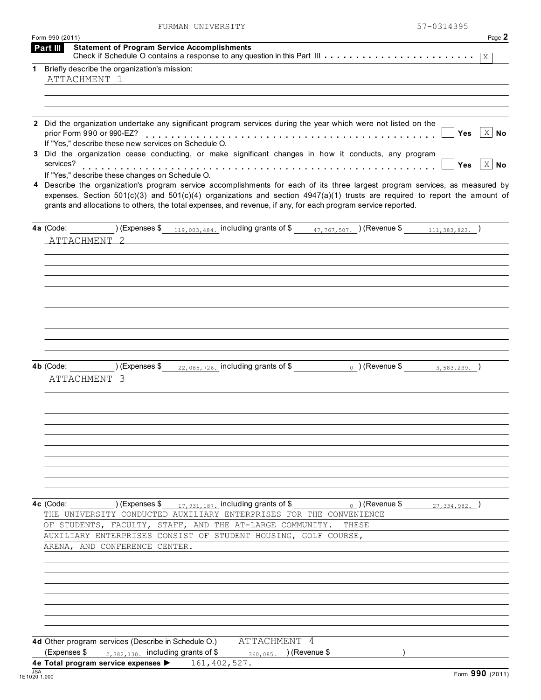|                                                                                                                                                                                                       |                                                                                                                                                                                                                                                                                    | 57-0314395                                                                                                                                                                                                                                                                                                                                                                                                                                                                                                                                                                                                                                                                                                                                                                                                                                                                                                                                                                                                                                                                                                                                                                |
|-------------------------------------------------------------------------------------------------------------------------------------------------------------------------------------------------------|------------------------------------------------------------------------------------------------------------------------------------------------------------------------------------------------------------------------------------------------------------------------------------|---------------------------------------------------------------------------------------------------------------------------------------------------------------------------------------------------------------------------------------------------------------------------------------------------------------------------------------------------------------------------------------------------------------------------------------------------------------------------------------------------------------------------------------------------------------------------------------------------------------------------------------------------------------------------------------------------------------------------------------------------------------------------------------------------------------------------------------------------------------------------------------------------------------------------------------------------------------------------------------------------------------------------------------------------------------------------------------------------------------------------------------------------------------------------|
|                                                                                                                                                                                                       |                                                                                                                                                                                                                                                                                    | Page 2                                                                                                                                                                                                                                                                                                                                                                                                                                                                                                                                                                                                                                                                                                                                                                                                                                                                                                                                                                                                                                                                                                                                                                    |
|                                                                                                                                                                                                       |                                                                                                                                                                                                                                                                                    |                                                                                                                                                                                                                                                                                                                                                                                                                                                                                                                                                                                                                                                                                                                                                                                                                                                                                                                                                                                                                                                                                                                                                                           |
|                                                                                                                                                                                                       |                                                                                                                                                                                                                                                                                    |                                                                                                                                                                                                                                                                                                                                                                                                                                                                                                                                                                                                                                                                                                                                                                                                                                                                                                                                                                                                                                                                                                                                                                           |
|                                                                                                                                                                                                       |                                                                                                                                                                                                                                                                                    |                                                                                                                                                                                                                                                                                                                                                                                                                                                                                                                                                                                                                                                                                                                                                                                                                                                                                                                                                                                                                                                                                                                                                                           |
|                                                                                                                                                                                                       |                                                                                                                                                                                                                                                                                    |                                                                                                                                                                                                                                                                                                                                                                                                                                                                                                                                                                                                                                                                                                                                                                                                                                                                                                                                                                                                                                                                                                                                                                           |
|                                                                                                                                                                                                       |                                                                                                                                                                                                                                                                                    |                                                                                                                                                                                                                                                                                                                                                                                                                                                                                                                                                                                                                                                                                                                                                                                                                                                                                                                                                                                                                                                                                                                                                                           |
|                                                                                                                                                                                                       |                                                                                                                                                                                                                                                                                    | $ X $ No<br>Yes                                                                                                                                                                                                                                                                                                                                                                                                                                                                                                                                                                                                                                                                                                                                                                                                                                                                                                                                                                                                                                                                                                                                                           |
|                                                                                                                                                                                                       |                                                                                                                                                                                                                                                                                    |                                                                                                                                                                                                                                                                                                                                                                                                                                                                                                                                                                                                                                                                                                                                                                                                                                                                                                                                                                                                                                                                                                                                                                           |
|                                                                                                                                                                                                       |                                                                                                                                                                                                                                                                                    | $ X $ No<br><b>Yes</b>                                                                                                                                                                                                                                                                                                                                                                                                                                                                                                                                                                                                                                                                                                                                                                                                                                                                                                                                                                                                                                                                                                                                                    |
|                                                                                                                                                                                                       |                                                                                                                                                                                                                                                                                    |                                                                                                                                                                                                                                                                                                                                                                                                                                                                                                                                                                                                                                                                                                                                                                                                                                                                                                                                                                                                                                                                                                                                                                           |
|                                                                                                                                                                                                       |                                                                                                                                                                                                                                                                                    |                                                                                                                                                                                                                                                                                                                                                                                                                                                                                                                                                                                                                                                                                                                                                                                                                                                                                                                                                                                                                                                                                                                                                                           |
|                                                                                                                                                                                                       |                                                                                                                                                                                                                                                                                    |                                                                                                                                                                                                                                                                                                                                                                                                                                                                                                                                                                                                                                                                                                                                                                                                                                                                                                                                                                                                                                                                                                                                                                           |
|                                                                                                                                                                                                       |                                                                                                                                                                                                                                                                                    |                                                                                                                                                                                                                                                                                                                                                                                                                                                                                                                                                                                                                                                                                                                                                                                                                                                                                                                                                                                                                                                                                                                                                                           |
|                                                                                                                                                                                                       |                                                                                                                                                                                                                                                                                    |                                                                                                                                                                                                                                                                                                                                                                                                                                                                                                                                                                                                                                                                                                                                                                                                                                                                                                                                                                                                                                                                                                                                                                           |
|                                                                                                                                                                                                       |                                                                                                                                                                                                                                                                                    |                                                                                                                                                                                                                                                                                                                                                                                                                                                                                                                                                                                                                                                                                                                                                                                                                                                                                                                                                                                                                                                                                                                                                                           |
|                                                                                                                                                                                                       |                                                                                                                                                                                                                                                                                    |                                                                                                                                                                                                                                                                                                                                                                                                                                                                                                                                                                                                                                                                                                                                                                                                                                                                                                                                                                                                                                                                                                                                                                           |
|                                                                                                                                                                                                       |                                                                                                                                                                                                                                                                                    |                                                                                                                                                                                                                                                                                                                                                                                                                                                                                                                                                                                                                                                                                                                                                                                                                                                                                                                                                                                                                                                                                                                                                                           |
|                                                                                                                                                                                                       |                                                                                                                                                                                                                                                                                    |                                                                                                                                                                                                                                                                                                                                                                                                                                                                                                                                                                                                                                                                                                                                                                                                                                                                                                                                                                                                                                                                                                                                                                           |
|                                                                                                                                                                                                       |                                                                                                                                                                                                                                                                                    |                                                                                                                                                                                                                                                                                                                                                                                                                                                                                                                                                                                                                                                                                                                                                                                                                                                                                                                                                                                                                                                                                                                                                                           |
|                                                                                                                                                                                                       |                                                                                                                                                                                                                                                                                    |                                                                                                                                                                                                                                                                                                                                                                                                                                                                                                                                                                                                                                                                                                                                                                                                                                                                                                                                                                                                                                                                                                                                                                           |
|                                                                                                                                                                                                       |                                                                                                                                                                                                                                                                                    |                                                                                                                                                                                                                                                                                                                                                                                                                                                                                                                                                                                                                                                                                                                                                                                                                                                                                                                                                                                                                                                                                                                                                                           |
|                                                                                                                                                                                                       |                                                                                                                                                                                                                                                                                    |                                                                                                                                                                                                                                                                                                                                                                                                                                                                                                                                                                                                                                                                                                                                                                                                                                                                                                                                                                                                                                                                                                                                                                           |
|                                                                                                                                                                                                       |                                                                                                                                                                                                                                                                                    |                                                                                                                                                                                                                                                                                                                                                                                                                                                                                                                                                                                                                                                                                                                                                                                                                                                                                                                                                                                                                                                                                                                                                                           |
|                                                                                                                                                                                                       |                                                                                                                                                                                                                                                                                    |                                                                                                                                                                                                                                                                                                                                                                                                                                                                                                                                                                                                                                                                                                                                                                                                                                                                                                                                                                                                                                                                                                                                                                           |
|                                                                                                                                                                                                       |                                                                                                                                                                                                                                                                                    |                                                                                                                                                                                                                                                                                                                                                                                                                                                                                                                                                                                                                                                                                                                                                                                                                                                                                                                                                                                                                                                                                                                                                                           |
|                                                                                                                                                                                                       |                                                                                                                                                                                                                                                                                    |                                                                                                                                                                                                                                                                                                                                                                                                                                                                                                                                                                                                                                                                                                                                                                                                                                                                                                                                                                                                                                                                                                                                                                           |
|                                                                                                                                                                                                       |                                                                                                                                                                                                                                                                                    |                                                                                                                                                                                                                                                                                                                                                                                                                                                                                                                                                                                                                                                                                                                                                                                                                                                                                                                                                                                                                                                                                                                                                                           |
|                                                                                                                                                                                                       |                                                                                                                                                                                                                                                                                    |                                                                                                                                                                                                                                                                                                                                                                                                                                                                                                                                                                                                                                                                                                                                                                                                                                                                                                                                                                                                                                                                                                                                                                           |
|                                                                                                                                                                                                       |                                                                                                                                                                                                                                                                                    |                                                                                                                                                                                                                                                                                                                                                                                                                                                                                                                                                                                                                                                                                                                                                                                                                                                                                                                                                                                                                                                                                                                                                                           |
|                                                                                                                                                                                                       |                                                                                                                                                                                                                                                                                    |                                                                                                                                                                                                                                                                                                                                                                                                                                                                                                                                                                                                                                                                                                                                                                                                                                                                                                                                                                                                                                                                                                                                                                           |
|                                                                                                                                                                                                       |                                                                                                                                                                                                                                                                                    |                                                                                                                                                                                                                                                                                                                                                                                                                                                                                                                                                                                                                                                                                                                                                                                                                                                                                                                                                                                                                                                                                                                                                                           |
|                                                                                                                                                                                                       |                                                                                                                                                                                                                                                                                    |                                                                                                                                                                                                                                                                                                                                                                                                                                                                                                                                                                                                                                                                                                                                                                                                                                                                                                                                                                                                                                                                                                                                                                           |
|                                                                                                                                                                                                       |                                                                                                                                                                                                                                                                                    |                                                                                                                                                                                                                                                                                                                                                                                                                                                                                                                                                                                                                                                                                                                                                                                                                                                                                                                                                                                                                                                                                                                                                                           |
|                                                                                                                                                                                                       |                                                                                                                                                                                                                                                                                    |                                                                                                                                                                                                                                                                                                                                                                                                                                                                                                                                                                                                                                                                                                                                                                                                                                                                                                                                                                                                                                                                                                                                                                           |
|                                                                                                                                                                                                       |                                                                                                                                                                                                                                                                                    |                                                                                                                                                                                                                                                                                                                                                                                                                                                                                                                                                                                                                                                                                                                                                                                                                                                                                                                                                                                                                                                                                                                                                                           |
|                                                                                                                                                                                                       | THESE                                                                                                                                                                                                                                                                              |                                                                                                                                                                                                                                                                                                                                                                                                                                                                                                                                                                                                                                                                                                                                                                                                                                                                                                                                                                                                                                                                                                                                                                           |
|                                                                                                                                                                                                       |                                                                                                                                                                                                                                                                                    |                                                                                                                                                                                                                                                                                                                                                                                                                                                                                                                                                                                                                                                                                                                                                                                                                                                                                                                                                                                                                                                                                                                                                                           |
|                                                                                                                                                                                                       |                                                                                                                                                                                                                                                                                    |                                                                                                                                                                                                                                                                                                                                                                                                                                                                                                                                                                                                                                                                                                                                                                                                                                                                                                                                                                                                                                                                                                                                                                           |
|                                                                                                                                                                                                       |                                                                                                                                                                                                                                                                                    |                                                                                                                                                                                                                                                                                                                                                                                                                                                                                                                                                                                                                                                                                                                                                                                                                                                                                                                                                                                                                                                                                                                                                                           |
|                                                                                                                                                                                                       |                                                                                                                                                                                                                                                                                    |                                                                                                                                                                                                                                                                                                                                                                                                                                                                                                                                                                                                                                                                                                                                                                                                                                                                                                                                                                                                                                                                                                                                                                           |
|                                                                                                                                                                                                       |                                                                                                                                                                                                                                                                                    |                                                                                                                                                                                                                                                                                                                                                                                                                                                                                                                                                                                                                                                                                                                                                                                                                                                                                                                                                                                                                                                                                                                                                                           |
|                                                                                                                                                                                                       |                                                                                                                                                                                                                                                                                    |                                                                                                                                                                                                                                                                                                                                                                                                                                                                                                                                                                                                                                                                                                                                                                                                                                                                                                                                                                                                                                                                                                                                                                           |
|                                                                                                                                                                                                       |                                                                                                                                                                                                                                                                                    |                                                                                                                                                                                                                                                                                                                                                                                                                                                                                                                                                                                                                                                                                                                                                                                                                                                                                                                                                                                                                                                                                                                                                                           |
|                                                                                                                                                                                                       |                                                                                                                                                                                                                                                                                    |                                                                                                                                                                                                                                                                                                                                                                                                                                                                                                                                                                                                                                                                                                                                                                                                                                                                                                                                                                                                                                                                                                                                                                           |
|                                                                                                                                                                                                       |                                                                                                                                                                                                                                                                                    |                                                                                                                                                                                                                                                                                                                                                                                                                                                                                                                                                                                                                                                                                                                                                                                                                                                                                                                                                                                                                                                                                                                                                                           |
|                                                                                                                                                                                                       |                                                                                                                                                                                                                                                                                    |                                                                                                                                                                                                                                                                                                                                                                                                                                                                                                                                                                                                                                                                                                                                                                                                                                                                                                                                                                                                                                                                                                                                                                           |
|                                                                                                                                                                                                       |                                                                                                                                                                                                                                                                                    | Form 990 (2011)                                                                                                                                                                                                                                                                                                                                                                                                                                                                                                                                                                                                                                                                                                                                                                                                                                                                                                                                                                                                                                                                                                                                                           |
| Form 990 (2011)<br>Briefly describe the organization's mission:<br>ATTACHMENT 1<br>services?<br>ATTACHMENT <sub>2</sub><br>4b (Code:<br>ATTACHMENT 3<br>ARENA, AND CONFERENCE CENTER.<br>(Expenses \$ | FURMAN UNIVERSITY<br><b>Statement of Program Service Accomplishments</b><br>If "Yes," describe these new services on Schedule O.<br>If "Yes," describe these changes on Schedule O.<br>$_{2,382,130}$ including grants of \$<br>4e Total program service expenses > 161, 402, 527. | 2 Did the organization undertake any significant program services during the year which were not listed on the<br>Did the organization cease conducting, or make significant changes in how it conducts, any program<br>4 Describe the organization's program service accomplishments for each of its three largest program services, as measured by<br>expenses. Section $501(c)(3)$ and $501(c)(4)$ organizations and section $4947(a)(1)$ trusts are required to report the amount of<br>grants and allocations to others, the total expenses, and revenue, if any, for each program service reported.<br>(Expenses \$ $\frac{22,085,726}{22,085,726}$ including grants of \$ $\frac{1}{2}$ (Revenue \$ $\frac{3,583,239}{2,583,239}$ )<br>4c (Code: $(2, 3, 3, 4, 9, 8, 2)$ ) (Expenses \$ $(1, 7, 9, 3, 1, 1, 8, 7)$ . including grants of \$ $(3, 6, 4, 9, 8, 2)$<br>THE UNIVERSITY CONDUCTED AUXILIARY ENTERPRISES FOR THE CONVENIENCE<br>OF STUDENTS, FACULTY, STAFF, AND THE AT-LARGE COMMUNITY.<br>AUXILIARY ENTERPRISES CONSIST OF STUDENT HOUSING, GOLF COURSE,<br>4d Other program services (Describe in Schedule O.) ATTACHMENT 4<br>360,085. ) (Revenue \$ |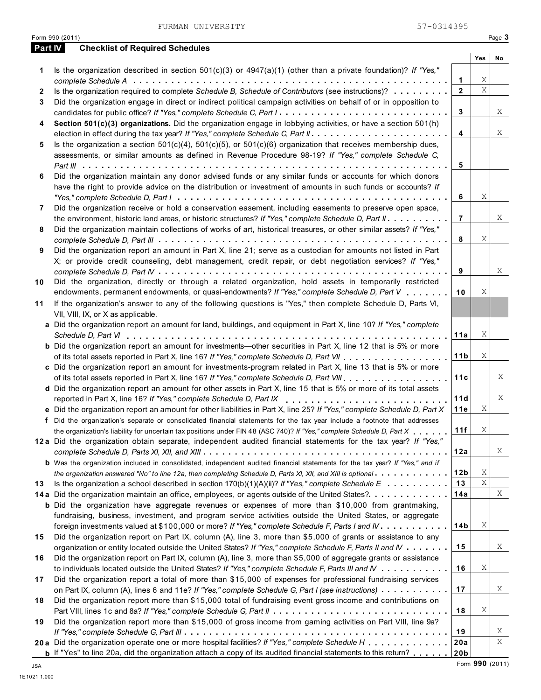FURMAN UNIVERSITY 57-0314395

| <b>Part IV</b> | <b>Checklist of Required Schedules</b>                                                                                                                                                                  |                 |     |    |
|----------------|---------------------------------------------------------------------------------------------------------------------------------------------------------------------------------------------------------|-----------------|-----|----|
|                |                                                                                                                                                                                                         |                 | Yes | No |
| 1              | Is the organization described in section $501(c)(3)$ or $4947(a)(1)$ (other than a private foundation)? If "Yes,"                                                                                       |                 |     |    |
|                |                                                                                                                                                                                                         | 1               | Χ   |    |
| $\mathbf{2}$   | Is the organization required to complete Schedule B, Schedule of Contributors (see instructions)?                                                                                                       | $\overline{2}$  | X   |    |
| 3              | Did the organization engage in direct or indirect political campaign activities on behalf of or in opposition to                                                                                        |                 |     |    |
|                | candidates for public office? If "Yes," complete Schedule C, Part I                                                                                                                                     | 3               |     | X  |
| 4              | Section 501(c)(3) organizations. Did the organization engage in lobbying activities, or have a section 501(h)                                                                                           |                 |     |    |
|                |                                                                                                                                                                                                         | 4               |     | X  |
| 5              | Is the organization a section $501(c)(4)$ , $501(c)(5)$ , or $501(c)(6)$ organization that receives membership dues,                                                                                    |                 |     |    |
|                | assessments, or similar amounts as defined in Revenue Procedure 98-19? If "Yes," complete Schedule C,                                                                                                   |                 |     |    |
|                |                                                                                                                                                                                                         | 5               |     |    |
| 6              | Did the organization maintain any donor advised funds or any similar funds or accounts for which donors                                                                                                 |                 |     |    |
|                | have the right to provide advice on the distribution or investment of amounts in such funds or accounts? If                                                                                             |                 |     |    |
|                |                                                                                                                                                                                                         | 6               | Χ   |    |
| 7              | Did the organization receive or hold a conservation easement, including easements to preserve open space,                                                                                               |                 |     |    |
|                | the environment, historic land areas, or historic structures? If "Yes," complete Schedule D, Part II                                                                                                    | $\overline{7}$  |     | X  |
| 8              | Did the organization maintain collections of works of art, historical treasures, or other similar assets? If "Yes,"                                                                                     |                 |     |    |
|                |                                                                                                                                                                                                         | 8               | Χ   |    |
| 9              | Did the organization report an amount in Part X, line 21; serve as a custodian for amounts not listed in Part                                                                                           |                 |     |    |
|                | X; or provide credit counseling, debt management, credit repair, or debt negotiation services? If "Yes,"                                                                                                |                 |     |    |
|                |                                                                                                                                                                                                         | 9               |     | X  |
| 10             | Did the organization, directly or through a related organization, hold assets in temporarily restricted<br>endowments, permanent endowments, or quasi-endowments? If "Yes," complete Schedule D, Part V | 10              | Χ   |    |
|                |                                                                                                                                                                                                         |                 |     |    |
| 11             | If the organization's answer to any of the following questions is "Yes," then complete Schedule D, Parts VI,                                                                                            |                 |     |    |
|                | VII, VIII, IX, or X as applicable.<br>a Did the organization report an amount for land, buildings, and equipment in Part X, line 10? If "Yes," complete                                                 |                 |     |    |
|                |                                                                                                                                                                                                         | 11a             | Χ   |    |
|                | <b>b</b> Did the organization report an amount for investments—other securities in Part X, line 12 that is 5% or more                                                                                   |                 |     |    |
|                |                                                                                                                                                                                                         | 11 <sub>b</sub> | Χ   |    |
|                | c Did the organization report an amount for investments-program related in Part X, line 13 that is 5% or more                                                                                           |                 |     |    |
|                |                                                                                                                                                                                                         | 11c             |     | Χ  |
|                | d Did the organization report an amount for other assets in Part X, line 15 that is 5% or more of its total assets                                                                                      |                 |     |    |
|                | reported in Part X, line 16? If "Yes," complete Schedule D, Part IX                                                                                                                                     | 11d             |     | X  |
|                | e Did the organization report an amount for other liabilities in Part X, line 25? If "Yes," complete Schedule D, Part X                                                                                 | 11e             | Χ   |    |
|                | f Did the organization's separate or consolidated financial statements for the tax year include a footnote that addresses                                                                               |                 |     |    |
|                | the organization's liability for uncertain tax positions under FIN 48 (ASC 740)? If "Yes," complete Schedule D, Part X                                                                                  | 11f             | Χ   |    |
|                | 12a Did the organization obtain separate, independent audited financial statements for the tax year? If "Yes,"                                                                                          |                 |     |    |
|                |                                                                                                                                                                                                         | 12a             |     | X  |
|                | b Was the organization included in consolidated, independent audited financial statements for the tax year? If "Yes," and if                                                                            |                 |     |    |
|                | the organization answered "No" to line 12a, then completing Schedule D, Parts XI, XII, and XIII is optional                                                                                             | 12 <sub>b</sub> | Χ   |    |
| 13             | Is the organization a school described in section $170(b)(1)(A)(ii)?$ If "Yes," complete Schedule E                                                                                                     | 13              | Χ   |    |
|                | 14a Did the organization maintain an office, employees, or agents outside of the United States?                                                                                                         | 14a             |     | X  |
|                | <b>b</b> Did the organization have aggregate revenues or expenses of more than \$10,000 from grantmaking,                                                                                               |                 |     |    |
|                | fundraising, business, investment, and program service activities outside the United States, or aggregate                                                                                               |                 |     |    |
|                | foreign investments valued at \$100,000 or more? If "Yes," complete Schedule F, Parts I and IV                                                                                                          | 14 <sub>b</sub> | Χ   |    |
| 15             | Did the organization report on Part IX, column (A), line 3, more than \$5,000 of grants or assistance to any                                                                                            |                 |     |    |
|                | organization or entity located outside the United States? If "Yes," complete Schedule F, Parts II and IV                                                                                                | 15              |     | X  |
| 16             | Did the organization report on Part IX, column (A), line 3, more than \$5,000 of aggregate grants or assistance                                                                                         |                 |     |    |
|                | to individuals located outside the United States? If "Yes," complete Schedule F, Parts III and IV                                                                                                       | 16              | Χ   |    |
| 17             | Did the organization report a total of more than \$15,000 of expenses for professional fundraising services                                                                                             |                 |     |    |
|                | on Part IX, column (A), lines 6 and 11e? If "Yes," complete Schedule G, Part I (see instructions)                                                                                                       | 17              |     | X  |
| 18             | Did the organization report more than \$15,000 total of fundraising event gross income and contributions on                                                                                             |                 |     |    |
|                |                                                                                                                                                                                                         | 18              | Χ   |    |
| 19             | Did the organization report more than \$15,000 of gross income from gaming activities on Part VIII, line 9a?                                                                                            |                 |     |    |
|                |                                                                                                                                                                                                         | 19              |     | X  |
|                | 20a Did the organization operate one or more hospital facilities? If "Yes," complete Schedule H                                                                                                         | 20a             |     | Χ  |
|                | <b>b</b> If "Yes" to line 20a, did the organization attach a copy of its audited financial statements to this return?                                                                                   | 20 <sub>b</sub> |     |    |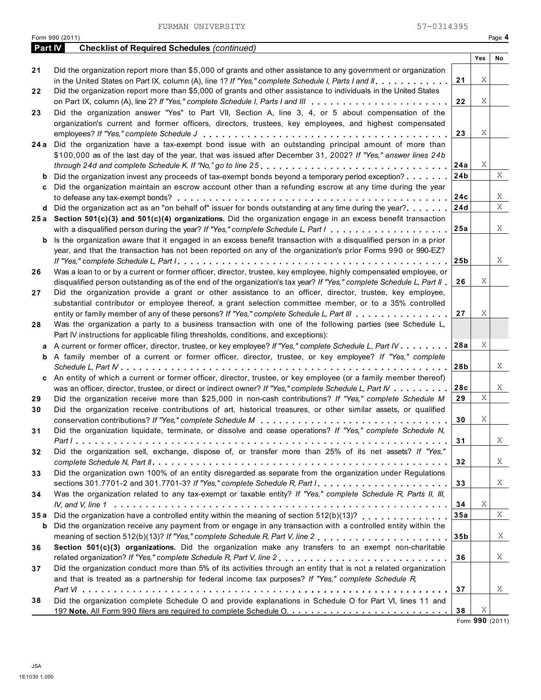FURMAN UNIVERSITY 57-0314395

|         | Form 990 (2011)                                                                                                             |                 |     | Page 4 |
|---------|-----------------------------------------------------------------------------------------------------------------------------|-----------------|-----|--------|
| Part IV | <b>Checklist of Required Schedules (continued)</b>                                                                          |                 |     |        |
|         |                                                                                                                             |                 | Yes | No     |
| 21      | Did the organization report more than \$5,000 of grants and other assistance to any government or organization              |                 |     |        |
|         | in the United States on Part IX, column (A), line 1? If "Yes," complete Schedule I, Parts I and II                          | 21              | Χ   |        |
| 22      | Did the organization report more than \$5,000 of grants and other assistance to individuals in the United States            |                 |     |        |
|         |                                                                                                                             | 22              | Χ   |        |
| 23      | Did the organization answer "Yes" to Part VII, Section A, line 3, 4, or 5 about compensation of the                         |                 |     |        |
|         | organization's current and former officers, directors, trustees, key employees, and highest compensated                     |                 |     |        |
|         |                                                                                                                             | 23              | Χ   |        |
| 24 a    | Did the organization have a tax-exempt bond issue with an outstanding principal amount of more than                         |                 |     |        |
|         | \$100,000 as of the last day of the year, that was issued after December 31, 2002? If "Yes," answer lines 24b               |                 |     |        |
|         |                                                                                                                             | 24a             | Χ   |        |
| b       | Did the organization invest any proceeds of tax-exempt bonds beyond a temporary period exception?                           | 24 <sub>b</sub> |     | Χ      |
| c       | Did the organization maintain an escrow account other than a refunding escrow at any time during the year                   |                 |     |        |
|         |                                                                                                                             | 24c             |     | X      |
|         | Did the organization act as an "on behalf of" issuer for bonds outstanding at any time during the year?                     | 24d             |     | X      |
| d       |                                                                                                                             |                 |     |        |
|         | 25a Section 501(c)(3) and 501(c)(4) organizations. Did the organization engage in an excess benefit transaction             |                 |     | Χ      |
|         |                                                                                                                             | 25a             |     |        |
| b       | Is the organization aware that it engaged in an excess benefit transaction with a disqualified person in a prior            |                 |     |        |
|         | year, and that the transaction has not been reported on any of the organization's prior Forms 990 or 990-EZ?                |                 |     |        |
|         |                                                                                                                             | 25 <sub>b</sub> |     | Χ      |
| 26      | Was a loan to or by a current or former officer, director, trustee, key employee, highly compensated employee, or           |                 |     |        |
|         | disqualified person outstanding as of the end of the organization's tax year? If "Yes," complete Schedule L, Part II        | 26              | Χ   |        |
| 27      | Did the organization provide a grant or other assistance to an officer, director, trustee, key employee,                    |                 |     |        |
|         | substantial contributor or employee thereof, a grant selection committee member, or to a 35% controlled                     |                 |     |        |
|         | entity or family member of any of these persons? If "Yes," complete Schedule L, Part III                                    | 27              | Χ   |        |
| 28      | Was the organization a party to a business transaction with one of the following parties (see Schedule L,                   |                 |     |        |
|         | Part IV instructions for applicable filing thresholds, conditions, and exceptions):                                         |                 |     |        |
| а       | A current or former officer, director, trustee, or key employee? If "Yes," complete Schedule L, Part IV                     | 28a             | Χ   |        |
| b       | A family member of a current or former officer, director, trustee, or key employee? If "Yes," complete                      |                 |     |        |
|         |                                                                                                                             | 28b             |     | Χ      |
| c       | An entity of which a current or former officer, director, trustee, or key employee (or a family member thereof)             |                 |     |        |
|         | was an officer, director, trustee, or direct or indirect owner? If "Yes," complete Schedule L, Part IV                      | 28c             |     | Χ      |
| 29      | Did the organization receive more than \$25,000 in non-cash contributions? If "Yes," complete Schedule M                    | 29              | X   |        |
| 30      | Did the organization receive contributions of art, historical treasures, or other similar assets, or qualified              |                 |     |        |
|         | conservation contributions? If "Yes," complete Schedule M                                                                   | 30              | Χ   |        |
| 31      | Did the organization liquidate, terminate, or dissolve and cease operations? If "Yes," complete Schedule N,                 |                 |     |        |
|         |                                                                                                                             | 31              |     | X      |
| 32      | Did the organization sell, exchange, dispose of, or transfer more than 25% of its net assets? If "Yes,"                     |                 |     |        |
|         |                                                                                                                             | 32              |     | X      |
| 33      | Did the organization own 100% of an entity disregarded as separate from the organization under Regulations                  |                 |     |        |
|         | sections 301.7701-2 and 301.7701-3? If "Yes," complete Schedule R, Part $1, \ldots, \ldots, \ldots, \ldots, \ldots, \ldots$ | 33              |     | X      |
| 34      | Was the organization related to any tax-exempt or taxable entity? If "Yes," complete Schedule R, Parts II, III,             |                 |     |        |
|         |                                                                                                                             | 34              | Χ   |        |
| 35 a    | Did the organization have a controlled entity within the meaning of section 512(b)(13)?                                     | 35a             |     | Χ      |
| b       | Did the organization receive any payment from or engage in any transaction with a controlled entity within the              |                 |     |        |
|         |                                                                                                                             | 35 <sub>b</sub> |     | X      |
|         |                                                                                                                             |                 |     |        |
| 36      | Section 501(c)(3) organizations. Did the organization make any transfers to an exempt non-charitable                        | 36              |     | X      |
|         | related organization? If "Yes," complete Schedule R, Part V, line 2                                                         |                 |     |        |
| 37      | Did the organization conduct more than 5% of its activities through an entity that is not a related organization            |                 |     |        |
|         | and that is treated as a partnership for federal income tax purposes? If "Yes," complete Schedule $R$ ,                     |                 |     |        |
|         |                                                                                                                             | 37              |     | X      |
| 38      | Did the organization complete Schedule O and provide explanations in Schedule O for Part VI, lines 11 and                   |                 |     |        |
|         |                                                                                                                             | 38              | Χ   |        |

Form **990** (2011)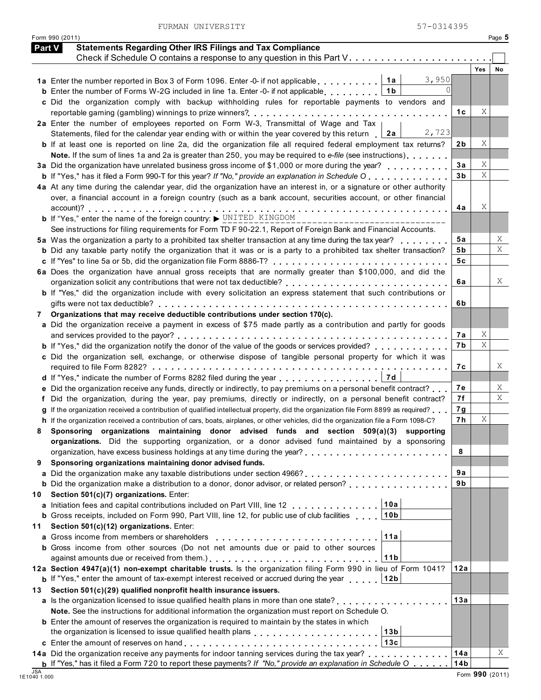| <b>Part V</b> | <b>Statements Regarding Other IRS Filings and Tax Compliance</b><br>Check if Schedule O contains a response to any question in this Part V.                                                                                       |          |            |    |
|---------------|-----------------------------------------------------------------------------------------------------------------------------------------------------------------------------------------------------------------------------------|----------|------------|----|
|               |                                                                                                                                                                                                                                   |          | <b>Yes</b> | No |
|               | 3,950<br>1a  <br>1a Enter the number reported in Box 3 of Form 1096. Enter -0- if not applicable                                                                                                                                  |          |            |    |
|               | $\cap$<br>1 <sub>b</sub><br><b>b</b> Enter the number of Forms W-2G included in line 1a. Enter -0- if not applicable                                                                                                              |          |            |    |
|               | c Did the organization comply with backup withholding rules for reportable payments to vendors and                                                                                                                                |          |            |    |
|               |                                                                                                                                                                                                                                   | 1 C      | Χ          |    |
|               | 2a Enter the number of employees reported on Form W-3, Transmittal of Wage and Tax                                                                                                                                                |          |            |    |
|               | 2,723<br>Statements, filed for the calendar year ending with or within the year covered by this return<br>2a                                                                                                                      |          |            |    |
|               | <b>b</b> If at least one is reported on line 2a, did the organization file all required federal employment tax returns?                                                                                                           | 2b       | Χ          |    |
|               | Note. If the sum of lines 1a and 2a is greater than 250, you may be required to e-file (see instructions)                                                                                                                         |          | Χ          |    |
|               | 3a Did the organization have unrelated business gross income of \$1,000 or more during the year?                                                                                                                                  | 3a<br>3b | X          |    |
|               | <b>b</b> If "Yes," has it filed a Form 990-T for this year? If "No," provide an explanation in Schedule O<br>4a At any time during the calendar year, did the organization have an interest in, or a signature or other authority |          |            |    |
|               | over, a financial account in a foreign country (such as a bank account, securities account, or other financial                                                                                                                    |          |            |    |
|               |                                                                                                                                                                                                                                   | 4a       | Χ          |    |
|               | <b>b</b> If "Yes," enter the name of the foreign country: $\triangleright$ UNITED KINGDOM                                                                                                                                         |          |            |    |
|               | See instructions for filing requirements for Form TD F 90-22.1, Report of Foreign Bank and Financial Accounts.                                                                                                                    |          |            |    |
|               | 5a Was the organization a party to a prohibited tax shelter transaction at any time during the tax year?                                                                                                                          | 5а       |            | X  |
|               | <b>b</b> Did any taxable party notify the organization that it was or is a party to a prohibited tax shelter transaction?                                                                                                         | 5b       |            | X  |
|               |                                                                                                                                                                                                                                   | 5c       |            |    |
|               | 6a Does the organization have annual gross receipts that are normally greater than \$100,000, and did the                                                                                                                         |          |            |    |
|               |                                                                                                                                                                                                                                   | 6а       |            | Χ  |
|               | <b>b</b> If "Yes," did the organization include with every solicitation an express statement that such contributions or                                                                                                           |          |            |    |
|               |                                                                                                                                                                                                                                   | 6b       |            |    |
| 7             | Organizations that may receive deductible contributions under section 170(c).                                                                                                                                                     |          |            |    |
|               | a Did the organization receive a payment in excess of \$75 made partly as a contribution and partly for goods                                                                                                                     |          |            |    |
|               |                                                                                                                                                                                                                                   | 7а<br>7b | Χ<br>Χ     |    |
|               | <b>b</b> If "Yes," did the organization notify the donor of the value of the goods or services provided?<br>c Did the organization sell, exchange, or otherwise dispose of tangible personal property for which it was            |          |            |    |
|               |                                                                                                                                                                                                                                   | 7с       |            | Χ  |
|               | 7 d<br>d If "Yes," indicate the number of Forms 8282 filed during the year                                                                                                                                                        |          |            |    |
|               | e Did the organization receive any funds, directly or indirectly, to pay premiums on a personal benefit contract?                                                                                                                 | 7е       |            | X  |
|               | f Did the organization, during the year, pay premiums, directly or indirectly, on a personal benefit contract?                                                                                                                    | 7f       |            | X  |
|               | g If the organization received a contribution of qualified intellectual property, did the organization file Form 8899 as required?                                                                                                | 7g       |            |    |
|               | h If the organization received a contribution of cars, boats, airplanes, or other vehicles, did the organization file a Form 1098-C?                                                                                              | 7 h      | Χ          |    |
| 8             | Sponsoring organizations maintaining donor advised funds and section 509(a)(3) supporting                                                                                                                                         |          |            |    |
|               | organizations. Did the supporting organization, or a donor advised fund maintained by a sponsoring                                                                                                                                |          |            |    |
|               | organization, have excess business holdings at any time during the year?                                                                                                                                                          | 8        |            |    |
| 9             | Sponsoring organizations maintaining donor advised funds.                                                                                                                                                                         |          |            |    |
|               |                                                                                                                                                                                                                                   | 9а<br>9b |            |    |
| 10.           | <b>b</b> Did the organization make a distribution to a donor, donor advisor, or related person?                                                                                                                                   |          |            |    |
|               | Section 501(c)(7) organizations. Enter:<br>10a<br>a Initiation fees and capital contributions included on Part VIII, line 12                                                                                                      |          |            |    |
|               | <b>b</b> Gross receipts, included on Form 990, Part VIII, line 12, for public use of club facilities<br>10b                                                                                                                       |          |            |    |
| 11            | Section 501(c)(12) organizations. Enter:                                                                                                                                                                                          |          |            |    |
|               | 11a<br>a Gross income from members or shareholders                                                                                                                                                                                |          |            |    |
|               | <b>b</b> Gross income from other sources (Do not net amounts due or paid to other sources                                                                                                                                         |          |            |    |
|               | 11 <sub>b</sub>                                                                                                                                                                                                                   |          |            |    |
|               | 12a Section 4947(a)(1) non-exempt charitable trusts. Is the organization filing Form 990 in lieu of Form 1041?                                                                                                                    | 12a      |            |    |
|               | <b>b</b> If "Yes," enter the amount of tax-exempt interest received or accrued during the year<br>12b                                                                                                                             |          |            |    |
| 13            | Section 501(c)(29) qualified nonprofit health insurance issuers.                                                                                                                                                                  |          |            |    |
|               | a Is the organization licensed to issue qualified health plans in more than one state?                                                                                                                                            | 13a      |            |    |
|               | Note. See the instructions for additional information the organization must report on Schedule O.                                                                                                                                 |          |            |    |
|               | <b>b</b> Enter the amount of reserves the organization is required to maintain by the states in which                                                                                                                             |          |            |    |
|               | 13 <sub>b</sub><br>the organization is licensed to issue qualified health plans <b>the container and the organization</b> is licensed to<br>13c                                                                                   |          |            |    |
|               | 14a Did the organization receive any payments for indoor tanning services during the tax year?                                                                                                                                    | 14a      |            | Χ  |
|               | <b>b</b> If "Yes," has it filed a Form 720 to report these payments? If "No," provide an explanation in Schedule O $\dots$                                                                                                        | 14b      |            |    |
|               |                                                                                                                                                                                                                                   |          |            |    |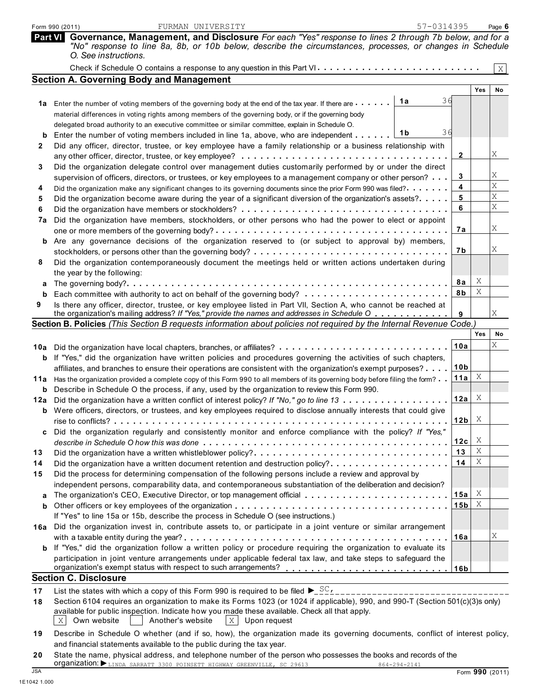|     | 57-0314395<br>FURMAN UNIVERSITY<br>Form 990 (2011)                                                                                                                                                                                                 |                 |        | Page 6 |
|-----|----------------------------------------------------------------------------------------------------------------------------------------------------------------------------------------------------------------------------------------------------|-----------------|--------|--------|
|     | Part VI Governance, Management, and Disclosure For each "Yes" response to lines 2 through 7b below, and for a<br>"No" response to line 8a, 8b, or 10b below, describe the circumstances, processes, or changes in Schedule<br>O. See instructions. |                 |        |        |
|     |                                                                                                                                                                                                                                                    |                 |        | X      |
|     | <b>Section A. Governing Body and Management</b>                                                                                                                                                                                                    |                 |        |        |
|     |                                                                                                                                                                                                                                                    |                 | Yes    | No.    |
|     | 36<br>1a<br>1a Enter the number of voting members of the governing body at the end of the tax year. If there are                                                                                                                                   |                 |        |        |
|     | material differences in voting rights among members of the governing body, or if the governing body                                                                                                                                                |                 |        |        |
|     | delegated broad authority to an executive committee or similar committee, explain in Schedule O.                                                                                                                                                   |                 |        |        |
|     | 36<br>1b<br>Enter the number of voting members included in line 1a, above, who are independent                                                                                                                                                     |                 |        |        |
| 2   | Did any officer, director, trustee, or key employee have a family relationship or a business relationship with                                                                                                                                     |                 |        |        |
|     | any other officer, director, trustee, or key employee? $\ldots \ldots \ldots \ldots \ldots \ldots \ldots \ldots \ldots$                                                                                                                            | 2               |        | Χ      |
| 3   | Did the organization delegate control over management duties customarily performed by or under the direct                                                                                                                                          |                 |        |        |
|     | supervision of officers, directors, or trustees, or key employees to a management company or other person?                                                                                                                                         | 3               |        | Χ      |
| 4   | Did the organization make any significant changes to its governing documents since the prior Form 990 was filed?.                                                                                                                                  | 4               |        | Χ      |
| 5   | Did the organization become aware during the year of a significant diversion of the organization's assets?                                                                                                                                         | 5               |        | Χ<br>X |
| 6   |                                                                                                                                                                                                                                                    | 6               |        |        |
| 7a  | Did the organization have members, stockholders, or other persons who had the power to elect or appoint                                                                                                                                            |                 |        |        |
|     | one or more members of the governing body? $\dots \dots \dots \dots \dots \dots \dots \dots \dots \dots \dots \dots \dots \dots$                                                                                                                   | 7а              |        | Χ      |
| b   | Are any governance decisions of the organization reserved to (or subject to approval by) members,                                                                                                                                                  |                 |        |        |
|     |                                                                                                                                                                                                                                                    | 7b              |        | Χ      |
| 8   | Did the organization contemporaneously document the meetings held or written actions undertaken during                                                                                                                                             |                 |        |        |
|     | the year by the following:                                                                                                                                                                                                                         |                 | Χ      |        |
| а   |                                                                                                                                                                                                                                                    | 8a              | Χ      |        |
| b   |                                                                                                                                                                                                                                                    | 8b              |        |        |
| 9   | Is there any officer, director, trustee, or key employee listed in Part VII, Section A, who cannot be reached at<br>the organization's mailing address? If "Yes," provide the names and addresses in Schedule O                                    | 9               |        | Χ      |
|     | Section B. Policies (This Section B requests information about policies not required by the Internal Revenue Code.                                                                                                                                 |                 |        |        |
|     |                                                                                                                                                                                                                                                    |                 | Yes    | No     |
|     | 10a Did the organization have local chapters, branches, or affiliates?                                                                                                                                                                             | 10a             |        | Χ      |
|     | <b>b</b> If "Yes," did the organization have written policies and procedures governing the activities of such chapters,                                                                                                                            |                 |        |        |
|     | affiliates, and branches to ensure their operations are consistent with the organization's exempt purposes?                                                                                                                                        | 10 <sub>b</sub> |        |        |
|     | 11a Has the organization provided a complete copy of this Form 990 to all members of its governing body before filing the form?                                                                                                                    | 11a             | X      |        |
| b   | Describe in Schedule O the process, if any, used by the organization to review this Form 990.                                                                                                                                                      |                 |        |        |
| 12a | Did the organization have a written conflict of interest policy? If "No," go to line 13                                                                                                                                                            | 12a             | X      |        |
|     | <b>b</b> Were officers, directors, or trustees, and key employees required to disclose annually interests that could give                                                                                                                          |                 |        |        |
|     |                                                                                                                                                                                                                                                    | 12b             | X      |        |
| c   | Did the organization regularly and consistently monitor and enforce compliance with the policy? If "Yes,"                                                                                                                                          |                 |        |        |
|     |                                                                                                                                                                                                                                                    | 12c             | X      |        |
| 13  |                                                                                                                                                                                                                                                    | 13              | Χ<br>Χ |        |
| 14  | Did the organization have a written document retention and destruction policy?                                                                                                                                                                     | 14              |        |        |
| 15  | Did the process for determining compensation of the following persons include a review and approval by                                                                                                                                             |                 |        |        |
|     | independent persons, comparability data, and contemporaneous substantiation of the deliberation and decision?                                                                                                                                      |                 | X      |        |
|     | The organization's CEO, Executive Director, or top management official                                                                                                                                                                             | 15a             | X      |        |
| b   |                                                                                                                                                                                                                                                    | 15 <sub>b</sub> |        |        |
|     | If "Yes" to line 15a or 15b, describe the process in Schedule O (see instructions.)                                                                                                                                                                |                 |        |        |
| 16a | Did the organization invest in, contribute assets to, or participate in a joint venture or similar arrangement                                                                                                                                     |                 |        | Χ      |
|     | If "Yes," did the organization follow a written policy or procedure requiring the organization to evaluate its                                                                                                                                     | 16a             |        |        |
| b   |                                                                                                                                                                                                                                                    |                 |        |        |
|     | participation in joint venture arrangements under applicable federal tax law, and take steps to safeguard the                                                                                                                                      |                 |        |        |
|     | <b>Section C. Disclosure</b>                                                                                                                                                                                                                       |                 |        |        |
| 17  | List the states with which a copy of this Form 990 is required to be filed $\blacktriangleright$ _ $\frac{SC_{L}}{2}$                                                                                                                              |                 |        |        |
| 18  | __________________________<br>Section 6104 requires an organization to make its Forms 1023 (or 1024 if applicable), 990, and 990-T (Section 501(c)(3)s only)                                                                                       |                 |        |        |
|     | available for public inspection. Indicate how you made these available. Check all that apply.                                                                                                                                                      |                 |        |        |

- $\mathbf{X} \,|\,$  Own website  $||\,$   $||$  Another's website  $||\,\mathbf{X}\,|\,$  Upon request
- **19** Describe in Schedule O whether (and if so, how), the organization made its governing documents, conflict of interest policy, and financial statements available to the public during the tax year.
- **20** State the name, physical address, and telephone number of the person who possesses the books and records of the<br>organization:  $\blacktriangleright$ <sub>LINDA</sub> SARRATT 3300 POINSETT HIGHWAY GREENVILLE, SC 29613 664-294-2141 Form **990** (2011) Organization: LINDA SARRATT 3300 POINSETT HIGHWAY GREENVILLE, SC 29613 864-294-2141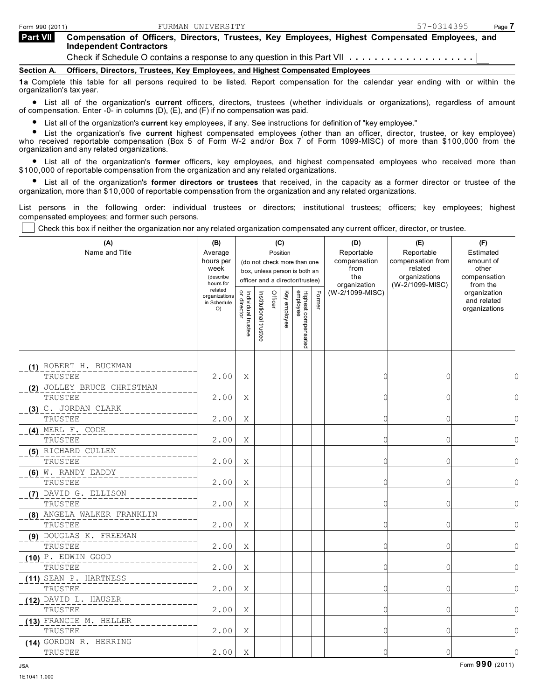| <b>Part VII</b> | Compensation of Officers, Directors, Trustees, Key Employees, Highest Compensated Employees, and |
|-----------------|--------------------------------------------------------------------------------------------------|
|                 | <b>Independent Contractors</b>                                                                   |
|                 | Check if Schedule O contains a response to any question in this Part VII                         |

**Section A. Officers, Directors, Trustees, Key Employees, and Highest Compensated Employees**

**1a** Complete this table for all persons required to be listed. Report compensation for the calendar year ending with or within the organization's tax year.

organization. Stax year.<br>• List all of the organization's current officers, directors, trustees (whe<br>of compensation. Enter -0- in columns (D), (E), and (F) if no compensation was paid. List all of the organization's **current** officers, directors, trustees (whether individuals or organizations), regardless of amount

ompensation. Enter -u- in columns (D), (E), and (F) if no compensation was paid.<br>• List all of the organization's **current** key employees, if any. See instructions for definition of "key employee."

**List all of the organization's current** key employees, if any. See instructions for definition of "key employee."<br> **List the organization's five current** highest compensated employees (other than an officer, director, tru who received reportable compensation (Box 5 of Form W-2 and/or Box 7 of Form 1099-MISC) of more than \$100,000 from the organization and any related organizations.

anization and any related organizations.<br>• List all of the organization's **former** officers, key employees, and highest compensated employees who received more than \$100,000 of reportable compensation from the organization and any related organizations.

0,000 of reportable compensation from the organization and any related organizations.<br>• List all of the organization's **former directors or trustees** that received, in the capacity as a former director or trustee of the organization, more than \$10,000 of reportable compensation from the organization and any related organizations.

List persons in the following order: individual trustees or directors; institutional trustees; officers; key employees; highest compensated employees; and former such persons.

Check this box if neither the organization nor any related organization compensated any current officer, director, or trustee.

| (A)<br>Name and Title                                                                                                                                                       | (B)<br>Average<br>hours per<br>week<br>(describe<br>hours for |                                   |                       |         | (C)<br>Position | (do not check more than one<br>box, unless person is both an<br>officer and a director/trustee) |        | (D)<br>Reportable<br>compensation<br>from<br>the<br>organization | (E)<br>Reportable<br>compensation from<br>related<br>organizations<br>(W-2/1099-MISC) | (F)<br>Estimated<br>amount of<br>other<br>compensation<br>from the |           |
|-----------------------------------------------------------------------------------------------------------------------------------------------------------------------------|---------------------------------------------------------------|-----------------------------------|-----------------------|---------|-----------------|-------------------------------------------------------------------------------------------------|--------|------------------------------------------------------------------|---------------------------------------------------------------------------------------|--------------------------------------------------------------------|-----------|
| TRUSTEE<br>TRUSTEE<br>TRUSTEE<br>TRUSTEE<br>(5) RICHARD CULLEN<br>TRUSTEE<br>(6) W. RANDY EADDY<br>TRUSTEE<br>(7) DAVID G. ELLISON<br>TRUSTEE<br>(8) ANGELA WALKER FRANKLIN | related<br>organizations<br>in Schedule<br>O)                 | Individual trustee<br>or director | Institutional trustee | Officer | Key employee    | Highest compensated<br>employee                                                                 | Former | (W-2/1099-MISC)                                                  |                                                                                       | organization<br>and related<br>organizations                       |           |
| (1) ROBERT H. BUCKMAN                                                                                                                                                       | 2.00                                                          | X                                 |                       |         |                 |                                                                                                 |        | $\bigcap$                                                        | $\mathbf{0}$                                                                          |                                                                    | $\Omega$  |
| (2) JOLLEY BRUCE CHRISTMAN                                                                                                                                                  | 2.00                                                          | Χ                                 |                       |         |                 |                                                                                                 |        | $\bigcap$                                                        | $\overline{0}$                                                                        |                                                                    | $\Omega$  |
| (3) C. JORDAN CLARK                                                                                                                                                         | 2.00                                                          | Χ                                 |                       |         |                 |                                                                                                 |        | C                                                                | $\circ$                                                                               |                                                                    | $\Omega$  |
| (4) MERL F. CODE                                                                                                                                                            | 2.00                                                          | Χ                                 |                       |         |                 |                                                                                                 |        | $\sqrt{ }$                                                       | $\mathbf 0$                                                                           |                                                                    | $\Omega$  |
|                                                                                                                                                                             | 2.00                                                          | X                                 |                       |         |                 |                                                                                                 |        | $\Omega$                                                         | 0                                                                                     |                                                                    | $\Omega$  |
|                                                                                                                                                                             | 2.00                                                          | Χ                                 |                       |         |                 |                                                                                                 |        | ſ                                                                | 0                                                                                     |                                                                    | $\Omega$  |
|                                                                                                                                                                             | 2.00                                                          | Χ                                 |                       |         |                 |                                                                                                 |        | C                                                                | 0                                                                                     |                                                                    | $\Omega$  |
| TRUSTEE                                                                                                                                                                     | 2.00                                                          | X                                 |                       |         |                 |                                                                                                 |        | C                                                                | $\mathbf{0}$                                                                          |                                                                    |           |
| (9) DOUGLAS K. FREEMAN<br>TRUSTEE                                                                                                                                           | 2.00                                                          | Χ                                 |                       |         |                 |                                                                                                 |        |                                                                  | 0                                                                                     |                                                                    |           |
| $(10)$ $\text{P}$ . edwin good<br>TRUSTEE                                                                                                                                   | 2.00                                                          | Χ                                 |                       |         |                 |                                                                                                 |        | $\Omega$                                                         | $\overline{0}$                                                                        |                                                                    | $\bigcap$ |
| (11) SEAN P. HARTNESS<br>TRUSTEE                                                                                                                                            | 2.00                                                          | X                                 |                       |         |                 |                                                                                                 |        | $\bigcap$                                                        | $\Omega$                                                                              |                                                                    | $\bigcap$ |
| (12) DAVID L. HAUSER<br>TRUSTEE                                                                                                                                             | 2.00                                                          | Χ                                 |                       |         |                 |                                                                                                 |        | $\Omega$                                                         | 0                                                                                     |                                                                    | $\cap$    |
| (13) FRANCIE M. HELLER<br>TRUSTEE                                                                                                                                           | 2.00                                                          | Χ                                 |                       |         |                 |                                                                                                 |        | $\Omega$                                                         | 0                                                                                     |                                                                    | $\Omega$  |
| 14) GORDON R. HERRING<br>TRUSTEE                                                                                                                                            | 2.00                                                          | X                                 |                       |         |                 |                                                                                                 |        | $\Omega$                                                         | $\Omega$                                                                              |                                                                    | $\Omega$  |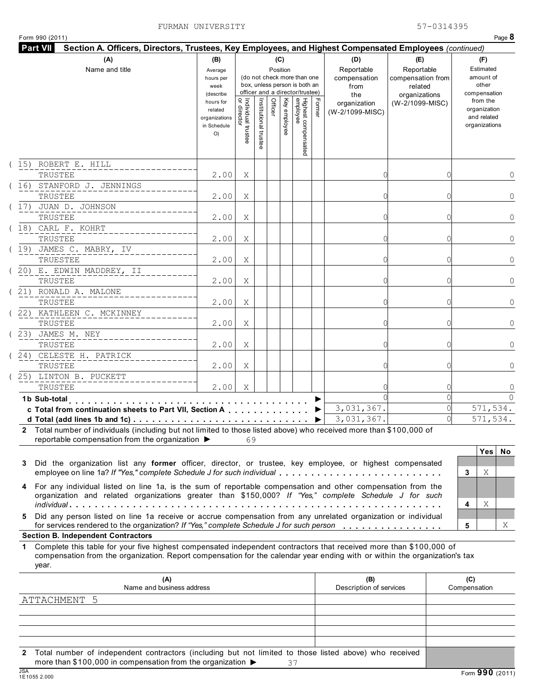| Form 990 (2011)<br>Part VII<br>Section A. Officers, Directors, Trustees, Key Employees, and Highest Compensated Employees (continued)                                                                                                                       |                                                        |                                   |                       |         |              |                                                                                                 |        |                                           |                                                             |   |                                                             | Page 8       |
|-------------------------------------------------------------------------------------------------------------------------------------------------------------------------------------------------------------------------------------------------------------|--------------------------------------------------------|-----------------------------------|-----------------------|---------|--------------|-------------------------------------------------------------------------------------------------|--------|-------------------------------------------|-------------------------------------------------------------|---|-------------------------------------------------------------|--------------|
| (A)                                                                                                                                                                                                                                                         | (B)                                                    |                                   |                       |         | (C)          |                                                                                                 |        | (D)                                       | (E)                                                         |   | (F)                                                         |              |
| Name and title                                                                                                                                                                                                                                              | Average<br>hours per<br>week<br>(describe<br>hours for |                                   |                       |         | Position     | (do not check more than one<br>box, unless person is both an<br>officer and a director/trustee) |        | Reportable<br>compensation<br>from<br>the | Reportable<br>compensation from<br>related<br>organizations |   | Estimated<br>amount of<br>other<br>compensation<br>from the |              |
|                                                                                                                                                                                                                                                             | related<br>organizations<br>in Schedule<br>O           | Individual trustee<br>or director | Institutional trustee | Officer | Key employee | Highest compensated<br>employee                                                                 | Former | organization<br>(W-2/1099-MISC)           | (W-2/1099-MISC)                                             |   | organization<br>and related<br>organizations                |              |
| (15) ROBERT E. HILL                                                                                                                                                                                                                                         |                                                        |                                   |                       |         |              |                                                                                                 |        |                                           |                                                             |   |                                                             |              |
| TRUSTEE                                                                                                                                                                                                                                                     | 2.00                                                   | Χ                                 |                       |         |              |                                                                                                 |        | C                                         |                                                             |   |                                                             | 0            |
| (16) STANFORD J. JENNINGS<br>TRUSTEE                                                                                                                                                                                                                        | 2.00                                                   | Χ                                 |                       |         |              |                                                                                                 |        |                                           |                                                             |   |                                                             | $\mathbf{0}$ |
| (17) JUAN D. JOHNSON                                                                                                                                                                                                                                        |                                                        |                                   |                       |         |              |                                                                                                 |        |                                           |                                                             |   |                                                             |              |
| TRUSTEE<br>(18) CARL F. KOHRT                                                                                                                                                                                                                               | 2.00                                                   | Χ                                 |                       |         |              |                                                                                                 |        | C                                         |                                                             |   |                                                             | $\mathbf{0}$ |
| TRUSTEE                                                                                                                                                                                                                                                     | 2.00                                                   | Χ                                 |                       |         |              |                                                                                                 |        | C                                         |                                                             |   |                                                             | $\mathbf{0}$ |
| (19) JAMES C. MABRY, IV                                                                                                                                                                                                                                     |                                                        |                                   |                       |         |              |                                                                                                 |        |                                           |                                                             |   |                                                             |              |
| TRUESTEE                                                                                                                                                                                                                                                    | 2.00                                                   | Χ                                 |                       |         |              |                                                                                                 |        | C                                         |                                                             |   |                                                             | $\mathbf{0}$ |
| (20) E. EDWIN MADDREY, II                                                                                                                                                                                                                                   |                                                        |                                   |                       |         |              |                                                                                                 |        |                                           |                                                             |   |                                                             |              |
| TRUSTEE                                                                                                                                                                                                                                                     | 2.00                                                   | Χ                                 |                       |         |              |                                                                                                 |        | C                                         |                                                             |   |                                                             | $\mathbf{0}$ |
| (21) RONALD A. MALONE                                                                                                                                                                                                                                       |                                                        |                                   |                       |         |              |                                                                                                 |        |                                           |                                                             |   |                                                             |              |
| TRUSTEE                                                                                                                                                                                                                                                     | 2.00                                                   | Χ                                 |                       |         |              |                                                                                                 |        | C                                         |                                                             |   |                                                             | $\mathbf{0}$ |
| (22) KATHLEEN C. MCKINNEY<br>TRUSTEE                                                                                                                                                                                                                        | 2.00                                                   | Χ                                 |                       |         |              |                                                                                                 |        |                                           |                                                             |   |                                                             | $\mathbf{0}$ |
| (23) JAMES M. NEY<br>TRUSTEE                                                                                                                                                                                                                                | 2.00                                                   | Χ                                 |                       |         |              |                                                                                                 |        |                                           |                                                             |   |                                                             | $\mathbf{0}$ |
| (24) CELESTE H. PATRICK<br>TRUSTEE                                                                                                                                                                                                                          | 2.00                                                   | Χ                                 |                       |         |              |                                                                                                 |        |                                           |                                                             |   |                                                             | $\mathbf{0}$ |
| (25) LINTON B. PUCKETT                                                                                                                                                                                                                                      |                                                        |                                   |                       |         |              |                                                                                                 |        |                                           |                                                             |   |                                                             |              |
| TRUSTEE                                                                                                                                                                                                                                                     | 2.00                                                   | X                                 |                       |         |              |                                                                                                 |        |                                           |                                                             |   |                                                             | $\mathbb O$  |
| 1b Sub-total                                                                                                                                                                                                                                                |                                                        |                                   |                       |         |              |                                                                                                 |        |                                           |                                                             |   |                                                             | $\Omega$     |
| c Total from continuation sheets to Part VII, Section A                                                                                                                                                                                                     |                                                        |                                   |                       |         |              |                                                                                                 |        | 3,031,367.                                |                                                             |   | 571, 534.                                                   |              |
| d Total (add lines 1b and 1c)                                                                                                                                                                                                                               |                                                        |                                   |                       |         |              |                                                                                                 | ▶      | 3,031,367.                                |                                                             |   | 571, 534.                                                   |              |
| 2 Total number of individuals (including but not limited to those listed above) who received more than \$100,000 of<br>reportable compensation from the organization ▶                                                                                      |                                                        | 69                                |                       |         |              |                                                                                                 |        |                                           |                                                             |   |                                                             |              |
|                                                                                                                                                                                                                                                             |                                                        |                                   |                       |         |              |                                                                                                 |        |                                           |                                                             |   | Yes                                                         | No           |
| Did the organization list any former officer, director, or trustee, key employee, or highest compensated<br>3<br>employee on line 1a? If "Yes," complete Schedule J for such individual                                                                     |                                                        |                                   |                       |         |              |                                                                                                 |        |                                           |                                                             | 3 | Χ                                                           |              |
| 4 For any individual listed on line 1a, is the sum of reportable compensation and other compensation from the<br>organization and related organizations greater than \$150,000? If "Yes," complete Schedule J for such                                      |                                                        |                                   |                       |         |              |                                                                                                 |        |                                           |                                                             | 4 | Χ                                                           |              |
| Did any person listed on line 1a receive or accrue compensation from any unrelated organization or individual<br>5<br>for services rendered to the organization? If "Yes," complete Schedule J for such person                                              |                                                        |                                   |                       |         |              |                                                                                                 |        |                                           |                                                             | 5 |                                                             | X            |
| <b>Section B. Independent Contractors</b>                                                                                                                                                                                                                   |                                                        |                                   |                       |         |              |                                                                                                 |        |                                           |                                                             |   |                                                             |              |
| 1 Complete this table for your five highest compensated independent contractors that received more than \$100,000 of<br>compensation from the organization. Report compensation for the calendar year ending with or within the organization's tax<br>year. |                                                        |                                   |                       |         |              |                                                                                                 |        |                                           |                                                             |   |                                                             |              |

| (A)<br>Name and business address                                                                                                                                                                               | (B)<br>Description of services | (C)<br>Compensation |
|----------------------------------------------------------------------------------------------------------------------------------------------------------------------------------------------------------------|--------------------------------|---------------------|
| ATTACHMENT 5                                                                                                                                                                                                   |                                |                     |
|                                                                                                                                                                                                                |                                |                     |
|                                                                                                                                                                                                                |                                |                     |
|                                                                                                                                                                                                                |                                |                     |
|                                                                                                                                                                                                                |                                |                     |
| Total number of independent contractors (including but not limited to those listed above) who received<br>$2^{\circ}$<br>more than \$100,000 in compensation from the organization $\blacktriangleright$<br>37 |                                |                     |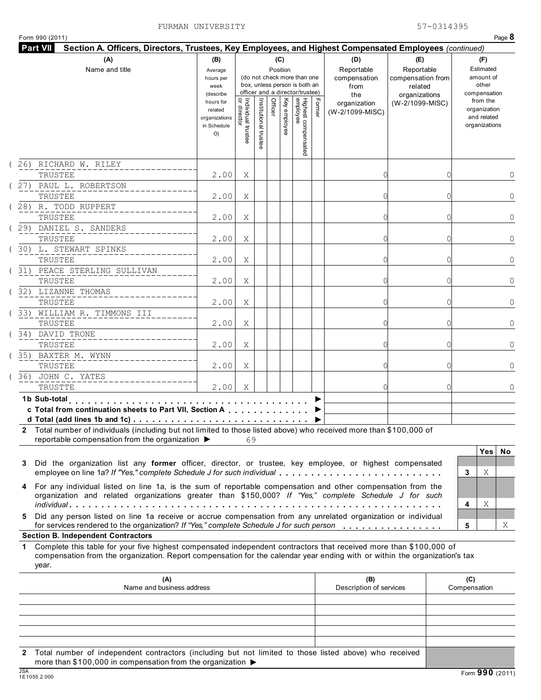| Form 990 (2011)                                                                                                                                                                                                                                                |                                                                                                                 |                                     |                      |         |                                 |                                                                                                                                    |        |                                                                                     |                                                                                       | Page 8                                                                                                             |
|----------------------------------------------------------------------------------------------------------------------------------------------------------------------------------------------------------------------------------------------------------------|-----------------------------------------------------------------------------------------------------------------|-------------------------------------|----------------------|---------|---------------------------------|------------------------------------------------------------------------------------------------------------------------------------|--------|-------------------------------------------------------------------------------------|---------------------------------------------------------------------------------------|--------------------------------------------------------------------------------------------------------------------|
| <b>Part VII</b><br>Section A. Officers, Directors, Trustees, Key Employees, and Highest Compensated Employees (continued)                                                                                                                                      |                                                                                                                 |                                     |                      |         |                                 |                                                                                                                                    |        |                                                                                     |                                                                                       |                                                                                                                    |
| (A)<br>Name and title                                                                                                                                                                                                                                          | (B)<br>Average<br>hours per<br>week<br>(describe<br>hours for<br>related<br>organizations<br>in Schedule<br>O() | Individual trustee<br>  or director | Institutional truste | Officer | (C)<br>Position<br>Key employee | (do not check more than one<br>box, unless person is both an<br>officer and a director/trustee)<br>Highest compensated<br>employee | Former | (D)<br>Reportable<br>compensation<br>from<br>the<br>organization<br>(W-2/1099-MISC) | (E)<br>Reportable<br>compensation from<br>related<br>organizations<br>(W-2/1099-MISC) | (F)<br>Estimated<br>amount of<br>other<br>compensation<br>from the<br>organization<br>and related<br>organizations |
| 26) RICHARD W. RILEY                                                                                                                                                                                                                                           |                                                                                                                 |                                     |                      |         |                                 |                                                                                                                                    |        |                                                                                     |                                                                                       |                                                                                                                    |
| TRUSTEE                                                                                                                                                                                                                                                        | 2.00                                                                                                            | Χ                                   |                      |         |                                 |                                                                                                                                    |        |                                                                                     |                                                                                       | 0                                                                                                                  |
| (27) PAUL L. ROBERTSON                                                                                                                                                                                                                                         |                                                                                                                 |                                     |                      |         |                                 |                                                                                                                                    |        |                                                                                     |                                                                                       |                                                                                                                    |
| TRUSTEE                                                                                                                                                                                                                                                        | 2.00                                                                                                            | Χ                                   |                      |         |                                 |                                                                                                                                    |        | ſ                                                                                   |                                                                                       | $\mathbf 0$                                                                                                        |
| (28) R. TODD RUPPERT                                                                                                                                                                                                                                           |                                                                                                                 |                                     |                      |         |                                 |                                                                                                                                    |        |                                                                                     |                                                                                       |                                                                                                                    |
| TRUSTEE                                                                                                                                                                                                                                                        | 2.00                                                                                                            | Χ                                   |                      |         |                                 |                                                                                                                                    |        | ſ                                                                                   |                                                                                       | $\mathbf 0$                                                                                                        |
| (29) DANIEL S. SANDERS                                                                                                                                                                                                                                         |                                                                                                                 |                                     |                      |         |                                 |                                                                                                                                    |        |                                                                                     |                                                                                       |                                                                                                                    |
| TRUSTEE                                                                                                                                                                                                                                                        | 2.00                                                                                                            | Χ                                   |                      |         |                                 |                                                                                                                                    |        | ſ                                                                                   |                                                                                       | $\mathbf 0$                                                                                                        |
| (30) L. STEWART SPINKS                                                                                                                                                                                                                                         |                                                                                                                 |                                     |                      |         |                                 |                                                                                                                                    |        |                                                                                     |                                                                                       |                                                                                                                    |
| TRUSTEE                                                                                                                                                                                                                                                        | 2.00                                                                                                            | Χ                                   |                      |         |                                 |                                                                                                                                    |        | ſ                                                                                   |                                                                                       | $\mathbf 0$                                                                                                        |
| ( 31) PEACE STERLING SULLIVAN                                                                                                                                                                                                                                  |                                                                                                                 |                                     |                      |         |                                 |                                                                                                                                    |        |                                                                                     |                                                                                       |                                                                                                                    |
| TRUSTEE                                                                                                                                                                                                                                                        | 2.00                                                                                                            | Χ                                   |                      |         |                                 |                                                                                                                                    |        | ſ                                                                                   |                                                                                       | $\mathbf 0$                                                                                                        |
| (32) LIZANNE THOMAS                                                                                                                                                                                                                                            |                                                                                                                 |                                     |                      |         |                                 |                                                                                                                                    |        |                                                                                     |                                                                                       |                                                                                                                    |
| TRUSTEE                                                                                                                                                                                                                                                        | 2.00                                                                                                            | Χ                                   |                      |         |                                 |                                                                                                                                    |        |                                                                                     |                                                                                       | $\mathbf 0$                                                                                                        |
| (33) WILLIAM R. TIMMONS III<br>TRUSTEE                                                                                                                                                                                                                         | 2.00                                                                                                            | Χ                                   |                      |         |                                 |                                                                                                                                    |        |                                                                                     |                                                                                       | $\mathbf 0$                                                                                                        |
| (34) DAVID TRONE<br>TRUSTEE                                                                                                                                                                                                                                    | 2.00                                                                                                            | Χ                                   |                      |         |                                 |                                                                                                                                    |        |                                                                                     |                                                                                       | $\mathbf 0$                                                                                                        |
| (35) BAXTER M. WYNN<br>TRUSTEE                                                                                                                                                                                                                                 | 2.00                                                                                                            | Χ                                   |                      |         |                                 |                                                                                                                                    |        |                                                                                     |                                                                                       | $\mathbf 0$                                                                                                        |
| (36) JOHN C. YATES<br>TRUSTTE                                                                                                                                                                                                                                  | 2.00                                                                                                            | X                                   |                      |         |                                 |                                                                                                                                    |        |                                                                                     |                                                                                       | $\mathbf{0}$                                                                                                       |
| 1b Sub-total                                                                                                                                                                                                                                                   |                                                                                                                 |                                     |                      |         |                                 |                                                                                                                                    |        |                                                                                     |                                                                                       |                                                                                                                    |
| c Total from continuation sheets to Part VII, Section A<br>d Total (add lines 1b and 1c) $\cdots$ $\cdots$ $\cdots$ $\cdots$ $\cdots$ $\cdots$ $\cdots$ $\cdots$ $\cdots$ $\cdots$ $\cdots$                                                                    |                                                                                                                 |                                     |                      |         |                                 |                                                                                                                                    |        |                                                                                     |                                                                                       |                                                                                                                    |
| 2 Total number of individuals (including but not limited to those listed above) who received more than \$100,000 of                                                                                                                                            |                                                                                                                 |                                     |                      |         |                                 |                                                                                                                                    |        |                                                                                     |                                                                                       |                                                                                                                    |
| reportable compensation from the organization ▶                                                                                                                                                                                                                |                                                                                                                 | 69                                  |                      |         |                                 |                                                                                                                                    |        |                                                                                     |                                                                                       |                                                                                                                    |
|                                                                                                                                                                                                                                                                |                                                                                                                 |                                     |                      |         |                                 |                                                                                                                                    |        |                                                                                     |                                                                                       | Yes <br>No                                                                                                         |
| Did the organization list any former officer, director, or trustee, key employee, or highest compensated<br>3<br>employee on line 1a? If "Yes," complete Schedule J for such individual                                                                        |                                                                                                                 |                                     |                      |         |                                 |                                                                                                                                    |        |                                                                                     |                                                                                       | Χ<br>3                                                                                                             |
| 4 For any individual listed on line 1a, is the sum of reportable compensation and other compensation from the<br>organization and related organizations greater than \$150,000? If "Yes," complete Schedule J for such                                         |                                                                                                                 |                                     |                      |         |                                 |                                                                                                                                    |        |                                                                                     |                                                                                       | Χ<br>4                                                                                                             |
| Did any person listed on line 1a receive or accrue compensation from any unrelated organization or individual<br>5.<br>for services rendered to the organization? If "Yes," complete Schedule J for such person                                                |                                                                                                                 |                                     |                      |         |                                 |                                                                                                                                    |        |                                                                                     |                                                                                       | 5<br>Χ                                                                                                             |
| <b>Section B. Independent Contractors</b>                                                                                                                                                                                                                      |                                                                                                                 |                                     |                      |         |                                 |                                                                                                                                    |        |                                                                                     |                                                                                       |                                                                                                                    |
| Complete this table for your five highest compensated independent contractors that received more than \$100,000 of<br>1<br>compensation from the organization. Report compensation for the calendar year ending with or within the organization's tax<br>year. |                                                                                                                 |                                     |                      |         |                                 |                                                                                                                                    |        |                                                                                     |                                                                                       |                                                                                                                    |

|            | (A)<br>Name and business address                                                                                                                                                            | (B)<br>Description of services | (C)<br>Compensation |
|------------|---------------------------------------------------------------------------------------------------------------------------------------------------------------------------------------------|--------------------------------|---------------------|
|            |                                                                                                                                                                                             |                                |                     |
|            |                                                                                                                                                                                             |                                |                     |
|            |                                                                                                                                                                                             |                                |                     |
|            |                                                                                                                                                                                             |                                |                     |
|            |                                                                                                                                                                                             |                                |                     |
|            | 2 Total number of independent contractors (including but not limited to those listed above) who received<br>more than \$100,000 in compensation from the organization $\blacktriangleright$ |                                |                     |
| <b>JSA</b> | 1E1055 2.000                                                                                                                                                                                |                                | Form 990 (2011)     |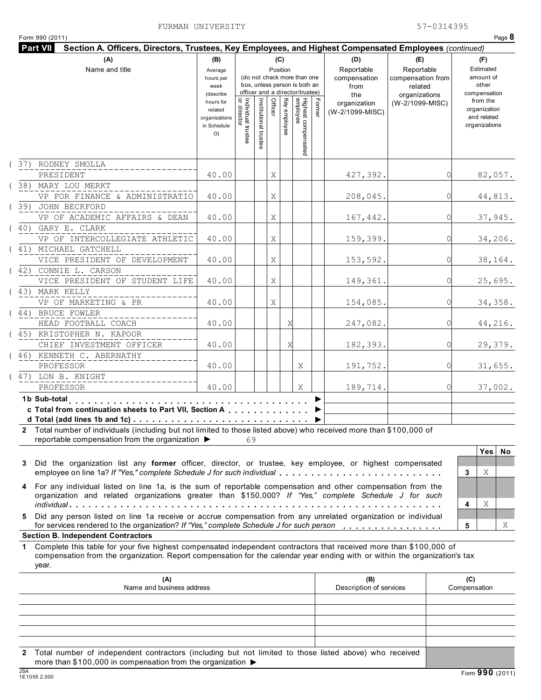| Form 990 (2011)                                                                                                                                                                                                                                                 |                                                           |                                   |                       |         |                 |                                                                                                 |       |                                                  |                                                                    |   | Page 8                                                   |
|-----------------------------------------------------------------------------------------------------------------------------------------------------------------------------------------------------------------------------------------------------------------|-----------------------------------------------------------|-----------------------------------|-----------------------|---------|-----------------|-------------------------------------------------------------------------------------------------|-------|--------------------------------------------------|--------------------------------------------------------------------|---|----------------------------------------------------------|
| Section A. Officers, Directors, Trustees, Key Employees, and Highest Compensated Employees (continued)<br><b>Part VII</b>                                                                                                                                       |                                                           |                                   |                       |         |                 |                                                                                                 |       |                                                  |                                                                    |   |                                                          |
| (A)<br>Name and title                                                                                                                                                                                                                                           | (B)<br>Average<br>hours per<br>week<br>(describe          |                                   |                       |         | (C)<br>Position | (do not check more than one<br>box, unless person is both an<br>officer and a director/trustee) |       | (D)<br>Reportable<br>compensation<br>from<br>the | (E)<br>Reportable<br>compensation from<br>related<br>organizations |   | (F)<br>Estimated<br>amount of<br>other<br>compensation   |
|                                                                                                                                                                                                                                                                 | hours for<br>related<br>organizations<br>in Schedule<br>O | Individual trustee<br>or director | Institutional trustee | Officer | Key employee    | Highest compensated<br>employee                                                                 | Forme | organization<br>(W-2/1099-MISC)                  | (W-2/1099-MISC)                                                    |   | from the<br>organization<br>and related<br>organizations |
| (37) RODNEY SMOLLA<br>PRESIDENT                                                                                                                                                                                                                                 | 40.00                                                     |                                   |                       | Χ       |                 |                                                                                                 |       | 427,392.                                         |                                                                    | C | 82,057.                                                  |
| (38) MARY LOU MERKT<br>VP FOR FINANCE & ADMINISTRATIO                                                                                                                                                                                                           | 40.00                                                     |                                   |                       | Χ       |                 |                                                                                                 |       | 208,045.                                         |                                                                    | C | 44,813.                                                  |
| (39) JOHN BECKFORD<br>VP OF ACADEMIC AFFAIRS & DEAN                                                                                                                                                                                                             | 40.00                                                     |                                   |                       | Χ       |                 |                                                                                                 |       | 167,442.                                         |                                                                    | C | 37,945.                                                  |
| (40) GARY E. CLARK<br>VP OF INTERCOLLEGIATE ATHLETIC                                                                                                                                                                                                            | 40.00                                                     |                                   |                       | Χ       |                 |                                                                                                 |       | 159,399.                                         |                                                                    | C | 34,206.                                                  |
| (41) MICHAEL GATCHELL<br>VICE PRESIDENT OF DEVELOPMENT                                                                                                                                                                                                          | 40.00                                                     |                                   |                       | Χ       |                 |                                                                                                 |       | 153,592.                                         |                                                                    | C | 38,164.                                                  |
| (42) CONNIE L. CARSON<br>VICE PRESIDENT OF STUDENT LIFE                                                                                                                                                                                                         | 40.00                                                     |                                   |                       | Χ       |                 |                                                                                                 |       | 149,361.                                         |                                                                    | C | 25,695.                                                  |
| (43) MARK KELLY<br>VP OF MARKETING & PR<br>(44) BRUCE FOWLER                                                                                                                                                                                                    | 40.00                                                     |                                   |                       | Χ       |                 |                                                                                                 |       | 154,085.                                         |                                                                    | C | 34,358.                                                  |
| HEAD FOOTBALL COACH<br>(45) KRISTOPHER N. KAPOOR                                                                                                                                                                                                                | 40.00                                                     |                                   |                       |         | Χ               |                                                                                                 |       | 247,082.                                         |                                                                    | C | 44,216.                                                  |
| CHIEF INVESTMENT OFFICER<br>(46) KENNETH C. ABERNATHY                                                                                                                                                                                                           | 40.00                                                     |                                   |                       |         | Χ               |                                                                                                 |       | 182,393.                                         |                                                                    | C | 29,379.                                                  |
| PROFESSOR<br>(47) LON B. KNIGHT                                                                                                                                                                                                                                 | 40.00                                                     |                                   |                       |         |                 | Χ                                                                                               |       | 191,752.                                         |                                                                    | C | 31,655.                                                  |
| PROFESSOR                                                                                                                                                                                                                                                       | 40.00                                                     |                                   |                       |         |                 | Χ                                                                                               |       | 189,714.                                         |                                                                    |   | 37,002.                                                  |
| 1b Sub-total<br>c Total from continuation sheets to Part VII, Section A<br>d Total (add lines 1b and 1c) $\ldots \ldots \ldots \ldots \ldots \ldots \ldots \ldots \ldots \ldots$                                                                                |                                                           |                                   |                       |         |                 |                                                                                                 |       |                                                  |                                                                    |   |                                                          |
| Total number of individuals (including but not limited to those listed above) who received more than \$100,000 of<br>2<br>reportable compensation from the organization $\blacktriangleright$                                                                   |                                                           | 69                                |                       |         |                 |                                                                                                 |       |                                                  |                                                                    |   |                                                          |
| Did the organization list any former officer, director, or trustee, key employee, or highest compensated<br>3<br>employee on line 1a? If "Yes," complete Schedule J for such individual                                                                         |                                                           |                                   |                       |         |                 |                                                                                                 |       |                                                  |                                                                    |   | <b>Yes</b><br>No<br>Χ<br>3                               |
| 4 For any individual listed on line 1a, is the sum of reportable compensation and other compensation from the<br>organization and related organizations greater than \$150,000? If "Yes," complete Schedule J for such                                          |                                                           |                                   |                       |         |                 |                                                                                                 |       |                                                  |                                                                    |   | Χ<br>4                                                   |
| Did any person listed on line 1a receive or accrue compensation from any unrelated organization or individual<br>5.<br>for services rendered to the organization? If "Yes," complete Schedule J for such person                                                 |                                                           |                                   |                       |         |                 |                                                                                                 |       |                                                  |                                                                    |   | 5<br>X                                                   |
| <b>Section B. Independent Contractors</b>                                                                                                                                                                                                                       |                                                           |                                   |                       |         |                 |                                                                                                 |       |                                                  |                                                                    |   |                                                          |
| Complete this table for your five highest compensated independent contractors that received more than \$100,000 of<br>1.<br>compensation from the organization. Report compensation for the calendar year ending with or within the organization's tax<br>year. |                                                           |                                   |                       |         |                 |                                                                                                 |       |                                                  |                                                                    |   |                                                          |
| (A)<br>Name and business address                                                                                                                                                                                                                                |                                                           |                                   |                       |         |                 |                                                                                                 |       | (B)<br>Description of services                   |                                                                    |   | (C)<br>Compensation                                      |
|                                                                                                                                                                                                                                                                 |                                                           |                                   |                       |         |                 |                                                                                                 |       |                                                  |                                                                    |   |                                                          |

**2** Total number of independent contractors (including but not limited to those listed above) who received more than \$100,000 in compensation from the organization ▶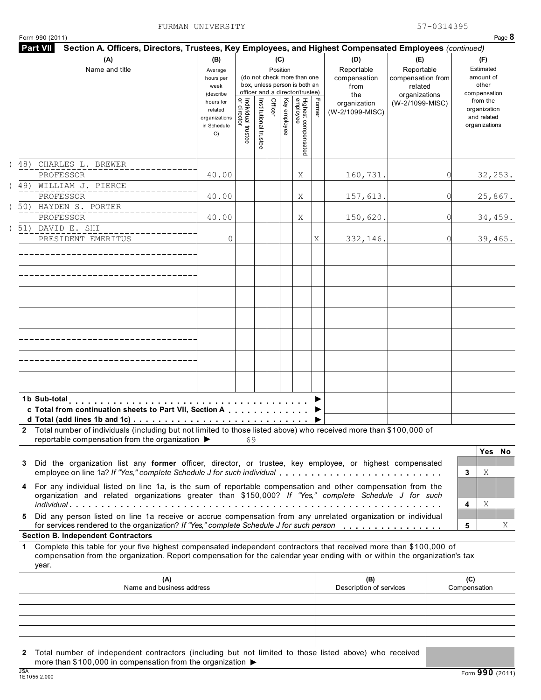|  | Form 990 (2011) |  |
|--|-----------------|--|
|  |                 |  |

|     | (A)<br>Name and title                                                                                                                                                                                                                                                                         | (B)<br>Average<br>hours per<br>week<br>(describe           |                                   |                       |         | (C)<br>Position | (do not check more than one<br>box, unless person is both an<br>officer and a director/trustee) |        | (D)<br>Reportable<br>compensation<br>from<br>the | (E)<br>Reportable<br>compensation from<br>related<br>organizations |          |                     | (F)<br>Estimated<br>amount of<br>other<br>compensation   |    |
|-----|-----------------------------------------------------------------------------------------------------------------------------------------------------------------------------------------------------------------------------------------------------------------------------------------------|------------------------------------------------------------|-----------------------------------|-----------------------|---------|-----------------|-------------------------------------------------------------------------------------------------|--------|--------------------------------------------------|--------------------------------------------------------------------|----------|---------------------|----------------------------------------------------------|----|
|     |                                                                                                                                                                                                                                                                                               | hours for<br>related<br>organizations<br>in Schedule<br>O) | Individual trustee<br>or director | Institutional trustee | Officer | Key employee    | Highest compensated<br>employee                                                                 | Former | organization<br>(W-2/1099-MISC)                  | (W-2/1099-MISC)                                                    |          |                     | from the<br>organization<br>and related<br>organizations |    |
| 48) | CHARLES L. BREWER<br>PROFESSOR                                                                                                                                                                                                                                                                | 40.00                                                      |                                   |                       |         |                 | Χ                                                                                               |        | 160,731.                                         |                                                                    | 0        |                     | 32, 253.                                                 |    |
|     | (49) WILLIAM J. PIERCE<br>PROFESSOR                                                                                                                                                                                                                                                           | 40.00                                                      |                                   |                       |         |                 | Χ                                                                                               |        | 157,613.                                         |                                                                    | 0        |                     | 25,867.                                                  |    |
|     | (50) HAYDEN S. PORTER<br>PROFESSOR                                                                                                                                                                                                                                                            | 40.00                                                      |                                   |                       |         |                 |                                                                                                 |        |                                                  |                                                                    | 0        |                     |                                                          |    |
|     | (51) DAVID E. SHI                                                                                                                                                                                                                                                                             |                                                            |                                   |                       |         |                 | Χ                                                                                               |        | 150,620.                                         |                                                                    |          |                     | 34,459.                                                  |    |
|     | PRESIDENT EMERITUS                                                                                                                                                                                                                                                                            | 0                                                          |                                   |                       |         |                 |                                                                                                 | Χ      | 332,146.                                         |                                                                    | $\Omega$ |                     | 39,465.                                                  |    |
|     |                                                                                                                                                                                                                                                                                               |                                                            |                                   |                       |         |                 |                                                                                                 |        |                                                  |                                                                    |          |                     |                                                          |    |
|     |                                                                                                                                                                                                                                                                                               |                                                            |                                   |                       |         |                 |                                                                                                 |        |                                                  |                                                                    |          |                     |                                                          |    |
|     |                                                                                                                                                                                                                                                                                               |                                                            |                                   |                       |         |                 |                                                                                                 |        |                                                  |                                                                    |          |                     |                                                          |    |
|     |                                                                                                                                                                                                                                                                                               |                                                            |                                   |                       |         |                 |                                                                                                 |        |                                                  |                                                                    |          |                     |                                                          |    |
|     |                                                                                                                                                                                                                                                                                               |                                                            |                                   |                       |         |                 |                                                                                                 |        |                                                  |                                                                    |          |                     |                                                          |    |
|     | 1b Sub-total<br>c Total from continuation sheets to Part VII, Section A                                                                                                                                                                                                                       |                                                            |                                   |                       |         |                 |                                                                                                 |        |                                                  |                                                                    |          |                     |                                                          |    |
|     | 2 Total number of individuals (including but not limited to those listed above) who received more than \$100,000 of<br>reportable compensation from the organization ▶                                                                                                                        |                                                            | 69                                |                       |         |                 |                                                                                                 |        |                                                  |                                                                    |          |                     |                                                          |    |
| 3   | Did the organization list any former officer, director, or trustee, key employee, or highest compensated<br>employee on line 1a? If "Yes," complete Schedule J for such individual                                                                                                            |                                                            |                                   |                       |         |                 |                                                                                                 |        |                                                  |                                                                    |          | 3                   | <b>Yes</b><br>Χ                                          | No |
| 4   | For any individual listed on line 1a, is the sum of reportable compensation and other compensation from the<br>organization and related organizations greater than \$150,000? If "Yes," complete Schedule J for such                                                                          |                                                            |                                   |                       |         |                 |                                                                                                 |        |                                                  |                                                                    |          | 4                   | Χ                                                        |    |
| 5   | Did any person listed on line 1a receive or accrue compensation from any unrelated organization or individual<br>for services rendered to the organization? If "Yes," complete Schedule J for such person                                                                                     |                                                            |                                   |                       |         |                 |                                                                                                 |        |                                                  |                                                                    |          | 5                   |                                                          |    |
| 1.  | <b>Section B. Independent Contractors</b><br>Complete this table for your five highest compensated independent contractors that received more than \$100,000 of<br>compensation from the organization. Report compensation for the calendar year ending with or within the organization's tax |                                                            |                                   |                       |         |                 |                                                                                                 |        |                                                  |                                                                    |          |                     |                                                          |    |
|     | year.<br>(A)<br>Name and business address                                                                                                                                                                                                                                                     |                                                            |                                   |                       |         |                 |                                                                                                 |        | (B)<br>Description of services                   |                                                                    |          | (C)<br>Compensation |                                                          |    |
|     |                                                                                                                                                                                                                                                                                               |                                                            |                                   |                       |         |                 |                                                                                                 |        |                                                  |                                                                    |          |                     |                                                          |    |

**2** Total number of independent contractors (including but not limited to those listed above) who received more than \$100,000 in compensation from the organization ▶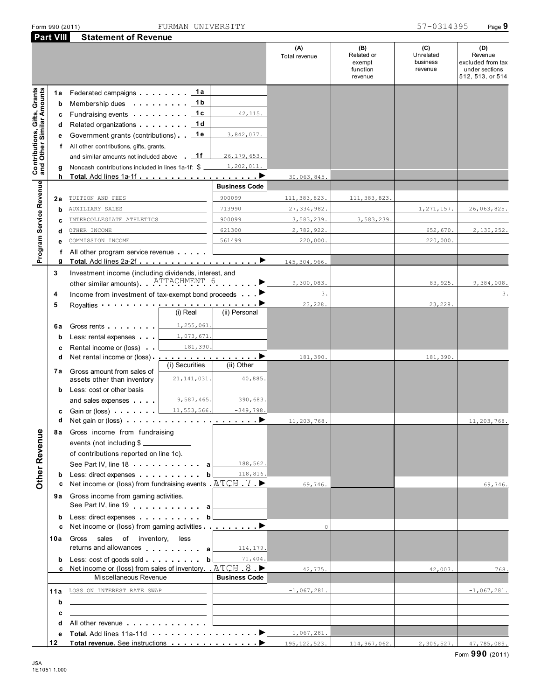|                                                                  | <b>Part VIII</b> | <b>Statement of Revenue</b>                                                                                                                                                                                                          |                     |                      |                      |                                                    |                                         |                                                                           |
|------------------------------------------------------------------|------------------|--------------------------------------------------------------------------------------------------------------------------------------------------------------------------------------------------------------------------------------|---------------------|----------------------|----------------------|----------------------------------------------------|-----------------------------------------|---------------------------------------------------------------------------|
|                                                                  |                  |                                                                                                                                                                                                                                      |                     |                      | (A)<br>Total revenue | (B)<br>Related or<br>exempt<br>function<br>revenue | (C)<br>Unrelated<br>business<br>revenue | (D)<br>Revenue<br>excluded from tax<br>under sections<br>512, 513, or 514 |
|                                                                  | 1a               | Federated campaigns <b>Example 2014</b>                                                                                                                                                                                              | 1а                  |                      |                      |                                                    |                                         |                                                                           |
| <b>Contributions, Gifts, Grants</b><br>and Other Similar Amounts | b                | Membership dues                                                                                                                                                                                                                      | 1 <sub>b</sub><br>. |                      |                      |                                                    |                                         |                                                                           |
|                                                                  | c                | Fundraising events <b>Fundraising</b>                                                                                                                                                                                                | 1c                  | 42, 115.             |                      |                                                    |                                         |                                                                           |
|                                                                  |                  |                                                                                                                                                                                                                                      | 1 <sub>d</sub>      |                      |                      |                                                    |                                         |                                                                           |
|                                                                  | d                | Related organizations <b>and the set of the set of the set of the set of the set of the set of the set of the set of the set of the set of the set of the set of the set of the set of the set of the set of the set of the set </b> | 1e                  | 3,842,077.           |                      |                                                    |                                         |                                                                           |
|                                                                  | е                | Government grants (contributions)                                                                                                                                                                                                    |                     |                      |                      |                                                    |                                         |                                                                           |
|                                                                  | f                | All other contributions, gifts, grants,                                                                                                                                                                                              |                     |                      |                      |                                                    |                                         |                                                                           |
|                                                                  |                  | and similar amounts not included above                                                                                                                                                                                               | 1f                  | 26, 179, 653.        |                      |                                                    |                                         |                                                                           |
|                                                                  | g                | Noncash contributions included in lines 1a-1f: \$                                                                                                                                                                                    |                     | 1,202,011.           |                      |                                                    |                                         |                                                                           |
|                                                                  | h                |                                                                                                                                                                                                                                      |                     |                      | 30,063,845           |                                                    |                                         |                                                                           |
| Program Service Revenue                                          |                  |                                                                                                                                                                                                                                      |                     | <b>Business Code</b> |                      |                                                    |                                         |                                                                           |
|                                                                  | 2a               | TUITION AND FEES                                                                                                                                                                                                                     |                     | 900099               | 111, 383, 823.       | 111, 383, 823                                      |                                         |                                                                           |
|                                                                  | b                | <b>AUXILIARY SALES</b>                                                                                                                                                                                                               |                     | 713990               | 27, 334, 982.        |                                                    | 1, 271, 157.                            | 26,063,825.                                                               |
|                                                                  | c                | INTERCOLLEGIATE ATHLETICS                                                                                                                                                                                                            |                     | 900099               | 3,583,239.           | 3,583,239.                                         |                                         |                                                                           |
|                                                                  | d                | OTHER INCOME                                                                                                                                                                                                                         |                     | 621300               | 2,782,922.           |                                                    | 652,670.                                | 2,130,252.                                                                |
|                                                                  | е                | COMMISSION INCOME                                                                                                                                                                                                                    |                     | 561499               | 220,000.             |                                                    | 220,000.                                |                                                                           |
|                                                                  | f                | All other program service revenue                                                                                                                                                                                                    |                     |                      |                      |                                                    |                                         |                                                                           |
|                                                                  | g                |                                                                                                                                                                                                                                      |                     |                      | 145, 304, 966        |                                                    |                                         |                                                                           |
|                                                                  | 3                | Investment income (including dividends, interest, and<br>other similar amounts). ATTACHMENT 6                                                                                                                                        |                     |                      | 9,300,083.           |                                                    | $-83,925.$                              | 9,384,008.                                                                |
|                                                                  | 4                | Income from investment of tax-exempt bond proceeds                                                                                                                                                                                   |                     |                      | 3.                   |                                                    |                                         | 3.                                                                        |
|                                                                  | 5                |                                                                                                                                                                                                                                      |                     |                      | 23,228.              |                                                    | 23,228.                                 |                                                                           |
|                                                                  |                  |                                                                                                                                                                                                                                      | (i) Real            | (ii) Personal        |                      |                                                    |                                         |                                                                           |
|                                                                  | 6а               | Gross rents                                                                                                                                                                                                                          | 1,255,061.          |                      |                      |                                                    |                                         |                                                                           |
|                                                                  | b                | Less: rental expenses                                                                                                                                                                                                                | 1,073,671.          |                      |                      |                                                    |                                         |                                                                           |
|                                                                  | c                | Rental income or (loss)                                                                                                                                                                                                              | 181,390.            |                      |                      |                                                    |                                         |                                                                           |
|                                                                  | d                | Net rental income or (loss)                                                                                                                                                                                                          |                     | <u>.</u>             | 181,390.             |                                                    | 181,390.                                |                                                                           |
|                                                                  |                  |                                                                                                                                                                                                                                      | (i) Securities      | (ii) Other           |                      |                                                    |                                         |                                                                           |
|                                                                  | 7a               | Gross amount from sales of<br>assets other than inventory                                                                                                                                                                            | 21, 141, 031.       | 40,885.              |                      |                                                    |                                         |                                                                           |
|                                                                  |                  |                                                                                                                                                                                                                                      |                     |                      |                      |                                                    |                                         |                                                                           |
|                                                                  | b                | Less: cost or other basis                                                                                                                                                                                                            |                     |                      |                      |                                                    |                                         |                                                                           |
|                                                                  |                  | and sales expenses <b>and</b>                                                                                                                                                                                                        | 9,587,465.          | 390,683.             |                      |                                                    |                                         |                                                                           |
|                                                                  | c                | Gain or (loss)                                                                                                                                                                                                                       | 11,553,566.         | $-349,798.$          |                      |                                                    |                                         |                                                                           |
|                                                                  | d                | Net gain or (loss) $\cdots$ $\cdots$ $\cdots$ $\cdots$ $\cdots$ $\cdots$ $\cdots$                                                                                                                                                    |                     |                      | 11,203,768           |                                                    |                                         | 11,203,768.                                                               |
|                                                                  | 8a               | Gross income from fundraising                                                                                                                                                                                                        |                     |                      |                      |                                                    |                                         |                                                                           |
|                                                                  |                  | events (not including \$                                                                                                                                                                                                             |                     |                      |                      |                                                    |                                         |                                                                           |
|                                                                  |                  | of contributions reported on line 1c).                                                                                                                                                                                               |                     |                      |                      |                                                    |                                         |                                                                           |
|                                                                  |                  | See Part IV, line 18                                                                                                                                                                                                                 | а                   | 188,562.             |                      |                                                    |                                         |                                                                           |
| Other Revenue                                                    | b                | Less: direct expenses                                                                                                                                                                                                                | b                   | 118,816.             |                      |                                                    |                                         |                                                                           |
|                                                                  | c                | Net income or (loss) from fundraising events $ATCH$ 7                                                                                                                                                                                |                     |                      | 69,746.              |                                                    |                                         | 69,746.                                                                   |
|                                                                  |                  | 9a Gross income from gaming activities.                                                                                                                                                                                              |                     |                      |                      |                                                    |                                         |                                                                           |
|                                                                  |                  | See Part IV, line 19 and the set of the set of the set of the set of the set of the set of the set of the set of the set of the set of the set of the set of the set of the set of the set of the set of the set of the set of       |                     |                      |                      |                                                    |                                         |                                                                           |
|                                                                  | b                | Less: direct expenses                                                                                                                                                                                                                | b                   |                      |                      |                                                    |                                         |                                                                           |
|                                                                  | c                | Net income or (loss) from gaming activities <b>interesting to a</b>                                                                                                                                                                  |                     |                      | $\circ$              |                                                    |                                         |                                                                           |
|                                                                  | 10a              | of inventory,<br>Gross<br>sales                                                                                                                                                                                                      | less                |                      |                      |                                                    |                                         |                                                                           |
|                                                                  |                  | returns and allowances and allowances                                                                                                                                                                                                |                     | 114,179.             |                      |                                                    |                                         |                                                                           |
|                                                                  | b<br>c           | Less: cost of goods sold<br>Net income or (loss) from sales of inventory $ATCH.8$                                                                                                                                                    | b                   | 71,404.              |                      |                                                    |                                         |                                                                           |
|                                                                  |                  | Miscellaneous Revenue                                                                                                                                                                                                                |                     | <b>Business Code</b> | 42,775.              |                                                    | 42,007.                                 | 768.                                                                      |
|                                                                  |                  |                                                                                                                                                                                                                                      |                     |                      |                      |                                                    |                                         |                                                                           |
|                                                                  | 11a              | LOSS ON INTEREST RATE SWAP                                                                                                                                                                                                           |                     |                      | $-1,067,281.$        |                                                    |                                         | $-1,067,281.$                                                             |
|                                                                  | b                | the control of the control of the control of the control of the control of the control of                                                                                                                                            |                     |                      |                      |                                                    |                                         |                                                                           |
|                                                                  | c                |                                                                                                                                                                                                                                      |                     |                      |                      |                                                    |                                         |                                                                           |
|                                                                  | d                | All other revenue example and a series are a series and a series of the series of the series of the series of                                                                                                                        |                     |                      |                      |                                                    |                                         |                                                                           |
|                                                                  | е                | Total, Add lines 11a-11d <b>Contract Contract Property</b>                                                                                                                                                                           |                     |                      | $-1,067,281.$        |                                                    |                                         |                                                                           |
|                                                                  | 12               |                                                                                                                                                                                                                                      |                     |                      | 195, 122, 523.       | 114,967,062.                                       | 2,306,527.                              | 47,785,089.                                                               |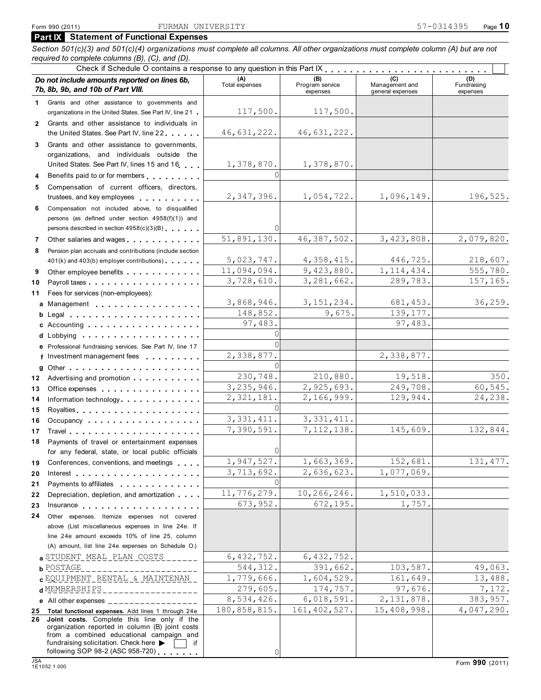┱

**Part IX Statement of Functional Expenses**

*Section 501(c)(3) and 501(c)(4) organizations must complete all columns. All other organizations must complete column (A) but are not required to complete columns (B), (C), and (D).* Check if Schedule O contains a response to any question in this Part IX

|              | CrictA in Ocheudie O Contains a response to any question in this rail in the case of<br>Do not include amounts reported on lines 6b,<br>7b, 8b, 9b, and 10b of Part VIII.                                                                                    | (A)<br>Total expenses | (B)<br>Program service | (C)<br>Management and | (D)<br>Fundraising |
|--------------|--------------------------------------------------------------------------------------------------------------------------------------------------------------------------------------------------------------------------------------------------------------|-----------------------|------------------------|-----------------------|--------------------|
|              |                                                                                                                                                                                                                                                              |                       | expenses               | general expenses      | expenses           |
| 1            | Grants and other assistance to governments and                                                                                                                                                                                                               | 117,500.              | 117,500.               |                       |                    |
|              | organizations in the United States. See Part IV, line 21                                                                                                                                                                                                     |                       |                        |                       |                    |
| $\mathbf{2}$ | Grants and other assistance to individuals in                                                                                                                                                                                                                | 46,631,222.           | 46,631,222.            |                       |                    |
|              | the United States. See Part IV, line 22                                                                                                                                                                                                                      |                       |                        |                       |                    |
| 3            | Grants and other assistance to governments,                                                                                                                                                                                                                  |                       |                        |                       |                    |
|              | organizations, and individuals outside the<br>United States. See Part IV, lines 15 and 16                                                                                                                                                                    |                       | 1,378,870.             |                       |                    |
|              |                                                                                                                                                                                                                                                              | 1,378,870.            |                        |                       |                    |
| 4            | Benefits paid to or for members                                                                                                                                                                                                                              |                       |                        |                       |                    |
| 5            | Compensation of current officers, directors,                                                                                                                                                                                                                 | 2,347,396.            | 1,054,722.             | 1,096,149.            | 196,525.           |
|              | trustees, and key employees                                                                                                                                                                                                                                  |                       |                        |                       |                    |
| 6            | Compensation not included above, to disqualified                                                                                                                                                                                                             |                       |                        |                       |                    |
|              | persons (as defined under section 4958(f)(1)) and                                                                                                                                                                                                            |                       |                        |                       |                    |
|              | persons described in section 4958(c)(3)(B)                                                                                                                                                                                                                   |                       |                        |                       |                    |
| 7            | Other salaries and wages                                                                                                                                                                                                                                     | 51,891,130.           | 46, 387, 502.          | 3,423,808.            | 2,079,820.         |
| 8            | Pension plan accruals and contributions (include section                                                                                                                                                                                                     |                       |                        |                       |                    |
|              | 401(k) and 403(b) employer contributions)                                                                                                                                                                                                                    | 5,023,747.            | 4,358,415.             | 446,725.              | 218,607.           |
| 9            | Other employee benefits                                                                                                                                                                                                                                      | 11,094,094.           | 9,423,880.             | 1, 114, 434.          | 555,780.           |
| 10           |                                                                                                                                                                                                                                                              | 3,728,610.            | 3, 281, 662.           | 289,783.              | 157,165.           |
| 11           | Fees for services (non-employees):                                                                                                                                                                                                                           |                       |                        |                       |                    |
|              | a Management experience and a management                                                                                                                                                                                                                     | 3,868,946.            | 3, 151, 234.           | 681,453.              | 36,259.            |
|              |                                                                                                                                                                                                                                                              | 148,852.              | 9,675.                 | 139, 177.             |                    |
|              | c Accounting $\ldots$ ,                                                                                                                                                                                                                                      | 97,483.               |                        | 97,483.               |                    |
|              |                                                                                                                                                                                                                                                              | $\Omega$              |                        |                       |                    |
|              | e Professional fundraising services. See Part IV, line 17                                                                                                                                                                                                    |                       |                        |                       |                    |
|              | f Investment management fees                                                                                                                                                                                                                                 | 2,338,877.            |                        | 2,338,877.            |                    |
|              | g Other $\ldots$ , $\ldots$ , $\ldots$ , $\ldots$ , $\ldots$ , $\ldots$ , $\ldots$                                                                                                                                                                           |                       |                        |                       |                    |
| 12           | Advertising and promotion entitled and the set of the set of the set of the set of the set of the set of the set of the set of the set of the set of the set of the set of the set of the set of the set of the set of the set                               | 230,748.              | 210,880.               | 19,518.               | 350.               |
| 13           | Office expenses extensive and the set of the set of the set of the set of the set of the set of the set of the                                                                                                                                               | 3,235,946.            | 2,925,693.             | 249,708.              | 60,545.            |
| 14           | Information technology                                                                                                                                                                                                                                       | 2,321,181.            | 2,166,999.             | 129,944.              | 24,238.            |
| 15           |                                                                                                                                                                                                                                                              | ΩI                    |                        |                       |                    |
| 16           | Occupancy                                                                                                                                                                                                                                                    | 3, 331, 411.          | 3, 331, 411.           |                       |                    |
| 17           |                                                                                                                                                                                                                                                              | 7,390,591.            | 7, 112, 138.           | 145,609.              | 132,844.           |
| 18           | Payments of travel or entertainment expenses                                                                                                                                                                                                                 |                       |                        |                       |                    |
|              | for any federal, state, or local public officials                                                                                                                                                                                                            |                       |                        |                       |                    |
| 19           | Conferences, conventions, and meetings                                                                                                                                                                                                                       | 1,947,527.            | 1,663,369.             | 152,681.              | 131, 477.          |
| 20           | Interest $\cdots$ $\cdots$ $\cdots$ $\cdots$ $\cdots$ $\cdots$ $\cdots$ $\cdots$                                                                                                                                                                             | 3,713,692.            | 2,636,623.             | 1,077,069.            |                    |
| 21           | Payments to affiliates <b>container and the set of the set of the set of the set of the set of the set of the set of the set of the set of the set of the set of the set of the set of the set of the set of the set of the set </b>                         |                       |                        |                       |                    |
| 22           | Depreciation, depletion, and amortization                                                                                                                                                                                                                    | 11,776,279.           | 10,266,246.            | 1,510,033.            |                    |
| 23           |                                                                                                                                                                                                                                                              | 673,952.              | 672,195.               | 1,757.                |                    |
| 24           | Other expenses. Itemize expenses not covered                                                                                                                                                                                                                 |                       |                        |                       |                    |
|              | above (List miscellaneous expenses in line 24e. If                                                                                                                                                                                                           |                       |                        |                       |                    |
|              | line 24e amount exceeds 10% of line 25, column                                                                                                                                                                                                               |                       |                        |                       |                    |
|              | (A) amount, list line 24e expenses on Schedule O.)                                                                                                                                                                                                           |                       |                        |                       |                    |
|              | a STUDENT MEAL PLAN COSTS                                                                                                                                                                                                                                    | 6,432,752.            | 6, 432, 752.           |                       |                    |
|              | <b>b</b> POSTAGE                                                                                                                                                                                                                                             | 544, 312.             | 391,662.               | 103,587.              | 49,063.            |
|              | C EQUIPMENT RENTAL & MAINTENAN                                                                                                                                                                                                                               | 1,779,666.            | 1,604,529.             | 161,649.              | 13,488.            |
|              | d MEMBERSHIPS<br>_______________                                                                                                                                                                                                                             | 279,605.              | 174,757.               | 97,676.               | 7,172.             |
|              | e All other expenses $\frac{1}{1}$                                                                                                                                                                                                                           | 8,534,426.            | 6,018,591.             | 2, 131, 878.          | 383,957.           |
| 25           | Total functional expenses. Add lines 1 through 24e                                                                                                                                                                                                           | 180,858,815.          | 161, 402, 527.         | 15,408,998.           | 4,047,290.         |
| 26           | Joint costs. Complete this line only if the<br>organization reported in column (B) joint costs<br>from a combined educational campaign and<br>fundraising solicitation. Check here $\blacktriangleright$<br>following SOP 98-2 (ASC 958-720) $\qquad \qquad$ | 0                     |                        |                       |                    |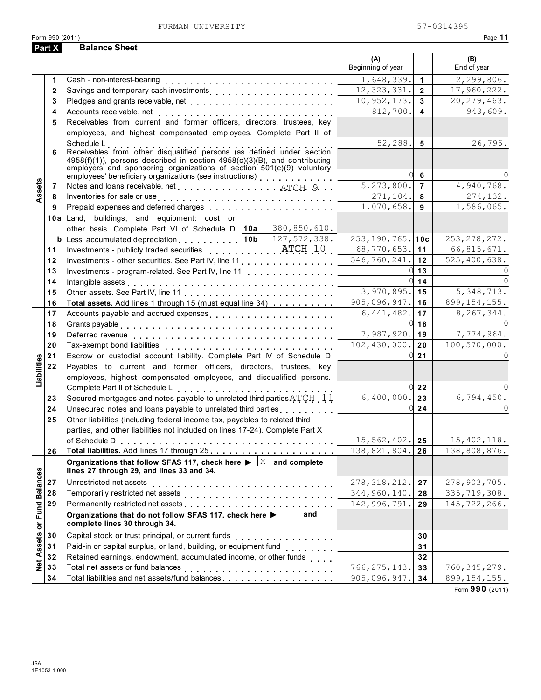| and the state of the state of the state of the state of the state of the state of the state of the state of th<br>۰ |  |
|---------------------------------------------------------------------------------------------------------------------|--|
|                                                                                                                     |  |

| Part X<br>(A)<br>(B)<br>Beginning of year<br>End of year<br>1,648,339.<br>1<br>12, 323, 331.<br>Savings and temporary cash investments<br>$\mathbf{2}$<br>$\overline{2}$<br>10,952,173.<br>$\mathbf{3}$<br>3<br>812,700.<br>$\overline{\mathbf{4}}$<br>4<br>Receivables from current and former officers, directors, trustees, key<br>5<br>employees, and highest compensated employees. Complete Part II of<br>52,288.<br>Schedule L<br>5<br>Receivables from other disqualified persons (as defined under section<br>6<br>$4958(f)(1)$ , persons described in section $4958(c)(3)(B)$ , and contributing<br>employers and sponsoring organizations of section $501(c)(9)$ voluntary<br>0l<br>6<br>employees' beneficiary organizations (see instructions)<br>ssets<br>5,273,800.<br>Notes and loans receivable, net  ATCH 9<br>$\overline{7}$<br>-7<br>271, 104.<br>Inventories for sale or use enterprise or a set of the set of the set of the set of the set of the set of the<br>8<br>8<br>1,070,658.<br>9<br>9<br>10a Land, buildings, and equipment: cost or<br>other basis. Complete Part VI of Schedule D $\boxed{10a}$ 380, 850, 610.<br><b>b</b> Less: accumulated depreciation $10b$ $127,572,338$ .<br>$253, 190, 765.$ 10c<br>Investments - publicly traded securities ATCH 10.<br>68,770,653. 11<br>11<br>$546, 760, 241.$ 12<br>525,400,638.<br>12<br>Investments - other securities. See Part IV, line 11<br>0I<br>13<br>Investments - program-related. See Part IV, line 11<br>13<br>14<br>14<br>Intangible assets enterpreteration of the contract of the contract of the contract of the contract of the contract of the contract of the contract of the contract of the contract of the contract of the contract of the cont<br>3,970,895.<br>5, 348, 713.<br>15<br>15<br>$905,096,947.$ 16<br>899, 154, 155.<br>16<br>Total assets. Add lines 1 through 15 (must equal line 34)<br>6,441,482.<br>8, 267, 344.<br>17<br>Accounts payable and accrued expenses<br>17<br>0I<br>18<br>18<br>7,987,920.<br>7,774,964.<br>∣ 19<br>19<br>100, 570, 000.<br>102, 430, 000.<br>20<br>20<br>Escrow or custodial account liability. Complete Part IV of Schedule D<br>0l<br>21<br>21<br>Liabilities<br>22<br>Payables to current and former officers, directors, trustees, key<br>employees, highest compensated employees, and disqualified persons.<br>22<br>6,400,000.<br>6,794,450.<br>Secured mortgages and notes payable to unrelated third parties ATCH 11<br>23<br>23<br>0l<br>24<br>Unsecured notes and loans payable to unrelated third parties<br>24<br>Other liabilities (including federal income tax, payables to related third<br>25<br>parties, and other liabilities not included on lines 17-24). Complete Part X<br>$15, 562, 402$ . 25<br>15,402,118.<br>of Schedule D<br>138,821,804.<br>138,808,876.<br>26<br>26<br>Organizations that follow SFAS 117, check here $\blacktriangleright \boxed{\times}$ and complete<br><b>Fund Balances</b><br>lines 27 through 29, and lines 33 and 34.<br>27<br>Unrestricted net assets<br>278, 318, 212.<br>278,903,705.<br>27<br>344,960,140.<br>28<br>335,719,308.<br>28<br>Permanently restricted net assets<br>142,996,791.<br>29<br>145,722,266.<br>29<br>Organizations that do not follow SFAS 117, check here ▶  <br>and<br>Net Assets or<br>complete lines 30 through 34.<br>30<br>Capital stock or trust principal, or current funds<br>30<br>.<br>31<br>Paid-in or capital surplus, or land, building, or equipment fund<br><br>31<br>Retained earnings, endowment, accumulated income, or other funds<br>32<br>32<br>766, 275, 143.<br>33<br>33<br>Total liabilities and net assets/fund balances<br>905,096,947.<br>34<br>34 | Form 990 (2011) |                      |  | Page 11        |
|----------------------------------------------------------------------------------------------------------------------------------------------------------------------------------------------------------------------------------------------------------------------------------------------------------------------------------------------------------------------------------------------------------------------------------------------------------------------------------------------------------------------------------------------------------------------------------------------------------------------------------------------------------------------------------------------------------------------------------------------------------------------------------------------------------------------------------------------------------------------------------------------------------------------------------------------------------------------------------------------------------------------------------------------------------------------------------------------------------------------------------------------------------------------------------------------------------------------------------------------------------------------------------------------------------------------------------------------------------------------------------------------------------------------------------------------------------------------------------------------------------------------------------------------------------------------------------------------------------------------------------------------------------------------------------------------------------------------------------------------------------------------------------------------------------------------------------------------------------------------------------------------------------------------------------------------------------------------------------------------------------------------------------------------------------------------------------------------------------------------------------------------------------------------------------------------------------------------------------------------------------------------------------------------------------------------------------------------------------------------------------------------------------------------------------------------------------------------------------------------------------------------------------------------------------------------------------------------------------------------------------------------------------------------------------------------------------------------------------------------------------------------------------------------------------------------------------------------------------------------------------------------------------------------------------------------------------------------------------------------------------------------------------------------------------------------------------------------------------------------------------------------------------------------------------------------------------------------------------------------------------------------------------------------------------------------------------------------------------------------------------------------------------------------------------------------------------------------------------------------------------------------------------------------------------------------------------------------------------------------------------------------------------------------------------------------------------------|-----------------|----------------------|--|----------------|
|                                                                                                                                                                                                                                                                                                                                                                                                                                                                                                                                                                                                                                                                                                                                                                                                                                                                                                                                                                                                                                                                                                                                                                                                                                                                                                                                                                                                                                                                                                                                                                                                                                                                                                                                                                                                                                                                                                                                                                                                                                                                                                                                                                                                                                                                                                                                                                                                                                                                                                                                                                                                                                                                                                                                                                                                                                                                                                                                                                                                                                                                                                                                                                                                                                                                                                                                                                                                                                                                                                                                                                                                                                                                                                                |                 | <b>Balance Sheet</b> |  |                |
|                                                                                                                                                                                                                                                                                                                                                                                                                                                                                                                                                                                                                                                                                                                                                                                                                                                                                                                                                                                                                                                                                                                                                                                                                                                                                                                                                                                                                                                                                                                                                                                                                                                                                                                                                                                                                                                                                                                                                                                                                                                                                                                                                                                                                                                                                                                                                                                                                                                                                                                                                                                                                                                                                                                                                                                                                                                                                                                                                                                                                                                                                                                                                                                                                                                                                                                                                                                                                                                                                                                                                                                                                                                                                                                |                 |                      |  |                |
|                                                                                                                                                                                                                                                                                                                                                                                                                                                                                                                                                                                                                                                                                                                                                                                                                                                                                                                                                                                                                                                                                                                                                                                                                                                                                                                                                                                                                                                                                                                                                                                                                                                                                                                                                                                                                                                                                                                                                                                                                                                                                                                                                                                                                                                                                                                                                                                                                                                                                                                                                                                                                                                                                                                                                                                                                                                                                                                                                                                                                                                                                                                                                                                                                                                                                                                                                                                                                                                                                                                                                                                                                                                                                                                |                 |                      |  | 2,299,806.     |
|                                                                                                                                                                                                                                                                                                                                                                                                                                                                                                                                                                                                                                                                                                                                                                                                                                                                                                                                                                                                                                                                                                                                                                                                                                                                                                                                                                                                                                                                                                                                                                                                                                                                                                                                                                                                                                                                                                                                                                                                                                                                                                                                                                                                                                                                                                                                                                                                                                                                                                                                                                                                                                                                                                                                                                                                                                                                                                                                                                                                                                                                                                                                                                                                                                                                                                                                                                                                                                                                                                                                                                                                                                                                                                                |                 |                      |  | 17,960,222.    |
|                                                                                                                                                                                                                                                                                                                                                                                                                                                                                                                                                                                                                                                                                                                                                                                                                                                                                                                                                                                                                                                                                                                                                                                                                                                                                                                                                                                                                                                                                                                                                                                                                                                                                                                                                                                                                                                                                                                                                                                                                                                                                                                                                                                                                                                                                                                                                                                                                                                                                                                                                                                                                                                                                                                                                                                                                                                                                                                                                                                                                                                                                                                                                                                                                                                                                                                                                                                                                                                                                                                                                                                                                                                                                                                |                 |                      |  | 20, 279, 463.  |
|                                                                                                                                                                                                                                                                                                                                                                                                                                                                                                                                                                                                                                                                                                                                                                                                                                                                                                                                                                                                                                                                                                                                                                                                                                                                                                                                                                                                                                                                                                                                                                                                                                                                                                                                                                                                                                                                                                                                                                                                                                                                                                                                                                                                                                                                                                                                                                                                                                                                                                                                                                                                                                                                                                                                                                                                                                                                                                                                                                                                                                                                                                                                                                                                                                                                                                                                                                                                                                                                                                                                                                                                                                                                                                                |                 |                      |  | 943,609.       |
|                                                                                                                                                                                                                                                                                                                                                                                                                                                                                                                                                                                                                                                                                                                                                                                                                                                                                                                                                                                                                                                                                                                                                                                                                                                                                                                                                                                                                                                                                                                                                                                                                                                                                                                                                                                                                                                                                                                                                                                                                                                                                                                                                                                                                                                                                                                                                                                                                                                                                                                                                                                                                                                                                                                                                                                                                                                                                                                                                                                                                                                                                                                                                                                                                                                                                                                                                                                                                                                                                                                                                                                                                                                                                                                |                 |                      |  |                |
|                                                                                                                                                                                                                                                                                                                                                                                                                                                                                                                                                                                                                                                                                                                                                                                                                                                                                                                                                                                                                                                                                                                                                                                                                                                                                                                                                                                                                                                                                                                                                                                                                                                                                                                                                                                                                                                                                                                                                                                                                                                                                                                                                                                                                                                                                                                                                                                                                                                                                                                                                                                                                                                                                                                                                                                                                                                                                                                                                                                                                                                                                                                                                                                                                                                                                                                                                                                                                                                                                                                                                                                                                                                                                                                |                 |                      |  |                |
|                                                                                                                                                                                                                                                                                                                                                                                                                                                                                                                                                                                                                                                                                                                                                                                                                                                                                                                                                                                                                                                                                                                                                                                                                                                                                                                                                                                                                                                                                                                                                                                                                                                                                                                                                                                                                                                                                                                                                                                                                                                                                                                                                                                                                                                                                                                                                                                                                                                                                                                                                                                                                                                                                                                                                                                                                                                                                                                                                                                                                                                                                                                                                                                                                                                                                                                                                                                                                                                                                                                                                                                                                                                                                                                |                 |                      |  | 26,796.        |
|                                                                                                                                                                                                                                                                                                                                                                                                                                                                                                                                                                                                                                                                                                                                                                                                                                                                                                                                                                                                                                                                                                                                                                                                                                                                                                                                                                                                                                                                                                                                                                                                                                                                                                                                                                                                                                                                                                                                                                                                                                                                                                                                                                                                                                                                                                                                                                                                                                                                                                                                                                                                                                                                                                                                                                                                                                                                                                                                                                                                                                                                                                                                                                                                                                                                                                                                                                                                                                                                                                                                                                                                                                                                                                                |                 |                      |  | 4,940,768.     |
|                                                                                                                                                                                                                                                                                                                                                                                                                                                                                                                                                                                                                                                                                                                                                                                                                                                                                                                                                                                                                                                                                                                                                                                                                                                                                                                                                                                                                                                                                                                                                                                                                                                                                                                                                                                                                                                                                                                                                                                                                                                                                                                                                                                                                                                                                                                                                                                                                                                                                                                                                                                                                                                                                                                                                                                                                                                                                                                                                                                                                                                                                                                                                                                                                                                                                                                                                                                                                                                                                                                                                                                                                                                                                                                |                 |                      |  | 274,132.       |
|                                                                                                                                                                                                                                                                                                                                                                                                                                                                                                                                                                                                                                                                                                                                                                                                                                                                                                                                                                                                                                                                                                                                                                                                                                                                                                                                                                                                                                                                                                                                                                                                                                                                                                                                                                                                                                                                                                                                                                                                                                                                                                                                                                                                                                                                                                                                                                                                                                                                                                                                                                                                                                                                                                                                                                                                                                                                                                                                                                                                                                                                                                                                                                                                                                                                                                                                                                                                                                                                                                                                                                                                                                                                                                                |                 |                      |  | 1,586,065.     |
|                                                                                                                                                                                                                                                                                                                                                                                                                                                                                                                                                                                                                                                                                                                                                                                                                                                                                                                                                                                                                                                                                                                                                                                                                                                                                                                                                                                                                                                                                                                                                                                                                                                                                                                                                                                                                                                                                                                                                                                                                                                                                                                                                                                                                                                                                                                                                                                                                                                                                                                                                                                                                                                                                                                                                                                                                                                                                                                                                                                                                                                                                                                                                                                                                                                                                                                                                                                                                                                                                                                                                                                                                                                                                                                |                 |                      |  |                |
|                                                                                                                                                                                                                                                                                                                                                                                                                                                                                                                                                                                                                                                                                                                                                                                                                                                                                                                                                                                                                                                                                                                                                                                                                                                                                                                                                                                                                                                                                                                                                                                                                                                                                                                                                                                                                                                                                                                                                                                                                                                                                                                                                                                                                                                                                                                                                                                                                                                                                                                                                                                                                                                                                                                                                                                                                                                                                                                                                                                                                                                                                                                                                                                                                                                                                                                                                                                                                                                                                                                                                                                                                                                                                                                |                 |                      |  |                |
|                                                                                                                                                                                                                                                                                                                                                                                                                                                                                                                                                                                                                                                                                                                                                                                                                                                                                                                                                                                                                                                                                                                                                                                                                                                                                                                                                                                                                                                                                                                                                                                                                                                                                                                                                                                                                                                                                                                                                                                                                                                                                                                                                                                                                                                                                                                                                                                                                                                                                                                                                                                                                                                                                                                                                                                                                                                                                                                                                                                                                                                                                                                                                                                                                                                                                                                                                                                                                                                                                                                                                                                                                                                                                                                |                 |                      |  | 253, 278, 272. |
|                                                                                                                                                                                                                                                                                                                                                                                                                                                                                                                                                                                                                                                                                                                                                                                                                                                                                                                                                                                                                                                                                                                                                                                                                                                                                                                                                                                                                                                                                                                                                                                                                                                                                                                                                                                                                                                                                                                                                                                                                                                                                                                                                                                                                                                                                                                                                                                                                                                                                                                                                                                                                                                                                                                                                                                                                                                                                                                                                                                                                                                                                                                                                                                                                                                                                                                                                                                                                                                                                                                                                                                                                                                                                                                |                 |                      |  | 66,815,671.    |
|                                                                                                                                                                                                                                                                                                                                                                                                                                                                                                                                                                                                                                                                                                                                                                                                                                                                                                                                                                                                                                                                                                                                                                                                                                                                                                                                                                                                                                                                                                                                                                                                                                                                                                                                                                                                                                                                                                                                                                                                                                                                                                                                                                                                                                                                                                                                                                                                                                                                                                                                                                                                                                                                                                                                                                                                                                                                                                                                                                                                                                                                                                                                                                                                                                                                                                                                                                                                                                                                                                                                                                                                                                                                                                                |                 |                      |  |                |
|                                                                                                                                                                                                                                                                                                                                                                                                                                                                                                                                                                                                                                                                                                                                                                                                                                                                                                                                                                                                                                                                                                                                                                                                                                                                                                                                                                                                                                                                                                                                                                                                                                                                                                                                                                                                                                                                                                                                                                                                                                                                                                                                                                                                                                                                                                                                                                                                                                                                                                                                                                                                                                                                                                                                                                                                                                                                                                                                                                                                                                                                                                                                                                                                                                                                                                                                                                                                                                                                                                                                                                                                                                                                                                                |                 |                      |  |                |
|                                                                                                                                                                                                                                                                                                                                                                                                                                                                                                                                                                                                                                                                                                                                                                                                                                                                                                                                                                                                                                                                                                                                                                                                                                                                                                                                                                                                                                                                                                                                                                                                                                                                                                                                                                                                                                                                                                                                                                                                                                                                                                                                                                                                                                                                                                                                                                                                                                                                                                                                                                                                                                                                                                                                                                                                                                                                                                                                                                                                                                                                                                                                                                                                                                                                                                                                                                                                                                                                                                                                                                                                                                                                                                                |                 |                      |  | $\cap$         |
|                                                                                                                                                                                                                                                                                                                                                                                                                                                                                                                                                                                                                                                                                                                                                                                                                                                                                                                                                                                                                                                                                                                                                                                                                                                                                                                                                                                                                                                                                                                                                                                                                                                                                                                                                                                                                                                                                                                                                                                                                                                                                                                                                                                                                                                                                                                                                                                                                                                                                                                                                                                                                                                                                                                                                                                                                                                                                                                                                                                                                                                                                                                                                                                                                                                                                                                                                                                                                                                                                                                                                                                                                                                                                                                |                 |                      |  |                |
|                                                                                                                                                                                                                                                                                                                                                                                                                                                                                                                                                                                                                                                                                                                                                                                                                                                                                                                                                                                                                                                                                                                                                                                                                                                                                                                                                                                                                                                                                                                                                                                                                                                                                                                                                                                                                                                                                                                                                                                                                                                                                                                                                                                                                                                                                                                                                                                                                                                                                                                                                                                                                                                                                                                                                                                                                                                                                                                                                                                                                                                                                                                                                                                                                                                                                                                                                                                                                                                                                                                                                                                                                                                                                                                |                 |                      |  |                |
|                                                                                                                                                                                                                                                                                                                                                                                                                                                                                                                                                                                                                                                                                                                                                                                                                                                                                                                                                                                                                                                                                                                                                                                                                                                                                                                                                                                                                                                                                                                                                                                                                                                                                                                                                                                                                                                                                                                                                                                                                                                                                                                                                                                                                                                                                                                                                                                                                                                                                                                                                                                                                                                                                                                                                                                                                                                                                                                                                                                                                                                                                                                                                                                                                                                                                                                                                                                                                                                                                                                                                                                                                                                                                                                |                 |                      |  |                |
|                                                                                                                                                                                                                                                                                                                                                                                                                                                                                                                                                                                                                                                                                                                                                                                                                                                                                                                                                                                                                                                                                                                                                                                                                                                                                                                                                                                                                                                                                                                                                                                                                                                                                                                                                                                                                                                                                                                                                                                                                                                                                                                                                                                                                                                                                                                                                                                                                                                                                                                                                                                                                                                                                                                                                                                                                                                                                                                                                                                                                                                                                                                                                                                                                                                                                                                                                                                                                                                                                                                                                                                                                                                                                                                |                 |                      |  |                |
|                                                                                                                                                                                                                                                                                                                                                                                                                                                                                                                                                                                                                                                                                                                                                                                                                                                                                                                                                                                                                                                                                                                                                                                                                                                                                                                                                                                                                                                                                                                                                                                                                                                                                                                                                                                                                                                                                                                                                                                                                                                                                                                                                                                                                                                                                                                                                                                                                                                                                                                                                                                                                                                                                                                                                                                                                                                                                                                                                                                                                                                                                                                                                                                                                                                                                                                                                                                                                                                                                                                                                                                                                                                                                                                |                 |                      |  |                |
|                                                                                                                                                                                                                                                                                                                                                                                                                                                                                                                                                                                                                                                                                                                                                                                                                                                                                                                                                                                                                                                                                                                                                                                                                                                                                                                                                                                                                                                                                                                                                                                                                                                                                                                                                                                                                                                                                                                                                                                                                                                                                                                                                                                                                                                                                                                                                                                                                                                                                                                                                                                                                                                                                                                                                                                                                                                                                                                                                                                                                                                                                                                                                                                                                                                                                                                                                                                                                                                                                                                                                                                                                                                                                                                |                 |                      |  |                |
|                                                                                                                                                                                                                                                                                                                                                                                                                                                                                                                                                                                                                                                                                                                                                                                                                                                                                                                                                                                                                                                                                                                                                                                                                                                                                                                                                                                                                                                                                                                                                                                                                                                                                                                                                                                                                                                                                                                                                                                                                                                                                                                                                                                                                                                                                                                                                                                                                                                                                                                                                                                                                                                                                                                                                                                                                                                                                                                                                                                                                                                                                                                                                                                                                                                                                                                                                                                                                                                                                                                                                                                                                                                                                                                |                 |                      |  |                |
|                                                                                                                                                                                                                                                                                                                                                                                                                                                                                                                                                                                                                                                                                                                                                                                                                                                                                                                                                                                                                                                                                                                                                                                                                                                                                                                                                                                                                                                                                                                                                                                                                                                                                                                                                                                                                                                                                                                                                                                                                                                                                                                                                                                                                                                                                                                                                                                                                                                                                                                                                                                                                                                                                                                                                                                                                                                                                                                                                                                                                                                                                                                                                                                                                                                                                                                                                                                                                                                                                                                                                                                                                                                                                                                |                 |                      |  |                |
|                                                                                                                                                                                                                                                                                                                                                                                                                                                                                                                                                                                                                                                                                                                                                                                                                                                                                                                                                                                                                                                                                                                                                                                                                                                                                                                                                                                                                                                                                                                                                                                                                                                                                                                                                                                                                                                                                                                                                                                                                                                                                                                                                                                                                                                                                                                                                                                                                                                                                                                                                                                                                                                                                                                                                                                                                                                                                                                                                                                                                                                                                                                                                                                                                                                                                                                                                                                                                                                                                                                                                                                                                                                                                                                |                 |                      |  |                |
|                                                                                                                                                                                                                                                                                                                                                                                                                                                                                                                                                                                                                                                                                                                                                                                                                                                                                                                                                                                                                                                                                                                                                                                                                                                                                                                                                                                                                                                                                                                                                                                                                                                                                                                                                                                                                                                                                                                                                                                                                                                                                                                                                                                                                                                                                                                                                                                                                                                                                                                                                                                                                                                                                                                                                                                                                                                                                                                                                                                                                                                                                                                                                                                                                                                                                                                                                                                                                                                                                                                                                                                                                                                                                                                |                 |                      |  |                |
|                                                                                                                                                                                                                                                                                                                                                                                                                                                                                                                                                                                                                                                                                                                                                                                                                                                                                                                                                                                                                                                                                                                                                                                                                                                                                                                                                                                                                                                                                                                                                                                                                                                                                                                                                                                                                                                                                                                                                                                                                                                                                                                                                                                                                                                                                                                                                                                                                                                                                                                                                                                                                                                                                                                                                                                                                                                                                                                                                                                                                                                                                                                                                                                                                                                                                                                                                                                                                                                                                                                                                                                                                                                                                                                |                 |                      |  |                |
|                                                                                                                                                                                                                                                                                                                                                                                                                                                                                                                                                                                                                                                                                                                                                                                                                                                                                                                                                                                                                                                                                                                                                                                                                                                                                                                                                                                                                                                                                                                                                                                                                                                                                                                                                                                                                                                                                                                                                                                                                                                                                                                                                                                                                                                                                                                                                                                                                                                                                                                                                                                                                                                                                                                                                                                                                                                                                                                                                                                                                                                                                                                                                                                                                                                                                                                                                                                                                                                                                                                                                                                                                                                                                                                |                 |                      |  |                |
|                                                                                                                                                                                                                                                                                                                                                                                                                                                                                                                                                                                                                                                                                                                                                                                                                                                                                                                                                                                                                                                                                                                                                                                                                                                                                                                                                                                                                                                                                                                                                                                                                                                                                                                                                                                                                                                                                                                                                                                                                                                                                                                                                                                                                                                                                                                                                                                                                                                                                                                                                                                                                                                                                                                                                                                                                                                                                                                                                                                                                                                                                                                                                                                                                                                                                                                                                                                                                                                                                                                                                                                                                                                                                                                |                 |                      |  |                |
|                                                                                                                                                                                                                                                                                                                                                                                                                                                                                                                                                                                                                                                                                                                                                                                                                                                                                                                                                                                                                                                                                                                                                                                                                                                                                                                                                                                                                                                                                                                                                                                                                                                                                                                                                                                                                                                                                                                                                                                                                                                                                                                                                                                                                                                                                                                                                                                                                                                                                                                                                                                                                                                                                                                                                                                                                                                                                                                                                                                                                                                                                                                                                                                                                                                                                                                                                                                                                                                                                                                                                                                                                                                                                                                |                 |                      |  |                |
|                                                                                                                                                                                                                                                                                                                                                                                                                                                                                                                                                                                                                                                                                                                                                                                                                                                                                                                                                                                                                                                                                                                                                                                                                                                                                                                                                                                                                                                                                                                                                                                                                                                                                                                                                                                                                                                                                                                                                                                                                                                                                                                                                                                                                                                                                                                                                                                                                                                                                                                                                                                                                                                                                                                                                                                                                                                                                                                                                                                                                                                                                                                                                                                                                                                                                                                                                                                                                                                                                                                                                                                                                                                                                                                |                 |                      |  |                |
|                                                                                                                                                                                                                                                                                                                                                                                                                                                                                                                                                                                                                                                                                                                                                                                                                                                                                                                                                                                                                                                                                                                                                                                                                                                                                                                                                                                                                                                                                                                                                                                                                                                                                                                                                                                                                                                                                                                                                                                                                                                                                                                                                                                                                                                                                                                                                                                                                                                                                                                                                                                                                                                                                                                                                                                                                                                                                                                                                                                                                                                                                                                                                                                                                                                                                                                                                                                                                                                                                                                                                                                                                                                                                                                |                 |                      |  |                |
|                                                                                                                                                                                                                                                                                                                                                                                                                                                                                                                                                                                                                                                                                                                                                                                                                                                                                                                                                                                                                                                                                                                                                                                                                                                                                                                                                                                                                                                                                                                                                                                                                                                                                                                                                                                                                                                                                                                                                                                                                                                                                                                                                                                                                                                                                                                                                                                                                                                                                                                                                                                                                                                                                                                                                                                                                                                                                                                                                                                                                                                                                                                                                                                                                                                                                                                                                                                                                                                                                                                                                                                                                                                                                                                |                 |                      |  |                |
|                                                                                                                                                                                                                                                                                                                                                                                                                                                                                                                                                                                                                                                                                                                                                                                                                                                                                                                                                                                                                                                                                                                                                                                                                                                                                                                                                                                                                                                                                                                                                                                                                                                                                                                                                                                                                                                                                                                                                                                                                                                                                                                                                                                                                                                                                                                                                                                                                                                                                                                                                                                                                                                                                                                                                                                                                                                                                                                                                                                                                                                                                                                                                                                                                                                                                                                                                                                                                                                                                                                                                                                                                                                                                                                |                 |                      |  |                |
|                                                                                                                                                                                                                                                                                                                                                                                                                                                                                                                                                                                                                                                                                                                                                                                                                                                                                                                                                                                                                                                                                                                                                                                                                                                                                                                                                                                                                                                                                                                                                                                                                                                                                                                                                                                                                                                                                                                                                                                                                                                                                                                                                                                                                                                                                                                                                                                                                                                                                                                                                                                                                                                                                                                                                                                                                                                                                                                                                                                                                                                                                                                                                                                                                                                                                                                                                                                                                                                                                                                                                                                                                                                                                                                |                 |                      |  |                |
|                                                                                                                                                                                                                                                                                                                                                                                                                                                                                                                                                                                                                                                                                                                                                                                                                                                                                                                                                                                                                                                                                                                                                                                                                                                                                                                                                                                                                                                                                                                                                                                                                                                                                                                                                                                                                                                                                                                                                                                                                                                                                                                                                                                                                                                                                                                                                                                                                                                                                                                                                                                                                                                                                                                                                                                                                                                                                                                                                                                                                                                                                                                                                                                                                                                                                                                                                                                                                                                                                                                                                                                                                                                                                                                |                 |                      |  |                |
|                                                                                                                                                                                                                                                                                                                                                                                                                                                                                                                                                                                                                                                                                                                                                                                                                                                                                                                                                                                                                                                                                                                                                                                                                                                                                                                                                                                                                                                                                                                                                                                                                                                                                                                                                                                                                                                                                                                                                                                                                                                                                                                                                                                                                                                                                                                                                                                                                                                                                                                                                                                                                                                                                                                                                                                                                                                                                                                                                                                                                                                                                                                                                                                                                                                                                                                                                                                                                                                                                                                                                                                                                                                                                                                |                 |                      |  |                |
|                                                                                                                                                                                                                                                                                                                                                                                                                                                                                                                                                                                                                                                                                                                                                                                                                                                                                                                                                                                                                                                                                                                                                                                                                                                                                                                                                                                                                                                                                                                                                                                                                                                                                                                                                                                                                                                                                                                                                                                                                                                                                                                                                                                                                                                                                                                                                                                                                                                                                                                                                                                                                                                                                                                                                                                                                                                                                                                                                                                                                                                                                                                                                                                                                                                                                                                                                                                                                                                                                                                                                                                                                                                                                                                |                 |                      |  |                |
|                                                                                                                                                                                                                                                                                                                                                                                                                                                                                                                                                                                                                                                                                                                                                                                                                                                                                                                                                                                                                                                                                                                                                                                                                                                                                                                                                                                                                                                                                                                                                                                                                                                                                                                                                                                                                                                                                                                                                                                                                                                                                                                                                                                                                                                                                                                                                                                                                                                                                                                                                                                                                                                                                                                                                                                                                                                                                                                                                                                                                                                                                                                                                                                                                                                                                                                                                                                                                                                                                                                                                                                                                                                                                                                |                 |                      |  |                |
|                                                                                                                                                                                                                                                                                                                                                                                                                                                                                                                                                                                                                                                                                                                                                                                                                                                                                                                                                                                                                                                                                                                                                                                                                                                                                                                                                                                                                                                                                                                                                                                                                                                                                                                                                                                                                                                                                                                                                                                                                                                                                                                                                                                                                                                                                                                                                                                                                                                                                                                                                                                                                                                                                                                                                                                                                                                                                                                                                                                                                                                                                                                                                                                                                                                                                                                                                                                                                                                                                                                                                                                                                                                                                                                |                 |                      |  |                |
|                                                                                                                                                                                                                                                                                                                                                                                                                                                                                                                                                                                                                                                                                                                                                                                                                                                                                                                                                                                                                                                                                                                                                                                                                                                                                                                                                                                                                                                                                                                                                                                                                                                                                                                                                                                                                                                                                                                                                                                                                                                                                                                                                                                                                                                                                                                                                                                                                                                                                                                                                                                                                                                                                                                                                                                                                                                                                                                                                                                                                                                                                                                                                                                                                                                                                                                                                                                                                                                                                                                                                                                                                                                                                                                |                 |                      |  | 760, 345, 279. |
|                                                                                                                                                                                                                                                                                                                                                                                                                                                                                                                                                                                                                                                                                                                                                                                                                                                                                                                                                                                                                                                                                                                                                                                                                                                                                                                                                                                                                                                                                                                                                                                                                                                                                                                                                                                                                                                                                                                                                                                                                                                                                                                                                                                                                                                                                                                                                                                                                                                                                                                                                                                                                                                                                                                                                                                                                                                                                                                                                                                                                                                                                                                                                                                                                                                                                                                                                                                                                                                                                                                                                                                                                                                                                                                |                 |                      |  | 899, 154, 155. |

Form **990** (2011)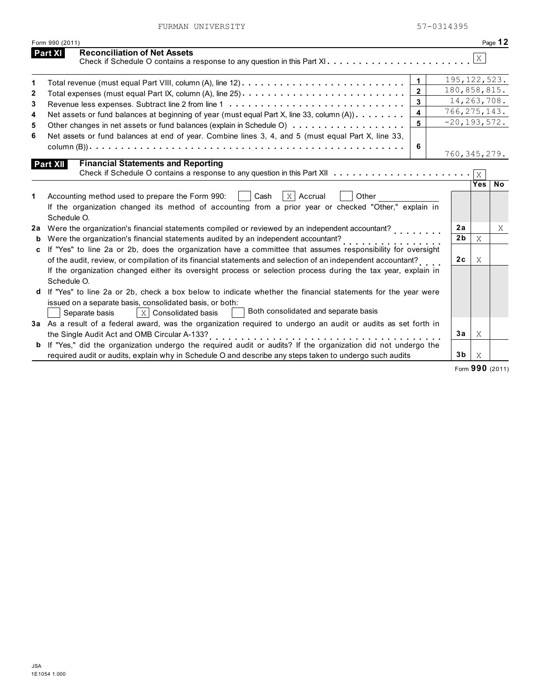FURMAN UNIVERSITY 57-0314395

|    | Form 990 (2011)                                                                                                                  |                         |                  |              | Page 12        |
|----|----------------------------------------------------------------------------------------------------------------------------------|-------------------------|------------------|--------------|----------------|
|    | <b>Reconciliation of Net Assets</b><br><b>Part XI</b><br>Check if Schedule O contains a response to any question in this Part XI |                         |                  | X            |                |
| 1  | Total revenue (must equal Part VIII, column (A), line 12) $\ldots \ldots \ldots \ldots \ldots \ldots \ldots \ldots \ldots$       | $\mathbf{1}$            |                  |              | 195, 122, 523. |
| 2  |                                                                                                                                  | $\overline{2}$          | 180,858,815.     |              |                |
| 3  |                                                                                                                                  | 3                       |                  |              | 14, 263, 708.  |
| 4  | Net assets or fund balances at beginning of year (must equal Part X, line 33, column $(A)$ )                                     | $\overline{\mathbf{4}}$ | 766, 275, 143.   |              |                |
| 5  |                                                                                                                                  | 5                       | $-20, 193, 572.$ |              |                |
| 6  | Net assets or fund balances at end of year. Combine lines 3, 4, and 5 (must equal Part X, line 33,                               |                         |                  |              |                |
|    |                                                                                                                                  | 6                       | 760, 345, 279.   |              |                |
|    | <b>Financial Statements and Reporting</b><br>Part XII                                                                            |                         |                  |              |                |
|    | Check if Schedule O contains a response to any question in this Part XII $\ldots \ldots \ldots \ldots \ldots \ldots$             |                         |                  |              |                |
| 1. | $X$ Accrual<br>Accounting method used to prepare the Form 990:<br>Cash<br>Other                                                  |                         |                  | <b>Yes</b>   | N <sub>o</sub> |
|    | If the organization changed its method of accounting from a prior year or checked "Other," explain in                            |                         |                  |              |                |
|    | Schedule O.                                                                                                                      |                         |                  |              |                |
| 2a | Were the organization's financial statements compiled or reviewed by an independent accountant?                                  |                         | 2a               |              | X              |
| b  | Were the organization's financial statements audited by an independent accountant?                                               |                         | 2 <sub>b</sub>   | $\mathbf{X}$ |                |
| c  | If "Yes" to line 2a or 2b, does the organization have a committee that assumes responsibility for oversight                      |                         |                  |              |                |
|    | of the audit, review, or compilation of its financial statements and selection of an independent accountant?                     |                         | 2c               | X            |                |
|    | If the organization changed either its oversight process or selection process during the tax year, explain in                    |                         |                  |              |                |
|    | Schedule O.                                                                                                                      |                         |                  |              |                |
| d  | If "Yes" to line 2a or 2b, check a box below to indicate whether the financial statements for the year were                      |                         |                  |              |                |
|    | issued on a separate basis, consolidated basis, or both:                                                                         |                         |                  |              |                |
|    | Both consolidated and separate basis<br>$ X $ Consolidated basis<br>Separate basis                                               |                         |                  |              |                |
|    | 3a As a result of a federal award, was the organization required to undergo an audit or audits as set forth in                   |                         |                  |              |                |
|    | the Single Audit Act and OMB Circular A-133?                                                                                     |                         | 3a               | X            |                |
|    | b If "Yes," did the organization undergo the required audit or audits? If the organization did not undergo the                   |                         |                  |              |                |
|    | required audit or audits, explain why in Schedule O and describe any steps taken to undergo such audits                          |                         | 3b               | X            |                |

Form **990** (2011)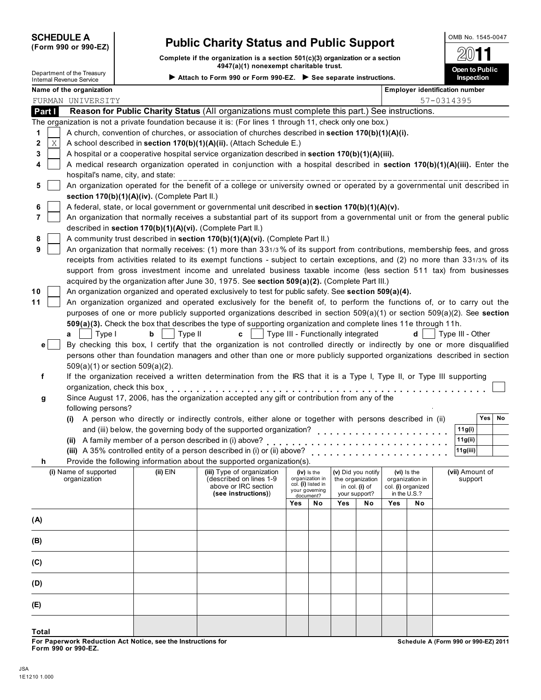# **SCHEDULE A Public Charity Status and Public Support (Form 990 or 990-EZ)**

**Complete if the organization is a section 501(c)(3) organization or a section 4947(a)(1) nonexempt charitable trust.**

Δ

Department of the Treasury **Open to Public** Internal Revenue Service **Attach to Form 990 or Form 990-EZ. See separate instructions. Inspection**

|              | Name of the organization                                   |              |                                                                                                                              |            |                                       |     |                                 |     | <b>Employer identification number</b> |            |                  |            |    |
|--------------|------------------------------------------------------------|--------------|------------------------------------------------------------------------------------------------------------------------------|------------|---------------------------------------|-----|---------------------------------|-----|---------------------------------------|------------|------------------|------------|----|
|              | FURMAN UNIVERSITY                                          |              |                                                                                                                              |            |                                       |     |                                 |     |                                       | 57-0314395 |                  |            |    |
| Part I       |                                                            |              | Reason for Public Charity Status (All organizations must complete this part.) See instructions.                              |            |                                       |     |                                 |     |                                       |            |                  |            |    |
|              |                                                            |              | The organization is not a private foundation because it is: (For lines 1 through 11, check only one box.)                    |            |                                       |     |                                 |     |                                       |            |                  |            |    |
| 1            |                                                            |              | A church, convention of churches, or association of churches described in section 170(b)(1)(A)(i).                           |            |                                       |     |                                 |     |                                       |            |                  |            |    |
| Χ<br>2       |                                                            |              | A school described in section 170(b)(1)(A)(ii). (Attach Schedule E.)                                                         |            |                                       |     |                                 |     |                                       |            |                  |            |    |
| 3            |                                                            |              | A hospital or a cooperative hospital service organization described in section 170(b)(1)(A)(iii).                            |            |                                       |     |                                 |     |                                       |            |                  |            |    |
| 4            |                                                            |              | A medical research organization operated in conjunction with a hospital described in section 170(b)(1)(A)(iii). Enter the    |            |                                       |     |                                 |     |                                       |            |                  |            |    |
|              | hospital's name, city, and state:                          |              |                                                                                                                              |            |                                       |     |                                 |     |                                       |            |                  |            |    |
| 5            |                                                            |              | An organization operated for the benefit of a college or university owned or operated by a governmental unit described in    |            |                                       |     |                                 |     |                                       |            |                  |            |    |
|              | section 170(b)(1)(A)(iv). (Complete Part II.)              |              |                                                                                                                              |            |                                       |     |                                 |     |                                       |            |                  |            |    |
| 6            |                                                            |              | A federal, state, or local government or governmental unit described in section 170(b)(1)(A)(v).                             |            |                                       |     |                                 |     |                                       |            |                  |            |    |
| 7            |                                                            |              | An organization that normally receives a substantial part of its support from a governmental unit or from the general public |            |                                       |     |                                 |     |                                       |            |                  |            |    |
|              | described in section 170(b)(1)(A)(vi). (Complete Part II.) |              |                                                                                                                              |            |                                       |     |                                 |     |                                       |            |                  |            |    |
| 8            |                                                            |              | A community trust described in section 170(b)(1)(A)(vi). (Complete Part II.)                                                 |            |                                       |     |                                 |     |                                       |            |                  |            |    |
| 9            |                                                            |              | An organization that normally receives: (1) more than 331/3% of its support from contributions, membership fees, and gross   |            |                                       |     |                                 |     |                                       |            |                  |            |    |
|              |                                                            |              | receipts from activities related to its exempt functions - subject to certain exceptions, and (2) no more than 331/3% of its |            |                                       |     |                                 |     |                                       |            |                  |            |    |
|              |                                                            |              | support from gross investment income and unrelated business taxable income (less section 511 tax) from businesses            |            |                                       |     |                                 |     |                                       |            |                  |            |    |
|              |                                                            |              | acquired by the organization after June 30, 1975. See section 509(a)(2). (Complete Part III.)                                |            |                                       |     |                                 |     |                                       |            |                  |            |    |
| 10           |                                                            |              | An organization organized and operated exclusively to test for public safety. See section 509(a)(4).                         |            |                                       |     |                                 |     |                                       |            |                  |            |    |
| 11           |                                                            |              | An organization organized and operated exclusively for the benefit of, to perform the functions of, or to carry out the      |            |                                       |     |                                 |     |                                       |            |                  |            |    |
|              |                                                            |              | purposes of one or more publicly supported organizations described in section 509(a)(1) or section 509(a)(2). See section    |            |                                       |     |                                 |     |                                       |            |                  |            |    |
|              |                                                            |              | 509(a)(3). Check the box that describes the type of supporting organization and complete lines 11e through 11h.              |            |                                       |     |                                 |     |                                       |            |                  |            |    |
|              | Type I<br>a                                                | b<br>Type II | Type III - Functionally integrated<br>C                                                                                      |            |                                       |     |                                 |     | d                                     |            | Type III - Other |            |    |
| e l          |                                                            |              | By checking this box, I certify that the organization is not controlled directly or indirectly by one or more disqualified   |            |                                       |     |                                 |     |                                       |            |                  |            |    |
|              |                                                            |              | persons other than foundation managers and other than one or more publicly supported organizations described in section      |            |                                       |     |                                 |     |                                       |            |                  |            |    |
|              | $509(a)(1)$ or section $509(a)(2)$ .                       |              |                                                                                                                              |            |                                       |     |                                 |     |                                       |            |                  |            |    |
| f            |                                                            |              | If the organization received a written determination from the IRS that it is a Type I, Type II, or Type III supporting       |            |                                       |     |                                 |     |                                       |            |                  |            |    |
|              | organization, check this box                               |              |                                                                                                                              |            |                                       |     |                                 |     |                                       |            |                  |            |    |
| g            |                                                            |              | Since August 17, 2006, has the organization accepted any gift or contribution from any of the                                |            |                                       |     |                                 |     |                                       |            |                  |            |    |
|              | following persons?                                         |              |                                                                                                                              |            |                                       |     |                                 |     |                                       |            |                  |            |    |
|              |                                                            |              | (i) A person who directly or indirectly controls, either alone or together with persons described in (ii)                    |            |                                       |     |                                 |     |                                       |            |                  | <b>Yes</b> | No |
|              |                                                            |              | and (iii) below, the governing body of the supported organization?                                                           |            |                                       |     |                                 |     |                                       |            | 11g(i)           |            |    |
|              | (ii) A family member of a person described in (i) above?   |              |                                                                                                                              |            |                                       |     |                                 |     |                                       |            | 11g(ii)          |            |    |
|              |                                                            |              | (iii) A 35% controlled entity of a person described in (i) or (ii) above?                                                    |            |                                       |     |                                 |     |                                       |            | 11g(iii)         |            |    |
| h            |                                                            |              | Provide the following information about the supported organization(s).                                                       |            |                                       |     |                                 |     |                                       |            |                  |            |    |
|              | (i) Name of supported                                      | (ii) EIN     | (iii) Type of organization                                                                                                   |            | $(iv)$ is the                         |     | (v) Did you notify              |     | (vi) Is the                           |            | (vii) Amount of  |            |    |
|              | organization                                               |              | (described on lines 1-9<br>above or IRC section                                                                              |            | organization in<br>col. (i) listed in |     | the organization                |     | organization in                       |            | support          |            |    |
|              |                                                            |              | (see instructions))                                                                                                          |            | your governing<br>document?           |     | in col. (i) of<br>your support? |     | col. (i) organized<br>in the U.S.?    |            |                  |            |    |
|              |                                                            |              |                                                                                                                              | <b>Yes</b> | No                                    | Yes | No                              | Yes | No                                    |            |                  |            |    |
|              |                                                            |              |                                                                                                                              |            |                                       |     |                                 |     |                                       |            |                  |            |    |
| (A)          |                                                            |              |                                                                                                                              |            |                                       |     |                                 |     |                                       |            |                  |            |    |
|              |                                                            |              |                                                                                                                              |            |                                       |     |                                 |     |                                       |            |                  |            |    |
| (B)          |                                                            |              |                                                                                                                              |            |                                       |     |                                 |     |                                       |            |                  |            |    |
|              |                                                            |              |                                                                                                                              |            |                                       |     |                                 |     |                                       |            |                  |            |    |
| (C)          |                                                            |              |                                                                                                                              |            |                                       |     |                                 |     |                                       |            |                  |            |    |
| (D)          |                                                            |              |                                                                                                                              |            |                                       |     |                                 |     |                                       |            |                  |            |    |
|              |                                                            |              |                                                                                                                              |            |                                       |     |                                 |     |                                       |            |                  |            |    |
| (E)          |                                                            |              |                                                                                                                              |            |                                       |     |                                 |     |                                       |            |                  |            |    |
|              |                                                            |              |                                                                                                                              |            |                                       |     |                                 |     |                                       |            |                  |            |    |
|              |                                                            |              |                                                                                                                              |            |                                       |     |                                 |     |                                       |            |                  |            |    |
| <b>Total</b> |                                                            |              |                                                                                                                              |            |                                       |     |                                 |     |                                       |            |                  |            |    |

**Schedule A (Form 990 or 990-EZ) 2011**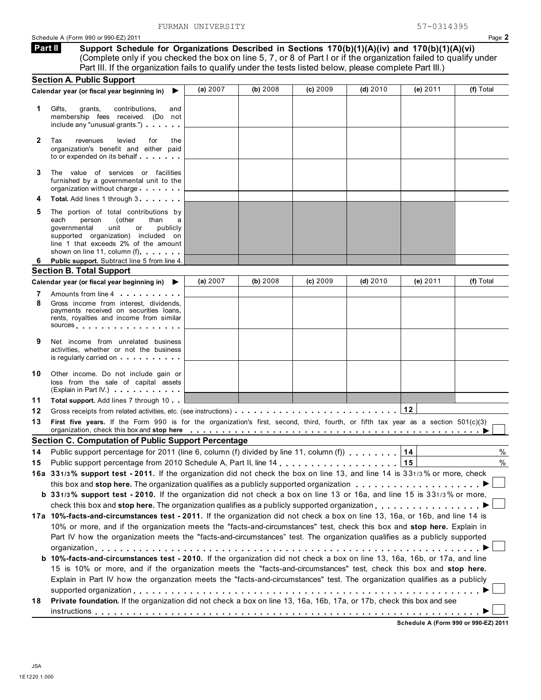**Support Schedule for Organizations Described in Sections 170(b)(1)(A)(iv) and 170(b)(1)(A)(vi)** (Complete only if you checked the box on line 5, 7, or 8 of Part I or if the organization failed to qualify under Part III. If the organization fails to qualify under the tests listed below, please complete Part III.) **Part II**

|              | <b>Section A. Public Support</b>                                                                                                                                                                                                                                             |          |          |          |            |          |           |
|--------------|------------------------------------------------------------------------------------------------------------------------------------------------------------------------------------------------------------------------------------------------------------------------------|----------|----------|----------|------------|----------|-----------|
|              | Calendar year (or fiscal year beginning in)<br>▶                                                                                                                                                                                                                             | (a) 2007 | (b) 2008 | (c) 2009 | (d) $2010$ | (e) 2011 | (f) Total |
| 1            | Gifts,<br>grants,<br>contributions,<br>and<br>membership fees received. (Do not<br>include any "unusual grants.")                                                                                                                                                            |          |          |          |            |          |           |
| $\mathbf{2}$ | Tax<br>revenues<br>levied<br>for<br>the<br>organization's benefit and either paid<br>to or expended on its behalf                                                                                                                                                            |          |          |          |            |          |           |
| 3            | The value of services or facilities<br>furnished by a governmental unit to the<br>organization without charge                                                                                                                                                                |          |          |          |            |          |           |
| 4            | Total. Add lines 1 through 3                                                                                                                                                                                                                                                 |          |          |          |            |          |           |
| 5            | The portion of total contributions by<br>(other<br>each<br>person<br>than<br>а<br>governmental<br>unit<br>or<br>publicly<br>supported organization) included on<br>line 1 that exceeds 2% of the amount<br>shown on line 11, column (f)                                      |          |          |          |            |          |           |
| 6            | Public support. Subtract line 5 from line 4.                                                                                                                                                                                                                                 |          |          |          |            |          |           |
|              | <b>Section B. Total Support</b>                                                                                                                                                                                                                                              |          |          |          |            |          |           |
|              | Calendar year (or fiscal year beginning in)<br>▶                                                                                                                                                                                                                             | (a) 2007 | (b) 2008 | (c) 2009 | (d) $2010$ | (e) 2011 | (f) Total |
| 7            | Amounts from line 4                                                                                                                                                                                                                                                          |          |          |          |            |          |           |
| 8            | Gross income from interest, dividends,<br>payments received on securities loans,<br>rents, royalties and income from similar<br>sources                                                                                                                                      |          |          |          |            |          |           |
| 9            | Net income from unrelated business<br>activities, whether or not the business<br>is regularly carried on each property of the set of the set of the set of the set of the set of the set of the                                                                              |          |          |          |            |          |           |
| 10           | Other income. Do not include gain or<br>loss from the sale of capital assets<br>(Explain in Part IV.)                                                                                                                                                                        |          |          |          |            |          |           |
| 11           | <b>Total support.</b> Add lines 7 through 10                                                                                                                                                                                                                                 |          |          |          |            |          |           |
| 12           |                                                                                                                                                                                                                                                                              |          |          |          |            | 12       |           |
| 13           | First five years. If the Form 990 is for the organization's first, second, third, fourth, or fifth tax year as a section 501(c)(3)<br>organization, check this box and stop here enterpretation of the state of the state of the state of the state of $\blacktriangleright$ |          |          |          |            |          |           |
|              | <b>Section C. Computation of Public Support Percentage</b>                                                                                                                                                                                                                   |          |          |          |            |          |           |
| 14           | Public support percentage for 2011 (line 6, column (f) divided by line 11, column (f) $\ldots$ ,,,,,,                                                                                                                                                                        |          |          |          |            | 14       | %         |
| 15           |                                                                                                                                                                                                                                                                              |          |          |          |            | 15       | $\%$      |
|              | 16a 331/3% support test - 2011. If the organization did not check the box on line 13, and line 14 is 331/3% or more, check                                                                                                                                                   |          |          |          |            |          |           |
|              | this box and stop here. The organization qualifies as a publicly supported organization                                                                                                                                                                                      |          |          |          |            |          |           |
|              | b 331/3% support test - 2010. If the organization did not check a box on line 13 or 16a, and line 15 is 331/3% or more,                                                                                                                                                      |          |          |          |            |          |           |
|              |                                                                                                                                                                                                                                                                              |          |          |          |            |          |           |
|              | 17a 10%-facts-and-circumstances test - 2011. If the organization did not check a box on line 13, 16a, or 16b, and line 14 is                                                                                                                                                 |          |          |          |            |          |           |
|              | 10% or more, and if the organization meets the "facts-and-circumstances" test, check this box and stop here. Explain in                                                                                                                                                      |          |          |          |            |          |           |
|              | Part IV how the organization meets the "facts-and-circumstances" test. The organization qualifies as a publicly supported                                                                                                                                                    |          |          |          |            |          |           |
|              |                                                                                                                                                                                                                                                                              |          |          |          |            |          |           |
|              | b 10%-facts-and-circumstances test - 2010. If the organization did not check a box on line 13, 16a, 16b, or 17a, and line<br>15 is 10% or more, and if the organization meets the "facts-and-circumstances" test, check this box and stop here.                              |          |          |          |            |          |           |
|              | Explain in Part IV how the organzation meets the "facts-and-circumstances" test. The organization qualifies as a publicly                                                                                                                                                    |          |          |          |            |          |           |
| 18           | Private foundation. If the organization did not check a box on line 13, 16a, 16b, 17a, or 17b, check this box and see                                                                                                                                                        |          |          |          |            |          |           |
|              |                                                                                                                                                                                                                                                                              |          |          |          |            |          |           |
|              |                                                                                                                                                                                                                                                                              |          |          |          |            |          |           |

**Schedule A (Form 990 or 990-EZ) 2011**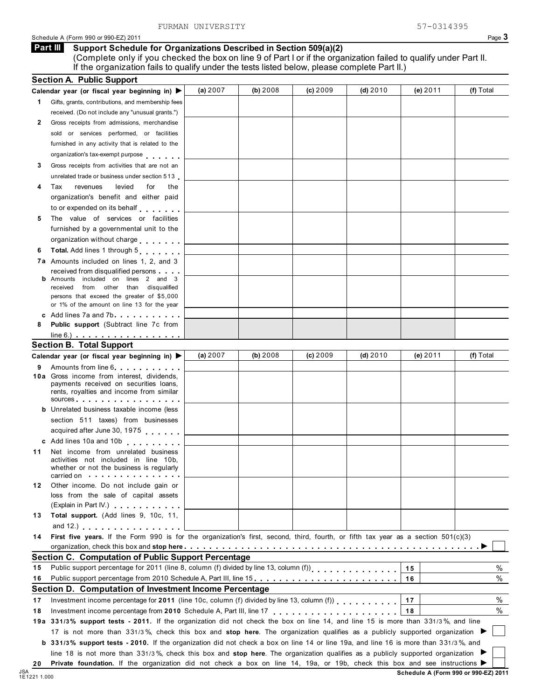# Schedule A (Form 990 or 990-EZ) 2011 Page 3

### **Support Schedule for Organizations Described in Section 509(a)(2) Part III**

(Complete only if you checked the box on line 9 of Part I or if the organization failed to qualify under Part II. If the organization fails to qualify under the tests listed below, please complete Part II.)

|    | <b>Section A. Public Support</b>                                                                                                                                                                                                                                        |            |            |          |            |          |           |
|----|-------------------------------------------------------------------------------------------------------------------------------------------------------------------------------------------------------------------------------------------------------------------------|------------|------------|----------|------------|----------|-----------|
|    | Calendar year (or fiscal year beginning in) ▶                                                                                                                                                                                                                           | (a) $2007$ | (b) $2008$ | (c) 2009 | (d) $2010$ | (e) 2011 | (f) Total |
| 1. | Gifts, grants, contributions, and membership fees                                                                                                                                                                                                                       |            |            |          |            |          |           |
|    | received. (Do not include any "unusual grants.")                                                                                                                                                                                                                        |            |            |          |            |          |           |
| 2  | Gross receipts from admissions, merchandise                                                                                                                                                                                                                             |            |            |          |            |          |           |
|    | sold or services performed, or facilities                                                                                                                                                                                                                               |            |            |          |            |          |           |
|    | furnished in any activity that is related to the                                                                                                                                                                                                                        |            |            |          |            |          |           |
|    | organization's tax-exempt purpose                                                                                                                                                                                                                                       |            |            |          |            |          |           |
| 3  | Gross receipts from activities that are not an                                                                                                                                                                                                                          |            |            |          |            |          |           |
|    | unrelated trade or business under section 513                                                                                                                                                                                                                           |            |            |          |            |          |           |
|    | Tax<br>revenues<br>levied<br>for<br>the                                                                                                                                                                                                                                 |            |            |          |            |          |           |
|    | organization's benefit and either paid                                                                                                                                                                                                                                  |            |            |          |            |          |           |
|    | to or expended on its behalf                                                                                                                                                                                                                                            |            |            |          |            |          |           |
| 5  | The value of services or facilities                                                                                                                                                                                                                                     |            |            |          |            |          |           |
|    | furnished by a governmental unit to the                                                                                                                                                                                                                                 |            |            |          |            |          |           |
|    | organization without charge                                                                                                                                                                                                                                             |            |            |          |            |          |           |
| 6  | Total. Add lines 1 through 5                                                                                                                                                                                                                                            |            |            |          |            |          |           |
|    | <b>7a</b> Amounts included on lines 1, 2, and 3                                                                                                                                                                                                                         |            |            |          |            |          |           |
|    | received from disqualified persons                                                                                                                                                                                                                                      |            |            |          |            |          |           |
|    | <b>b</b> Amounts included on lines 2 and 3                                                                                                                                                                                                                              |            |            |          |            |          |           |
|    | received<br>from other than disqualified                                                                                                                                                                                                                                |            |            |          |            |          |           |
|    | persons that exceed the greater of \$5,000                                                                                                                                                                                                                              |            |            |          |            |          |           |
|    | or 1% of the amount on line 13 for the year                                                                                                                                                                                                                             |            |            |          |            |          |           |
| 8  | c Add lines 7a and 7b entitled and the same in the same of the same of the same of the same of the same of the same of the same of the same of the same of the same of the same of the same of the same of the same of the sam<br>Public support (Subtract line 7c from |            |            |          |            |          |           |
|    | $line 6.)$ $\ldots$ $\ldots$ $\ldots$ $\ldots$ $\ldots$ $\ldots$                                                                                                                                                                                                        |            |            |          |            |          |           |
|    | <b>Section B. Total Support</b>                                                                                                                                                                                                                                         |            |            |          |            |          |           |
|    | Calendar year (or fiscal year beginning in)                                                                                                                                                                                                                             | (a) $2007$ | (b) $2008$ | (c) 2009 | (d) $2010$ | (e) 2011 | (f) Total |
| 9  | Amounts from line 6                                                                                                                                                                                                                                                     |            |            |          |            |          |           |
|    | 10a Gross income from interest, dividends,                                                                                                                                                                                                                              |            |            |          |            |          |           |
|    | payments received on securities loans,                                                                                                                                                                                                                                  |            |            |          |            |          |           |
|    | rents, royalties and income from similar<br>sources and the set of the set of the set of the set of the set of the set of the set of the set of the set of                                                                                                              |            |            |          |            |          |           |
|    | <b>b</b> Unrelated business taxable income (less                                                                                                                                                                                                                        |            |            |          |            |          |           |
|    | section 511 taxes) from businesses                                                                                                                                                                                                                                      |            |            |          |            |          |           |
|    | acquired after June 30, 1975                                                                                                                                                                                                                                            |            |            |          |            |          |           |
|    | c Add lines 10a and 10b                                                                                                                                                                                                                                                 |            |            |          |            |          |           |
| 11 | Net income from unrelated business                                                                                                                                                                                                                                      |            |            |          |            |          |           |
|    | activities not included in line 10b,                                                                                                                                                                                                                                    |            |            |          |            |          |           |
|    | whether or not the business is regularly                                                                                                                                                                                                                                |            |            |          |            |          |           |
|    | carried on with the state of the state of the state of the state of the state of the state of the state of the                                                                                                                                                          |            |            |          |            |          |           |
| 12 | Other income. Do not include gain or<br>loss from the sale of capital assets                                                                                                                                                                                            |            |            |          |            |          |           |
|    | (Explain in Part IV.)                                                                                                                                                                                                                                                   |            |            |          |            |          |           |
| 13 | Total support. (Add lines 9, 10c, 11,                                                                                                                                                                                                                                   |            |            |          |            |          |           |
|    | and 12.) $\ldots$ $\ldots$ $\ldots$ $\ldots$ $\ldots$                                                                                                                                                                                                                   |            |            |          |            |          |           |
| 14 | First five years. If the Form 990 is for the organization's first, second, third, fourth, or fifth tax year as a section 501(c)(3)                                                                                                                                      |            |            |          |            |          |           |
|    |                                                                                                                                                                                                                                                                         |            |            |          |            |          |           |
|    | Section C. Computation of Public Support Percentage                                                                                                                                                                                                                     |            |            |          |            |          |           |
| 15 | Public support percentage for 2011 (line 8, column (f) divided by line 13, column (f))<br>[1] Public support percentage for 2011 (line 8, column (f) divided by line 13, column (f))                                                                                    |            |            |          |            | 15       | %         |
| 16 | Public support percentage from 2010 Schedule A, Part III, line 15.                                                                                                                                                                                                      |            |            |          |            | 16       | $\%$      |
|    | Section D. Computation of Investment Income Percentage                                                                                                                                                                                                                  |            |            |          |            |          |           |
| 17 | Investment income percentage for 2011 (line 10c, column (f) divided by line 13, column (f)                                                                                                                                                                              |            |            |          |            | 17       | %         |
| 18 | Investment income percentage from 2010 Schedule A, Part III, line 17                                                                                                                                                                                                    |            |            |          |            | 18       | %         |
|    | 19a 331/3% support tests - 2011. If the organization did not check the box on line 14, and line 15 is more than 331/3%, and line                                                                                                                                        |            |            |          |            |          |           |
|    | 17 is not more than 331/3%, check this box and stop here. The organization qualifies as a publicly supported organization                                                                                                                                               |            |            |          |            |          |           |
|    | b 331/3% support tests - 2010. If the organization did not check a box on line 14 or line 19a, and line 16 is more than 331/3%, and                                                                                                                                     |            |            |          |            |          |           |
|    | line 18 is not more than 331/3%, check this box and stop here. The organization qualifies as a publicly supported organization                                                                                                                                          |            |            |          |            |          |           |
| 20 | Private foundation. If the organization did not check a box on line 14, 19a, or 19b, check this box and see instructions ▶                                                                                                                                              |            |            |          |            |          |           |
|    |                                                                                                                                                                                                                                                                         |            |            |          |            |          |           |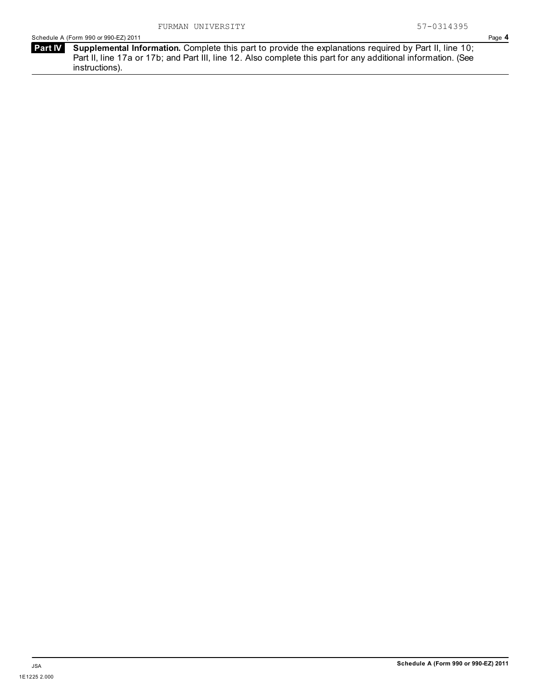**Part IV** Supplemental Information. Complete this part to provide the explanations required by Part II, line 10; Part II, line 17a or 17b; and Part III, line 12. Also complete this part for any additional information. (See instructions).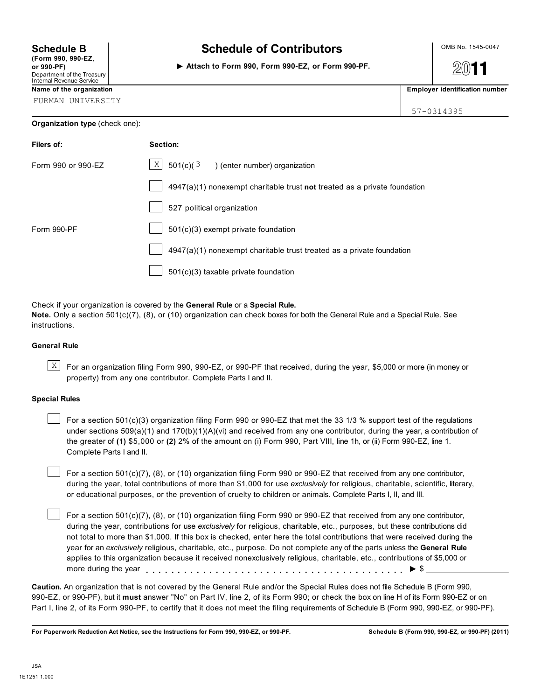| (Form 990, 990-EZ,         |  |
|----------------------------|--|
| or 990-PF)                 |  |
| Department of the Treasury |  |
| Internal Revenue Service   |  |

# **Schedule B**  $\parallel$  **Schedule of Contributors**  $\parallel$  <sup>OMB No. 1545-0047</sup>

**Attach to Form 990, Form 990-EZ, or Form 990-PF.**

 $2011$ **Name of the organization Employer identification number Employer identification number** 

| ----------- |  |  |  |  |
|-------------|--|--|--|--|

FURMAN UNIVERSITY

## **Organization type** (check one):

| 57-0314395 |  |
|------------|--|

| Filers of:         | Section:                                                                    |
|--------------------|-----------------------------------------------------------------------------|
| Form 990 or 990-EZ | X<br>$501(c)(3)$ (enter number) organization                                |
|                    | $4947(a)(1)$ nonexempt charitable trust not treated as a private foundation |
|                    | 527 political organization                                                  |
| Form 990-PF        | $501(c)(3)$ exempt private foundation                                       |
|                    | $4947(a)(1)$ nonexempt charitable trust treated as a private foundation     |
|                    | 501(c)(3) taxable private foundation                                        |

Check if your organization is covered by the **General Rule** or a **Special Rule. Note.** Only a section 501(c)(7), (8), or (10) organization can check boxes for both the General Rule and a Special Rule. See instructions.

### **General Rule**

 $\overline{X}$  For an organization filing Form 990, 990-EZ, or 990-PF that received, during the year, \$5,000 or more (in money or property) from any one contributor. Complete Parts I and II.

### **Special Rules**

For a section  $501(c)(3)$  organization filing Form 990 or 990-EZ that met the 33 1/3 % support test of the regulations under sections 509(a)(1) and 170(b)(1)(A)(vi) and received from any one contributor, during the year, a contribution of the greater of **(1)** \$5,000 or **(2)** 2% of the amount on (i) Form 990, Part VIII, line 1h, or (ii) Form 990-EZ, line 1. Complete Parts I and II.

For a section 501(c)(7), (8), or (10) organization filing Form 990 or 990-EZ that received from any one contributor, during the year, total contributions of more than \$1,000 for use *exclusively* for religious, charitable, scientific, literary, or educational purposes, or the prevention of cruelty to children or animals. Complete Parts I, II, and III.

For a section 501(c)(7), (8), or (10) organization filing Form 990 or 990-EZ that received from any one contributor, during the year, contributions for use *exclusively* for religious, charitable, etc., purposes, but these contributions did not total to more than \$1,000. If this box is checked, enter here the total contributions that were received during the year for an *exclusively* religious, charitable, etc., purpose. Do not complete any of the parts unless the **General Rule** applies to this organization because it received nonexclusively religious, charitable, etc., contributions of \$5,000 or applies to this organization because it received nonexclusively religious, charitable, etc., contributions  $\blacktriangleright$  \$

**Caution.** An organization that is not covered by the General Rule and/or the Special Rules does not file Schedule B (Form 990, 990-EZ, or 990-PF), but it **must** answer "No" on Part IV, line 2, of its Form 990; or check the box on line H of its Form 990-EZ or on Part I, line 2, of its Form 990-PF, to certify that it does not meet the filing requirements of Schedule B (Form 990, 990-EZ, or 990-PF).

**For Paperwork Reduction Act Notice, see the Instructions for Form 990, 990-EZ, or 990-PF. Schedule B (Form 990, 990-EZ, or 990-PF) (2011)**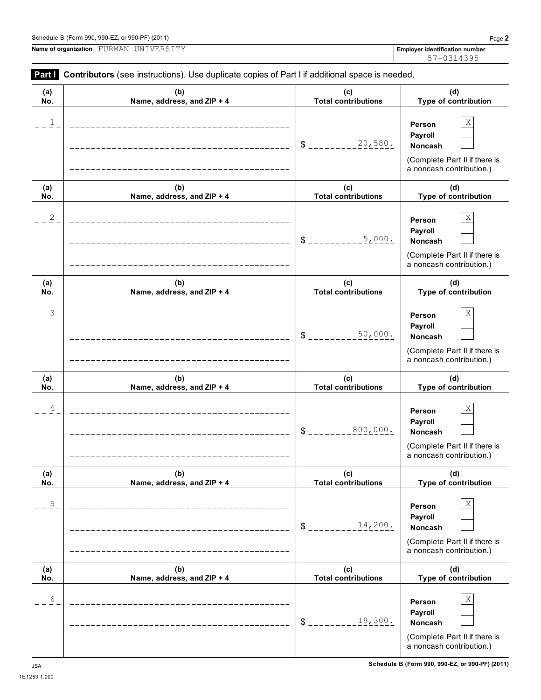| (a)          | (b)                          | (c)                        | (d)                                                                                  |
|--------------|------------------------------|----------------------------|--------------------------------------------------------------------------------------|
| No.          | Name, address, and ZIP + 4   | <b>Total contributions</b> | Type of contril                                                                      |
| 1            | ____________________________ | 20,580.<br>\$              | Χ<br>Person<br>Payroll<br><b>Noncash</b><br>(Complete Part II i<br>a noncash contrib |
| (a)          | (b)                          | (c)                        | (d)                                                                                  |
| No.          | Name, address, and ZIP + 4   | <b>Total contributions</b> | Type of contril                                                                      |
| $\mathbf{2}$ |                              | 5,000.<br>\$               | Χ<br>Person<br>Payroll<br><b>Noncash</b><br>(Complete Part II i<br>a noncash contrib |
| (a)          | (b)                          | (c)                        | (d)                                                                                  |
| No.          | Name, address, and ZIP + 4   | <b>Total contributions</b> | Type of contril                                                                      |
| 3            |                              | 50 000<br>œ                | X<br>Person<br>Payroll                                                               |

# Schedule B (Form 990, 990-EZ, or 990-PF) (2011) Page **2**

**Name of organization Employer identification number** FURMAN UNIVERSITY

|               | Employer identification number<br>57-0314395 |
|---------------|----------------------------------------------|
| ce is needed. |                                              |
|               |                                              |

**Type of contribution**

(Complete Part II if there is a noncash contribution.)

> **(d) Type of contribution**

(Complete Part II if there is a noncash contribution.)

| (a)<br>No.     | (b)<br>Name, address, and ZIP + 4                                 | (c)<br><b>Total contributions</b> | (d)<br>Type of contribution                                                                           |
|----------------|-------------------------------------------------------------------|-----------------------------------|-------------------------------------------------------------------------------------------------------|
| $\overline{3}$ | ________________________                                          | 50,000.<br>$\frac{1}{2}$          | X<br>Person<br>Payroll<br>Noncash<br>(Complete Part II if there is<br>a noncash contribution.)        |
| (a)            | (b)                                                               | (c)                               | (d)                                                                                                   |
| No.            | Name, address, and ZIP + 4                                        | <b>Total contributions</b>        | Type of contribution                                                                                  |
| 4              | ___________________________<br>---------------------------------- | 800,000.<br>$\mathsf{s}_-$        | Χ<br>Person<br>Payroll<br><b>Noncash</b><br>(Complete Part II if there is<br>a noncash contribution.) |
| (a)<br>No.     | (b)<br>Name, address, and ZIP + 4                                 | (c)<br><b>Total contributions</b> | (d)<br>Type of contribution                                                                           |
| 5              | -----------------------<br>_______________________________        | 14,200.<br>\$                     | Χ<br>Person<br>Payroll<br><b>Noncash</b><br>(Complete Part II if there is<br>a noncash contribution.) |
| (a)            | (b)                                                               | (c)                               | (d)                                                                                                   |
| No.            | Name, address, and ZIP + 4                                        | <b>Total contributions</b>        | Type of contribution                                                                                  |
| 6              | _____________________________                                     | 19,300.<br>\$                     | Χ<br>Person<br>Payroll<br><b>Noncash</b><br>(Complete Part II if there is                             |
| <b>JSA</b>     |                                                                   |                                   | a noncash contribution.)<br>Schedule B (Form 990, 990-EZ, or 990-PF) (2011)                           |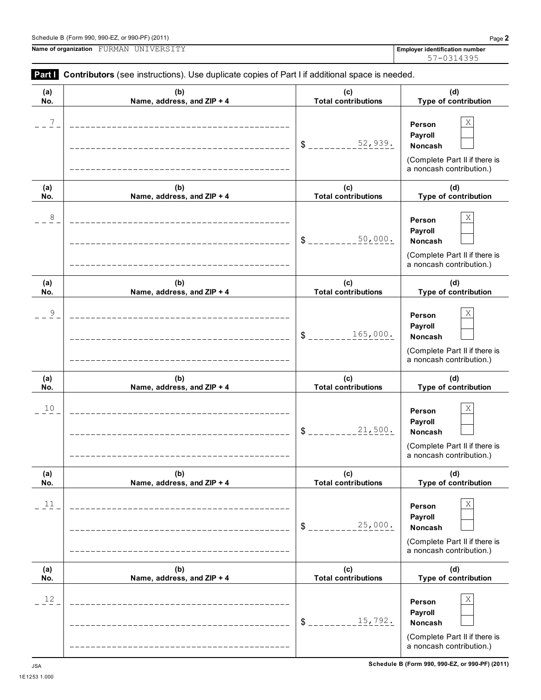**Person Payroll**

**(c) Total contributions**

\$ \_\_\_\_\_\_\_\_\_15,792**.** Noncash

**(a) No.**

|            | Schedule B (Form 990, 990-EZ, or 990-PF) (2011)                                                       |                                   | Page 2                                                                                                |
|------------|-------------------------------------------------------------------------------------------------------|-----------------------------------|-------------------------------------------------------------------------------------------------------|
|            | Name of organization FURMAN UNIVERSITY                                                                |                                   | <b>Employer identification number</b><br>57-0314395                                                   |
|            | Part I Contributors (see instructions). Use duplicate copies of Part I if additional space is needed. |                                   |                                                                                                       |
| (a)<br>No. | (b)<br>Name, address, and ZIP + 4                                                                     | (c)<br><b>Total contributions</b> | (d)<br>Type of contribution                                                                           |
| 7          |                                                                                                       | 52,939.<br>$\frac{1}{2}$          | Χ<br>Person<br>Payroll<br>Noncash<br>(Complete Part II if there is<br>a noncash contribution.)        |
| (a)<br>No. | (b)<br>Name, address, and ZIP + 4                                                                     | (c)<br><b>Total contributions</b> | (d)<br>Type of contribution                                                                           |
| 8          |                                                                                                       | 50,000.<br>\$                     | Χ<br>Person<br>Payroll<br>Noncash<br>(Complete Part II if there is<br>a noncash contribution.)        |
| (a)<br>No. | (b)<br>Name, address, and ZIP + 4                                                                     | (c)<br><b>Total contributions</b> | (d)<br>Type of contribution                                                                           |
| 9          |                                                                                                       | 165,000.<br>\$                    | Χ<br>Person<br>Payroll<br>Noncash<br>(Complete Part II if there is<br>a noncash contribution.)        |
| (a)<br>No. | (b)<br>Name, address, and ZIP + 4                                                                     | (c)<br><b>Total contributions</b> | (d)<br>Type of contribution                                                                           |
| 10         |                                                                                                       | 21,500.<br>¢                      | Χ<br>Person<br>Payroll<br><b>Noncash</b><br>(Complete Part II if there is<br>a noncash contribution.) |
| (a)<br>No. | (b)<br>Name, address, and ZIP + 4                                                                     | (c)<br><b>Total contributions</b> | (d)<br>Type of contribution                                                                           |
| 11         |                                                                                                       | 25,000.                           | $\rm X$<br>Person<br>Payroll<br>Noncash                                                               |

**(b) Name, address, and ZIP + 4**

 $12$  **Person** X

(Complete Part II if there is a noncash contribution.)

> **(d) Type of contribution**

(Complete Part II if there is a noncash contribution.)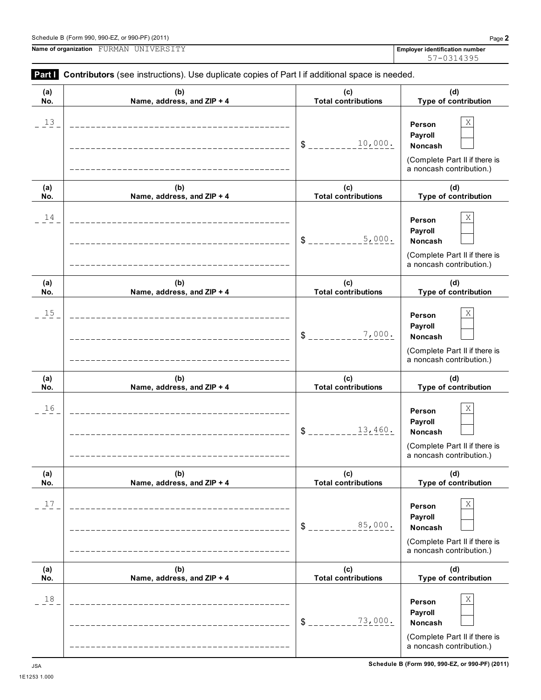1E1253 1.000

**Name of organization Employer identification number** FURMAN UNIVERSITY

| (a)<br>No. | (b)<br>Name, address, and ZIP + 4                              | (c)<br><b>Total contributions</b> | (d)<br>Type of contribution                                                                    |
|------------|----------------------------------------------------------------|-----------------------------------|------------------------------------------------------------------------------------------------|
| $13 -$     | ______________________________<br>____________________________ | 10,000.<br>$S_{--}$               | Χ<br>Person<br>Payroll<br>Noncash<br>(Complete Part II if there is<br>a noncash contribution.) |
| (a)<br>No. | (b)<br>Name, address, and ZIP + 4                              | (c)<br><b>Total contributions</b> | (d)<br>Type of contribution                                                                    |
| 14         | _____________________________                                  | 5,000.<br>$S_{---}$               | Χ<br>Person<br>Payroll<br>Noncash<br>(Complete Part II if there is<br>a noncash contribution.) |
| (a)<br>No. | (b)<br>Name, address, and ZIP + 4                              | (c)<br><b>Total contributions</b> | (d)<br>Type of contribution                                                                    |
| $15 -$     | ____________________________<br>___________________            | 7,000.<br>$S_{--}$                | Χ<br>Person<br>Payroll<br>Noncash<br>(Complete Part II if there is<br>a noncash contribution.) |
| (a)<br>No. | (b)<br>Name, address, and ZIP + 4                              | (c)<br><b>Total contributions</b> | (d)<br>Type of contribution                                                                    |
| 16         |                                                                | 13,460.<br>$S_{---}$              | Χ<br>Person<br>Payroll<br>Noncash<br>(Complete Part II if there is<br>a noncash contribution.) |
| (a)<br>No. | (b)<br>Name, address, and ZIP + 4                              | (c)<br><b>Total contributions</b> | (d)<br>Type of contribution                                                                    |
| 17         | -----------------------------------                            | 85,000.<br>$S_{---}$              | Χ<br>Person<br>Payroll<br>Noncash<br>(Complete Part II if there is<br>a noncash contribution.) |
| (a)<br>No. | (b)<br>Name, address, and ZIP + 4                              | (c)<br><b>Total contributions</b> | (d)<br>Type of contribution                                                                    |
| 18         | ---------------------------------                              | 73,000.<br>$S_{---}$              | Χ<br>Person<br>Payroll<br>Noncash                                                              |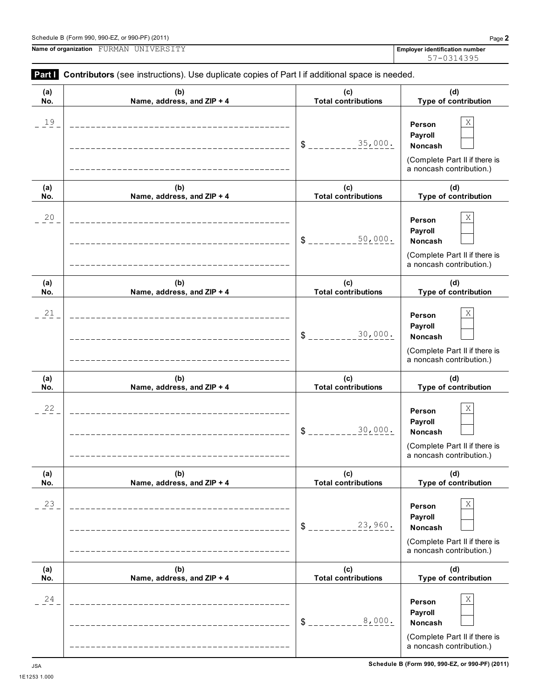1E1253 1.000

**Name of organization Employer identification number** FURMAN UNIVERSITY

| (a)     | (b)                        | (c)                        | (d)                                                                                            |
|---------|----------------------------|----------------------------|------------------------------------------------------------------------------------------------|
| No.     | Name, address, and ZIP + 4 | <b>Total contributions</b> | Type of contribution                                                                           |
| $19 -$  |                            | 35,000.<br>\$.             | Χ<br>Person<br>Payroll<br>Noncash<br>(Complete Part II if there is<br>a noncash contribution.) |
| (a)     | (b)                        | (c)                        | (d)                                                                                            |
| No.     | Name, address, and ZIP + 4 | <b>Total contributions</b> | Type of contribution                                                                           |
| 20      |                            | 50,000.<br>\$              | Χ<br>Person<br>Payroll<br>Noncash<br>(Complete Part II if there is<br>a noncash contribution.) |
| (a)     | (b)                        | (c)                        | (d)                                                                                            |
| No.     | Name, address, and ZIP + 4 | <b>Total contributions</b> | Type of contribution                                                                           |
| $^{21}$ |                            | 30,000.<br>$\frac{1}{2}$   | Χ<br>Person<br>Payroll<br>Noncash<br>(Complete Part II if there is<br>a noncash contribution.) |
| (a)     | (b)                        | (c)                        | (d)                                                                                            |
| No.     | Name, address, and ZIP + 4 | <b>Total contributions</b> | Type of contribution                                                                           |
| 22      |                            | 30,000.<br>\$              | Χ<br>Person<br>Payroll<br>Noncash<br>(Complete Part II if there is<br>a noncash contribution.) |
| (a)     | (b)                        | (c)                        | (d)                                                                                            |
| No.     | Name, address, and ZIP + 4 | <b>Total contributions</b> | Type of contribution                                                                           |
| 23      |                            | 23,960.<br>$\frac{1}{2}$   | Χ<br>Person<br>Payroll<br>Noncash<br>(Complete Part II if there is<br>a noncash contribution.) |
| (a)     | (b)                        | (c)                        | (d)                                                                                            |
| No.     | Name, address, and ZIP + 4 | <b>Total contributions</b> | Type of contribution                                                                           |
| 24      |                            | 8,000.<br>\$               | Χ<br>Person<br>Payroll<br>Noncash                                                              |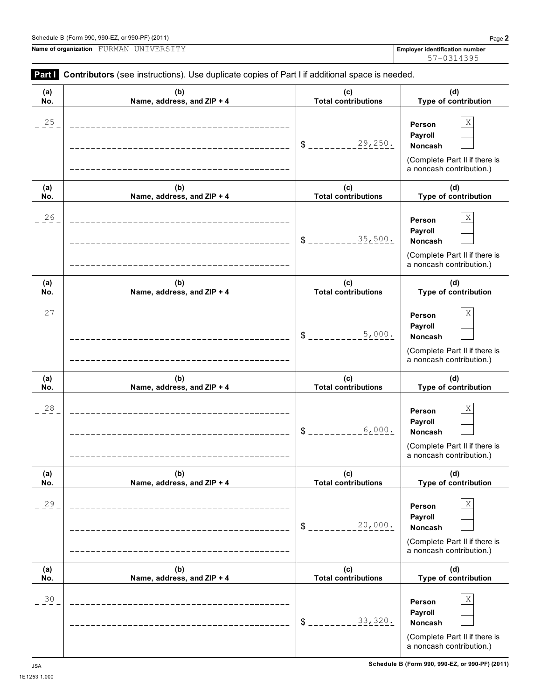**Name of organization Employer identification number** FURMAN UNIVERSITY

|            | Part Contributors (see instructions). Use duplicate copies of Part I if additional space is needed. |                                   |                                                                                                |
|------------|-----------------------------------------------------------------------------------------------------|-----------------------------------|------------------------------------------------------------------------------------------------|
| (a)<br>No. | (b)<br>Name, address, and ZIP + 4                                                                   | (c)<br><b>Total contributions</b> | (d)<br>Type of contribution                                                                    |
| 25         |                                                                                                     | 29,250.<br>\$                     | Χ<br>Person<br>Payroll<br>Noncash<br>(Complete Part II if there is<br>a noncash contribution.) |
| (a)<br>No. | (b)<br>Name, address, and ZIP + 4                                                                   | (c)<br><b>Total contributions</b> | (d)<br>Type of contribution                                                                    |
| 26         |                                                                                                     | 35,500.<br>\$                     | Χ<br>Person<br>Payroll<br>Noncash<br>(Complete Part II if there is<br>a noncash contribution.) |
| (a)<br>No. | (b)<br>Name, address, and ZIP + 4                                                                   | (c)<br><b>Total contributions</b> | (d)<br>Type of contribution                                                                    |
| 27         |                                                                                                     | 5,000.<br>\$                      | Χ<br>Person<br>Payroll<br>Noncash<br>(Complete Part II if there is<br>a noncash contribution.) |
| (a)<br>No. | (b)<br>Name, address, and ZIP + 4                                                                   | (c)<br><b>Total contributions</b> | (d)<br>Type of contribution                                                                    |
| 28         | ---------------------------                                                                         | 6,000.<br>\$                      | Χ<br>Person<br>Payroll<br>Noncash<br>(Complete Part II if there is<br>a noncash contribution.) |
| (a)<br>No. | (b)<br>Name, address, and ZIP + 4                                                                   | (c)<br><b>Total contributions</b> | (d)<br>Type of contribution                                                                    |
| 29         | ____________________                                                                                | 20,000.<br>$S_{-}$                | Χ<br>Person<br>Payroll<br>Noncash<br>(Complete Part II if there is<br>a noncash contribution.) |
| (a)<br>No. | (b)<br>Name, address, and ZIP + 4                                                                   | (c)<br><b>Total contributions</b> | (d)<br>Type of contribution                                                                    |
| 30         | -----------------                                                                                   | 33,320.<br>\$                     | Χ<br>Person<br>Payroll<br>Noncash<br>(Complete Part II if there is<br>a noncash contribution.) |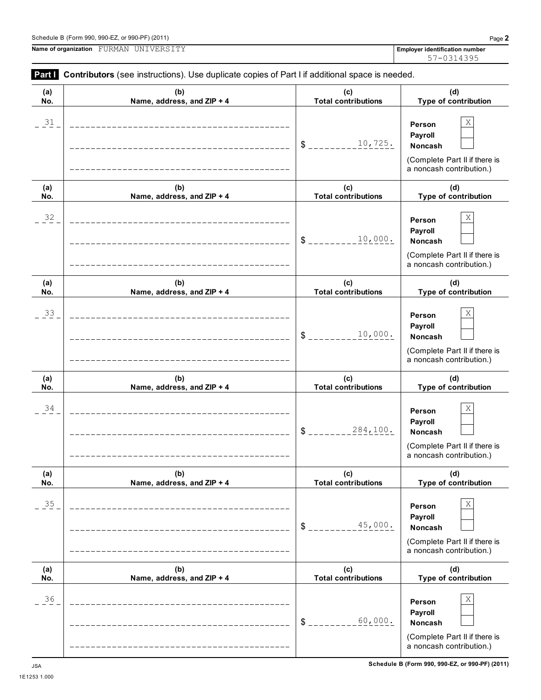| Name of organization FURMAN UNIVERSITY |  |
|----------------------------------------|--|

|  | <b>Part   Contributors</b> (see instructions). Use duplicate copies of Part I if additional space is needed. |  |  |  |  |  |  |  |  |  |
|--|--------------------------------------------------------------------------------------------------------------|--|--|--|--|--|--|--|--|--|
|--|--------------------------------------------------------------------------------------------------------------|--|--|--|--|--|--|--|--|--|

| (a)    | (b)                             | (c)                          | (d)                                                                                                      |
|--------|---------------------------------|------------------------------|----------------------------------------------------------------------------------------------------------|
| No.    | Name, address, and ZIP + 4      | <b>Total contributions</b>   | Type of contribution                                                                                     |
| $31\,$ |                                 | 10,725.<br>$\delta$          | Χ<br>Person<br>Payroll<br>Noncash<br>(Complete Part II if there is<br>a noncash contribution.)           |
| (a)    | (b)                             | (c)                          | (d)                                                                                                      |
| No.    | Name, address, and ZIP + 4      | <b>Total contributions</b>   | Type of contribution                                                                                     |
| 32     |                                 | 10,000.<br>$\frac{1}{2}$     | Χ<br>Person<br>Payroll<br>Noncash<br>(Complete Part II if there is<br>a noncash contribution.)           |
| (a)    | (b)                             | (c)                          | (d)                                                                                                      |
| No.    | Name, address, and ZIP + 4      | <b>Total contributions</b>   | Type of contribution                                                                                     |
| 33     |                                 | 10,000.<br>\$                | Χ<br>Person<br>Payroll<br>Noncash<br>(Complete Part II if there is<br>a noncash contribution.)           |
| (a)    | (b)                             | (c)                          | (d)                                                                                                      |
| No.    | Name, address, and ZIP + 4      | <b>Total contributions</b>   | Type of contribution                                                                                     |
| 34     |                                 | 284,100.<br>$\frac{1}{2}$    | Χ<br>Person<br>Payroll<br>Noncash<br>(Complete Part II if there is<br>a noncash contribution.)           |
| (a)    | (b)                             | (c)                          | (d)                                                                                                      |
| No.    | Name, address, and ZIP + 4      | <b>Total contributions</b>   | Type of contribution                                                                                     |
| 35     | _______________________________ | 45,000.<br>$\delta$ $_{---}$ | $\mathbf X$<br>Person<br>Payroll<br>Noncash<br>(Complete Part II if there is<br>a noncash contribution.) |
| (a)    | (b)                             | (c)                          | (d)                                                                                                      |
| No.    | Name, address, and ZIP + 4      | <b>Total contributions</b>   | Type of contribution                                                                                     |
| 36     |                                 | 60,000.<br>$S_{-}$           | Χ<br>Person<br>Payroll<br>Noncash<br>(Complete Part II if there is<br>a noncash contribution.)           |

**Employer identification number**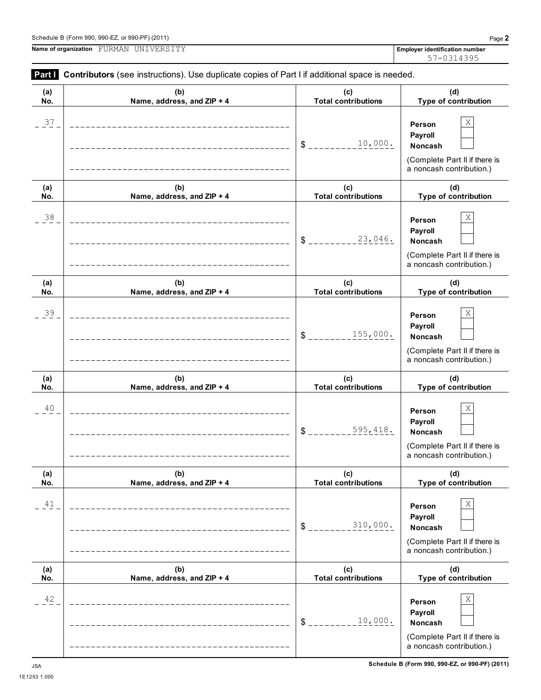**Name of organization Employer identification number** FURMAN UNIVERSITY

**Part I Contributors** (see instructions). Use duplicate copies of Part I if additional space is needed.

| (a)        | (b)                                                      | (c)                               | (d)                                                                                            |
|------------|----------------------------------------------------------|-----------------------------------|------------------------------------------------------------------------------------------------|
| No.        | Name, address, and ZIP + 4                               | <b>Total contributions</b>        | Type of contribution                                                                           |
| 37         |                                                          | 10,000.<br>$\frac{1}{2}$          | Χ<br>Person<br>Payroll<br>Noncash<br>(Complete Part II if there is<br>a noncash contribution.) |
| (a)<br>No. | (b)<br>Name, address, and ZIP + 4                        | (c)<br><b>Total contributions</b> | (d)<br>Type of contribution                                                                    |
| $38$       |                                                          | 23,046.<br>$\frac{1}{2}$          | Χ<br>Person<br>Payroll<br>Noncash<br>(Complete Part II if there is<br>a noncash contribution.) |
| (a)<br>No. | (b)<br>Name, address, and ZIP + 4                        | (c)<br><b>Total contributions</b> | (d)<br>Type of contribution                                                                    |
| 39         |                                                          | 155,000.<br>$\frac{2}{3}$         | Χ<br>Person<br>Payroll<br>Noncash<br>(Complete Part II if there is<br>a noncash contribution.) |
| (a)<br>No. | (b)<br>Name, address, and ZIP + 4                        | (c)<br><b>Total contributions</b> | (d)<br>Type of contribution                                                                    |
| 40         |                                                          | 595,418.<br>\$                    | Χ<br>Person<br>Payroll<br>Noncash<br>(Complete Part II if there is<br>a noncash contribution.) |
| (a)<br>No. | (b)<br>Name, address, and ZIP + 4                        | (c)<br><b>Total contributions</b> | (d)<br>Type of contribution                                                                    |
| 41         | ____________________<br>________________________________ | 310,000.<br>$S_{--}$              | Χ<br>Person<br>Payroll<br>Noncash<br>(Complete Part II if there is<br>a noncash contribution.) |
| (a)<br>No. | (b)<br>Name, address, and ZIP + 4                        | (c)<br><b>Total contributions</b> | (d)<br>Type of contribution                                                                    |
| 42         | --------------------------                               | 10,000.<br>$\frac{1}{2}$          | Χ<br>Person<br>Payroll<br>Noncash<br>(Complete Part II if there is<br>a noncash contribution.) |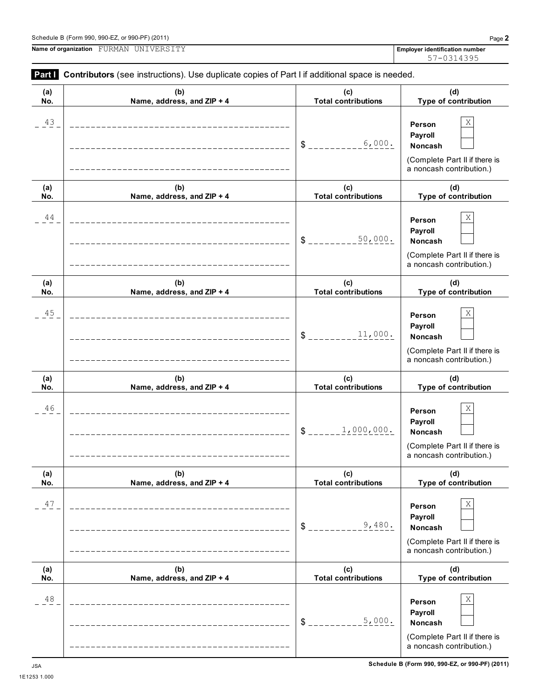1E1253 1.000

 $\overline{\phantom{0}}$ 

**Name of organization Employer identification number** FURMAN UNIVERSITY

| (a)<br>No. | (b)<br>Name, address, and ZIP + 4 | (c)<br><b>Total contributions</b> | (d)<br>Type of contribution                                                                              |
|------------|-----------------------------------|-----------------------------------|----------------------------------------------------------------------------------------------------------|
| 43         |                                   | 6,000.<br>$S$ <sub>----</sub>     | Χ<br>Person<br>Payroll<br><b>Noncash</b><br>(Complete Part II if there is<br>a noncash contribution.)    |
| (a)<br>No. | (b)<br>Name, address, and ZIP + 4 | (c)<br><b>Total contributions</b> | (d)<br>Type of contribution                                                                              |
| 44         | _________________________         | 50,000.<br>\$                     | Χ<br>Person<br>Payroll<br><b>Noncash</b><br>(Complete Part II if there is<br>a noncash contribution.)    |
| (a)<br>No. | (b)<br>Name, address, and ZIP + 4 | (c)<br><b>Total contributions</b> | (d)<br>Type of contribution                                                                              |
| 45         |                                   | 11,000.<br>$S_{---}$              | Χ<br>Person<br>Payroll<br><b>Noncash</b><br>(Complete Part II if there is<br>a noncash contribution.)    |
| (a)<br>No. | (b)<br>Name, address, and ZIP + 4 | (c)<br><b>Total contributions</b> | (d)<br>Type of contribution                                                                              |
| 46         |                                   | 1,000,000.<br>$S_{---}$           | Χ<br>Person<br>Payroll<br><b>Noncash</b><br>(Complete Part II if there is<br>a noncash contribution.)    |
| (a)<br>No. | (b)<br>Name, address, and ZIP + 4 | (c)<br><b>Total contributions</b> | (d)<br>Type of contribution                                                                              |
| 47         |                                   | 9,480.<br>\$                      | $\mathbf X$<br>Person<br>Payroll<br>Noncash<br>(Complete Part II if there is<br>a noncash contribution.) |
| (a)<br>No. | (b)<br>Name, address, and ZIP + 4 | (c)<br><b>Total contributions</b> | (d)<br>Type of contribution                                                                              |
| 48         |                                   | 5,000.<br>\$                      | Χ<br>Person<br>Payroll<br>Noncash<br>(Complete Part II if there is<br>a noncash contribution.)           |

# **Part I** Contributors (see instructions). Use duplicate copies of Part I if additional space is needed.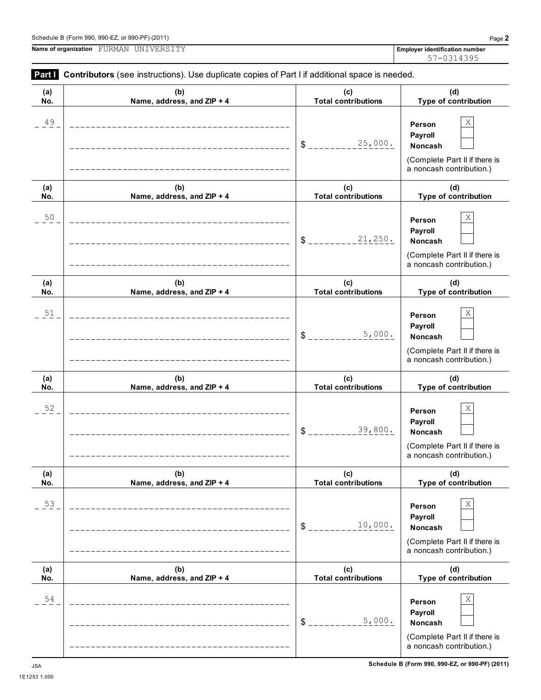1E1253 1.000

**Part I Contributors** (see instructions). Use duplicate copies of Part I if additional space is needed.

| .          | <b>Philiphere</b> (000 lifed deducito). Ouo daphodio oopioo of Fart Fill dadidonal opaco lo hoodod. |                                   |                                                                                                |
|------------|-----------------------------------------------------------------------------------------------------|-----------------------------------|------------------------------------------------------------------------------------------------|
| (a)<br>No. | (b)<br>Name, address, and ZIP + 4                                                                   | (c)<br><b>Total contributions</b> | (d)<br>Type of contribution                                                                    |
| 49         |                                                                                                     | 25,000.<br>\$                     | Χ<br>Person<br>Payroll<br>Noncash<br>(Complete Part II if there is<br>a noncash contribution.) |
| (a)<br>No. | (b)<br>Name, address, and ZIP + 4                                                                   | (c)<br><b>Total contributions</b> | (d)<br>Type of contribution                                                                    |
| $50$       |                                                                                                     | 21,250.<br>\$                     | Χ<br>Person<br>Payroll<br>Noncash<br>(Complete Part II if there is<br>a noncash contribution.) |
| (a)<br>No. | (b)<br>Name, address, and ZIP + 4                                                                   | (c)<br><b>Total contributions</b> | (d)<br>Type of contribution                                                                    |
| 51         |                                                                                                     | 5,000.<br>\$                      | Χ<br>Person<br>Payroll<br>Noncash<br>(Complete Part II if there is<br>a noncash contribution.) |
| (a)<br>No. | (b)<br>Name, address, and ZIP + 4                                                                   | (c)<br><b>Total contributions</b> | (d)<br>Type of contribution                                                                    |
| 52         |                                                                                                     | 39,800.<br>\$                     | Χ<br>Person<br>Payroll<br>Noncash<br>(Complete Part II if there is<br>a noncash contribution.) |
| (a)<br>No. | (b)<br>Name, address, and ZIP + 4                                                                   | (c)<br><b>Total contributions</b> | (d)<br>Type of contribution                                                                    |
| 53         | <u> 2000 - Franco Alexandro III (m. 1918)</u>                                                       | 10,000.<br>\$                     | Χ<br>Person<br>Payroll<br>Noncash<br>(Complete Part II if there is<br>a noncash contribution.) |
| (a)<br>No. | (b)<br>Name, address, and ZIP + 4                                                                   | (c)<br><b>Total contributions</b> | (d)<br>Type of contribution                                                                    |
| 54         |                                                                                                     | 5,000.<br>\$                      | Χ<br>Person<br>Payroll<br>Noncash<br>(Complete Part II if there is<br>a noncash contribution.) |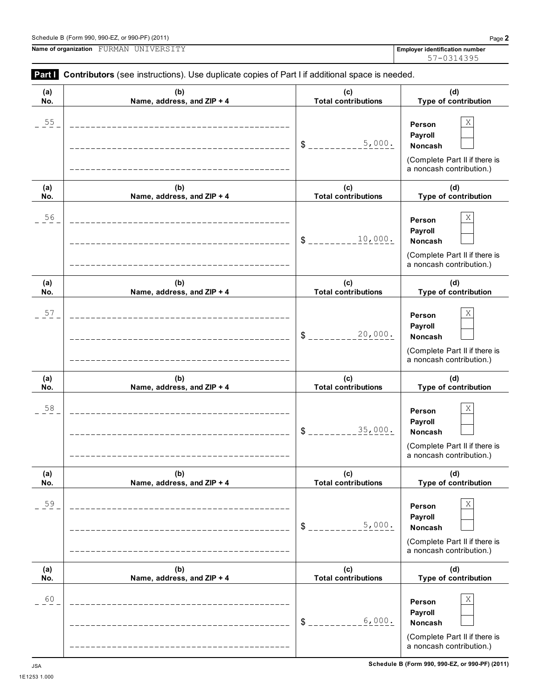(Complete Part II if there is a noncash contribution.)

 $$$ <sub>-------------</sub>  $6,000$ . Noncash

 $6.000.$ 

| Part I         |                                                                                                                                     |                                   | 57-0314395                                                                                     |
|----------------|-------------------------------------------------------------------------------------------------------------------------------------|-----------------------------------|------------------------------------------------------------------------------------------------|
| (a)<br>No.     | Contributors (see instructions). Use duplicate copies of Part I if additional space is needed.<br>(b)<br>Name, address, and ZIP + 4 | (c)<br><b>Total contributions</b> | (d)<br>Type of contribution                                                                    |
| $\frac{55}{1}$ |                                                                                                                                     | 5,000.<br>$S_{--}$                | Χ<br>Person<br>Payroll<br>Noncash<br>(Complete Part II if there is<br>a noncash contribution.) |
| (a)<br>No.     | (b)<br>Name, address, and ZIP + 4                                                                                                   | (c)<br><b>Total contributions</b> | (d)<br>Type of contribution                                                                    |
| $\frac{56}{1}$ |                                                                                                                                     | 10,000.<br>$S_{-}$                | Χ<br>Person<br>Payroll<br>Noncash<br>(Complete Part II if there is<br>a noncash contribution.) |
| (a)<br>No.     | (b)<br>Name, address, and ZIP + 4                                                                                                   | (c)<br><b>Total contributions</b> | (d)<br>Type of contribution                                                                    |
| 57             |                                                                                                                                     | 20,000.<br>$S_{--}$               | Χ<br>Person<br>Payroll<br>Noncash<br>(Complete Part II if there is<br>a noncash contribution.) |
| (a)<br>No.     | (b)<br>Name, address, and ZIP + 4                                                                                                   | (c)<br><b>Total contributions</b> | (d)<br>Type of contribution                                                                    |
| 58             |                                                                                                                                     | 35,000.<br>$\frac{1}{2}$          | Χ<br>Person<br>Payroll<br>Noncash<br>(Complete Part II if there is<br>a noncash contribution.) |
| (a)<br>No.     | (b)<br>Name, address, and ZIP + 4                                                                                                   | (c)<br><b>Total contributions</b> | (d)<br>Type of contribution                                                                    |
| 59             |                                                                                                                                     | 5,000.<br>$S_{-}$                 | Χ<br>Person<br>Payroll<br>Noncash<br>(Complete Part II if there is<br>a noncash contribution.) |
| (a)<br>No.     | (b)<br>Name, address, and ZIP + 4                                                                                                   | (c)<br><b>Total contributions</b> | (d)<br>Type of contribution                                                                    |
| 60             |                                                                                                                                     |                                   | Χ<br>Person<br>Payroll                                                                         |

**Name of organization Employer identification number** FURMAN UNIVERSITY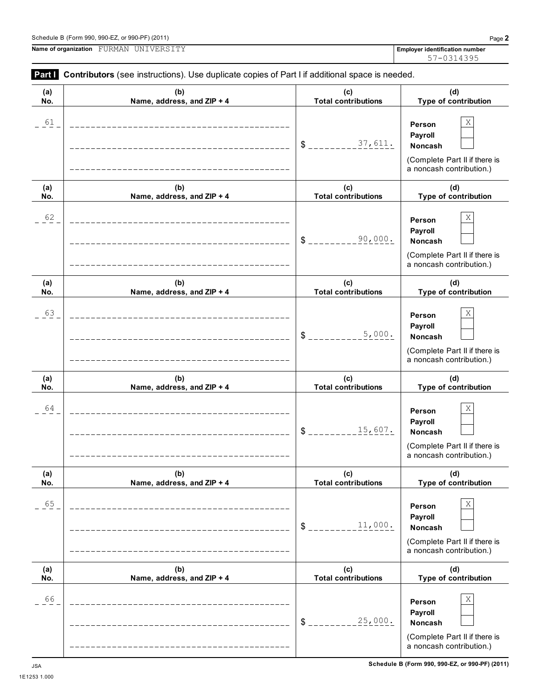**Name of organization Employer identification number** FURMAN UNIVERSITY

L,

**Part I** Contributors (see instructions). Use duplicate copies of Part I if additional space is needed.

| (a)<br>No. | (b)<br>Name, address, and ZIP + 4 | (c)<br><b>Total contributions</b> | (d)<br>Type of contribution                                                                    |
|------------|-----------------------------------|-----------------------------------|------------------------------------------------------------------------------------------------|
| 61         |                                   | 37,611.<br>$\delta$ $=$           | Χ<br>Person<br>Payroll<br>Noncash<br>(Complete Part II if there is<br>a noncash contribution.) |
| (a)<br>No. | (b)<br>Name, address, and ZIP + 4 | (c)<br><b>Total contributions</b> | (d)<br>Type of contribution                                                                    |
| 62         |                                   | 90,000.<br>$\delta$ .             | Χ<br>Person<br>Payroll<br>Noncash<br>(Complete Part II if there is<br>a noncash contribution.) |
| (a)<br>No. | (b)<br>Name, address, and ZIP + 4 | (c)<br><b>Total contributions</b> | (d)<br>Type of contribution                                                                    |
| 63         |                                   | 5,000.<br>$\frac{1}{2}$           | Χ<br>Person<br>Payroll<br>Noncash<br>(Complete Part II if there is<br>a noncash contribution.) |
| (a)<br>No. | (b)<br>Name, address, and ZIP + 4 | (c)<br><b>Total contributions</b> | (d)<br>Type of contribution                                                                    |
| 64         |                                   | 15,607.<br>$\frac{1}{2}$          | Χ<br>Person<br>Payroll<br>Noncash<br>(Complete Part II if there is<br>a noncash contribution.) |
| (a)<br>No. | (b)<br>Name, address, and ZIP + 4 | (c)<br><b>Total contributions</b> | (d)<br>Type of contribution                                                                    |
| 65         |                                   | 11,000.<br>$S_{---}$              | Χ<br>Person<br>Payroll<br>Noncash<br>(Complete Part II if there is<br>a noncash contribution.) |
| (a)<br>No. | (b)<br>Name, address, and ZIP + 4 | (c)<br><b>Total contributions</b> | (d)<br>Type of contribution                                                                    |
| 66         |                                   | 25,000.<br>$S_{-}$                | Χ<br>Person<br>Payroll<br>Noncash<br>(Complete Part II if there is<br>a noncash contribution.) |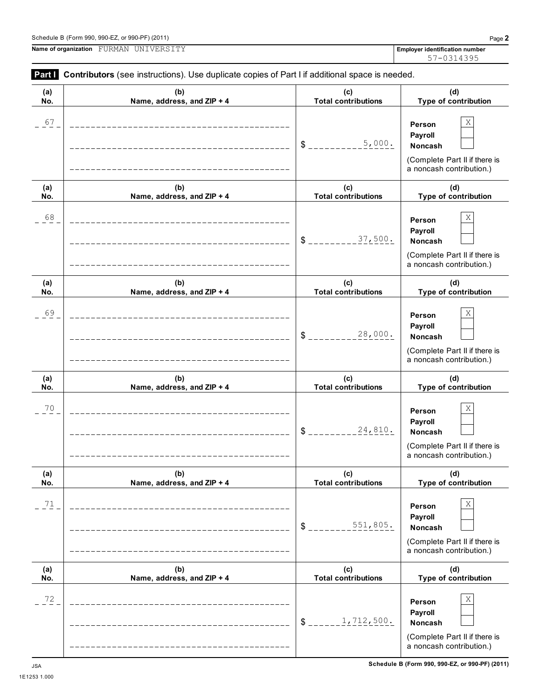$\equiv$ 

 $\overline{\phantom{0}}$ 

|     | <b>Name of organization E</b> URPEN UNIVERSIII                                                             |     | Ellipio) |
|-----|------------------------------------------------------------------------------------------------------------|-----|----------|
|     | <b>Part Contributors</b> (see instructions). Use duplicate copies of Part I if additional space is needed. |     |          |
| (a) | (b)                                                                                                        | (C) |          |

| (a)<br>No. | (b)<br>Name, address, and ZIP + 4 | (c)<br><b>Total contributions</b>           | (d)<br>Type of contribution                                                                                            |
|------------|-----------------------------------|---------------------------------------------|------------------------------------------------------------------------------------------------------------------------|
| 67         |                                   | 5,000.<br>$\frac{1}{2}$                     | Χ<br>Person<br>Payroll<br><b>Noncash</b><br>(Complete Part II if there is<br>a noncash contribution.)                  |
| (a)<br>No. | (b)<br>Name, address, and ZIP + 4 | (c)<br><b>Total contributions</b>           | (d)<br>Type of contribution                                                                                            |
| 68         |                                   | 37,500.<br>$\frac{1}{2}$                    | Χ<br>Person<br>Payroll<br><b>Noncash</b><br>(Complete Part II if there is<br>a noncash contribution.)                  |
| (a)<br>No. | (b)<br>Name, address, and ZIP + 4 | (c)<br><b>Total contributions</b>           | (d)<br>Type of contribution                                                                                            |
| 69         |                                   | 28,000.<br>$\frac{1}{2}$                    | Χ<br>Person<br>Payroll<br><b>Noncash</b><br>(Complete Part II if there is<br>a noncash contribution.)                  |
|            |                                   |                                             |                                                                                                                        |
| (a)        | (b)                               | (c)                                         | (d)                                                                                                                    |
| No.<br>70  | Name, address, and ZIP + 4        | <b>Total contributions</b><br>24,810.<br>\$ | Type of contribution<br>Χ<br>Person<br>Payroll<br>Noncash<br>(Complete Part II if there is<br>a noncash contribution.) |
| (a)<br>No. | (b)<br>Name, address, and ZIP + 4 | (c)<br><b>Total contributions</b>           | (d)<br>Type of contribution                                                                                            |
| 71         |                                   | 551,805.<br>$\mathsf S$ .                   | Χ<br>Person<br>Payroll<br>Noncash<br>(Complete Part II if there is<br>a noncash contribution.)                         |
| (a)<br>No. | (b)<br>Name, address, and ZIP + 4 | (c)<br><b>Total contributions</b>           | (d)<br>Type of contribution                                                                                            |

 $\overline{\phantom{0}}$ 

**Name of organization Employer identification number** FURMAN UNIVERSITY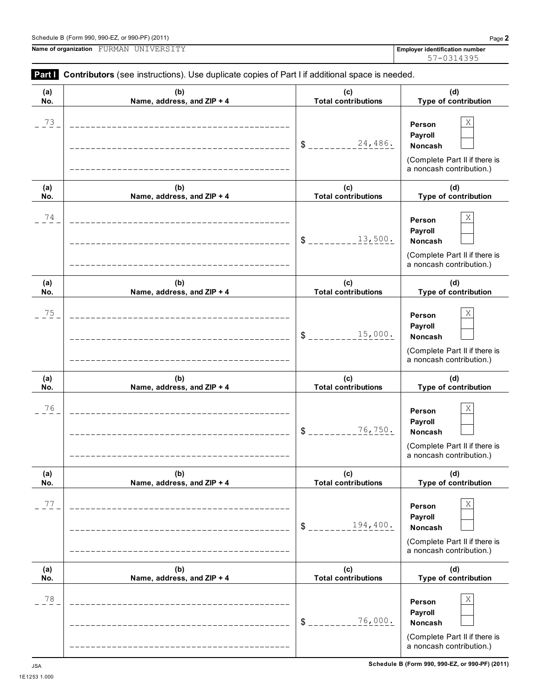$\overline{\phantom{0}}$ 

**Name of organization Employer identification number** FURMAN UNIVERSITY

| (a) | (b)                                                                      | (c)                            | (d)                                                                                                   |
|-----|--------------------------------------------------------------------------|--------------------------------|-------------------------------------------------------------------------------------------------------|
| No. | Name, address, and ZIP + 4                                               | <b>Total contributions</b>     | Type of contribution                                                                                  |
| 73  |                                                                          | 24,486.<br>$S$ <sub>----</sub> | Χ<br>Person<br>Payroll<br><b>Noncash</b><br>(Complete Part II if there is<br>a noncash contribution.) |
| (a) | (b)                                                                      | (c)                            | (d)                                                                                                   |
| No. | Name, address, and ZIP + 4                                               | <b>Total contributions</b>     | Type of contribution                                                                                  |
| 74  | __________________________________<br>__________________________________ | 13,500.<br>$\mathbb{S}$        | Χ<br>Person<br>Payroll<br><b>Noncash</b><br>(Complete Part II if there is<br>a noncash contribution.) |
| (a) | (b)                                                                      | (c)                            | (d)                                                                                                   |
| No. | Name, address, and ZIP + 4                                               | <b>Total contributions</b>     | Type of contribution                                                                                  |
| 75  | _________________________________<br>_________________________________   | 15,000.<br>\$                  | Χ<br>Person<br>Payroll<br><b>Noncash</b><br>(Complete Part II if there is<br>a noncash contribution.) |
| (a) | (b)                                                                      | (c)                            | (d)                                                                                                   |
| No. | Name, address, and ZIP + 4                                               | <b>Total contributions</b>     | Type of contribution                                                                                  |
| 76  | _______________________________<br>__________________________________    | 76,750.<br>\$                  | Χ<br>Person<br>Payroll<br><b>Noncash</b><br>(Complete Part II if there is<br>a noncash contribution.) |
| (a) | (b)                                                                      | (c)                            | (d)                                                                                                   |
| No. | Name, address, and ZIP + 4                                               | <b>Total contributions</b>     | Type of contribution                                                                                  |
| 77  | <u>______________</u>                                                    | 194,400.<br>\$                 | Χ<br>Person<br>Payroll<br>Noncash<br>(Complete Part II if there is<br>a noncash contribution.)        |
| (a) | (b)                                                                      | (c)                            | (d)                                                                                                   |
| No. | Name, address, and ZIP + 4                                               | <b>Total contributions</b>     | Type of contribution                                                                                  |
| 78  |                                                                          | 76,000.<br>\$                  | Χ<br>Person<br>Payroll<br>Noncash<br>(Complete Part II if there is<br>a noncash contribution.)        |

**Part I** Contributors (see instructions). Use duplicate copies of Part I if additional space is needed.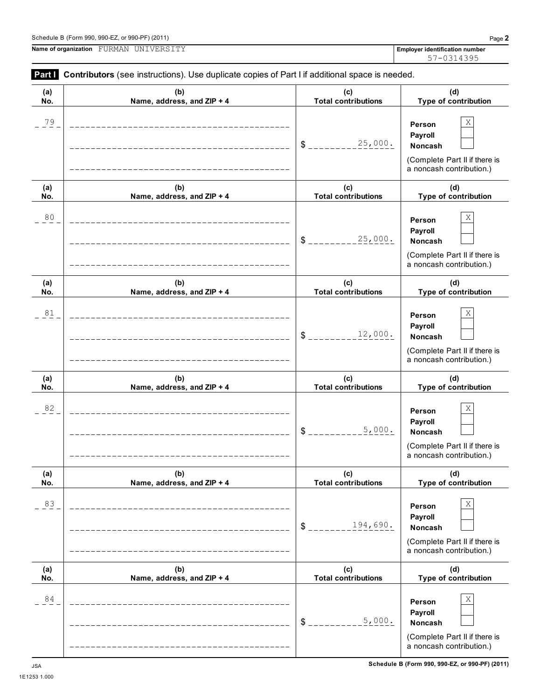**(a) No.**

|            | Name of organization FURMAN UNIVERSITY                                                         |                                   | <b>Employer identification number</b><br>57-0314395                                                             |
|------------|------------------------------------------------------------------------------------------------|-----------------------------------|-----------------------------------------------------------------------------------------------------------------|
| Part I     | Contributors (see instructions). Use duplicate copies of Part I if additional space is needed. |                                   |                                                                                                                 |
| (a)<br>No. | (b)<br>Name, address, and ZIP + 4                                                              | (c)<br><b>Total contributions</b> | (d)<br>Type of contribution                                                                                     |
| $^{79}$    |                                                                                                | 25,000.<br>\$                     | $\mathbf X$<br>Person<br>Payroll<br><b>Noncash</b><br>(Complete Part II if there is<br>a noncash contribution.) |
| (a)<br>No. | (b)<br>Name, address, and ZIP + 4                                                              | (c)<br><b>Total contributions</b> | (d)<br>Type of contribution                                                                                     |
| 80         |                                                                                                | 25,000.<br>\$                     | Χ<br>Person<br>Payroll<br>Noncash<br>(Complete Part II if there is<br>a noncash contribution.)                  |
| (a)<br>No. | (b)<br>Name, address, and ZIP + 4                                                              | (c)<br><b>Total contributions</b> | (d)<br>Type of contribution                                                                                     |
| 81         |                                                                                                | 12,000.<br>\$                     | Χ<br>Person<br>Payroll<br>Noncash<br>(Complete Part II if there is<br>a noncash contribution.)                  |
| (a)<br>No. | (b)<br>Name, address, and ZIP + 4                                                              | (c)<br><b>Total contributions</b> | (d)<br>Type of contribution                                                                                     |
| 82         |                                                                                                | 5,000.<br>\$                      | X<br>Person<br><b>Payroll</b><br><b>Noncash</b><br>(Complete Part II if there is<br>a noncash contribution.)    |
| (a)<br>No. | (b)<br>Name, address, and ZIP + 4                                                              | (c)<br><b>Total contributions</b> | (d)<br>Type of contribution                                                                                     |

83  $\vert$  **Person**  $\vert$  X

 $84$  **Person** X

**(b) Name, address, and ZIP + 4**

(Complete Part II if there is a noncash contribution.)

> **(d) Type of contribution**

(Complete Part II if there is a noncash contribution.)

**Person Payroll**

**Person Payroll**

\$ \_\_\_\_\_\_\_\_<u>194,690.</u> Noncash

 $$$ <sub>---------------</sub> $5,000$ . Noncash

 $5,000.$ 

**(c) Total contributions**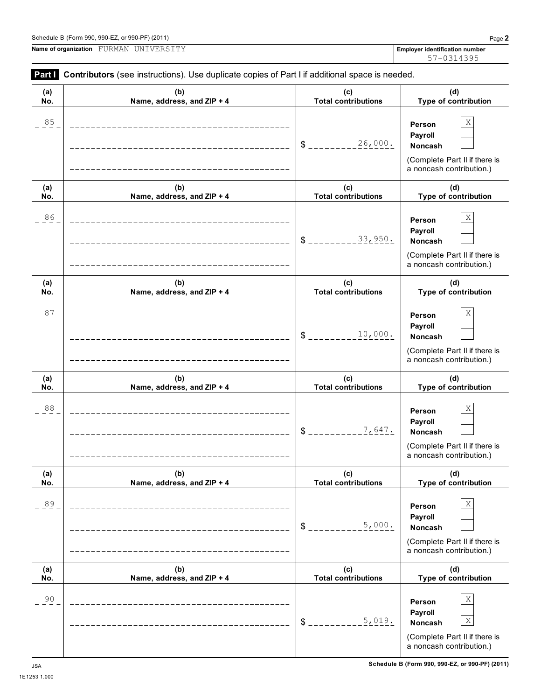$\begin{array}{|c|c|c|c|c|}\n 5.019. & \textbf{Noncash} & \overline{X}\n\end{array}$ 

(Complete Part II if there is a noncash contribution.)

 $$$ <sub>---------------</sub> $5,019$ . Noncash

|            |                                                                                                |                                   | 57-0314395                                                                                     |
|------------|------------------------------------------------------------------------------------------------|-----------------------------------|------------------------------------------------------------------------------------------------|
| Part I     | Contributors (see instructions). Use duplicate copies of Part I if additional space is needed. |                                   |                                                                                                |
| (a)<br>No. | (b)<br>Name, address, and ZIP + 4                                                              | (c)<br><b>Total contributions</b> | (d)<br>Type of contribution                                                                    |
| $85 -$     |                                                                                                | 26,000.<br>$S_{--}$               | Χ<br>Person<br>Payroll<br>Noncash<br>(Complete Part II if there is<br>a noncash contribution.) |
| (a)<br>No. | (b)<br>Name, address, and ZIP + 4                                                              | (c)<br><b>Total contributions</b> | (d)<br>Type of contribution                                                                    |
| 86         |                                                                                                | 33,950.<br>$S_{-}$                | Χ<br>Person<br>Payroll<br>Noncash<br>(Complete Part II if there is<br>a noncash contribution.) |
| (a)<br>No. | (b)<br>Name, address, and ZIP + 4                                                              | (c)<br><b>Total contributions</b> | (d)<br>Type of contribution                                                                    |
| 87         |                                                                                                | 10,000.<br>$S_{--}$               | Χ<br>Person<br>Payroll<br>Noncash<br>(Complete Part II if there is<br>a noncash contribution.) |
| (a)<br>No. | (b)<br>Name, address, and ZIP + 4                                                              | (c)<br><b>Total contributions</b> | (d)<br>Type of contribution                                                                    |
| $8\,8$     |                                                                                                | 7,647.<br>\$                      | Χ<br>Person<br>Payroll<br>Noncash<br>(Complete Part II if there is<br>a noncash contribution.) |
| (a)<br>No. | (b)<br>Name, address, and ZIP + 4                                                              | (c)<br><b>Total contributions</b> | (d)<br>Type of contribution                                                                    |
| 89         |                                                                                                | 5,000.<br>$\mathbb{S}^-$          | Χ<br>Person<br>Payroll<br>Noncash<br>(Complete Part II if there is<br>a noncash contribution.) |
| (a)<br>No. | (b)<br>Name, address, and ZIP + 4                                                              | (c)<br><b>Total contributions</b> | (d)<br>Type of contribution                                                                    |
| 90         |                                                                                                |                                   | Χ<br>Person<br>Payroll                                                                         |

**Name of organization Employer identification number** FURMAN UNIVERSITY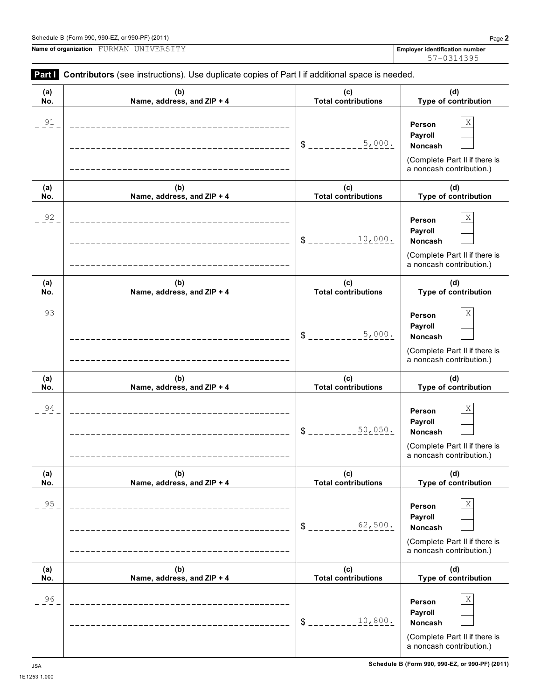1E1253 1.000

**Name of organization Employer identification number** FURMAN UNIVERSITY

**Part I** Contributors (see instructions). Use duplicate copies of Part I if additional space is needed.

| (a)    | (b)                                                                       | (c)                        | (d)                                                                                            |
|--------|---------------------------------------------------------------------------|----------------------------|------------------------------------------------------------------------------------------------|
| No.    | Name, address, and ZIP + 4                                                | <b>Total contributions</b> | Type of contribution                                                                           |
| 91     |                                                                           | 5,000.<br>$\delta$         | Χ<br>Person<br>Payroll<br>Noncash<br>(Complete Part II if there is<br>a noncash contribution.) |
| (a)    | (b)                                                                       | (c)                        | (d)                                                                                            |
| No.    | Name, address, and ZIP + 4                                                | <b>Total contributions</b> | Type of contribution                                                                           |
| 92     |                                                                           | 10,000.<br>\$              | Χ<br>Person<br>Payroll<br>Noncash<br>(Complete Part II if there is<br>a noncash contribution.) |
| (a)    | (b)                                                                       | (c)                        | (d)                                                                                            |
| No.    | Name, address, and ZIP + 4                                                | <b>Total contributions</b> | Type of contribution                                                                           |
| 93     |                                                                           | 5,000.<br>$\mathsf{S}$     | Χ<br>Person<br>Payroll<br>Noncash<br>(Complete Part II if there is<br>a noncash contribution.) |
| (a)    | (b)                                                                       | (c)                        | (d)                                                                                            |
| No.    | Name, address, and ZIP + 4                                                | <b>Total contributions</b> | Type of contribution                                                                           |
| 94     |                                                                           | 50,050.<br>$\frac{3}{2}$   | Χ<br>Person<br>Payroll<br>Noncash<br>(Complete Part II if there is<br>a noncash contribution.) |
| (a)    | (b)                                                                       | (c)                        | (d)                                                                                            |
| No.    | Name, address, and ZIP + 4                                                | <b>Total contributions</b> | Type of contribution                                                                           |
| $95\,$ | __________________________________<br>----------------------------------- | 62,500.<br>$S_{---}$       | Χ<br>Person<br>Payroll<br>Noncash<br>(Complete Part II if there is<br>a noncash contribution.) |
| (a)    | (b)                                                                       | (c)                        | (d)                                                                                            |
| No.    | Name, address, and ZIP + 4                                                | <b>Total contributions</b> | Type of contribution                                                                           |
| 96     | _______________________________<br>----------------------------------     | 10,800.<br>$S_{-}$         | Χ<br>Person<br>Payroll<br>Noncash<br>(Complete Part II if there is                             |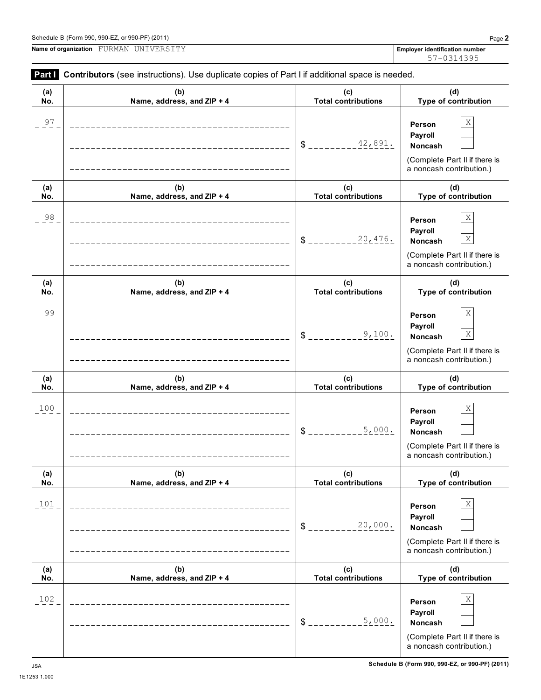**Name of organization Employer identification number** FURMAN UNIVERSITY

| (a)<br>No. | (b)<br>Name, address, and ZIP + 4 | (c)<br><b>Total contributions</b> | (d)<br>Type of contribution                                                                                                    |
|------------|-----------------------------------|-----------------------------------|--------------------------------------------------------------------------------------------------------------------------------|
| 97         |                                   |                                   | $\mathbf X$<br>Person<br>Payroll<br>Noncash<br>(Complete Part II if there is<br>a noncash contribution.)                       |
| (a)<br>No. | (b)<br>Name, address, and ZIP + 4 | (c)<br><b>Total contributions</b> | (d)<br>Type of contribution                                                                                                    |
| 98         |                                   |                                   | $\mathbf X$<br>Person<br>Payroll<br>$\mathbf X$<br>Noncash<br>(Complete Part II if there is<br>a noncash contribution.)        |
| (a)<br>No. | (b)<br>Name, address, and ZIP + 4 | (c)<br><b>Total contributions</b> | (d)<br>Type of contribution                                                                                                    |
| 99         |                                   | 9,100.<br>$S$ <sub>----</sub>     | $\mathbf X$<br>Person<br>Payroll<br>$\mathbf X$<br><b>Noncash</b><br>(Complete Part II if there is<br>a noncash contribution.) |
| (a)<br>No. | (b)<br>Name, address, and ZIP + 4 | (c)<br><b>Total contributions</b> | (d)<br>Type of contribution                                                                                                    |
| 100        |                                   | 5,000.<br>$S_{--}$                | $\mathbf X$<br>Person<br>Payroll<br>Noncash<br>(Complete Part II if there is<br>a noncash contribution.)                       |
| (a)<br>No. | (b)<br>Name, address, and ZIP + 4 | (c)<br><b>Total contributions</b> | (d)<br><b>Type of contribution</b>                                                                                             |
| 101        |                                   | 20,000.<br>\$                     | $\mathbf X$<br>Person<br>Payroll<br>Noncash<br>(Complete Part II if there is<br>a noncash contribution.)                       |
| (a)<br>No. | (b)<br>Name, address, and ZIP + 4 | (c)<br><b>Total contributions</b> | (d)<br>Type of contribution                                                                                                    |
| 102        |                                   | 5,000.<br>$$\mathbb{S}$ .         | $\mathbf X$<br>Person<br>Payroll<br>Noncash<br>(Complete Part II if there is<br>a noncash contribution.)                       |

# **Part I** Contributors (see instructions). Use duplicate copies of Part I if additional space is needed.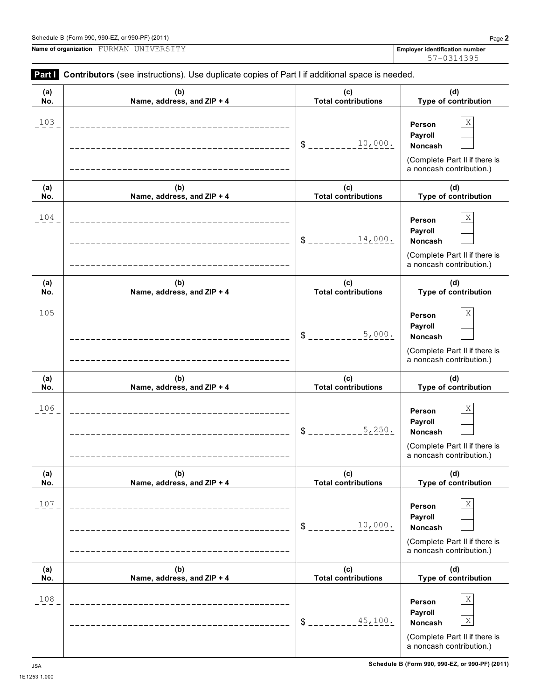1E1253 1.000

**Name of organization Employer identification number** FURMAN UNIVERSITY

| (a)        | <b>Faith</b> Continuutors (See instructions). Ose duplicate copies of Faith in additional space is needed.<br>(b) | (c)                               | (d)                                                                                                           |
|------------|-------------------------------------------------------------------------------------------------------------------|-----------------------------------|---------------------------------------------------------------------------------------------------------------|
| No.        | Name, address, and ZIP + 4                                                                                        | <b>Total contributions</b>        | Type of contribution                                                                                          |
| 103        |                                                                                                                   | 10,000.<br>$S_{-}$                | Χ<br>Person<br>Payroll<br>Noncash<br>(Complete Part II if there is<br>a noncash contribution.)                |
| (a)<br>No. | (b)<br>Name, address, and ZIP + 4                                                                                 | (c)<br><b>Total contributions</b> | (d)<br>Type of contribution                                                                                   |
| 104        |                                                                                                                   | 14,000.<br>\$                     | Χ<br>Person<br>Payroll<br><b>Noncash</b><br>(Complete Part II if there is<br>a noncash contribution.)         |
| (a)<br>No. | (b)<br>Name, address, and ZIP + 4                                                                                 | (c)<br><b>Total contributions</b> | (d)<br>Type of contribution                                                                                   |
| 105        |                                                                                                                   | 5,000.<br>\$                      | Χ<br>Person<br>Payroll<br><b>Noncash</b><br>(Complete Part II if there is<br>a noncash contribution.)         |
| (a)<br>No. | (b)<br>Name, address, and ZIP + 4                                                                                 | (c)<br><b>Total contributions</b> | (d)<br>Type of contribution                                                                                   |
| 106        |                                                                                                                   | 5,250.<br>\$                      | Χ<br>Person<br>Payroll<br><b>Noncash</b><br>(Complete Part II if there is<br>a noncash contribution.)         |
| (a)<br>No. | (b)<br>Name, address, and ZIP + 4                                                                                 | (c)<br><b>Total contributions</b> | (d)<br>Type of contribution                                                                                   |
| 107        |                                                                                                                   | 10,000.<br>\$                     | X<br>Person<br>Payroll<br>Noncash<br>(Complete Part II if there is<br>a noncash contribution.)                |
| (a)<br>No. | (b)<br>Name, address, and ZIP + 4                                                                                 | (c)<br><b>Total contributions</b> | (d)<br>Type of contribution                                                                                   |
| 108        |                                                                                                                   | 45,100.<br>\$                     | X<br>Person<br>Payroll<br>$\mathbf X$<br>Noncash<br>(Complete Part II if there is<br>a noncash contribution.) |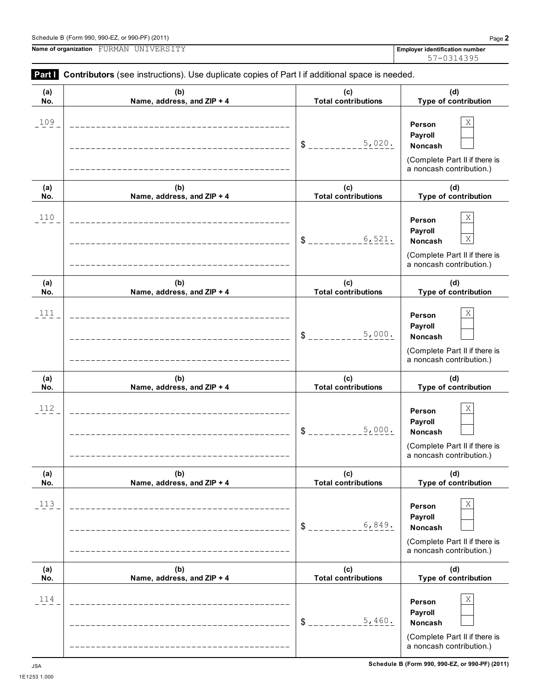1E1253 1.000



**Name of organization Employer identification number** FURMAN UNIVERSITY

**(d) Type of contribution**

**(c) Total contributions**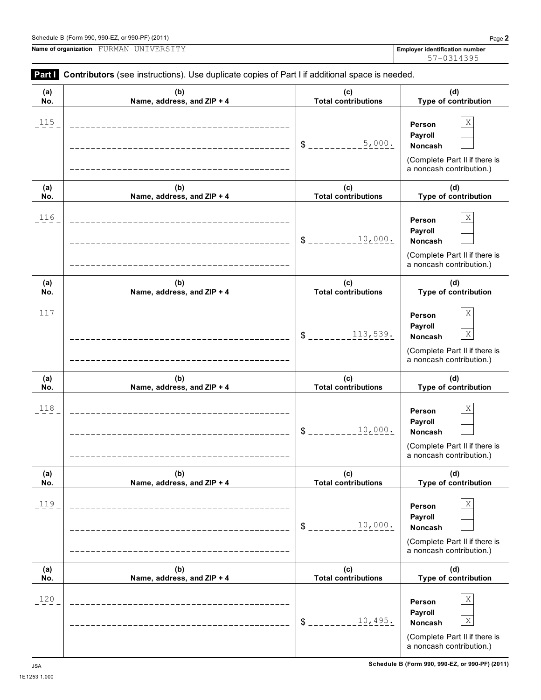| (a) | (b)                                                                    | (c)                             | (d)                                                                                                           |
|-----|------------------------------------------------------------------------|---------------------------------|---------------------------------------------------------------------------------------------------------------|
| No. | Name, address, and ZIP + 4                                             | <b>Total contributions</b>      | Type of contribution                                                                                          |
| 115 |                                                                        | 5,000.<br>$S$ <sub>----</sub>   | Χ<br>Person<br>Payroll<br>Noncash<br>(Complete Part II if there is<br>a noncash contribution.)                |
| (a) | (b)                                                                    | (c)                             | (d)                                                                                                           |
| No. | Name, address, and ZIP + 4                                             | <b>Total contributions</b>      | Type of contribution                                                                                          |
| 116 |                                                                        | 10,000.<br>$S_{---}$            | Χ<br>Person<br>Payroll<br>Noncash<br>(Complete Part II if there is<br>a noncash contribution.)                |
| (a) | (b)                                                                    | (c)                             | (d)                                                                                                           |
| No. | Name, address, and ZIP + 4                                             | <b>Total contributions</b>      | Type of contribution                                                                                          |
| 117 | _____________________________<br>_____________________________________ | 113,539.<br>$S$ <sub>----</sub> | Χ<br>Person<br>Payroll<br>$\mathbf X$<br>Noncash<br>(Complete Part II if there is<br>a noncash contribution.) |
| (a) | (b)                                                                    | (c)                             | (d)                                                                                                           |
| No. | Name, address, and ZIP + 4                                             | <b>Total contributions</b>      | Type of contribution                                                                                          |
| 118 |                                                                        | 10,000.<br>\$                   | Χ<br>Person<br>Payroll<br>Noncash<br>(Complete Part II if there is<br>a noncash contribution.)                |
| (a) | (b)                                                                    | (c)                             | (d)                                                                                                           |
| No. | Name, address, and $ZIP + 4$                                           | Total contributions             | <b>Type of contribution</b>                                                                                   |
| 119 |                                                                        | 10,000.<br>\$                   | Χ<br>Person<br>Payroll<br>Noncash<br>(Complete Part II if there is<br>a noncash contribution.)                |
| (a) | (b)                                                                    | (c)                             | (d)                                                                                                           |
| No. | Name, address, and ZIP + 4                                             | <b>Total contributions</b>      | Type of contribution                                                                                          |
| 120 |                                                                        | 10,495.<br>\$                   | Χ<br>Person<br>Payroll<br>$\mathbf X$<br>Noncash<br>(Complete Part II if there is<br>a noncash contribution.) |

**Part I** Contributors (see instructions). Use duplicate copies of Part I if additional space is needed.

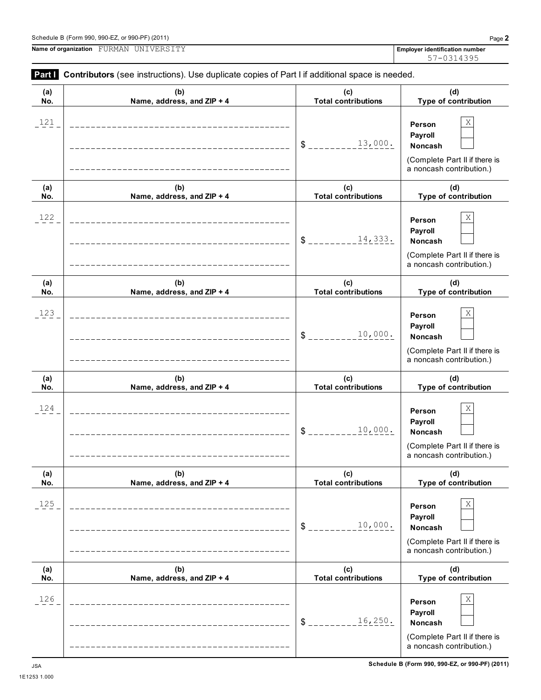**Part Contributors** (see instructions). Use duplicate copies of Part I if additional space is needed. **(a) No. (b) Name, address, and ZIP + 4**

**Name of organization Employer identification number** FURMAN UNIVERSITY

57-0314395

#### **(c) Total contributions (d) Type of contribution Person Payroll** \$ \_\_\_\_\_\_\_\_\_13,000. Noncash (Complete Part II if there is a noncash contribution.) **(a) No. (b) Name, address, and ZIP + 4 (c) Total contributions (d) Type of contribution Person Payroll** \$ \_\_\_\_\_\_\_\_\_14,333**.** Noncash (Complete Part II if there is a noncash contribution.) **(a) No. (b) Name, address, and ZIP + 4 (c) Total contributions (d) Type of contribution Person Payroll** \$ \_\_\_\_\_\_\_\_\_10,000. Noncash (Complete Part II if there is a noncash contribution.) **(a) No. (b) Name, address, and ZIP + 4 (c) Total contributions (d) Type of contribution Person Payroll** \$ \_\_\_\_\_\_\_\_\_10,000. Noncash (Complete Part II if there is a noncash contribution.) **(a) No. (b) Name, address, and ZIP + 4 (c) Total contributions (d) Type of contribution Person Payroll** \$ \_\_\_\_\_\_\_\_\_10,000. Noncash (Complete Part II if there is a noncash contribution.) **(a) No. (b) Name, address, and ZIP + 4 (c) Total contributions (d) Type of contribution Person Payroll**  $$$ <sub>\_\_\_\_\_\_\_\_\_16,250</sub>. Noncash (Complete Part II if there is a noncash contribution.)  $121$  **Person** X  $122$  **Person** X  $123$  **Person** X  $124$  **Person** X  $125$  **Person** X  $126$  **Person** X 16,250.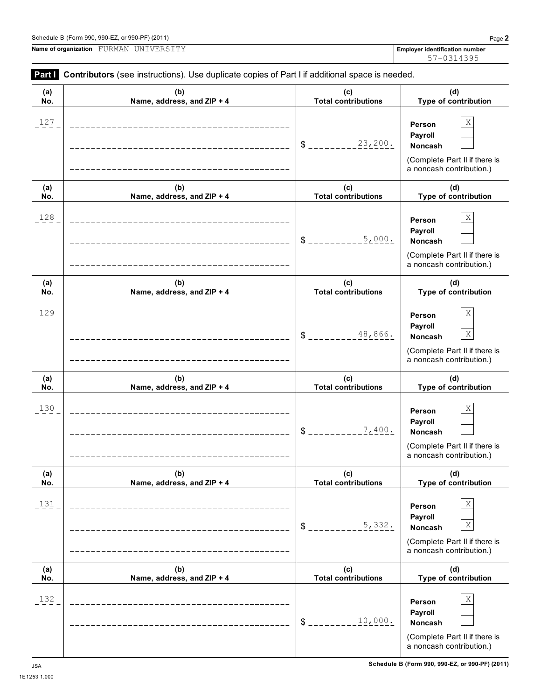**(a) No.**

|                      | Name of organization FURMAN UNIVERSITY                                                                                              |                                   | <b>Employer identification number</b><br>57-0314395                                                                  |
|----------------------|-------------------------------------------------------------------------------------------------------------------------------------|-----------------------------------|----------------------------------------------------------------------------------------------------------------------|
| Part I<br>(a)<br>No. | Contributors (see instructions). Use duplicate copies of Part I if additional space is needed.<br>(b)<br>Name, address, and ZIP + 4 | (c)<br><b>Total contributions</b> | (d)<br>Type of contribution                                                                                          |
| 127                  | ___________________________                                                                                                         | 23,200.<br>$\delta$ $_{-}$        | Χ<br>Person<br>Payroll<br><b>Noncash</b><br>(Complete Part II if there is<br>a noncash contribution.)                |
| (a)<br>No.           | (b)<br>Name, address, and ZIP + 4                                                                                                   | (c)<br><b>Total contributions</b> | (d)<br>Type of contribution                                                                                          |
| 128                  |                                                                                                                                     | 5,000.<br>$S_{--}$                | Χ<br>Person<br>Payroll<br><b>Noncash</b><br>(Complete Part II if there is<br>a noncash contribution.)                |
| (a)<br>No.           | (b)<br>Name, address, and ZIP + 4                                                                                                   | (c)<br><b>Total contributions</b> | (d)<br>Type of contribution                                                                                          |
| 129                  |                                                                                                                                     | 48,866.<br>$\text{\$}$            | Χ<br>Person<br>Payroll<br>$\mathbf X$<br><b>Noncash</b><br>(Complete Part II if there is<br>a noncash contribution.) |
| (a)<br>No.           | (b)<br>Name, address, and ZIP + 4                                                                                                   | (c)<br><b>Total contributions</b> | (d)<br>Type of contribution                                                                                          |
| 130                  |                                                                                                                                     | 7,400.<br>\$                      | Χ<br>Person<br>Payroll<br>Noncash<br>(Complete Part II if there is<br>a noncash contribution.)                       |
| (a)<br>No.           | (b)<br>Name, address, and ZIP + 4                                                                                                   | (c)<br><b>Total contributions</b> | (d)<br>Type of contribution                                                                                          |
| 131                  |                                                                                                                                     |                                   | Χ<br>Person                                                                                                          |

**(b) Name, address, and ZIP + 4**

 $132$  **Person** X

(Complete Part II if there is a noncash contribution.)

> **(d) Type of contribution**

(Complete Part II if there is a noncash contribution.)

**Payroll**

 $5,332.$  Noncash  $X$ 

**Person Payroll**

 $$$ <sub>-------------</sub>5, 332. Noncash

 $$$ <sub>-----------------</sub>10,000. Noncash

 $10,000$ .

**(c) Total contributions**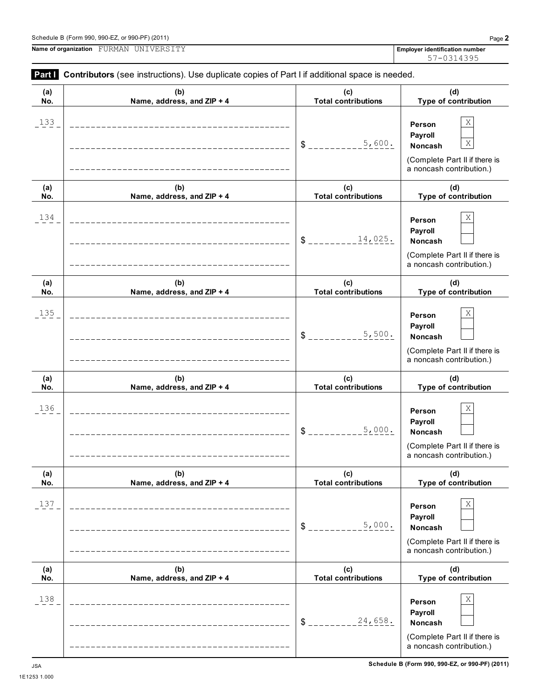**Part I Contributors** (see instructions). Use duplicate copies of Part I if additional space is needed.

|            | <b>Battle Contributors</b> (see instructions). Use duplicate copies of Part Firedotional space is needed. |                                   |                                                                                                               |
|------------|-----------------------------------------------------------------------------------------------------------|-----------------------------------|---------------------------------------------------------------------------------------------------------------|
| (a)<br>No. | (b)<br>Name, address, and ZIP + 4                                                                         | (c)<br><b>Total contributions</b> | (d)<br>Type of contribution                                                                                   |
| 133        | ------------------------------------                                                                      | 5,600.<br>$S_{---}$               | Χ<br>Person<br>Payroll<br>$\mathbf X$<br>Noncash<br>(Complete Part II if there is<br>a noncash contribution.) |
| (a)<br>No. | (b)<br>Name, address, and ZIP + 4                                                                         | (c)<br><b>Total contributions</b> | (d)<br>Type of contribution                                                                                   |
| 134        | ___________________________________                                                                       | 14,025.<br>$\delta$ $=$           | Χ<br>Person<br>Payroll<br><b>Noncash</b><br>(Complete Part II if there is<br>a noncash contribution.)         |
| (a)<br>No. | (b)<br>Name, address, and ZIP + 4                                                                         | (c)<br><b>Total contributions</b> | (d)<br>Type of contribution                                                                                   |
| 135        | _____________________________                                                                             | 5,500.<br>\$                      | Χ<br>Person<br>Payroll<br><b>Noncash</b><br>(Complete Part II if there is<br>a noncash contribution.)         |
| (a)<br>No. | (b)<br>Name, address, and ZIP + 4                                                                         | (c)<br><b>Total contributions</b> | (d)<br>Type of contribution                                                                                   |
| 136        | --------------------------------                                                                          | 5,000.<br>\$                      | Χ<br>Person<br>Payroll<br><b>Noncash</b><br>(Complete Part II if there is<br>a noncash contribution.)         |
| (a)<br>No. | (b)<br>Name, address, and ZIP + 4                                                                         | (c)<br><b>Total contributions</b> | (d)<br>Type of contribution                                                                                   |
| 137        |                                                                                                           | 5,000.<br>\$                      | Χ<br>Person<br>Payroll<br>Noncash<br>(Complete Part II if there is<br>a noncash contribution.)                |
| (a)<br>No. | (b)<br>Name, address, and ZIP + 4                                                                         | (c)<br><b>Total contributions</b> | (d)<br>Type of contribution                                                                                   |
| 138        |                                                                                                           | 24,658.<br>\$                     | Χ<br>Person<br>Payroll<br>Noncash<br>(Complete Part II if there is<br>a noncash contribution.)                |

57-0314395

1E1253 1.000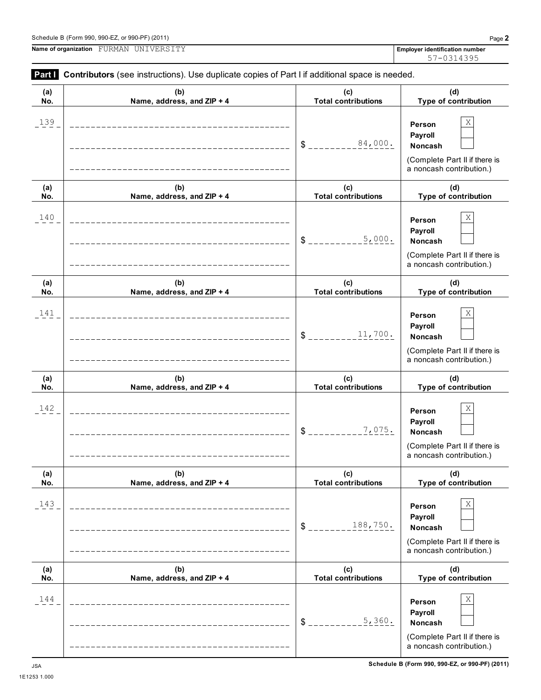1E1253 1.000



| (a)<br>No. | (b)<br>Name, address, and ZIP + 4 | (c)<br><b>Total contributions</b> | (d)<br>Type of contribution                                                                    |
|------------|-----------------------------------|-----------------------------------|------------------------------------------------------------------------------------------------|
| 139        |                                   | 84,000.<br>\$                     | Χ<br>Person<br>Payroll<br>Noncash<br>(Complete Part II if there is<br>a noncash contribution.) |
| (a)<br>No. | (b)<br>Name, address, and ZIP + 4 | (c)<br><b>Total contributions</b> | (d)<br>Type of contribution                                                                    |
| 140        |                                   | 5,000.<br>\$                      | Χ<br>Person<br>Payroll<br>Noncash<br>(Complete Part II if there is<br>a noncash contribution.) |
| (a)<br>No. | (b)<br>Name, address, and ZIP + 4 | (c)<br><b>Total contributions</b> | (d)<br>Type of contribution                                                                    |
| 141        |                                   | 11,700.<br>\$                     | Χ<br>Person<br>Payroll<br>Noncash<br>(Complete Part II if there is<br>a noncash contribution.) |
| (a)<br>No. | (b)<br>Name, address, and ZIP + 4 | (c)<br><b>Total contributions</b> | (d)<br>Type of contribution                                                                    |
| 142        |                                   | 7,075.<br>\$                      | Χ<br>Person<br>Payroll<br>Noncash<br>(Complete Part II if there is<br>a noncash contribution.) |
| (a)<br>No. | (b)<br>Name, address, and ZIP + 4 | (c)<br><b>Total contributions</b> | (d)<br>Type of contribution                                                                    |
| 143        | _________________________________ | 188,750.<br>$\frac{1}{2}$         | Χ<br>Person<br>Payroll<br>Noncash<br>(Complete Part II if there is<br>a noncash contribution.) |
| (a)<br>No. | (b)<br>Name, address, and ZIP + 4 | (c)<br><b>Total contributions</b> | (d)<br>Type of contribution                                                                    |
| 144        | ___________________________       | 5,360.<br>\$                      | Χ<br>Person<br>Payroll<br>Noncash<br>(Complete Part II if there is<br>a noncash contribution.) |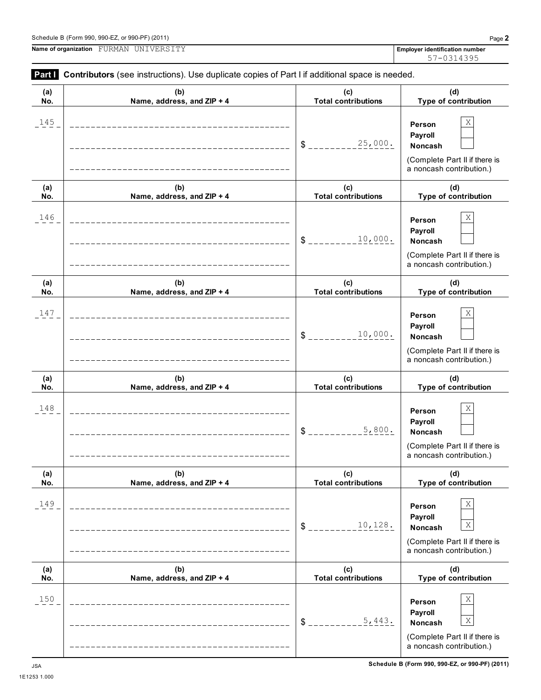1E1253 1.000

**Name of organization Employer identification number** FURMAN UNIVERSITY

| (a)<br>No. | (b)<br>Name, address, and ZIP + 4                           | (c)<br><b>Total contributions</b> | (d)<br>Type of contribution                                                                                   |
|------------|-------------------------------------------------------------|-----------------------------------|---------------------------------------------------------------------------------------------------------------|
| 145        |                                                             | 25,000.<br>\$                     | Χ<br>Person<br>Payroll<br>Noncash<br>(Complete Part II if there is<br>a noncash contribution.)                |
| (a)<br>No. | (b)<br>Name, address, and ZIP + 4                           | (c)<br><b>Total contributions</b> | (d)<br>Type of contribution                                                                                   |
| 146        |                                                             | 10,000.<br>\$                     | Χ<br>Person<br>Payroll<br>Noncash<br>(Complete Part II if there is<br>a noncash contribution.)                |
| (a)<br>No. | (b)<br>Name, address, and ZIP + 4                           | (c)<br><b>Total contributions</b> | (d)<br>Type of contribution                                                                                   |
| 147        |                                                             | 10,000.<br>\$                     | Χ<br>Person<br>Payroll<br>Noncash<br>(Complete Part II if there is<br>a noncash contribution.)                |
| (a)<br>No. | (b)<br>Name, address, and ZIP + 4                           | (c)<br><b>Total contributions</b> | (d)<br>Type of contribution                                                                                   |
| 148        |                                                             | 5,800.<br>\$                      | Χ<br>Person<br>Payroll<br>Noncash<br>(Complete Part II if there is<br>a noncash contribution.)                |
| (a)<br>No. | (b)<br>Name, address, and ZIP + 4                           | (c)<br><b>Total contributions</b> | (d)<br>Type of contribution                                                                                   |
| 149        | ________________________________                            | 10,128.<br>$S_{-}$                | Χ<br>Person<br>Payroll<br>$\mathbf X$<br>Noncash<br>(Complete Part II if there is<br>a noncash contribution.) |
| (a)<br>No. | (b)<br>Name, address, and ZIP + 4                           | (c)<br><b>Total contributions</b> | (d)<br>Type of contribution                                                                                   |
| 150        | ----------------------<br>--------------------------------- | 5,443.<br>$\frac{1}{2}$           | Χ<br>Person<br>Payroll<br>X<br>Noncash<br>(Complete Part II if there is<br>a noncash contribution.)           |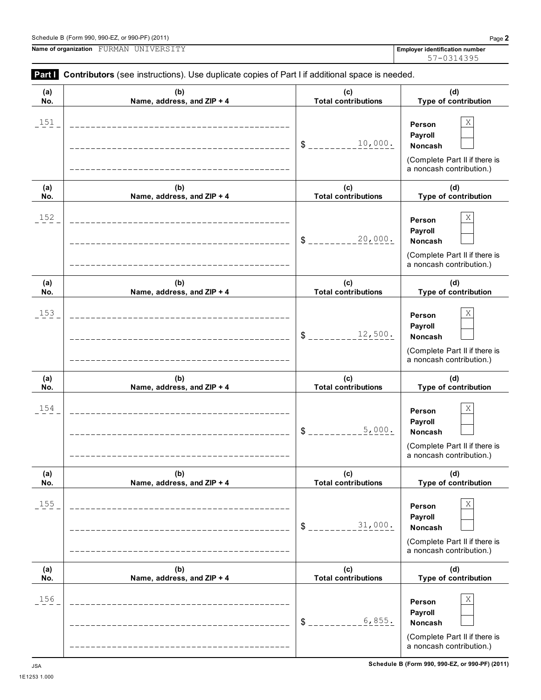**(a) No. (b) Name, address, and ZIP + 4 (c) Total contributions Type of contribution Person**  $151$  **Person** X

**Part I** Contributors (see instructions). Use duplicate copies of Part I if additional space is needed.

| $-2$       |                                      | 10,000.<br>$S_{---}$              | <b>Person</b><br>Payroll<br>Noncash<br>(Complete Part II if there is<br>a noncash contribution.)      |
|------------|--------------------------------------|-----------------------------------|-------------------------------------------------------------------------------------------------------|
| (a)<br>No. | (b)<br>Name, address, and ZIP + 4    | (c)<br><b>Total contributions</b> | (d)<br>Type of contribution                                                                           |
| 152        | _________________________________    | 20,000.<br>$S_{---}$              | Χ<br>Person<br>Payroll<br>Noncash<br>(Complete Part II if there is<br>a noncash contribution.)        |
| (a)<br>No. | (b)<br>Name, address, and ZIP + 4    | (c)<br><b>Total contributions</b> | (d)<br>Type of contribution                                                                           |
| 153        | ____________________________________ | 12,500.<br>$S_{---}$              | Χ<br>Person<br>Payroll<br>Noncash<br>(Complete Part II if there is<br>a noncash contribution.)        |
| (a)<br>No. | (b)<br>Name, address, and ZIP + 4    | (c)<br><b>Total contributions</b> | (d)<br>Type of contribution                                                                           |
| 154        | ________________________________     | 5,000.<br>$S_{---}$               | Χ<br>Person<br>Payroll<br>Noncash<br>(Complete Part II if there is<br>a noncash contribution.)        |
| (a)<br>No. | (b)<br>Name, address, and ZIP + 4    | (c)<br><b>Total contributions</b> | (d)<br>Type of contribution                                                                           |
| 155        |                                      | 31,000.<br>\$                     | Χ<br>Person<br>Payroll<br>Noncash<br>(Complete Part II if there is<br>a noncash contribution.)        |
| (a)<br>No. | (b)<br>Name, address, and ZIP + 4    | (c)<br><b>Total contributions</b> | (d)<br>Type of contribution                                                                           |
| 156        |                                      | 6,855.<br>$$^{\circ}$             | X<br>Person<br>Payroll<br><b>Noncash</b><br>(Complete Part II if there is<br>a noncash contribution.) |

1E1253 1.000

57-0314395

**(d)**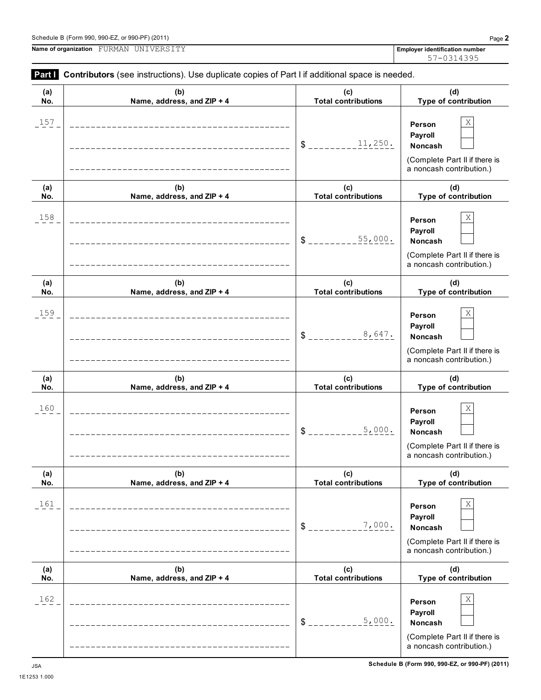| $990-EZ.$<br>or 990-PF $^{\circ}$<br>Schedule B (Form 990,<br>(2011) | Done<br>auc.                         |
|----------------------------------------------------------------------|--------------------------------------|
| Name of organization<br>. דוחי<br>'TNT<br>FIIRMAN<br>17 H'<br>∵ – V  | er identification number<br>Emplover |

**Part I Contributors** (see instructions). Use duplicate copies of Part I if additional space is needed.

|            | <b>Faith</b> Continuutors (See instructions). Ose duplicate copies or Faith in additional space is needed. |                                   |                                                                                                       |  |
|------------|------------------------------------------------------------------------------------------------------------|-----------------------------------|-------------------------------------------------------------------------------------------------------|--|
| (a)<br>No. | (b)<br>Name, address, and ZIP + 4                                                                          | (c)<br><b>Total contributions</b> | (d)<br>Type of contribution                                                                           |  |
| 157        |                                                                                                            | 11,250.<br>$\$\$                  | Χ<br>Person<br>Payroll<br>Noncash<br>(Complete Part II if there is<br>a noncash contribution.)        |  |
| (a)<br>No. | (b)<br>Name, address, and ZIP + 4                                                                          | (c)<br><b>Total contributions</b> | (d)<br>Type of contribution                                                                           |  |
| 158        |                                                                                                            | 55,000.<br>\$                     | Χ<br>Person<br>Payroll<br><b>Noncash</b><br>(Complete Part II if there is<br>a noncash contribution.) |  |
| (a)<br>No. | (b)<br>Name, address, and ZIP + 4                                                                          | (c)<br><b>Total contributions</b> | (d)<br>Type of contribution                                                                           |  |
| 159        |                                                                                                            | 8,647.<br>\$                      | Χ<br>Person<br>Payroll<br><b>Noncash</b><br>(Complete Part II if there is<br>a noncash contribution.) |  |
| (a)<br>No. | (b)<br>Name, address, and ZIP + 4                                                                          | (c)<br><b>Total contributions</b> | (d)<br>Type of contribution                                                                           |  |
| 160        |                                                                                                            | 5,000.<br>\$                      | Χ<br>Person<br>Payroll<br><b>Noncash</b><br>(Complete Part II if there is<br>a noncash contribution.) |  |
| (a)<br>No. | (b)<br>Name, address, and ZIP + 4                                                                          | (c)<br><b>Total contributions</b> | (d)<br>Type of contribution                                                                           |  |
| 161        |                                                                                                            | 7,000.<br>\$                      | Χ<br>Person<br>Payroll<br>Noncash<br>(Complete Part II if there is<br>a noncash contribution.)        |  |
| (a)<br>No. | (b)<br>Name, address, and ZIP + 4                                                                          | (c)<br><b>Total contributions</b> | (d)<br>Type of contribution                                                                           |  |
| 162        |                                                                                                            | 5,000.<br>\$                      | Χ<br>Person<br>Payroll<br>Noncash<br>(Complete Part II if there is<br>a noncash contribution.)        |  |

57-0314395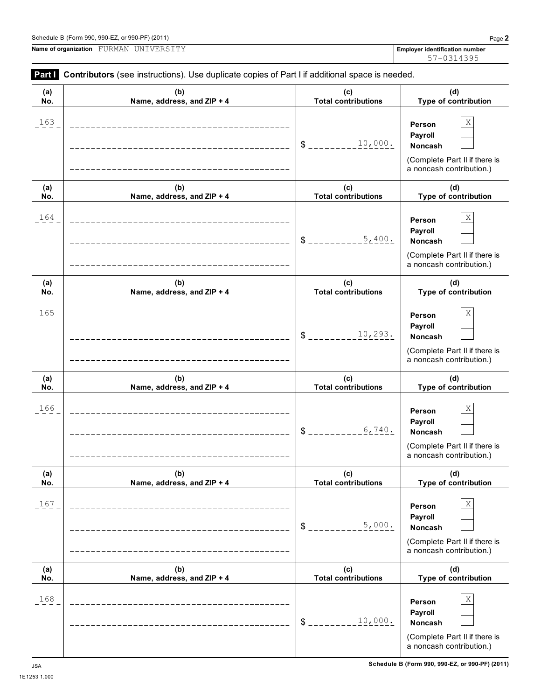1E1253 1.000

|            | <b>Part Contributors</b> (see instructions). Use duplicate copies of Part I if additional space is needed. |                                                |                                                                                                                 |  |
|------------|------------------------------------------------------------------------------------------------------------|------------------------------------------------|-----------------------------------------------------------------------------------------------------------------|--|
| (a)<br>No. | (b)<br>Name, address, and ZIP + 4                                                                          | (c)<br><b>Total contributions</b>              | (d)<br>Type of contribution                                                                                     |  |
| 163        | ________________________________                                                                           | 10,000.<br>$\delta$ - $\overline{\phantom{a}}$ | $\mathbf X$<br>Person<br>Payroll<br><b>Noncash</b><br>(Complete Part II if there is<br>a noncash contribution.) |  |
| (a)<br>No. | (b)<br>Name, address, and ZIP + 4                                                                          | (c)<br><b>Total contributions</b>              | (d)<br>Type of contribution                                                                                     |  |
| 164        | ___________________________________<br>____________________________________                                | 5,400.<br>$S_{-}$                              | $\rm X$<br>Person<br>Payroll<br>Noncash<br>(Complete Part II if there is<br>a noncash contribution.)            |  |
| (a)<br>No. | (b)<br>Name, address, and ZIP + 4                                                                          | (c)<br><b>Total contributions</b>              | (d)<br>Type of contribution                                                                                     |  |
| 165        | ____________________________                                                                               | 10, 293.<br>$\frac{1}{2}$                      | $\rm X$<br>Person<br>Payroll<br>Noncash<br>(Complete Part II if there is<br>a noncash contribution.)            |  |
| (a)<br>No. | (b)<br>Name, address, and ZIP + 4                                                                          | (c)<br><b>Total contributions</b>              | (d)<br>Type of contribution                                                                                     |  |
| 166        |                                                                                                            | 6,740.<br>$\mathsf{S}$                         | $\rm X$<br>Person<br>Payroll<br>Noncash<br>(Complete Part II if there is<br>a noncash contribution.)            |  |
| (a)<br>No. | (b)<br>Name, address, and ZIP + 4                                                                          | (c)<br><b>Total contributions</b>              | (d)<br>Type of contribution                                                                                     |  |
| 167        |                                                                                                            | 5,000.<br>$\frac{1}{2}$                        | Χ<br>Person<br>Payroll<br>Noncash<br>(Complete Part II if there is<br>a noncash contribution.)                  |  |
| (a)<br>No. | (b)<br>Name, address, and ZIP + 4                                                                          | (c)<br><b>Total contributions</b>              | (d)<br>Type of contribution                                                                                     |  |
| 168        |                                                                                                            | 10,000.<br>$\$\$                               | Χ<br>Person<br>Payroll<br>Noncash<br>(Complete Part II if there is<br>a noncash contribution.)                  |  |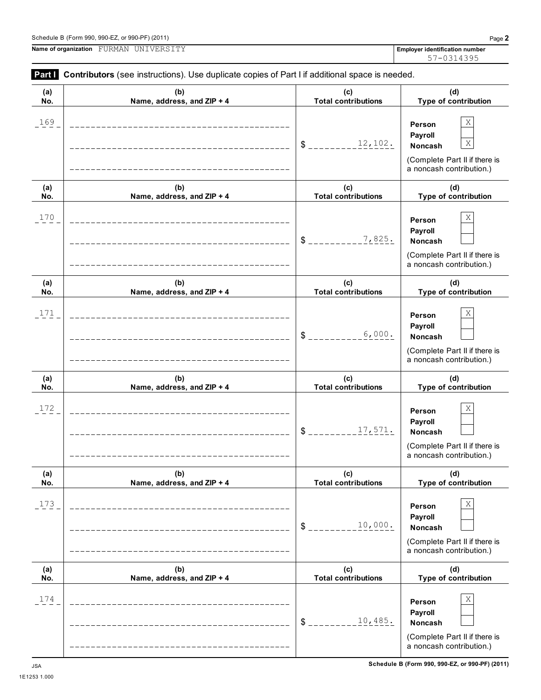**Name of organization Employer identification number** FURMAN UNIVERSITY

| (a)<br>No. | (b)<br>Name, address, and ZIP + 4 | (c)<br><b>Total contributions</b> | (d)<br>Type of contribution                                                                                   |
|------------|-----------------------------------|-----------------------------------|---------------------------------------------------------------------------------------------------------------|
| 169        |                                   | 12,102.<br>\$                     | Χ<br>Person<br>Payroll<br>$\mathbf X$<br>Noncash<br>(Complete Part II if there is<br>a noncash contribution.) |
| (a)<br>No. | (b)<br>Name, address, and ZIP + 4 | (c)<br><b>Total contributions</b> | (d)<br>Type of contribution                                                                                   |
| 170        |                                   | 7,825.<br>\$                      | Χ<br>Person<br>Payroll<br>Noncash<br>(Complete Part II if there is<br>a noncash contribution.)                |
| (a)<br>No. | (b)<br>Name, address, and ZIP + 4 | (c)<br><b>Total contributions</b> | (d)<br>Type of contribution                                                                                   |
| 171        |                                   | 6,000.<br>\$                      | Χ<br>Person<br>Payroll<br>Noncash<br>(Complete Part II if there is<br>a noncash contribution.)                |
| (a)<br>No. | (b)<br>Name, address, and ZIP + 4 | (c)<br><b>Total contributions</b> | (d)<br>Type of contribution                                                                                   |
| 172        |                                   | 17,571.<br>\$                     | Χ<br>Person<br>Payroll<br>Noncash                                                                             |
|            |                                   |                                   | (Complete Part II if there is<br>a noncash contribution.)                                                     |
| (a)<br>No. | (b)<br>Name, address, and ZIP + 4 | (c)<br><b>Total contributions</b> | (d)<br>Type of contribution                                                                                   |
| 173        |                                   | 10,000.<br>$\frac{1}{2}$          | Χ<br>Person<br>Payroll<br>Noncash<br>(Complete Part II if there is<br>a noncash contribution.)                |
| (a)<br>No. | (b)<br>Name, address, and ZIP + 4 | (c)<br><b>Total contributions</b> | (d)<br>Type of contribution                                                                                   |

**Part I** Contributors (see instructions). Use duplicate copies of Part I if additional space is needed.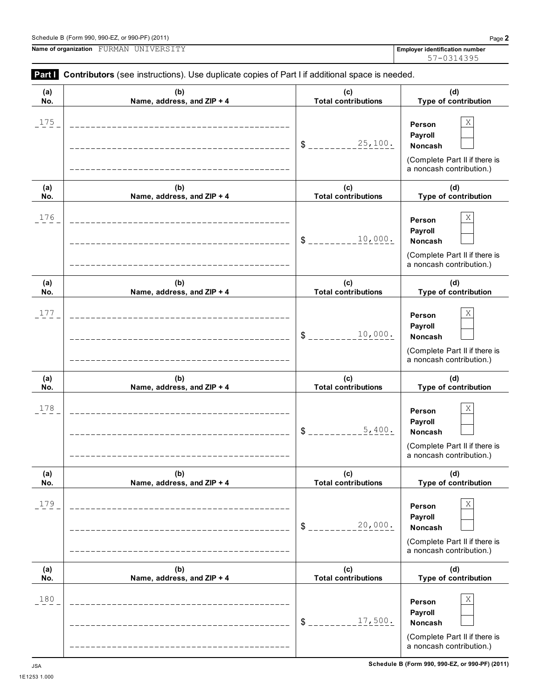(Complete Part II if there is a noncash contribution.)

**Person Payroll**

\$ \_\_\_\_\_\_\_\_\_17,500. Noncash

|            | Schedule B (Form 990, 990-EZ, or 990-PF) (2011)<br>Name of organization FURMAN UNIVERSITY             |                                                                                                                                                                                                                                           | Page 2<br><b>Employer identification number</b>                                                       |
|------------|-------------------------------------------------------------------------------------------------------|-------------------------------------------------------------------------------------------------------------------------------------------------------------------------------------------------------------------------------------------|-------------------------------------------------------------------------------------------------------|
|            |                                                                                                       |                                                                                                                                                                                                                                           | 57-0314395                                                                                            |
|            | Part   Contributors (see instructions). Use duplicate copies of Part I if additional space is needed. |                                                                                                                                                                                                                                           |                                                                                                       |
| (a)<br>No. | (b)<br>Name, address, and ZIP + 4                                                                     | (c)<br><b>Total contributions</b>                                                                                                                                                                                                         | (d)<br>Type of contribution                                                                           |
| 175        | ---------------------                                                                                 | 25,100.<br>S.                                                                                                                                                                                                                             | Χ<br>Person<br>Payroll<br>Noncash<br>(Complete Part II if there is<br>a noncash contribution.)        |
| (a)<br>No. | (b)<br>Name, address, and ZIP + 4                                                                     | (c)<br><b>Total contributions</b>                                                                                                                                                                                                         | (d)<br>Type of contribution                                                                           |
| 176        |                                                                                                       | 10,000.<br>S and the set of the set of the set of the set of the set of the set of the set of the set of the set of the set of the set of the set of the set of the set of the set of the set of the set of the set of the set of the set | Χ<br>Person<br>Payroll<br><b>Noncash</b><br>(Complete Part II if there is<br>a noncash contribution.) |
| (a)<br>No. | (b)<br>Name, address, and ZIP + 4                                                                     | (c)<br><b>Total contributions</b>                                                                                                                                                                                                         | (d)<br>Type of contribution                                                                           |
| 177        |                                                                                                       | 10,000.<br>S.                                                                                                                                                                                                                             | Χ<br>Person<br>Payroll<br><b>Noncash</b><br>(Complete Part II if there is<br>a noncash contribution.) |
| (a)<br>No. | (b)<br>Name, address, and ZIP + 4                                                                     | (c)<br><b>Total contributions</b>                                                                                                                                                                                                         | (d)<br>Type of contribution                                                                           |
| 178        |                                                                                                       | 5,400.                                                                                                                                                                                                                                    | Χ<br>Person<br>Payroll<br>Noncash<br>(Complete Part II if there is<br>a noncash contribution.)        |
| (a)<br>No. | (b)<br>Name, address, and ZIP + 4                                                                     | (c)<br><b>Total contributions</b>                                                                                                                                                                                                         | (d)<br>Type of contribution                                                                           |
| 179        |                                                                                                       | 20,000.<br>\$                                                                                                                                                                                                                             | X<br>Person<br>Payroll<br><b>Noncash</b><br>(Complete Part II if there is<br>a noncash contribution.) |
| (a)<br>No. | (b)<br>Name, address, and ZIP + 4                                                                     | (c)<br><b>Total contributions</b>                                                                                                                                                                                                         | (d)<br>Type of contribution                                                                           |

 $180$  **Person**  $X$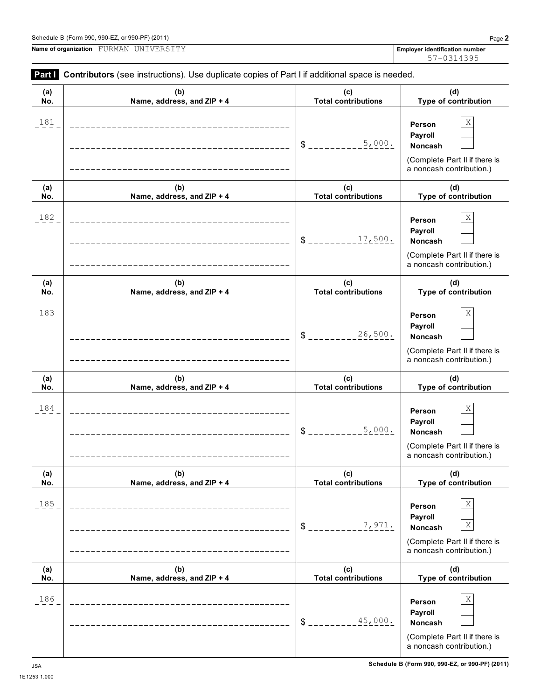# Schedule B (Form 990, 990-EZ, or 990-PF) (2011) Page **2**

**Name of organization Employer identification number** FURMAN UNIVERSITY

**Part I Contributors** (see instructions). Use duplicate copies of Part I if additional space is needed.

| $\cdots$   | <b>DUTITIONING</b> (300 modulations). Ose duplicate copies on ran in additional space is necaed. |                                   |                                                                                                                         |
|------------|--------------------------------------------------------------------------------------------------|-----------------------------------|-------------------------------------------------------------------------------------------------------------------------|
| (a)<br>No. | (b)<br>Name, address, and ZIP + 4                                                                | (c)<br><b>Total contributions</b> | (d)<br>Type of contribution                                                                                             |
| 181        |                                                                                                  | 5,000.<br>\$                      | Χ<br>Person<br>Payroll<br>Noncash<br>(Complete Part II if there is<br>a noncash contribution.)                          |
| (a)<br>No. | (b)<br>Name, address, and ZIP + 4                                                                | (c)<br><b>Total contributions</b> | (d)<br>Type of contribution                                                                                             |
| 182        |                                                                                                  | 17,500.<br>\$                     | Χ<br>Person<br>Payroll<br>Noncash<br>(Complete Part II if there is<br>a noncash contribution.)                          |
| (a)<br>No. | (b)<br>Name, address, and ZIP + 4                                                                | (c)<br><b>Total contributions</b> | (d)<br>Type of contribution                                                                                             |
| 183        |                                                                                                  | 26,500.<br>\$                     | Χ<br>Person<br>Payroll<br>Noncash<br>(Complete Part II if there is<br>a noncash contribution.)                          |
| (a)<br>No. | (b)<br>Name, address, and ZIP + 4                                                                | (c)<br><b>Total contributions</b> | (d)<br>Type of contribution                                                                                             |
| 184        |                                                                                                  | 5,000.<br>\$                      | Χ<br>Person<br>Payroll<br>Noncash<br>(Complete Part II if there is<br>a noncash contribution.)                          |
| (a)<br>No. | (b)<br>Name, address, and ZIP + 4                                                                | (c)<br><b>Total contributions</b> | (d)<br>Type of contribution                                                                                             |
| 185        |                                                                                                  | 7,971.<br>\$                      | $\mathbf X$<br>Person<br>Payroll<br>$\mathbf X$<br>Noncash<br>(Complete Part II if there is<br>a noncash contribution.) |
| (a)<br>No. | (b)<br>Name, address, and ZIP + 4                                                                | (c)<br><b>Total contributions</b> | (d)<br>Type of contribution                                                                                             |
| 186        |                                                                                                  | 45,000.<br>\$                     | X<br>Person<br>Payroll<br>Noncash<br>(Complete Part II if there is<br>a noncash contribution.)                          |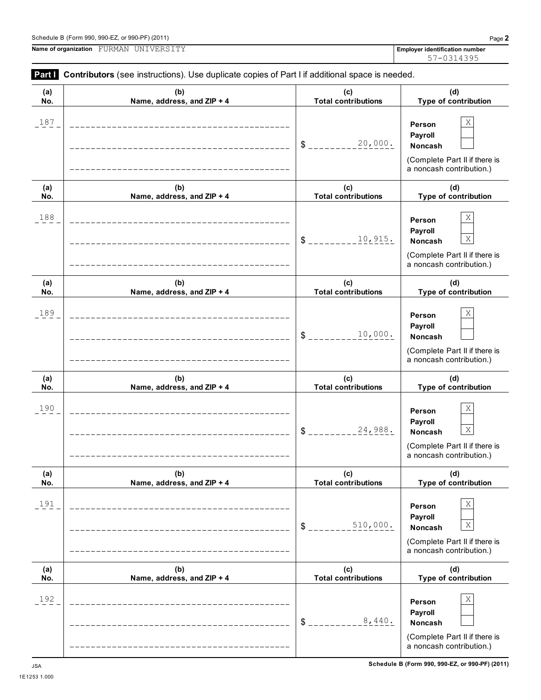|            | <b>Part Contributors</b> (see instructions). Use duplicate copies of Part I if additional space is needed. |                                   |                                                                                                                      |
|------------|------------------------------------------------------------------------------------------------------------|-----------------------------------|----------------------------------------------------------------------------------------------------------------------|
| (a)<br>No. | (b)<br>Name, address, and ZIP + 4                                                                          | (c)<br><b>Total contributions</b> | (d)<br>Type of contribution                                                                                          |
| 187        | ___________________________________                                                                        | 20,000.<br>\$                     | Χ<br>Person<br>Payroll<br><b>Noncash</b><br>(Complete Part II if there is<br>a noncash contribution.)                |
| (a)<br>No. | (b)<br>Name, address, and ZIP + 4                                                                          | (c)<br><b>Total contributions</b> | (d)<br>Type of contribution                                                                                          |
| 188        | _________________________________                                                                          | 10,915.<br>\$                     | Χ<br>Person<br>Payroll<br>$\mathbf X$<br><b>Noncash</b><br>(Complete Part II if there is<br>a noncash contribution.) |
| (a)<br>No. | (b)<br>Name, address, and ZIP + 4                                                                          | (c)<br><b>Total contributions</b> | (d)<br>Type of contribution                                                                                          |
| 189        | ------------------------<br>------------------------------                                                 | 10,000.<br>\$                     | Χ<br>Person<br>Payroll<br><b>Noncash</b><br>(Complete Part II if there is<br>a noncash contribution.)                |
| (a)<br>No. | (b)<br>Name, address, and ZIP + 4                                                                          | (c)<br><b>Total contributions</b> | (d)<br>Type of contribution                                                                                          |
| 190        | __________________________<br>_____________________________                                                | 24,988.<br>\$                     | Χ<br>Person<br>Payroll<br>$\mathbf X$<br>Noncash<br>(Complete Part II if there is<br>a noncash contribution.)        |
| (a)<br>No. | (b)<br>Name, address, and ZIP + 4                                                                          | (c)<br><b>Total contributions</b> | (d)<br>Type of contribution                                                                                          |
| 191        |                                                                                                            | 510,000.<br>\$                    | Χ<br>Person<br>Payroll<br>Χ<br>Noncash<br>(Complete Part II if there is<br>a noncash contribution.)                  |
| (a)<br>No. | (b)<br>Name, address, and ZIP + 4                                                                          | (c)<br><b>Total contributions</b> | (d)<br>Type of contribution                                                                                          |
| 192        |                                                                                                            | 8,440.<br>\$                      | Χ<br>Person<br>Payroll<br>Noncash<br>(Complete Part II if there is<br>a noncash contribution.)                       |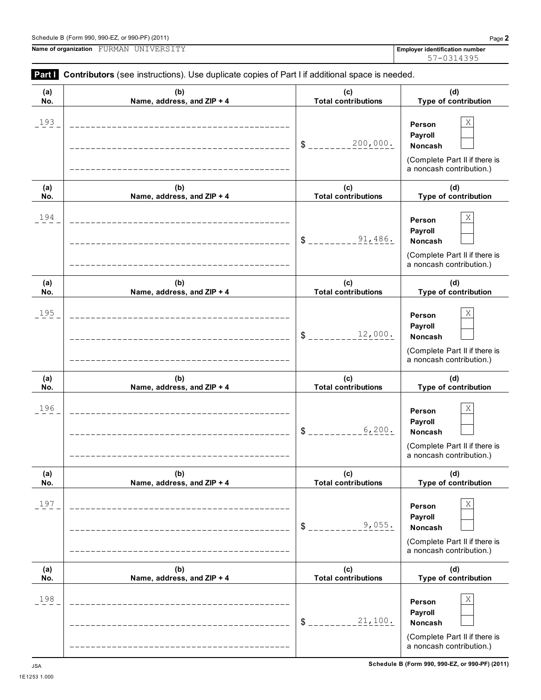| Part I     | Contributors (see instructions). Use duplicate copies of Part I if additional space is needed. |                                   |                                                                                                |
|------------|------------------------------------------------------------------------------------------------|-----------------------------------|------------------------------------------------------------------------------------------------|
| (a)<br>No. | (b)<br>Name, address, and ZIP + 4                                                              | (c)<br><b>Total contributions</b> | (d)<br>Type of contribution                                                                    |
| 193        |                                                                                                | 200,000.<br>\$                    | Χ<br>Person<br>Payroll<br>Noncash<br>(Complete Part II if there is<br>a noncash contribution.) |
| (a)<br>No. | (b)<br>Name, address, and ZIP + 4                                                              | (c)<br><b>Total contributions</b> | (d)<br>Type of contribution                                                                    |
| 194        |                                                                                                | 91,486.<br>\$                     | Χ<br>Person<br>Payroll<br>Noncash<br>(Complete Part II if there is<br>a noncash contribution.) |
| (a)<br>No. | (b)<br>Name, address, and ZIP + 4                                                              | (c)<br><b>Total contributions</b> | (d)<br>Type of contribution                                                                    |
| 195        |                                                                                                | 12,000.<br>\$                     | Χ<br>Person<br>Payroll<br>Noncash<br>(Complete Part II if there is<br>a noncash contribution.) |
| (a)<br>No. | (b)<br>Name, address, and ZIP + 4                                                              | (c)<br><b>Total contributions</b> | (d)<br>Type of contribution                                                                    |
| 196        |                                                                                                | 6,200.<br>\$                      | Χ<br>Person<br>Payroll<br>Noncash<br>(Complete Part II if there is<br>a noncash contribution.) |
| (a)<br>No. | (b)<br>Name, address, and ZIP + 4                                                              | (c)<br><b>Total contributions</b> | (d)<br>Type of contribution                                                                    |
| 197        |                                                                                                | 9,055.<br>\$                      | Χ<br>Person<br>Payroll<br>Noncash<br>(Complete Part II if there is<br>a noncash contribution.) |
| (a)<br>No. | (b)<br>Name, address, and ZIP + 4                                                              | (c)<br><b>Total contributions</b> | (d)<br>Type of contribution                                                                    |
| 198        |                                                                                                | 21,100.<br>\$                     | Χ<br>Person<br>Payroll<br>Noncash<br>(Complete Part II if there is<br>a noncash contribution.) |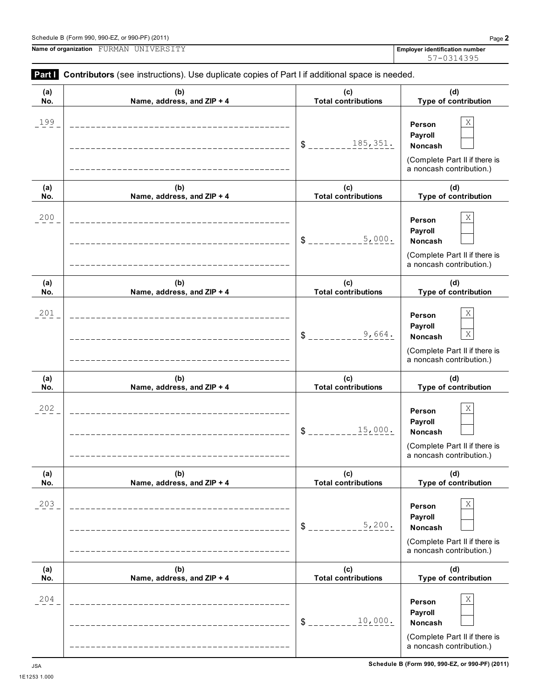(Complete Part II if there is a noncash contribution.)

**Part I** Contributors (see instructions). Use duplicate copies of Part I if additional space is needed.

| (a)<br>No. | (b)<br>Name, address, and ZIP + 4   | (c)<br><b>Total contributions</b> | (d)<br>Type of contribution                                                                                          |
|------------|-------------------------------------|-----------------------------------|----------------------------------------------------------------------------------------------------------------------|
| 199        |                                     | 185,351.<br>$S$ _______           | Χ<br>Person<br>Payroll<br>Noncash<br>(Complete Part II if there is<br>a noncash contribution.)                       |
| (a)<br>No. | (b)<br>Name, address, and ZIP + 4   | (c)<br><b>Total contributions</b> | (d)<br>Type of contribution                                                                                          |
| 200        | ___________________________________ | 5,000.<br>$S$ <sub>---</sub>      | Χ<br>Person<br>Payroll<br>Noncash<br>(Complete Part II if there is<br>a noncash contribution.)                       |
| (a)<br>No. | (b)<br>Name, address, and ZIP + 4   | (c)<br><b>Total contributions</b> | (d)<br>Type of contribution                                                                                          |
| 201        | -------------------------------     | 9,664.<br>$S$ _ _ _ _             | Χ<br>Person<br>Payroll<br>$\mathbf X$<br><b>Noncash</b><br>(Complete Part II if there is<br>a noncash contribution.) |
| (a)<br>No. | (b)<br>Name, address, and ZIP + 4   | (c)<br><b>Total contributions</b> | (d)<br>Type of contribution                                                                                          |
| 202        | ____________________________        | 15,000.<br>$\delta$ $_{---}$      | Χ<br>Person<br>Payroll<br><b>Noncash</b><br>(Complete Part II if there is<br>a noncash contribution.)                |
| (a)<br>No. | (b)<br>Name, address, and $ZIP + 4$ | (c)<br>Total contributions        | (d)<br><b>Type of contribution</b>                                                                                   |
| 203        |                                     | 5,200.<br>$\mathcal{S}$           | Χ<br>Person<br>Payroll<br>Noncash<br>(Complete Part II if there is<br>a noncash contribution.)                       |
| (a)<br>No. | (b)<br>Name, address, and ZIP + 4   | (c)<br><b>Total contributions</b> | (d)<br>Type of contribution                                                                                          |
| 204        |                                     | 10,000.<br>\$                     | Χ<br>Person<br>Payroll<br>Noncash                                                                                    |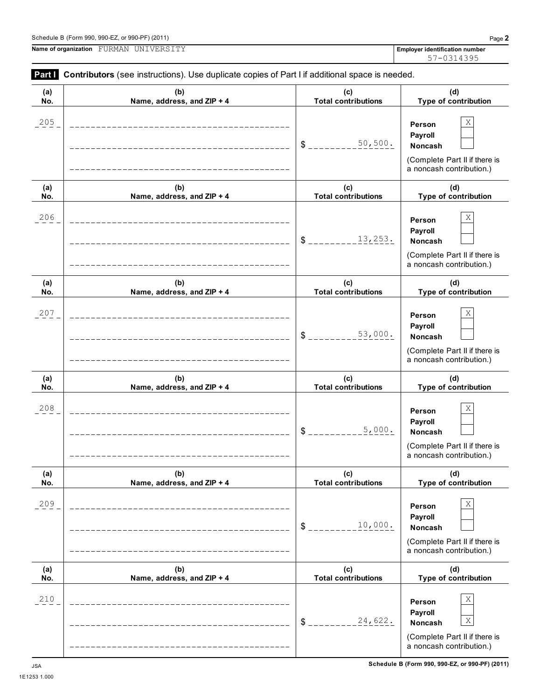**Person Payroll** \$ **Noncash**

**Person Payroll**

**Person Payroll**

24,622. X

(Complete Part II if there is a noncash contribution.)

> **(d) Type of contribution**

(Complete Part II if there is a noncash contribution.)

> **(d) Type of contribution**

(Complete Part II if there is a noncash contribution.)

**(b) Name, address, and ZIP + 4**

**(b) Name, address, and ZIP + 4**

**(b) Name, address, and ZIP + 4**



#### Schedule B (Form 990, 990-EZ, or 990-PF) (2011) Page **2**

**(a) No.**

**(a) No.**

**(a) No.**

**Name of organization Employer identification number** FURMAN UNIVERSITY

57-0314395

#### **Part Contributors** (see instructions). Use duplicate copies of Part I if additional space is needed. **(c) Total contributions (d) Type of contribution Person Payroll**  $$$   $-- 50,500$ .  $\vert$  Noncash (Complete Part II if there is a noncash contribution.) **(c) Total contributions (d) Type of contribution Person Payroll** \$ \_\_\_\_\_\_\_\_\_13,253**.** Noncash (Complete Part II if there is a noncash contribution.) **(c) Total contributions (d) Type of contribution Person Payroll** \$ \_\_\_\_\_\_\_\_\_53,000. Noncash (Complete Part II if there is a noncash contribution.) **(c) Total contributions (d) Type of contribution** 205  $\vert$  **Derson**  $\vert$  X 50,500. 206  $\vert$  **Derson**  $\vert$  X 207  $\vert$  **Derson**  $\vert$  X

**(c)**

 $5,000.$ 

**(c)**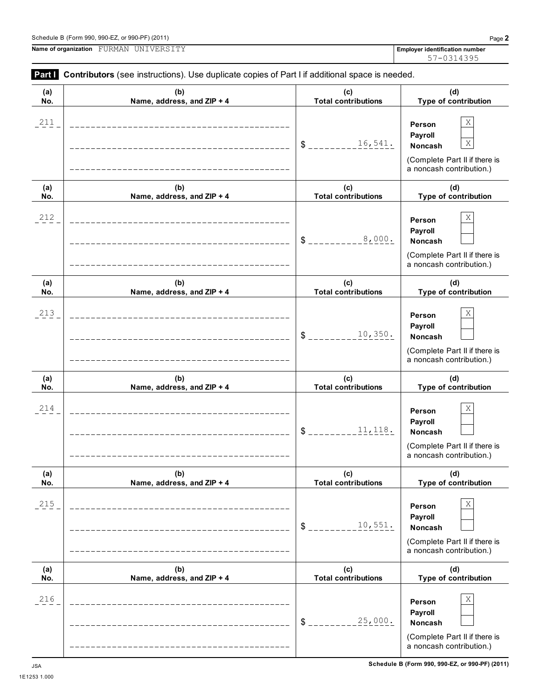**(c)**

**Name, address, and ZIP + 4 Total contributions Type of contribution Person Payroll** \$ **Noncash** (Complete Part II if there is a noncash contribution.) **(b) Name, address, and ZIP + 4 (c) Total contributions (d) Type of contribution Person Payroll** \$ \_\_\_\_\_\_\_\_\_<u>8,000.</u> Noncash (Complete Part II if there is a noncash contribution.) **(b) Name, address, and ZIP + 4 (c) Total contributions (d) Type of contribution Person Payroll** \$ \_\_\_\_\_\_\_\_\_10,350. Noncash (Complete Part II if there is a noncash contribution.) **(b) Name, address, and ZIP + 4 (c) Total contributions (d) Type of contribution Person Payroll** \$ \_\_\_\_\_\_\_\_\_11,118. Noncash (Complete Part II if there is a noncash contribution.) **(b) Name, address, and ZIP + 4 (c) Total contributions (d) Type of contribution Person Payroll** \$ \_\_\_\_\_\_\_\_\_10,551**.** Noncash (Complete Part II if there is a noncash contribution.) **(b) Name, address, and ZIP + 4 (c) Total contributions (d) Type of contribution Person Payroll**  $$$ <sub>\_\_\_\_\_\_\_\_\_25,000</sub>. Noncash (Complete Part II if there is a noncash contribution.) 211 **Derson** X 16,541. X 212 **December 18**  $\overline{P}$  **December 18**  $\overline{P}$  **December 18**  $\overline{P}$ 213 **December 18 and 213 Person** X 214 **December 18**  $\overline{X}$ 215  $\vert$  **Derson**  $\vert$  X 216 **December 18 and 216 Person** X 25,000.

### Schedule B (Form 990, 990-EZ, or 990-PF) (2011) Page **2**

**(a) No.**

**(a) No.**

**(a) No.**

**(a) No.**

**(a) No.**

**(a) No.**

**Name of organization Employer identification number** FURMAN UNIVERSITY

**Part Contributors** (see instructions). Use duplicate copies of Part I if additional space is needed.

**(b)**

57-0314395

**(d)**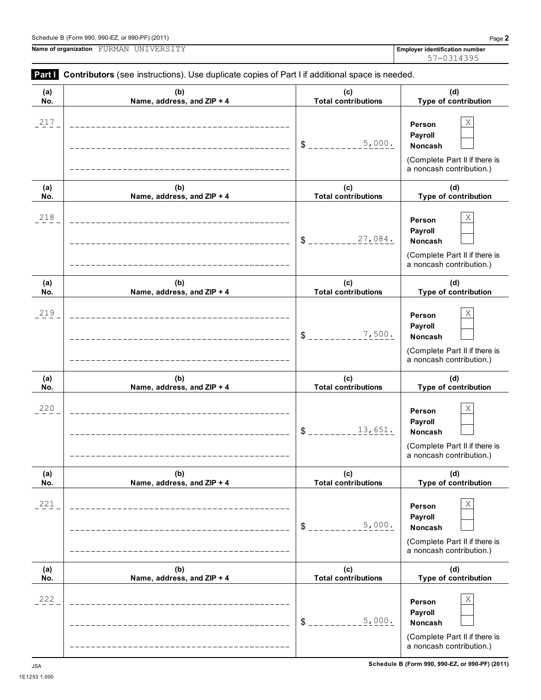

Schedule B (Form 990, 990-EZ, or 990-PF) (2011) Page **2**

**Name of organization Employer identification number** FURMAN UNIVERSITY

**Part Contributors** (see instructions). Use duplicate copies of Part I if additional space is needed.

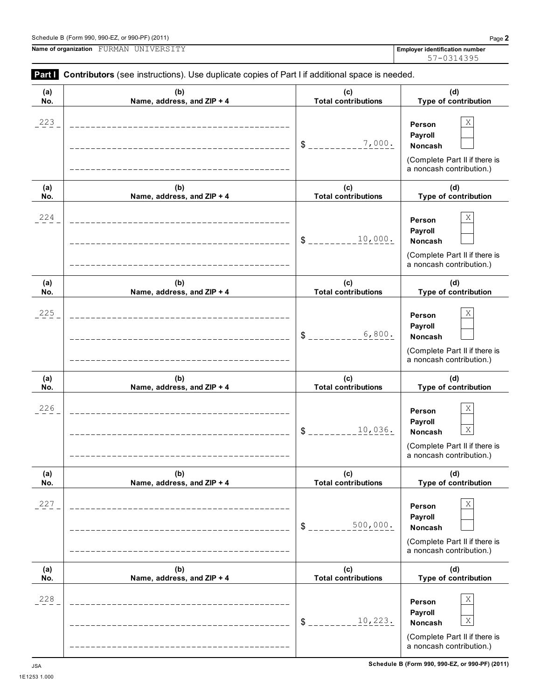

**Part Contributors** (see instructions). Use duplicate copies of Part I if additional space is needed.

223  $\vert$  **Derson**  $\vert$  X

**(b) Name, address, and ZIP + 4**

**(a) No.**

**Name of organization Employer identification number** FURMAN UNIVERSITY

57-0314395

**Person Payroll**

**(d) Type of contribution**

**(c) Total contributions**

 $$$  \_\_\_\_\_\_\_\_\_\_7,000.  $\vert$  Noncash

7,000.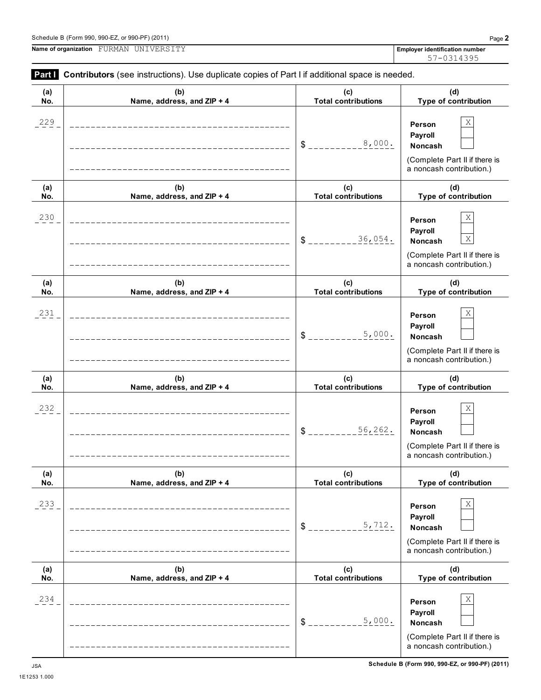**(a) No.**

**Name of organization Employer identification number** FURMAN UNIVERSITY

| 229        |                                   | 8,000.<br>\$                      | Χ<br>Person<br>Payroll<br>Noncash<br>(Complete Part II if there is<br>a noncash contribution.)      |
|------------|-----------------------------------|-----------------------------------|-----------------------------------------------------------------------------------------------------|
| (a)<br>No. | (b)<br>Name, address, and ZIP + 4 | (c)<br><b>Total contributions</b> | (d)<br>Type of contribution                                                                         |
| 230        |                                   | 36,054.<br>\$                     | Χ<br>Person<br>Payroll<br>X<br>Noncash<br>(Complete Part II if there is<br>a noncash contribution.) |
| (a)<br>No. | (b)<br>Name, address, and ZIP + 4 | (c)<br><b>Total contributions</b> | (d)<br>Type of contribution                                                                         |
| 231        |                                   | 5,000.<br>\$                      | Χ<br>Person<br>Payroll<br>Noncash<br>(Complete Part II if there is<br>a noncash contribution.)      |
| (a)<br>No. | (b)<br>Name, address, and ZIP + 4 | (c)<br><b>Total contributions</b> | (d)<br>Type of contribution                                                                         |
| 232        |                                   | 56,262.<br>\$                     | Χ<br>Person<br>Payroll<br>Noncash<br>(Complete Part II if there is<br>a noncash contribution.)      |
| (a)<br>No. | (b)<br>Name, address, and ZIP + 4 | (c)<br><b>Total contributions</b> | (d)<br>Type of contribution                                                                         |
| 233        |                                   | 5,712.<br>\$                      | Χ<br>Person<br>Payroll<br>Noncash<br>(Complete Part II if there is<br>a noncash contribution.)      |
| (a)<br>No. | (b)<br>Name, address, and ZIP + 4 | (c)<br><b>Total contributions</b> | (d)<br>Type of contribution                                                                         |
| 234        |                                   | 5,000.<br>\$                      | X<br>Person<br>Payroll<br>Noncash<br>(Complete Part II if there is<br>a noncash contribution.)      |

**(c) Total contributions**

**Part I** Contributors (see instructions). Use duplicate copies of Part I if additional space is needed.

**(b) Name, address, and ZIP + 4**

**(d) Type of contribution**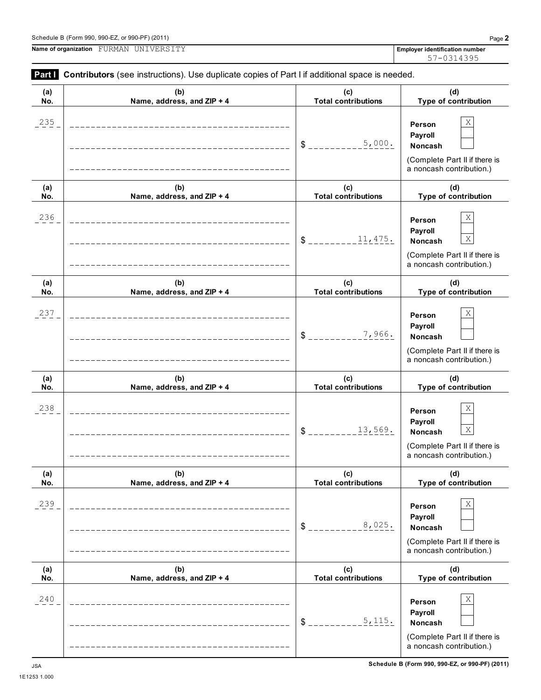

**Part Contributors** (see instructions). Use duplicate copies of Part I if additional space is needed.

235  $\vert$  **Derson**  $\vert$  X

**(b) Name, address, and ZIP + 4**

**(a) No.**

**Name of organization Employer identification number** FURMAN UNIVERSITY

**Person Payroll**

**(d) Type of contribution**

**(c) Total contributions**

 $$$  \_\_\_\_\_\_\_\_\_\_<sup>5</sup>, 000.  $|$  Noncash

5,000.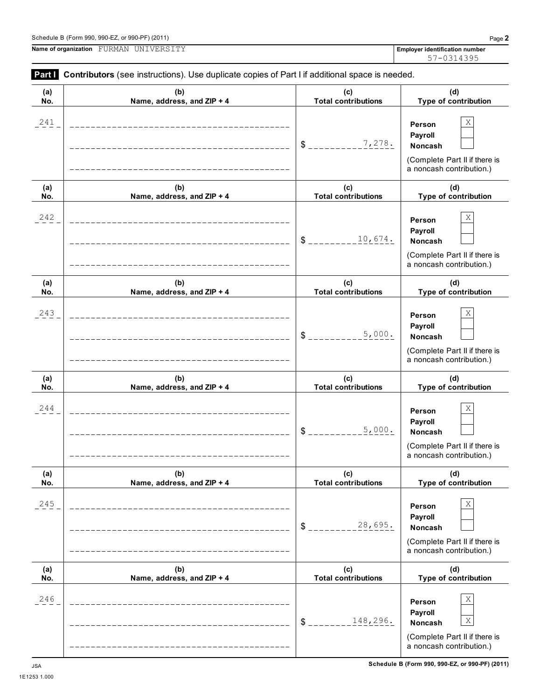|                      | Schedule B (Form 990, 990-EZ, or 990-PF) (2011) | Page $\blacktriangle$                 |
|----------------------|-------------------------------------------------|---------------------------------------|
| Name of organization | " UNIVERSIT.<br>FURMAN                          | <b>Emplover identification number</b> |

| Part I     | Contributors (see instructions). Use duplicate copies of Part I if additional space is needed. |                                   |                                                                                                     |
|------------|------------------------------------------------------------------------------------------------|-----------------------------------|-----------------------------------------------------------------------------------------------------|
| (a)<br>No. | (b)<br>Name, address, and ZIP + 4                                                              | (c)<br><b>Total contributions</b> | (d)<br>Type of contribution                                                                         |
| 241        |                                                                                                | 7,278.<br>\$                      | Χ<br>Person<br>Payroll<br>Noncash<br>(Complete Part II if there is<br>a noncash contribution.)      |
| (a)<br>No. | (b)<br>Name, address, and ZIP + 4                                                              | (c)<br><b>Total contributions</b> | (d)<br>Type of contribution                                                                         |
| 242        |                                                                                                | 10,674.<br>$\mathsf{\$}$ .        | Χ<br>Person<br>Payroll<br>Noncash<br>(Complete Part II if there is<br>a noncash contribution.)      |
| (a)<br>No. | (b)<br>Name, address, and ZIP + 4                                                              | (c)<br><b>Total contributions</b> | (d)<br>Type of contribution                                                                         |
| 243        |                                                                                                | 5,000.<br>$\frac{1}{2}$           | Χ<br>Person<br>Payroll<br>Noncash<br>(Complete Part II if there is<br>a noncash contribution.)      |
| (a)<br>No. | (b)<br>Name, address, and ZIP + 4                                                              | (c)<br><b>Total contributions</b> | (d)<br>Type of contribution                                                                         |
| 244        |                                                                                                | 5,000.<br>\$                      | Χ<br>Person<br>Payroll<br>Noncash<br>(Complete Part II if there is<br>a noncash contribution.)      |
| (a)<br>No. | (b)<br>Name, address, and ZIP + 4                                                              | (c)<br><b>Total contributions</b> | (d)<br>Type of contribution                                                                         |
| 245        |                                                                                                | 28,695.<br>$\delta$ $=$           | Χ<br>Person<br>Payroll<br>Noncash<br>(Complete Part II if there is<br>a noncash contribution.)      |
| (a)<br>No. | (b)<br>Name, address, and ZIP + 4                                                              | (c)<br><b>Total contributions</b> | (d)<br>Type of contribution                                                                         |
| 246        |                                                                                                | 148,296.<br>$S_{-}$               | Χ<br>Person<br>Payroll<br>Χ<br>Noncash<br>(Complete Part II if there is<br>a noncash contribution.) |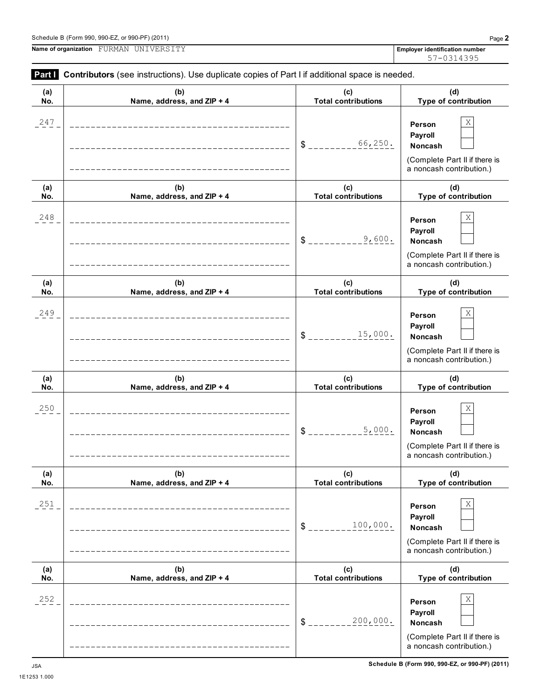| (a) | (b)                        | (c)                        | (d)                                                                                                   |
|-----|----------------------------|----------------------------|-------------------------------------------------------------------------------------------------------|
| No. | Name, address, and ZIP + 4 | <b>Total contributions</b> | Type of contribution                                                                                  |
| 247 |                            | 66,250.<br>\$              | Χ<br>Person<br>Payroll<br>Noncash<br>(Complete Part II if there is<br>a noncash contribution.)        |
| (a) | (b)                        | (c)                        | (d)                                                                                                   |
| No. | Name, address, and ZIP + 4 | <b>Total contributions</b> | Type of contribution                                                                                  |
| 248 |                            | 9,600.<br>\$               | Χ<br>Person<br>Payroll<br>Noncash<br>(Complete Part II if there is<br>a noncash contribution.)        |
| (a) | (b)                        | (c)                        | (d)                                                                                                   |
| No. | Name, address, and ZIP + 4 | <b>Total contributions</b> | Type of contribution                                                                                  |
| 249 |                            | 15,000.<br>\$              | Χ<br>Person<br>Payroll<br><b>Noncash</b><br>(Complete Part II if there is<br>a noncash contribution.) |
| (a) | (b)                        | (c)                        | (d)                                                                                                   |
| No. | Name, address, and ZIP + 4 | <b>Total contributions</b> | Type of contribution                                                                                  |
| 250 |                            | 5,000.<br>\$               | Χ<br>Person<br>Payroll<br><b>Noncash</b><br>(Complete Part II if there is<br>a noncash contribution.) |
| (a) | (b)                        | (c)                        | (d)                                                                                                   |
| No. | Name, address, and ZIP + 4 | <b>Total contributions</b> | Type of contribution                                                                                  |
| 251 |                            | 100,000.<br>\$             | Χ<br>Person<br>Payroll<br><b>Noncash</b><br>(Complete Part II if there is<br>a noncash contribution.) |
| (a) | (b)                        | (c)                        | (d)                                                                                                   |
| No. | Name, address, and ZIP + 4 | <b>Total contributions</b> | Type of contribution                                                                                  |
| 252 |                            | 200,000.<br>\$             | Χ<br>Person<br>Payroll<br><b>Noncash</b><br>(Complete Part II if there is<br>a noncash contribution.) |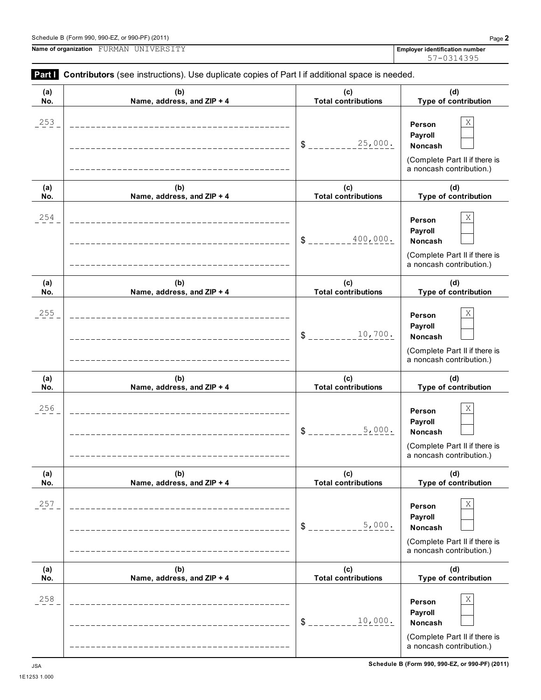a noncash contribution.)

253  $\vert$  **Derson**  $\vert$  X

**Part I** Contributors (see instructions). Use duplicate copies of Part I if additional space is needed.

**(b)**

| 253        |                                   | 25,000.<br>$\frac{1}{2}$          | X<br>Person<br>Payroll<br>Noncash<br>(Complete Part II if there is<br>a noncash contribution.) |
|------------|-----------------------------------|-----------------------------------|------------------------------------------------------------------------------------------------|
| (a)<br>No. | (b)<br>Name, address, and ZIP + 4 | (c)<br><b>Total contributions</b> | (d)<br>Type of contribution                                                                    |
| 254        |                                   | 400,000.<br>$\frac{3}{2}$         | Χ<br>Person<br>Payroll<br>Noncash<br>(Complete Part II if there is<br>a noncash contribution.) |
| (a)<br>No. | (b)<br>Name, address, and ZIP + 4 | (c)<br><b>Total contributions</b> | (d)<br>Type of contribution                                                                    |
| 255        |                                   | 10,700.<br>$\delta$ .             | Χ<br>Person<br>Payroll<br>Noncash<br>(Complete Part II if there is<br>a noncash contribution.) |
| (a)<br>No. | (b)<br>Name, address, and ZIP + 4 | (c)<br><b>Total contributions</b> | (d)<br>Type of contribution                                                                    |
| 256        |                                   | 5,000.<br>$\delta$ $-$            | Χ<br>Person<br>Payroll<br>Noncash<br>(Complete Part II if there is<br>a noncash contribution.) |
| (a)<br>No. | (b)<br>Name, address, and ZIP + 4 | (c)<br><b>Total contributions</b> | (d)<br>Type of contribution                                                                    |
| 257        |                                   | 5,000.<br>\$                      | Χ<br>Person<br>Payroll<br>Noncash<br>(Complete Part II if there is<br>a noncash contribution.) |
| (a)<br>No. | (b)<br>Name, address, and ZIP + 4 | (c)<br><b>Total contributions</b> | (d)<br>Type of contribution                                                                    |
| 258        |                                   | 10,000.<br>\$                     | Χ<br>Person<br>Payroll<br>Noncash<br>(Complete Part II if there is                             |

**Name of organization Employer identification number** FURMAN UNIVERSITY

**(a) No.**

**(d) Type of contribution**

**(c) Total contributions**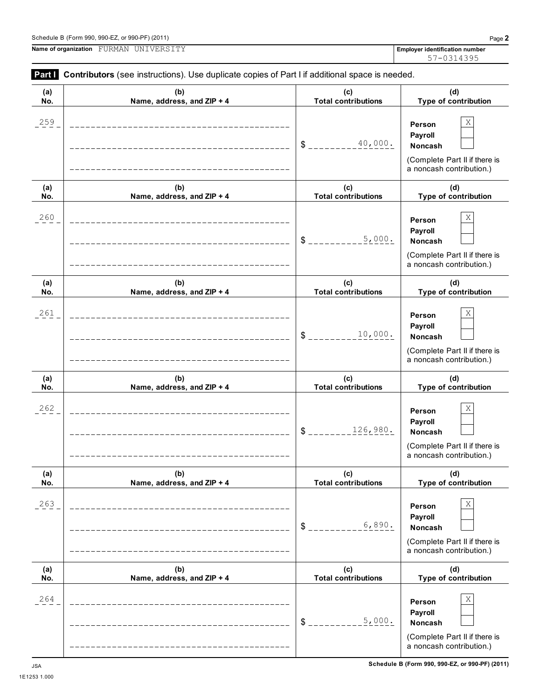| Part I     | Contributors (see instructions). Use duplicate copies of Part I if additional space is needed. |                                   |                                                                                                          |
|------------|------------------------------------------------------------------------------------------------|-----------------------------------|----------------------------------------------------------------------------------------------------------|
| (a)<br>No. | (b)<br>Name, address, and ZIP + 4                                                              | (c)<br><b>Total contributions</b> | (d)<br>Type of contribution                                                                              |
| 259        |                                                                                                | 40,000.<br>\$                     | $\mathbf X$<br>Person<br>Payroll<br>Noncash<br>(Complete Part II if there is<br>a noncash contribution.) |
| (a)<br>No. | (b)<br>Name, address, and ZIP + 4                                                              | (c)<br><b>Total contributions</b> | (d)<br>Type of contribution                                                                              |
| 260        |                                                                                                | 5,000.<br>\$                      | Χ<br>Person<br>Payroll<br>Noncash<br>(Complete Part II if there is<br>a noncash contribution.)           |
| (a)<br>No. | (b)<br>Name, address, and ZIP + 4                                                              | (c)<br><b>Total contributions</b> | (d)<br>Type of contribution                                                                              |
| 261        |                                                                                                | 10,000.<br>\$                     | Χ<br>Person<br>Payroll<br>Noncash<br>(Complete Part II if there is<br>a noncash contribution.)           |
| (a)<br>No. | (b)<br>Name, address, and ZIP + 4                                                              | (c)<br><b>Total contributions</b> | (d)<br>Type of contribution                                                                              |
| 262        |                                                                                                | 126,980.<br>\$                    | Χ<br>Person<br>Payroll<br>Noncash<br>(Complete Part II if there is<br>a noncash contribution.)           |
| (a)<br>No. | (b)<br>Name, address, and ZIP + 4                                                              | (c)<br><b>Total contributions</b> | (d)<br>Type of contribution                                                                              |
| 263        |                                                                                                | 6,890.<br>$S_{--}$                | Χ<br>Person<br>Payroll<br>Noncash<br>(Complete Part II if there is<br>a noncash contribution.)           |
| (a)<br>No. | (b)<br>Name, address, and ZIP + 4                                                              | (c)<br><b>Total contributions</b> | (d)<br>Type of contribution                                                                              |
| 264        |                                                                                                | 5,000.<br>\$                      | Χ<br>Person<br>Payroll<br>Noncash<br>(Complete Part II if there is<br>a noncash contribution.)           |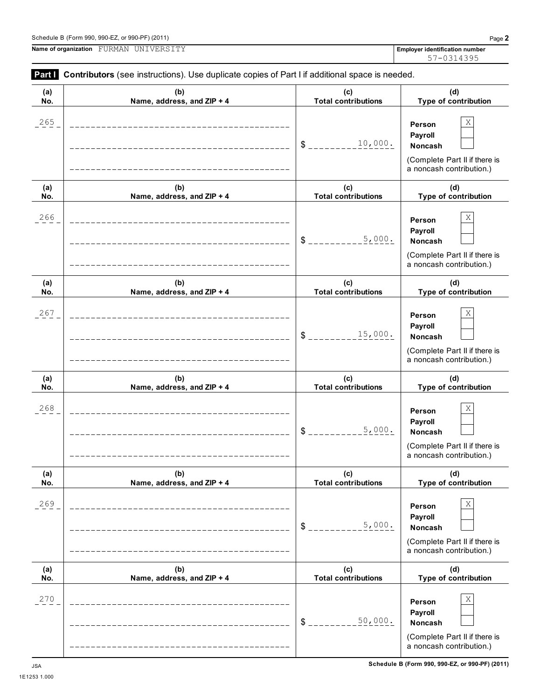| Schedule B (Form 990, 990-EZ, or 990-PF) (2011) | Page |
|-------------------------------------------------|------|

**(a)**

**Name of organization Employer identification number** FURMAN UNIVERSITY

| (u) | w                                                                      | $\mathbf{v}$               | $\mathbf{u}$                                                                                          |
|-----|------------------------------------------------------------------------|----------------------------|-------------------------------------------------------------------------------------------------------|
| No. | Name, address, and ZIP + 4                                             | <b>Total contributions</b> | Type of contribution                                                                                  |
| 265 | _____________________________<br>____________________________________  | 10,000.<br>$\delta$ -      | Χ<br>Person<br>Payroll<br>Noncash<br>(Complete Part II if there is<br>a noncash contribution.)        |
| (a) | (b)                                                                    | (c)                        | (d)                                                                                                   |
| No. | Name, address, and ZIP + 4                                             | <b>Total contributions</b> | Type of contribution                                                                                  |
| 266 | ________________________________<br>__________________________________ | 5,000.<br>$S_{---}$        | Χ<br>Person<br>Payroll<br><b>Noncash</b><br>(Complete Part II if there is<br>a noncash contribution.) |
| (a) | (b)                                                                    | (c)                        | (d)                                                                                                   |
| No. | Name, address, and ZIP + 4                                             | <b>Total contributions</b> | Type of contribution                                                                                  |
| 267 | _______________________<br>-------------------------------             | 15,000.<br>$S_{---}$       | Χ<br>Person<br>Payroll<br><b>Noncash</b><br>(Complete Part II if there is<br>a noncash contribution.) |
| (a) | (b)                                                                    | (c)                        | (d)                                                                                                   |
| No. | Name, address, and ZIP + 4                                             | <b>Total contributions</b> | Type of contribution                                                                                  |
|     |                                                                        |                            |                                                                                                       |
| 268 | ___________________________                                            | 5,000.<br>$S_{---}$        | Χ<br>Person<br>Payroll<br>Noncash<br>(Complete Part II if there is<br>a noncash contribution.)        |
| (a) | (b)                                                                    | (c)                        | (d)                                                                                                   |
| No. | Name, address, and ZIP + 4                                             | <b>Total contributions</b> | Type of contribution                                                                                  |
| 269 |                                                                        | 5,000.<br>\$               | Χ<br>Person<br>Payroll<br>Noncash<br>(Complete Part II if there is<br>a noncash contribution.)        |
| (a) | (b)                                                                    | (c)                        | (d)                                                                                                   |
| No. | Name, address, and ZIP + 4                                             | <b>Total contributions</b> | Type of contribution                                                                                  |

**Part I Contributors** (see instructions). Use duplicate copies of Part I if additional space is needed.

**(b)**

**(c)**

**(d)**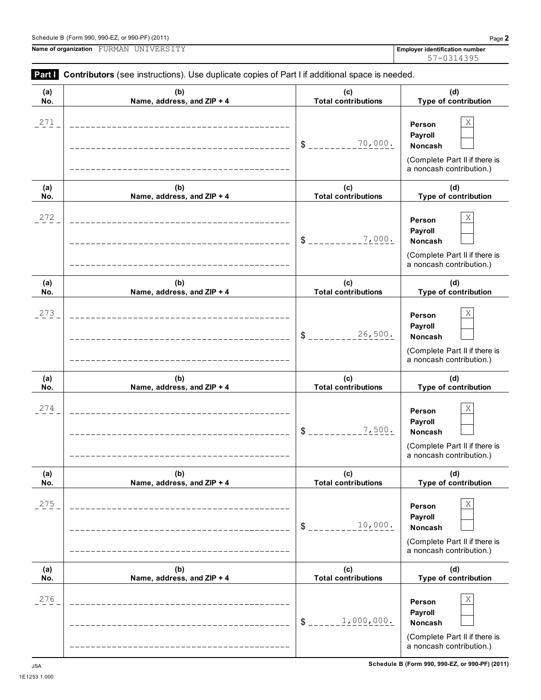**Schedule B (Form 990, 990-EZ, or 990-PF) (2011)** JSA

| (a) | (b)                        | (c)                        | (d)                                                                                                  |
|-----|----------------------------|----------------------------|------------------------------------------------------------------------------------------------------|
| No. | Name, address, and ZIP + 4 | <b>Total contributions</b> | Type of contribution                                                                                 |
| 271 |                            | 70,000.<br>$\delta$ $-$    | Χ<br>Person<br>Payroll<br>Noncash<br>(Complete Part II if there is<br>a noncash contribution.)       |
| (a) | (b)                        | (c)                        | (d)                                                                                                  |
| No. | Name, address, and ZIP + 4 | <b>Total contributions</b> | Type of contribution                                                                                 |
| 272 |                            | 7,000.<br>$S_{--}$         | Χ<br>Person<br>Payroll<br>Noncash<br>(Complete Part II if there is<br>a noncash contribution.)       |
| (a) | (b)                        | (c)                        | (d)                                                                                                  |
| No. | Name, address, and ZIP + 4 | <b>Total contributions</b> | Type of contribution                                                                                 |
| 273 |                            | 26,500.<br>\$              | Χ<br>Person<br>Payroll<br>Noncash<br>(Complete Part II if there is<br>a noncash contribution.)       |
| (a) | (b)                        | (c)                        | (d)                                                                                                  |
| No. | Name, address, and ZIP + 4 | <b>Total contributions</b> | Type of contribution                                                                                 |
| 274 |                            | 7,500.<br>$\frac{1}{2}$    | Χ<br>Person<br>Payroll<br>Noncash<br>(Complete Part II if there is<br>a noncash contribution.)       |
| (a) | (b)                        | (c)                        | (d)                                                                                                  |
| No. | Name, address, and ZIP + 4 | <b>Total contributions</b> | Type of contribution                                                                                 |
| 275 |                            | 10,000.<br>\$              | $\rm X$<br>Person<br>Payroll<br>Noncash<br>(Complete Part II if there is<br>a noncash contribution.) |
| (a) | (b)                        | (c)                        | (d)                                                                                                  |
| No. | Name, address, and ZIP + 4 | <b>Total contributions</b> | Type of contribution                                                                                 |
| 276 |                            | 1,000,000.<br>\$           | Χ<br>Person<br>Payroll<br>Noncash<br>(Complete Part II if there is<br>a noncash contribution.)       |

**Part I** Contributors (see instructions). Use duplicate copies of Part I if additional space is needed.

 $\top$ 

1E1253 1.000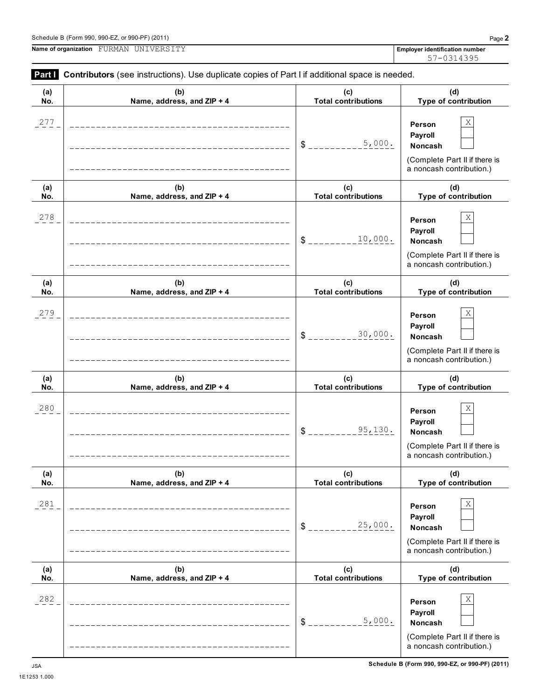1E1253 1.000

| Part I<br>Contributors (see instructions). Use duplicate copies of Part I if additional space is needed. |                                   |                                   |                                                                                                |  |  |  |  |
|----------------------------------------------------------------------------------------------------------|-----------------------------------|-----------------------------------|------------------------------------------------------------------------------------------------|--|--|--|--|
| (a)<br>No.                                                                                               | (b)<br>Name, address, and ZIP + 4 | (c)<br><b>Total contributions</b> | (d)<br>Type of contribution                                                                    |  |  |  |  |
| 277                                                                                                      |                                   | 5,000.<br>\$                      | Χ<br>Person<br>Payroll<br>Noncash<br>(Complete Part II if there is<br>a noncash contribution.) |  |  |  |  |
| (a)<br>No.                                                                                               | (b)<br>Name, address, and ZIP + 4 | (c)<br><b>Total contributions</b> | (d)<br>Type of contribution                                                                    |  |  |  |  |
| 278                                                                                                      |                                   | 10,000.<br>\$                     | Χ<br>Person<br>Payroll<br>Noncash<br>(Complete Part II if there is<br>a noncash contribution.) |  |  |  |  |
| (a)<br>No.                                                                                               | (b)<br>Name, address, and ZIP + 4 | (c)<br><b>Total contributions</b> | (d)<br>Type of contribution                                                                    |  |  |  |  |
| 279                                                                                                      |                                   | 30,000.<br>\$                     | Χ<br>Person<br>Payroll<br>Noncash<br>(Complete Part II if there is<br>a noncash contribution.) |  |  |  |  |
| (a)<br>No.                                                                                               | (b)<br>Name, address, and ZIP + 4 | (c)<br><b>Total contributions</b> | (d)<br>Type of contribution                                                                    |  |  |  |  |
| 280                                                                                                      |                                   | 95,130.<br>\$                     | Χ<br>Person<br>Payroll<br>Noncash<br>(Complete Part II if there is<br>a noncash contribution.) |  |  |  |  |
| (a)<br>No.                                                                                               | (b)<br>Name, address, and ZIP + 4 | (c)<br><b>Total contributions</b> | (d)<br>Type of contribution                                                                    |  |  |  |  |
| 281                                                                                                      | ______________________            | 25,000.<br>$S_{---}$              | Χ<br>Person<br>Payroll<br>Noncash<br>(Complete Part II if there is<br>a noncash contribution.) |  |  |  |  |
| (a)<br>No.                                                                                               | (b)<br>Name, address, and ZIP + 4 | (c)<br><b>Total contributions</b> | (d)<br>Type of contribution                                                                    |  |  |  |  |
| 282                                                                                                      | --------------------              | 5,000.<br>\$                      | Χ<br>Person<br>Payroll<br>Noncash<br>(Complete Part II if there is<br>a noncash contribution.) |  |  |  |  |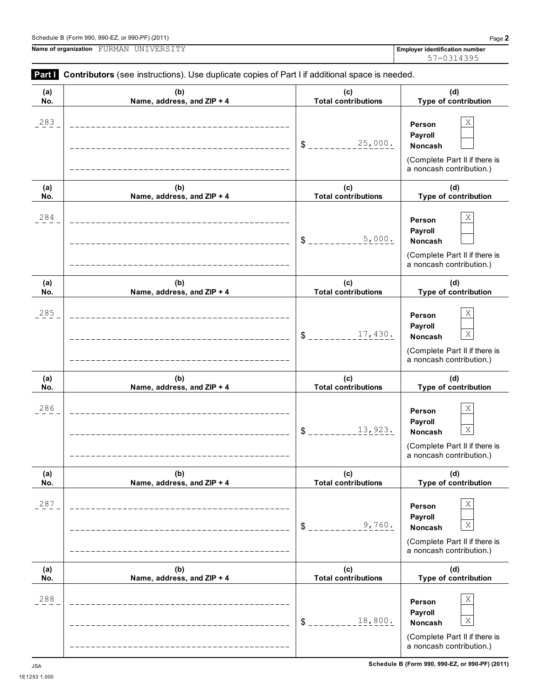| (a) | (b)                        | (c)                        | (d)                                                                                                                     |
|-----|----------------------------|----------------------------|-------------------------------------------------------------------------------------------------------------------------|
| No. | Name, address, and ZIP + 4 | <b>Total contributions</b> | Type of contribution                                                                                                    |
| 283 |                            | 25,000.<br>$\mathsf{S}$    | Χ<br>Person<br>Payroll<br>Noncash<br>(Complete Part II if there is<br>a noncash contribution.)                          |
| (a) | (b)                        | (c)                        | (d)                                                                                                                     |
| No. | Name, address, and ZIP + 4 | <b>Total contributions</b> | Type of contribution                                                                                                    |
| 284 |                            | 5,000.<br>$$^{\circ}$      | Χ<br>Person<br>Payroll<br>Noncash<br>(Complete Part II if there is<br>a noncash contribution.)                          |
| (a) | (b)                        | (c)                        | (d)                                                                                                                     |
| No. | Name, address, and ZIP + 4 | <b>Total contributions</b> | Type of contribution                                                                                                    |
| 285 |                            | 17,430.<br>$\mathsf{S}$    | Χ<br>Person<br>Payroll<br>$\mathbf X$<br>Noncash<br>(Complete Part II if there is<br>a noncash contribution.)           |
| (a) |                            |                            |                                                                                                                         |
| No. | (b)                        | (c)                        | (d)                                                                                                                     |
|     | Name, address, and ZIP + 4 | <b>Total contributions</b> | Type of contribution                                                                                                    |
| 286 |                            | 13,923.<br>\$              | Χ<br>Person<br>Payroll<br>$\mathbf X$<br>Noncash<br>(Complete Part II if there is<br>a noncash contribution.)           |
| (a) | (b)                        | (c)                        | (d)                                                                                                                     |
| No. | Name, address, and ZIP + 4 | <b>Total contributions</b> | Type of contribution                                                                                                    |
| 287 |                            | 9,760.<br>\$               | $\mathbf X$<br>Person<br>Payroll<br>$\mathbf X$<br>Noncash<br>(Complete Part II if there is<br>a noncash contribution.) |
| (a) | (b)                        | (c)                        | (d)                                                                                                                     |
| No. | Name, address, and ZIP + 4 | <b>Total contributions</b> | Type of contribution                                                                                                    |

57-0314395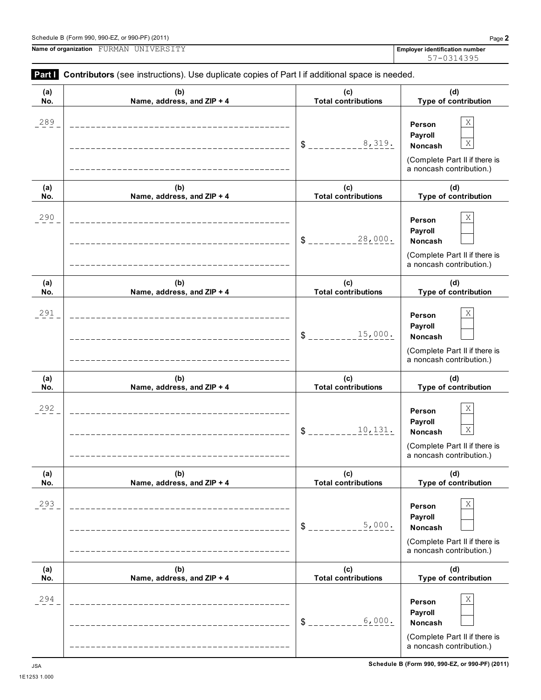**Part Contributors** (see instructions). Use duplicate copies of Part I if additional space is needed. **(b) Name, address, and ZIP + 4 (c) Total contributions (d) Type of contribution Person Payroll**  $$$  \_\_\_\_\_\_\_\_\_\_\_<sup>8</sup>,  $319$ . Noncash (Complete Part II if there is a noncash contribution.) **(b) (c) Total contributions (d) Type of contribution Person Payroll** \$ \_\_\_\_\_\_\_\_\_28,000. Noncash (Complete Part II if there is a noncash contribution.) **(b) (c) Total contributions (d) Type of contribution Person Payroll** \$ \_\_\_\_\_\_\_\_\_15,000. Noncash (Complete Part II if there is a noncash contribution.) **(b) (c) Total contributions (d) Type of contribution Person** 57-0314395 289  $\vert$  X 8,319. X

# **(a) No. Name, address, and ZIP + 4 (a) No. Name, address, and ZIP + 4 (a) No. Name, address, and ZIP + 4 Payroll** \$ \_\_\_\_\_\_\_\_\_<u>10,131.</u> | Noncash <u>X</u> (Complete Part II if there is a noncash contribution.) **(a) No. (b) Name, address, and ZIP + 4 (c) Total contributions (d) Type of contribution Person Payroll**  $$$   $\frac{1}{2}$   $\frac{1}{2}$   $\frac{1}{2}$   $\frac{1}{2}$   $\frac{1}{2}$   $\frac{1}{2}$   $\frac{1}{2}$   $\frac{1}{2}$   $\frac{1}{2}$  Noncash (Complete Part II if there is a noncash contribution.) **(a) No. (b) Name, address, and ZIP + 4 (c) Total contributions (d) Type of contribution Person Payroll** \$ **Noncash** (Complete Part II if there is a noncash contribution.) **Schedule B (Form 990, 990-EZ, or 990-PF) (2011)** JSA 1E1253 1.000 290  $\vert$  **Derson**  $\vert$  X 291 **Derson** X 292 **Decision**  $X$ 293  $\vert$  **Derson**  $\vert$  X 5,000. 294 **Decay and Section 2.5**  $\overline{P}$  **Decay and Section 2.5**  $\overline{P}$  **Decay and X** 6,000.

**(a) No.**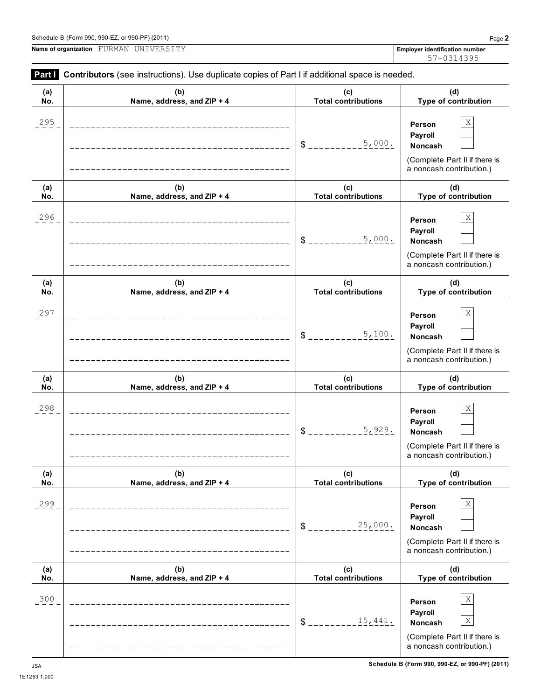

**Part Contributors** (see instructions). Use duplicate copies of Part I if additional space is needed.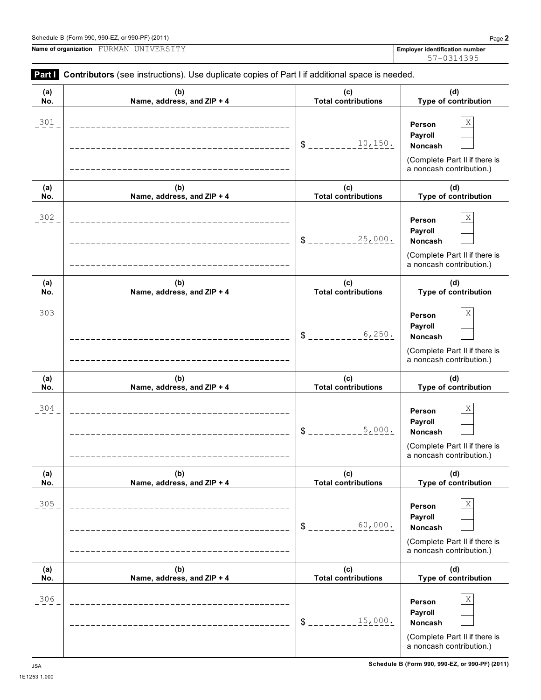**Part I Contributors** (see instructions). Use duplicate copies of Part I if additional space is needed.

| (a)<br>No. | (b)<br>Name, address, and ZIP + 4                                    | (c)<br><b>Total contributions</b> | (d)<br>Type of contribution                                                                    |
|------------|----------------------------------------------------------------------|-----------------------------------|------------------------------------------------------------------------------------------------|
| 301        |                                                                      | 10, 150.<br>\$                    | Χ<br>Person<br>Payroll<br>Noncash<br>(Complete Part II if there is                             |
|            |                                                                      |                                   | a noncash contribution.)<br>(d)                                                                |
| (a)<br>No. | (b)<br>Name, address, and ZIP + 4                                    | (c)<br><b>Total contributions</b> | Type of contribution                                                                           |
| 302        |                                                                      | 25,000.<br>\$                     | Χ<br>Person<br>Payroll<br>Noncash<br>(Complete Part II if there is<br>a noncash contribution.) |
| (a)<br>No. | (b)<br>Name, address, and ZIP + 4                                    | (c)<br><b>Total contributions</b> | (d)<br>Type of contribution                                                                    |
| 303        |                                                                      | 6,250.<br>\$                      | Χ<br>Person<br>Payroll<br>Noncash<br>(Complete Part II if there is<br>a noncash contribution.) |
| (a)<br>No. | (b)<br>Name, address, and ZIP + 4                                    | (c)<br><b>Total contributions</b> | (d)<br>Type of contribution                                                                    |
| 304        |                                                                      | 5,000.<br>\$                      | Χ<br>Person<br>Payroll<br>Noncash<br>(Complete Part II if there is<br>a noncash contribution.) |
| (a)<br>No. | (b)<br>Name, address, and ZIP + 4                                    | (c)<br><b>Total contributions</b> | (d)<br>Type of contribution                                                                    |
| 305        | _____________________________<br>___________________________________ | 60,000.<br>$S_{--}$               | Χ<br>Person<br>Payroll<br>Noncash<br>(Complete Part II if there is<br>a noncash contribution.) |
| (a)<br>No. | (b)<br>Name, address, and ZIP + 4                                    | (c)<br><b>Total contributions</b> | (d)<br>Type of contribution                                                                    |
| 306        | __________________________<br>_____________________________          | 15,000.<br>$\frac{1}{2}$          | Χ<br>Person<br>Payroll<br>Noncash<br>(Complete Part II if there is<br>a noncash contribution.) |

57-0314395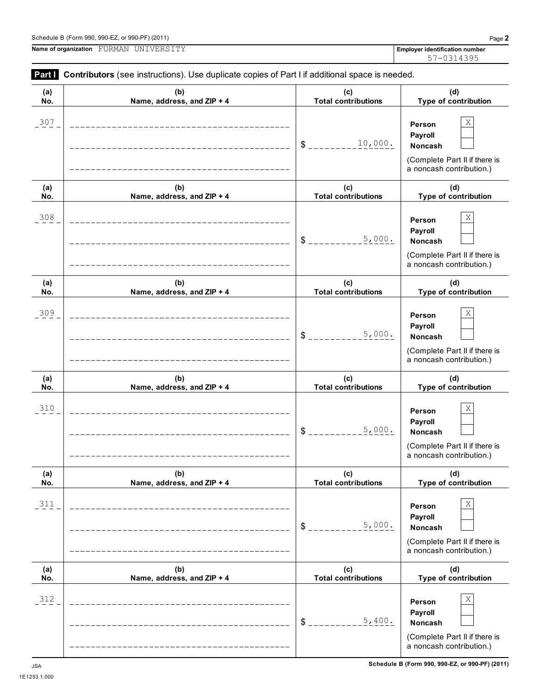|  | <b>Part Contributors</b> (see instructions). Use duplicate copies of Part I if additional space is needed. |  |  |  |  |  |  |  |  |  |  |  |
|--|------------------------------------------------------------------------------------------------------------|--|--|--|--|--|--|--|--|--|--|--|
|--|------------------------------------------------------------------------------------------------------------|--|--|--|--|--|--|--|--|--|--|--|

| (a)<br>No. | (b)<br>Name, address, and ZIP + 4                     | (c)<br><b>Total contributions</b> | (d)<br>Type of contribution                                                                              |
|------------|-------------------------------------------------------|-----------------------------------|----------------------------------------------------------------------------------------------------------|
| 307        |                                                       | 10,000.<br>$\mathbb{S}$           | Χ<br>Person<br>Payroll<br><b>Noncash</b><br>(Complete Part II if there is<br>a noncash contribution.)    |
| (a)<br>No. | (b)<br>Name, address, and ZIP + 4                     | (c)<br><b>Total contributions</b> | (d)<br>Type of contribution                                                                              |
| 308        |                                                       | 5,000.<br>\$                      | Χ<br>Person<br>Payroll<br><b>Noncash</b><br>(Complete Part II if there is<br>a noncash contribution.)    |
| (a)<br>No. | (b)<br>Name, address, and ZIP + 4                     | (c)<br><b>Total contributions</b> | (d)<br>Type of contribution                                                                              |
| 309        |                                                       | 5,000.<br>\$                      | Χ<br>Person<br>Payroll<br><b>Noncash</b><br>(Complete Part II if there is<br>a noncash contribution.)    |
| (a)<br>No. | (b)<br>Name, address, and ZIP + 4                     | (c)<br><b>Total contributions</b> | (d)<br>Type of contribution                                                                              |
| 310        |                                                       | 5,000.<br>$\mathfrak{S}$          | Χ<br>Person<br>Payroll<br>Noncash<br>(Complete Part II if there is<br>a noncash contribution.)           |
| (a)<br>No. | (b)<br>Name, address, and ZIP + 4                     | (c)<br><b>Total contributions</b> | (d)<br>Type of contribution                                                                              |
| 311        |                                                       | 5,000.<br>$S_{--}$                | $\mathbf X$<br>Person<br>Payroll<br>Noncash<br>(Complete Part II if there is<br>a noncash contribution.) |
| (a)<br>No. | (b)<br>Name, address, and ZIP + 4                     | (c)<br><b>Total contributions</b> | (d)<br>Type of contribution                                                                              |
| 312        | ___________________________<br>______________________ | 5,400.<br>$S_{--}$                | Χ<br>Person<br>Payroll<br>Noncash<br>(Complete Part II if there is<br>a noncash contribution.)           |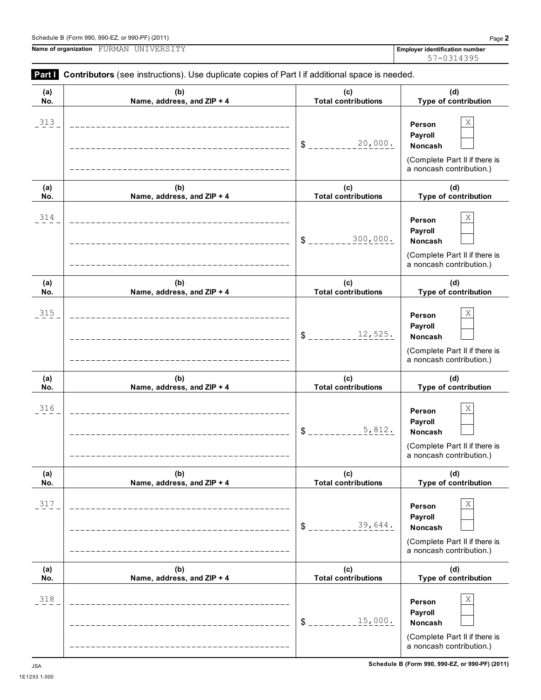L,

Ĭ.

**Name of organization Employer identification number** FURMAN UNIVERSITY

| (a)<br>No. | (b)<br>Name, address, and ZIP + 4                                    | (c)<br><b>Total contributions</b> | (d)<br>Type of contribution                                                                           |
|------------|----------------------------------------------------------------------|-----------------------------------|-------------------------------------------------------------------------------------------------------|
| 313        |                                                                      | 20,000.<br>$S$ <sub>---</sub>     | Χ<br>Person<br>Payroll<br>Noncash<br>(Complete Part II if there is<br>a noncash contribution.)        |
| (a)<br>No. | (b)<br>Name, address, and ZIP + 4                                    | (c)<br><b>Total contributions</b> | (d)<br>Type of contribution                                                                           |
| 314        | _______________________________<br>_________________________________ | 300,000.<br>$S_{---}$             | Χ<br>Person<br>Payroll<br><b>Noncash</b><br>(Complete Part II if there is<br>a noncash contribution.) |
| (a)<br>No. | (b)<br>Name, address, and ZIP + 4                                    | (c)<br><b>Total contributions</b> | (d)<br>Type of contribution                                                                           |
| 315        | ___________________________                                          | 12,525.<br>$S_{---}$              | Χ<br>Person<br>Payroll<br>Noncash<br>(Complete Part II if there is<br>a noncash contribution.)        |
| (a)<br>No. | (b)<br>Name, address, and ZIP + 4                                    | (c)<br><b>Total contributions</b> | (d)<br>Type of contribution                                                                           |
| 316        | _____________________________<br>__________________________________  | 5,812.<br>$S_{---}$               | Χ<br>Person<br>Payroll<br>Noncash<br>(Complete Part II if there is<br>a noncash contribution.)        |
| (a)<br>No. | (b)<br>Name, address, and ZIP + 4                                    | (c)<br><b>Total contributions</b> | (d)<br>Type of contribution                                                                           |
| 317        |                                                                      | 39,644.<br>$\frac{1}{2}$          | Χ<br>Person<br>Payroll<br>Noncash<br>(Complete Part II if there is<br>a noncash contribution.)        |
| (a)<br>No. | (b)<br>Name, address, and ZIP + 4                                    | (c)<br><b>Total contributions</b> | (d)<br>Type of contribution                                                                           |
| 318        |                                                                      | 15,000.<br>\$                     | Χ<br>Person<br>Payroll<br>Noncash<br>(Complete Part II if there is<br>a noncash contribution.)        |

**Part I** Contributors (see instructions). Use duplicate copies of Part I if additional space is needed.

57-0314395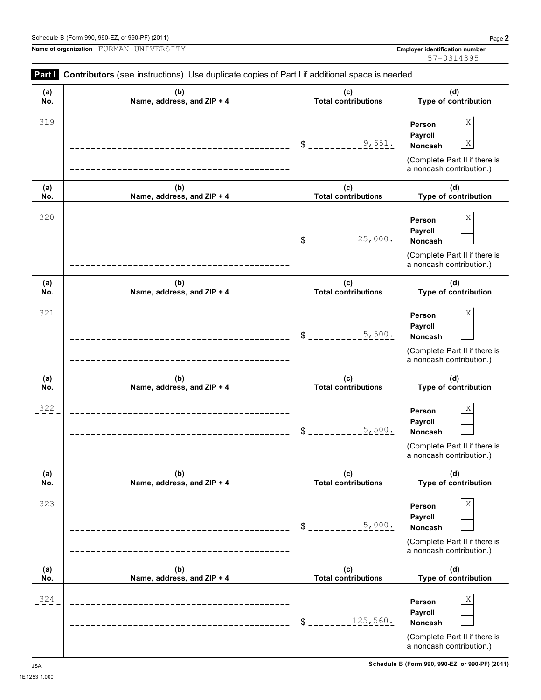**Person Payroll** \$ **Noncash** (Complete Part II if there is a noncash contribution.) **(a) No. (b) Name, address, and ZIP + 4 (c) Total contributions (d) Type of contribution Person Payroll** \$ **Noncash** (Complete Part II if there is a noncash contribution.) **(a) No. (b) Name, address, and ZIP + 4 (c) Total contributions (d) Type of contribution Person Payroll**  $$$ <sub>-------------</sub>5,500. Noncash (Complete Part II if there is a noncash contribution.) **(a) No. (b) Name, address, and ZIP + 4 (c) Total contributions (d) Type of contribution Person Payroll** \$ \_\_\_\_\_\_\_\_\_\_<u>b,000.</u> | Noncash (Complete Part II if there is a noncash contribution.) **(a) No. (b) Name, address, and ZIP + 4 (c) Total contributions (d) Type of contribution Person Payroll** \$ \_\_\_\_\_\_\_\_125,560**.** Noncash (Complete Part II if there is a noncash contribution.) **Schedule B (Form 990, 990-EZ, or 990-PF) (2011)** JSA  $320$  **Person** X 25,000.  $321$  **Person** X 5,500.  $322$  **Person** X  $5.500$ .  $323$  **Person** X 5,000.  $324$  **Person** X

## **Part I Contributors** (see instructions). Use duplicate copies of Part I if additional space is needed.

| (a) | (b)                                                                         | (c)                          | (d)                                                                             |
|-----|-----------------------------------------------------------------------------|------------------------------|---------------------------------------------------------------------------------|
| No. | Name, address, and ZIP + 4                                                  | <b>Total contributions</b>   | Type of contril                                                                 |
| 319 | ------------------------------------<br>___________________________________ | 9,651.<br>$S$ <sub>---</sub> | Person<br>Payroll<br>Noncash<br>(Complete Part II i<br>a noncash contrib        |
| (a) | (b)                                                                         | (c)                          | (d)                                                                             |
| No. | Name, address, and ZIP + 4                                                  | <b>Total contributions</b>   | Type of contril                                                                 |
| 320 | ________________________________<br>___________________________________     | 25,000.<br>$\frac{1}{2}$     | Person<br>Payroll<br>Noncash<br>(Complete Part II i<br>a noncash contrib        |
| (a) | (b)                                                                         | (c)                          | (d)                                                                             |
| No. | Name, address, and ZIP + 4                                                  | <b>Total contributions</b>   | Type of contril                                                                 |
| 321 |                                                                             | 5,500.<br>$S_{---}$          | Person<br>Payroll<br><b>Noncash</b><br>(Complete Part II i<br>a noncash contrib |
| (a) | (b)                                                                         | (c)                          | (d)                                                                             |
| No. | Name, address, and ZIP + 4                                                  | <b>Total contributions</b>   | Type of contril                                                                 |
| 322 | _________________________________                                           |                              | Person<br>Payroll                                                               |

**Name of organization Employer identification number** FURMAN UNIVERSITY

**(d) Type of contribution**

(Complete Part II if there is a noncash contribution.)

> **(d) Type of contribution**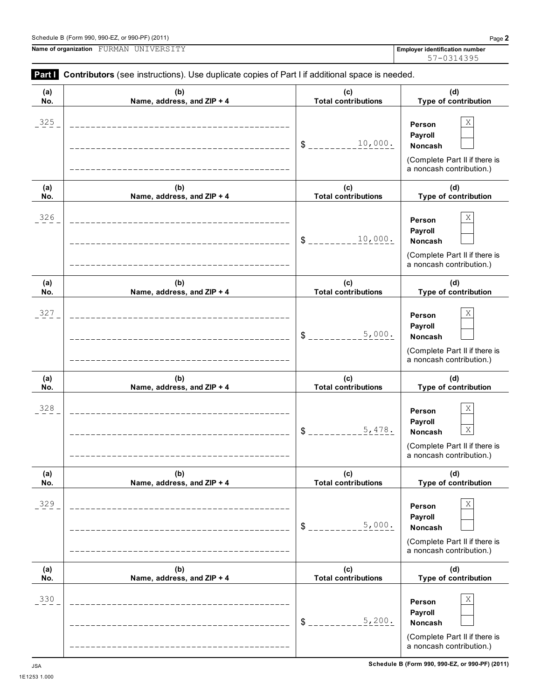**Payroll**

 $\frac{5}{2}$  \_\_\_\_\_\_\_\_\_<sup>5</sup>, 200. Noncash

 $5,200.$ 

1E1253 1.000

| 325        | _____________________________<br>______________________                               | 10,000.<br>\$_                                        | X<br>Person<br>Payroll<br>Noncash<br>(Complete Part II if there is<br>a noncash contribution.)                         |
|------------|---------------------------------------------------------------------------------------|-------------------------------------------------------|------------------------------------------------------------------------------------------------------------------------|
| (a)        | (b)                                                                                   | (c)                                                   | (d)                                                                                                                    |
| No.<br>326 | Name, address, and ZIP + 4<br>_____________________________<br>______________________ | <b>Total contributions</b><br>10,000.<br>$\mathbb{S}$ | Type of contribution<br>Χ<br>Person<br>Payroll<br>Noncash<br>(Complete Part II if there is<br>a noncash contribution.) |
| (a)<br>No. | (b)<br>Name, address, and ZIP + 4                                                     | (c)<br><b>Total contributions</b>                     | (d)<br>Type of contribution                                                                                            |
| 327        | __________________________<br>_____________________                                   | 5,000.<br>\$                                          | X<br>Person<br>Payroll<br>Noncash<br>(Complete Part II if there is<br>a noncash contribution.)                         |
| (a)<br>No. | (b)<br>Name, address, and ZIP + 4                                                     | (c)<br><b>Total contributions</b>                     | (d)<br>Type of contribution                                                                                            |
| 328        |                                                                                       | 5,478.<br>\$                                          | X<br>Person<br>Payroll<br>$\mathbf X$<br>Noncash<br>(Complete Part II if there is<br>a noncash contribution.)          |
| (a)<br>No. | (b)<br>Name, address, and ZIP + 4                                                     | (c)<br><b>Total contributions</b>                     | (d)<br>Type of contribution                                                                                            |
| 329        |                                                                                       | 5,000.<br>\$                                          | $\mathbf X$<br>Person<br>Payroll<br>Noncash<br>(Complete Part II if there is<br>a noncash contribution.)               |
| (a)<br>No. | (b)<br>Name, address, and ZIP + 4                                                     | (c)<br><b>Total contributions</b>                     | (d)<br>Type of contribution                                                                                            |
| 330        |                                                                                       |                                                       | $\mathbf X$<br>Person                                                                                                  |

**(b) Name, address, and ZIP + 4**

**Part Contributors** (see instructions). Use duplicate copies of Part I if additional space is needed.

**(a) No.**

**Name of organization Employer identification number** FURMAN UNIVERSITY 57-0314395

> **(d) Type of contribution**

(Complete Part II if there is a noncash contribution.)

**(c) Total contributions**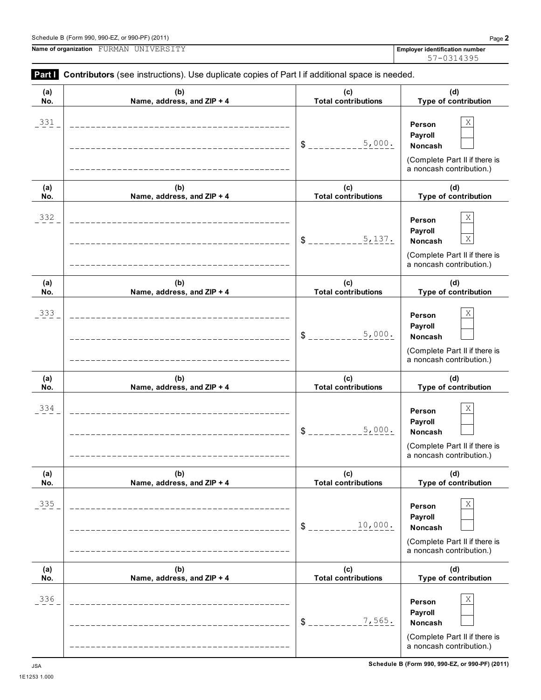**Person Payroll**

(Complete Part II if there is a noncash contribution.)

> **(d) Type of contribution**

(Complete Part II if there is a noncash contribution.)

 $\frac{10,000}{1}$  Noncash

10,000.

\$ **Noncash**

 $7.565.$ 

**(c) Total contributions**

**(b) Name, address, and ZIP + 4**

**(a)**

| (a) | (b)                        | (c)                        | (d)                                                                                                             |
|-----|----------------------------|----------------------------|-----------------------------------------------------------------------------------------------------------------|
| No. | Name, address, and ZIP + 4 | <b>Total contributions</b> | Type of contribution                                                                                            |
| 331 |                            | 5,000.<br>$S_{---}$        | Χ<br>Person<br>Payroll<br>Noncash<br>(Complete Part II if there is<br>a noncash contribution.)                  |
| (a) | (b)                        | (c)                        | (d)                                                                                                             |
| No. | Name, address, and ZIP + 4 | <b>Total contributions</b> | Type of contribution                                                                                            |
| 332 |                            | 5,137.<br>\$               | Χ<br>Person<br>Payroll<br>$\mathbf X$<br>Noncash<br>(Complete Part II if there is<br>a noncash contribution.)   |
| (a) | (b)                        | (c)                        | (d)                                                                                                             |
| No. | Name, address, and ZIP + 4 | <b>Total contributions</b> | Type of contribution                                                                                            |
| 333 |                            | 5,000.<br>\$               | X<br>Person<br>Payroll<br><b>Noncash</b><br>(Complete Part II if there is<br>a noncash contribution.)           |
| (a) | (b)                        | (c)                        | (d)                                                                                                             |
| No. | Name, address, and ZIP + 4 | <b>Total contributions</b> | Type of contribution                                                                                            |
| 334 |                            | 5,000.<br>\$               | $\mathbf X$<br>Person<br>Payroll<br><b>Noncash</b><br>(Complete Part II if there is<br>a noncash contribution.) |
| (a) | (b)                        | (c)                        | (d)                                                                                                             |
| No. | Name, address, and ZIP + 4 | <b>Total contributions</b> | Type of contribution                                                                                            |
| 335 |                            |                            | $\mathbf X$<br>Person<br><b>Payroll</b>                                                                         |

336  $\vert$  X

**Name of organization Employer identification number** FURMAN UNIVERSITY

1E1253 1.000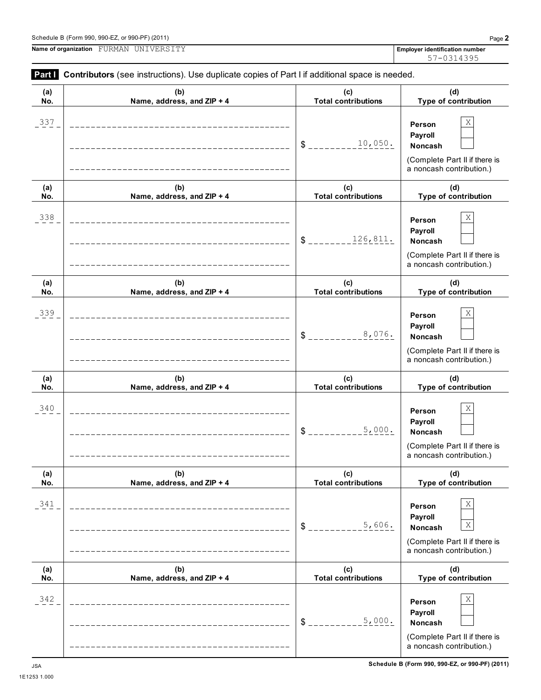$\overline{\phantom{0}}$ 

L,

**Name of organization Employer identification number** FURMAN UNIVERSITY

| (a) | (b)                                | (c)                        | (d)                                                                                                   |
|-----|------------------------------------|----------------------------|-------------------------------------------------------------------------------------------------------|
| No. | Name, address, and ZIP + 4         | <b>Total contributions</b> | Type of contribution                                                                                  |
| 337 | ---------------------------------- | 10,050.<br>\$              | Χ<br>Person<br>Payroll<br>Noncash<br>(Complete Part II if there is<br>a noncash contribution.)        |
| (a) | (b)                                | (c)                        | (d)                                                                                                   |
| No. | Name, address, and ZIP + 4         | <b>Total contributions</b> | Type of contribution                                                                                  |
| 338 | ---------------------------------  | 126,811.<br>\$             | Χ<br>Person<br>Payroll<br>Noncash<br>(Complete Part II if there is<br>a noncash contribution.)        |
| (a) | (b)                                | (c)                        | (d)                                                                                                   |
| No. | Name, address, and ZIP + 4         | <b>Total contributions</b> | Type of contribution                                                                                  |
| 339 | _________________________________  | 8,076.<br>\$               | Χ<br>Person<br>Payroll<br><b>Noncash</b><br>(Complete Part II if there is<br>a noncash contribution.) |
| (a) | (b)                                | (c)                        | (d)                                                                                                   |
| No. | Name, address, and ZIP + 4         | <b>Total contributions</b> | Type of contribution                                                                                  |
| 340 | _________________________________  | 5,000.<br>\$               | Χ<br>Person<br>Payroll<br><b>Noncash</b><br>(Complete Part II if there is<br>a noncash contribution.) |
| (a) | (b)                                | (c)                        | (d)                                                                                                   |
| No. | Name, address, and $ZIP + 4$       | Total contributions        | <b>Type of contribution</b>                                                                           |
| 341 |                                    | 5,606.<br>\$               | Χ<br>Person<br>Payroll<br>Χ<br>Noncash<br>(Complete Part II if there is<br>a noncash contribution.)   |
| (a) | (b)                                | (c)                        | (d)                                                                                                   |
| No. | Name, address, and ZIP + 4         | <b>Total contributions</b> | Type of contribution                                                                                  |
| 342 |                                    | 5,000.<br>\$               | Χ<br>Person<br>Payroll<br>Noncash<br>(Complete Part II if there is<br>a noncash contribution.)        |

## **Part I** Contributors (see instructions). Use duplicate copies of Part I if additional space is needed.

57-0314395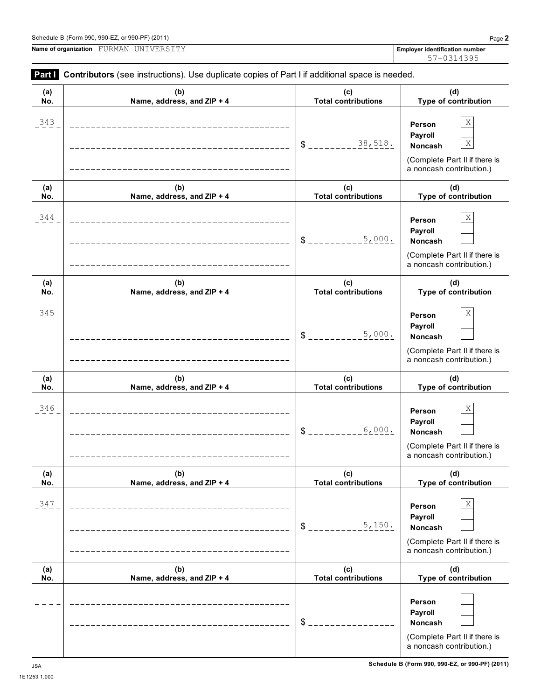**Person Payroll**

**Type of contribution**

(Complete Part II if there is a noncash contribution.)

**Total contributions**

\$ **Noncash**

**No.**

**Name of organization Employer identification number** FURMAN UNIVERSITY **Part Contributors** (see instructions). Use duplicate copies of Part I if additional space is needed. **(a) No. (b) Name, address, and ZIP + 4 (c) Total contributions (d) Type of contribution Person Payroll**  $$$   $-- 38,518$ . Noncash (Complete Part II if there is a noncash contribution.) **(a) No. (b) Name, address, and ZIP + 4 (c) Total contributions (d) Type of contribution Person Payroll**  $$$   $\frac{1}{2}$   $\frac{1}{2}$   $\frac{1}{2}$   $\frac{1}{2}$   $\frac{1}{2}$   $\frac{1}{2}$   $\frac{1}{2}$   $\frac{1}{2}$   $\frac{1}{2}$  Noncash (Complete Part II if there is a noncash contribution.) **(a) No. (b) Name, address, and ZIP + 4 (c) Total contributions (d) Type of contribution Person Payroll** \$ **Noncash** (Complete Part II if there is a noncash contribution.) **(a) No. (b) Name, address, and ZIP + 4 (c) Total contributions (d) Type of contribution Person Payroll** \$ **Noncash** (Complete Part II if there is a noncash contribution.) **(a) No. (b) Name, address, and ZIP + 4 (c) Total contributions (d) Type of contribution Person Payroll**  $$$   $\frac{150}{100}$   $\frac{1}{100}$   $\frac{1}{100}$  Noncash (Complete Part II if there is a noncash contribution.) **(a) (b) (c) (d)**  $343$  **Person** X 38,518. X  $344$  **Person** X 5,000.  $345$  **Person** X 5,000.  $346$  **Person** X 6,000. 347 X 5,150.

**Name, address, and ZIP + 4**

## Schedule B (Form 990, 990-EZ, or 990-PF) (2011) Page **2**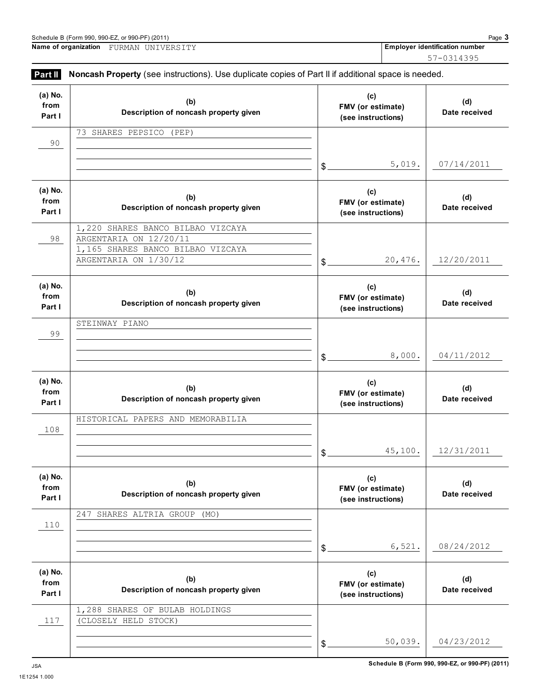50,039. 04/23/2012

 $\,$ 

117 (CLOSELY HELD STOCK)

|                           | Name of organization FURMAN UNIVERSITY                                                              |                                                | Employer identification number |
|---------------------------|-----------------------------------------------------------------------------------------------------|------------------------------------------------|--------------------------------|
|                           |                                                                                                     |                                                | 57-0314395                     |
| Part II                   | Noncash Property (see instructions). Use duplicate copies of Part II if additional space is needed. |                                                |                                |
| (a) No.<br>from<br>Part I | (b)<br>Description of noncash property given                                                        | (c)<br>FMV (or estimate)<br>(see instructions) | (d)<br>Date receive            |
| 90                        | 73 SHARES PEPSICO (PEP)                                                                             |                                                |                                |
|                           |                                                                                                     | 5,019.<br>$$$ .                                | 07/14/201                      |
| (a) No.<br>from<br>Part I | (b)<br>Description of noncash property given                                                        | (c)<br>FMV (or estimate)<br>(see instructions) | (d)<br>Date receive            |
| 98                        | 1,220 SHARES BANCO BILBAO VIZCAYA<br>ARGENTARIA ON 12/20/11                                         |                                                |                                |
|                           | 1,165 SHARES BANCO BILBAO VIZCAYA<br>ARGENTARIA ON 1/30/12                                          | 20,476.<br>\$                                  | 12/20/201                      |
| (a) No.<br>from<br>Part I | (b)<br>Description of noncash property given                                                        | (c)<br>FMV (or estimate)<br>(see instructions) | (d)<br>Date receive            |
| 99                        | STEINWAY PIANO                                                                                      |                                                |                                |
|                           |                                                                                                     | 8,000.<br>\$                                   | 04/11/201                      |
| (a) No.<br>from<br>Part I | (b)<br>Description of noncash property given                                                        | (c)<br>FMV (or estimate)<br>(see instructions) | (d)<br>Date receive            |
| 108                       | HISTORICAL PAPERS AND MEMORABILIA                                                                   |                                                |                                |
|                           |                                                                                                     | 45,100.<br>\$                                  | 12/31/201                      |
| (a) No.<br>from<br>Part I | (b)<br>Description of noncash property given                                                        | (c)<br>FMV (or estimate)<br>(see instructions) | (d)<br>Date receive            |
| 110                       | SHARES ALTRIA GROUP<br>247<br>(MO)                                                                  |                                                |                                |
|                           |                                                                                                     | 6,521.<br>\$                                   | 08/24/201                      |
| (a) No.<br>from<br>Part I | (b)<br>Description of noncash property given                                                        | (c)<br>FMV (or estimate)<br>(see instructions) | (d)<br>Date receive            |
|                           | 1,288 SHARES OF BULAB HOLDINGS                                                                      |                                                |                                |

**(d) Date received**

**(d) Date received**

5,019. 07/14/2011

**(d) Date received**

ARGENTARIA ON 1/30/12 20,476. 12/20/2011

**(d) Date received**

8,000. 04/11/2012

**(d) Date received**

45,100. 12/31/2011

**(d) Date received**

6,521. 08/24/2012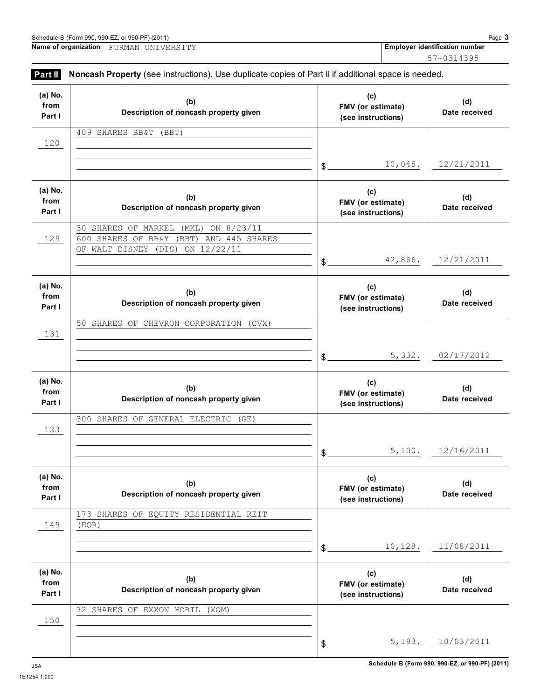5,193. 10/03/2011

 $\mathfrak{S}$ 

150

| Name of organization      | FURMAN UNIVERSITY                                                                                                                     |                                                      |         | <b>Employer identification number</b> |
|---------------------------|---------------------------------------------------------------------------------------------------------------------------------------|------------------------------------------------------|---------|---------------------------------------|
|                           |                                                                                                                                       |                                                      |         | 57-0314395                            |
| Part II                   | Noncash Property (see instructions). Use duplicate copies of Part II if additional space is needed.                                   |                                                      |         |                                       |
| (a) No.<br>from<br>Part I | (b)<br>Description of noncash property given                                                                                          | (c)<br>FMV (or estimate)<br>(see instructions)       |         | (d)<br>Date receive                   |
| 120                       | 409 SHARES BB&T<br>(BBT)                                                                                                              | $\mathcal{L}$                                        | 10,045. | 12/21/201                             |
| (a) No.<br>from<br>Part I | (b)<br>Description of noncash property given                                                                                          | (c)<br>FMV (or estimate)<br>(see instructions)       |         | (d)<br>Date receive                   |
| 129                       | ON 8/23/11<br>SHARES OF MARKEL<br>30<br>(MKL)<br>600 SHARES OF BB&Y<br>AND 445 SHARES<br>(BBT)<br>ON 12/22/11<br>OF WALT DISNEY (DIS) | $\mathcal{L}$                                        | 42,866. | 12/21/201                             |
| (a) No.<br>from<br>Part I | (b)<br>Description of noncash property given                                                                                          | (c)<br>FMV (or estimate)<br>(see instructions)       |         | (d)<br>Date receive                   |
| 131                       | 50 SHARES OF CHEVRON CORPORATION (CVX)                                                                                                | $\delta$                                             | 5,332.  | 02/17/201                             |
| (a) No.<br>from<br>Part I | (b)<br>Description of noncash property given                                                                                          | (c)<br>FMV (or estimate)<br>(see instructions)       |         | (d)<br>Date receive                   |
| 133                       | 300 SHARES OF GENERAL ELECTRIC<br>(GE)                                                                                                |                                                      |         |                                       |
|                           |                                                                                                                                       | \$.                                                  | 5,100.  | 12/16/201                             |
| (a) No.<br>from<br>Part I | (b)<br>Description of noncash property given                                                                                          | (c)<br>FMV (or estimate)<br>(see instructions)       |         | (d)<br>Date receive                   |
| 149                       | 173 SHARES OF EQUITY RESIDENTIAL REIT<br>(EQR)                                                                                        |                                                      | 10,128. | 11/08/201                             |
| (a) No.<br>from<br>Part I | (b)<br>Description of noncash property given                                                                                          | \$<br>(c)<br>FMV (or estimate)<br>(see instructions) |         | (d)<br>Date receive                   |
|                           | 72 SHARES OF EXXON MOBIL (XOM)                                                                                                        |                                                      |         |                                       |

**(d) Date received**

**(d) Date received**

10,045. 12/21/2011

**(d) Date received**

42,866. 12/21/2011

**(d) Date received**

5,332. 02/17/2012

**(d) Date received**

5,100. 12/16/2011

**(d) Date received**

10,128. 11/08/2011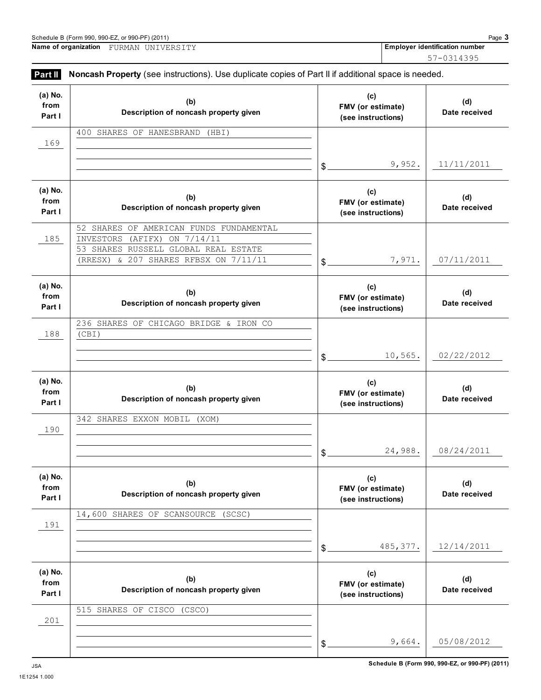Schedule B (Form 990, 990-EZ, or 990-PF) (2011)<br> **Name of organization** FURMAN UNIVERSITY **Page 3**<br> **Rame of organization** FURMAN UNIVERSITY **Name of organization Employer identification number** FURMAN UNIVERSITY

57-0314395

| Part II                   | Noncash Property (see instructions). Use duplicate copies of Part II if additional space is needed.                                                         |                                                |                      |
|---------------------------|-------------------------------------------------------------------------------------------------------------------------------------------------------------|------------------------------------------------|----------------------|
| (a) No.<br>from<br>Part I | (b)<br>Description of noncash property given                                                                                                                | (c)<br>FMV (or estimate)<br>(see instructions) | (d)<br>Date received |
| 169                       | 400 SHARES OF HANESBRAND<br>(HBI)                                                                                                                           |                                                |                      |
|                           |                                                                                                                                                             | 9,952.<br>$\mathbb{S}^-$                       | 11/11/2011           |
| (a) No.<br>from<br>Part I | (b)<br>Description of noncash property given                                                                                                                | (c)<br>FMV (or estimate)<br>(see instructions) | (d)<br>Date received |
| 185                       | 52 SHARES OF AMERICAN FUNDS FUNDAMENTAL<br>(AFIFX) ON 7/14/11<br>INVESTORS<br>53 SHARES RUSSELL GLOBAL REAL ESTATE<br>(RRESX) & 207 SHARES RFBSX ON 7/11/11 | 7,971.<br>$\delta$                             | 07/11/2011           |
| (a) No.<br>from<br>Part I | (b)<br>Description of noncash property given                                                                                                                | (c)<br>FMV (or estimate)<br>(see instructions) | (d)<br>Date received |
| 188                       | 236 SHARES OF CHICAGO BRIDGE & IRON CO<br>(CBI)                                                                                                             |                                                |                      |
|                           |                                                                                                                                                             | 10,565.<br>$\mathcal{S}_{-}$                   | 02/22/2012           |
| (a) No.<br>from<br>Part I | (b)<br>Description of noncash property given                                                                                                                | (c)<br>FMV (or estimate)<br>(see instructions) | (d)<br>Date received |
| 190                       | 342 SHARES EXXON MOBIL<br>(XOM)                                                                                                                             |                                                |                      |
|                           |                                                                                                                                                             | 24,988.<br>\$                                  | 08/24/2011           |
| (a) No.<br>from<br>Part I | (b)<br>Description of noncash property given                                                                                                                | (c)<br>FMV (or estimate)<br>(see instructions) | (d)<br>Date received |
| 191                       | 14,600 SHARES OF SCANSOURCE<br>(SCSC)                                                                                                                       |                                                |                      |
|                           |                                                                                                                                                             | 485, 377.<br>\$                                | 12/14/2011           |
| (a) No.<br>from<br>Part I | (b)<br>Description of noncash property given                                                                                                                | (c)<br>FMV (or estimate)<br>(see instructions) | (d)<br>Date received |
| 201                       | 515 SHARES OF CISCO<br>(CSCO)                                                                                                                               |                                                |                      |
|                           |                                                                                                                                                             | 9,664.<br>\$                                   | 05/08/2012           |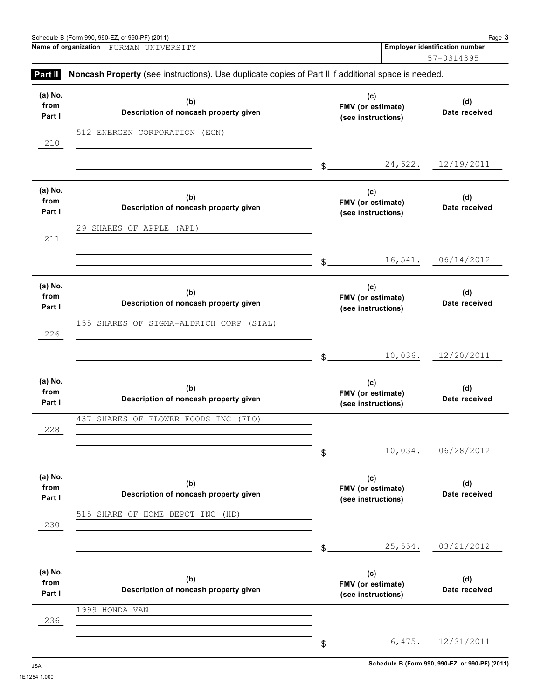6,475. 12/31/2011

\$

236

| (a) No.<br>from<br>Part I | (b)<br>Description of noncash property given |       | (c)<br>FMV (or estimate)<br>(see instructions) |             |
|---------------------------|----------------------------------------------|-------|------------------------------------------------|-------------|
| 210                       | 512 ENERGEN CORPORATION<br>(EGN)             |       |                                                |             |
|                           |                                              | \$    | 24,622.                                        | 1           |
| (a) No.<br>from<br>Part I | (b)<br>Description of noncash property given |       | (c)<br>FMV (or estimate)<br>(see instructions) |             |
| 211                       | 29 SHARES OF APPLE<br>(APL)                  |       |                                                |             |
|                           |                                              | \$    | 16,541.                                        | 0           |
| (a) No.<br>from<br>Part I | (b)<br>Description of noncash property given |       | (c)<br>FMV (or estimate)<br>(see instructions) |             |
| 226                       | 155 SHARES OF SIGMA-ALDRICH CORP<br>(SIAL)   |       |                                                |             |
|                           |                                              | \$    | 10,036.                                        | 1           |
| (a) No.<br>from<br>Part I | (b)<br>Description of noncash property given |       | (c)<br>FMV (or estimate)<br>(see instructions) |             |
| 228                       | 437<br>SHARES OF FLOWER FOODS INC<br>(FLO)   |       |                                                |             |
|                           |                                              | \$    | 10,034.                                        | 0           |
| (a) No.<br>from<br>Part I | (b)<br>Description of noncash property given |       | (c)<br>FMV (or estimate)<br>(see instructions) |             |
| 230                       | 515 SHARE OF HOME DEPOT INC<br>(HD)          |       |                                                |             |
|                           |                                              | $$$ . | 25,554.                                        | $\mathbf 0$ |
| (a) No.<br>from           | (b)<br>Description of noncash property given |       | (c)<br>FMV (or estimate)                       |             |
| Part I                    |                                              |       | (see instructions)                             |             |

57-0314395

**(d) Date received**

**(d) Date received**

24,622. 12/19/2011

**(d) Date received**

06/14/2012

**(d) Date received**

10,036. 12/20/2011

**(d) Date received**

06/28/2012

**(d) Date received**

25,554. 03/21/2012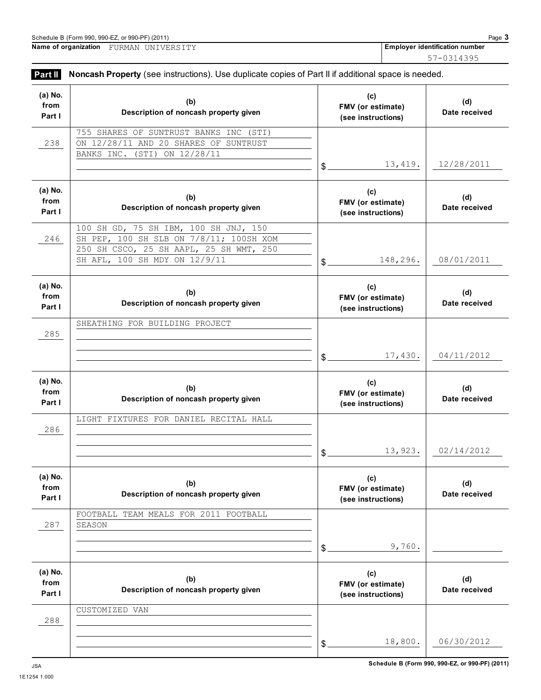|                           | Schedule B (Form 990, 990-EZ, or 990-PF) (2011)                                                     |                                                       | Page 3                                |  |
|---------------------------|-----------------------------------------------------------------------------------------------------|-------------------------------------------------------|---------------------------------------|--|
|                           | Name of organization FURMAN UNIVERSITY                                                              |                                                       | <b>Employer identification number</b> |  |
|                           |                                                                                                     |                                                       | 57-0314395                            |  |
| Part II                   | Noncash Property (see instructions). Use duplicate copies of Part II if additional space is needed. |                                                       |                                       |  |
| (a) No.<br>from<br>Part I | (b)<br>Description of noncash property given                                                        | (c)<br><b>FMV</b> (or estimate)<br>(see instructions) | (d)<br>Date received                  |  |
|                           | 755 SHARES OF SUNTRUST BANKS INC (STI)                                                              |                                                       |                                       |  |
| 238                       | on 12/28/11 and 20 shares of suntrust                                                               |                                                       |                                       |  |

|         | 755 SHARES OF SUNTRUST BANKS INC<br>(STI) |               |                    |               |
|---------|-------------------------------------------|---------------|--------------------|---------------|
| 238     | ON 12/28/11 AND 20 SHARES OF SUNTRUST     |               |                    |               |
|         | ON 12/28/11<br>BANKS INC.<br>(STI)        |               |                    |               |
|         |                                           |               |                    |               |
|         |                                           | \$            | 13,419.            | 12/28/2011    |
|         |                                           |               |                    |               |
| (a) No. |                                           |               | (c)                |               |
| from    | (b)                                       |               |                    | (d)           |
|         | Description of noncash property given     |               | FMV (or estimate)  | Date received |
| Part I  |                                           |               | (see instructions) |               |
|         | 100 SH GD, 75 SH IBM, 100 SH JNJ, 150     |               |                    |               |
| 246     | SH PEP, 100 SH SLB ON 7/8/11; 100SH XOM   |               |                    |               |
|         |                                           |               |                    |               |
|         | 250 SH CSCO, 25 SH AAPL, 25 SH WMT, 250   |               |                    |               |
|         | SH AFL, 100 SH MDY ON 12/9/11             | \$            | 148,296.           | 08/01/2011    |
|         |                                           |               |                    |               |
|         |                                           |               |                    |               |
| (a) No. | (b)                                       |               | (c)                | (d)           |
| from    |                                           |               | FMV (or estimate)  |               |
| Part I  | Description of noncash property given     |               | (see instructions) | Date received |
|         |                                           |               |                    |               |
|         | SHEATHING FOR BUILDING PROJECT            |               |                    |               |
| 285     |                                           |               |                    |               |
|         |                                           |               |                    |               |
|         |                                           | $$^{\circ}$   | 17,430.            | 04/11/2012    |
|         |                                           |               |                    |               |
|         |                                           |               |                    |               |
| (a) No. | (b)                                       |               | (c)                | (d)           |
| from    |                                           |               |                    |               |
|         |                                           |               | FMV (or estimate)  |               |
| Part I  | Description of noncash property given     |               | (see instructions) | Date received |
|         |                                           |               |                    |               |
|         | LIGHT FIXTURES FOR DANIEL RECITAL HALL    |               |                    |               |
| 286     |                                           |               |                    |               |
|         |                                           |               |                    |               |
|         |                                           |               | 13,923.            | 02/14/2012    |
|         |                                           | $\mathsf S$ . |                    |               |
|         |                                           |               |                    |               |
| (a) No. |                                           |               | (c)                |               |
| from    | (b)                                       |               | FMV (or estimate)  | (d)           |
| Part I  | Description of noncash property given     |               | (see instructions) | Date received |
|         |                                           |               |                    |               |
|         | FOOTBALL TEAM MEALS FOR 2011 FOOTBALL     |               |                    |               |
| 287     | SEASON                                    |               |                    |               |
|         |                                           |               |                    |               |
|         |                                           |               | 9,760.             |               |
|         |                                           | \$            |                    |               |
|         |                                           |               |                    |               |
| (a) No. |                                           |               | (c)                |               |
| from    | (b)                                       |               | FMV (or estimate)  | (d)           |
| Part I  | Description of noncash property given     |               |                    | Date received |
|         |                                           |               | (see instructions) |               |
|         | CUSTOMIZED VAN                            |               |                    |               |
| 288     |                                           |               |                    |               |
|         |                                           |               |                    |               |
|         |                                           | \$            | 18,800.            | 06/30/2012    |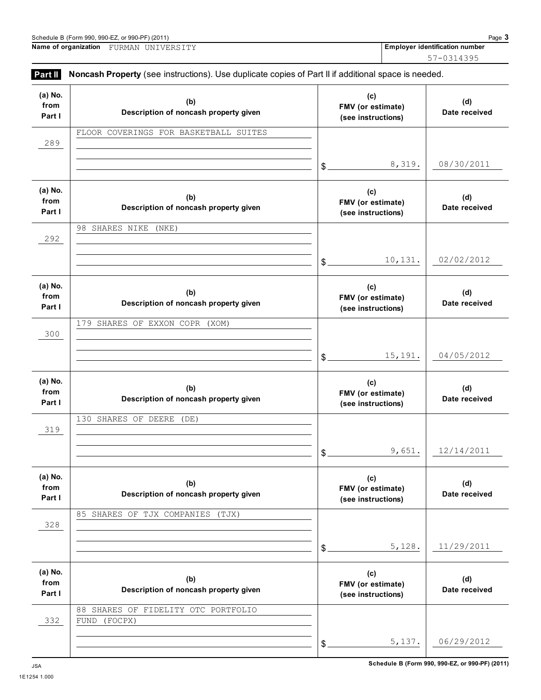**Name of organization Employer identification number** FURMAN UNIVERSITY 57-0314395

| (a) No.<br>from<br>Part I | (b)<br>Description of noncash property given           |                | (c)<br>FMV (or estimate)                       | (d)<br>Date received |
|---------------------------|--------------------------------------------------------|----------------|------------------------------------------------|----------------------|
| 289                       | FLOOR COVERINGS FOR BASKETBALL SUITES                  |                | (see instructions)                             |                      |
|                           |                                                        | $$^{\circ}$    | 8,319.                                         | 08/30/2011           |
| (a) No.<br>from<br>Part I | (b)<br>Description of noncash property given           |                | (c)<br>FMV (or estimate)<br>(see instructions) | (d)<br>Date received |
| 292                       | 98 SHARES NIKE<br>(NKE)                                |                |                                                |                      |
|                           |                                                        | \$.            | 10,131.                                        | 02/02/2012           |
| (a) No.<br>from<br>Part I | (b)<br>Description of noncash property given           |                | (c)<br>FMV (or estimate)<br>(see instructions) | (d)<br>Date received |
| $300$                     | 179 SHARES OF EXXON COPR (XOM)                         |                |                                                |                      |
|                           |                                                        | $\mathfrak{S}$ | 15,191.                                        | 04/05/2012           |
| (a) No.<br>from<br>Part I | (b)<br>Description of noncash property given           |                | (c)<br>FMV (or estimate)<br>(see instructions) | (d)<br>Date received |
| 319                       | 130 SHARES OF DEERE<br>(DE)                            |                |                                                |                      |
|                           |                                                        | \$             | 9,651.                                         | 12/14/2011           |
| (a) No.<br>from<br>Part I | (b)<br>Description of noncash property given           |                | (c)<br>FMV (or estimate)<br>(see instructions) | (d)<br>Date received |
| 328                       | 85 SHARES OF TJX COMPANIES<br>(TJX)                    |                |                                                |                      |
|                           |                                                        | \$             | 5,128.                                         | 11/29/2011           |
| (a) No.<br>from<br>Part I | (b)<br>Description of noncash property given           |                | (c)<br>FMV (or estimate)<br>(see instructions) | (d)<br>Date received |
| 332                       | SHARES OF FIDELITY OTC PORTFOLIO<br>88<br>FUND (FOCPX) |                |                                                |                      |
|                           |                                                        | \$             | 5,137.                                         | 06/29/2012           |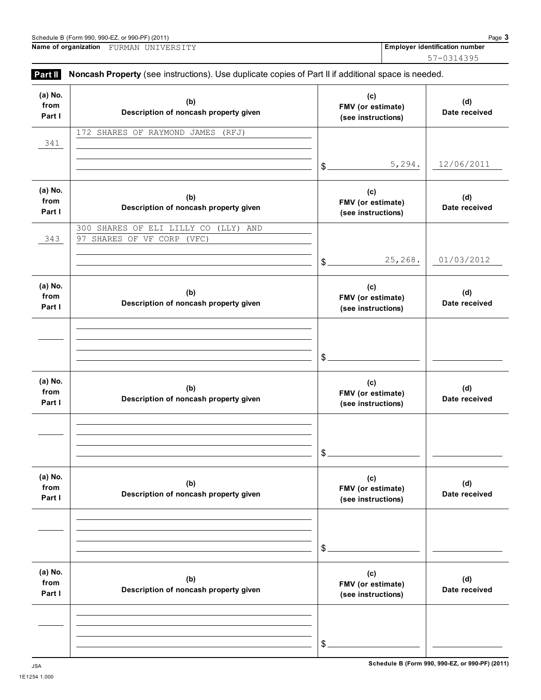| Name of organization      | FURMAN UNIVERSITY                                                                                   | <b>Employer identifical</b>                           | $57 -$ |
|---------------------------|-----------------------------------------------------------------------------------------------------|-------------------------------------------------------|--------|
| Part II                   | Noncash Property (see instructions). Use duplicate copies of Part II if additional space is needed. |                                                       |        |
| (a) No.<br>from<br>Part I | (b)<br>Description of noncash property given                                                        | (c)<br><b>FMV</b> (or estimate)<br>(see instructions) |        |
| 341                       | 172 SHARES OF RAYMOND<br>JAMES<br>(RFJ)                                                             |                                                       |        |
|                           |                                                                                                     | 5,294.<br>\$                                          |        |
| (a) No.<br>from<br>Part I | (b)<br>Description of noncash property given                                                        | (c)<br><b>FMV</b> (or estimate)<br>(see instructions) |        |
|                           | 300 CHAPFS OF FIT ITIIV CO (IIV)<br>AND                                                             |                                                       |        |

|                           |                                                                    | 5,294.<br>$\frac{1}{2}$                        | 12/06/2011           |
|---------------------------|--------------------------------------------------------------------|------------------------------------------------|----------------------|
| (a) No.<br>from<br>Part I | (b)<br>Description of noncash property given                       | (c)<br>FMV (or estimate)<br>(see instructions) | (d)<br>Date received |
| 343                       | 300 SHARES OF ELI LILLY CO (LLY) AND<br>97 SHARES OF VF CORP (VFC) |                                                |                      |
|                           |                                                                    | 25,268.<br>$\frac{1}{2}$                       | 01/03/2012           |
| (a) No.<br>from<br>Part I | (b)<br>Description of noncash property given                       | (c)<br>FMV (or estimate)<br>(see instructions) | (d)<br>Date received |
|                           |                                                                    |                                                |                      |
|                           |                                                                    | $\frac{1}{2}$                                  |                      |
| (a) No.<br>from<br>Part I | (b)<br>Description of noncash property given                       | (c)<br>FMV (or estimate)<br>(see instructions) | (d)<br>Date received |
|                           |                                                                    |                                                |                      |
|                           |                                                                    | $\frac{1}{2}$                                  |                      |
| (a) No.<br>from<br>Part I | (b)<br>Description of noncash property given                       | (c)<br>FMV (or estimate)<br>(see instructions) | (d)<br>Date received |
|                           |                                                                    |                                                |                      |
|                           |                                                                    | \$                                             |                      |
| (a) No.<br>from<br>Part I | (b)<br>Description of noncash property given                       | (c)<br>FMV (or estimate)<br>(see instructions) | (d)<br>Date received |
|                           |                                                                    |                                                |                      |
|                           |                                                                    | \$                                             |                      |

## FURMAN UNIVERSITY

57-0314395

**(d) Date received**

**Employer identification number**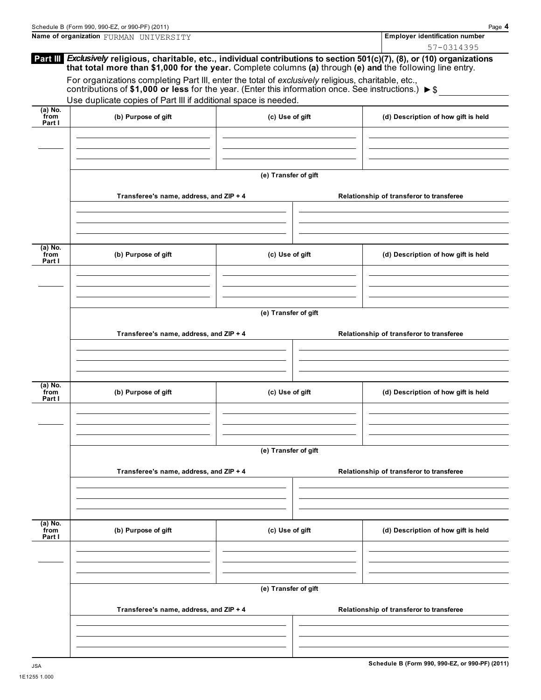|                             | Schedule B (Form 990, 990-EZ, or 990-PF) (2011)                                                                                                                                                                                          |                      | Page 4                                   |
|-----------------------------|------------------------------------------------------------------------------------------------------------------------------------------------------------------------------------------------------------------------------------------|----------------------|------------------------------------------|
|                             | Name of organization FURMAN UNIVERSITY                                                                                                                                                                                                   |                      | <b>Employer identification number</b>    |
|                             | Part III Exclusively religious, charitable, etc., individual contributions to section 501(c)(7), (8), or (10) organizations<br>that total more than \$1,000 for the year. Complete columns (a) through (e) and the following line entry. |                      | 57-0314395                               |
|                             | For organizations completing Part III, enter the total of exclusively religious, charitable, etc.,<br>contributions of \$1,000 or less for the year. (Enter this information once. See instructions.) $\triangleright$ \$                |                      |                                          |
|                             | Use duplicate copies of Part III if additional space is needed.                                                                                                                                                                          |                      |                                          |
| $(a)$ No.<br>from<br>Part I | (b) Purpose of gift                                                                                                                                                                                                                      | (c) Use of gift      | (d) Description of how gift is held      |
|                             |                                                                                                                                                                                                                                          |                      |                                          |
|                             |                                                                                                                                                                                                                                          | (e) Transfer of gift |                                          |
|                             | Transferee's name, address, and ZIP + 4                                                                                                                                                                                                  |                      | Relationship of transferor to transferee |
|                             |                                                                                                                                                                                                                                          |                      |                                          |
| $(a)$ No.<br>from<br>Part I | (b) Purpose of gift                                                                                                                                                                                                                      | (c) Use of gift      | (d) Description of how gift is held      |
|                             |                                                                                                                                                                                                                                          |                      |                                          |
|                             |                                                                                                                                                                                                                                          | (e) Transfer of gift |                                          |
|                             | Transferee's name, address, and ZIP + 4                                                                                                                                                                                                  |                      | Relationship of transferor to transferee |
|                             |                                                                                                                                                                                                                                          |                      |                                          |
| $(a)$ No.                   |                                                                                                                                                                                                                                          |                      |                                          |
| from<br>Part I              | (b) Purpose of gift                                                                                                                                                                                                                      | (c) Use of gift      | (d) Description of how gift is held      |
|                             |                                                                                                                                                                                                                                          |                      |                                          |
|                             |                                                                                                                                                                                                                                          | (e) Transfer of gift |                                          |
|                             | Transferee's name, address, and ZIP + 4                                                                                                                                                                                                  |                      | Relationship of transferor to transferee |
|                             |                                                                                                                                                                                                                                          |                      |                                          |
| $(a)$ No.<br>from<br>Part I | (b) Purpose of gift                                                                                                                                                                                                                      | (c) Use of gift      | (d) Description of how gift is held      |
|                             |                                                                                                                                                                                                                                          |                      |                                          |
|                             |                                                                                                                                                                                                                                          | (e) Transfer of gift |                                          |
|                             | Transferee's name, address, and ZIP + 4                                                                                                                                                                                                  |                      | Relationship of transferor to transferee |
|                             |                                                                                                                                                                                                                                          |                      |                                          |
|                             |                                                                                                                                                                                                                                          |                      |                                          |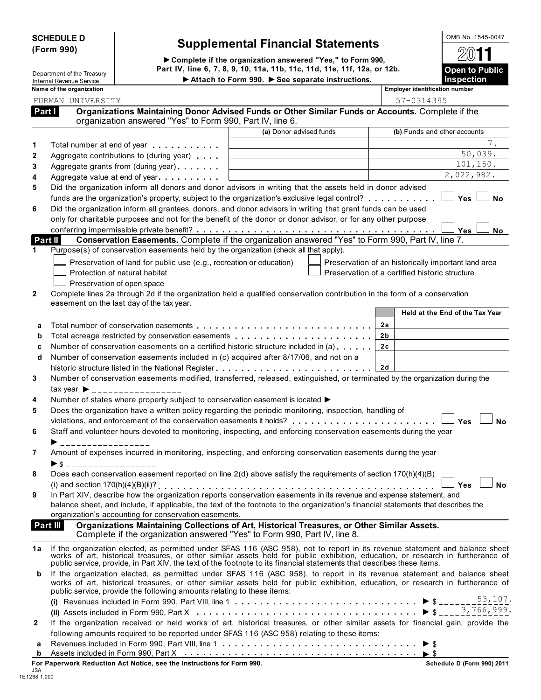| <b>SCHEDULE D</b> |  |
|-------------------|--|
| (Form 990)        |  |

## **Supplemental Financial Statements Form 800 and 70 and 900 and 900 and 900 and 900 and 900 and 900 and 900 and 900 and 900 and 900 and 900 and 900 and 900 and 900 and 900 and 900 and 900 and 900 and 900 and 900 and 900 a**

**Complete if the organization answered "Yes," to Form 990, Part IV, line 6, 7, 8, 9, 10, 11a, 11b, 11c, 11d, 11e, 11f, 12a, or 12b. Open to Public** Department of the Treasury

| <b>Open to Public</b><br><b>Inspection</b> |
|--------------------------------------------|
| 2011                                       |
| OMB NO. 1545-0047                          |

|              | Department of the Treasury<br>Internal Revenue Service |                                                                        | Attach to Form 990. See separate instructions.                                                                                                                                                                                                               | Open to Fublic<br><b>Inspection</b>                 |
|--------------|--------------------------------------------------------|------------------------------------------------------------------------|--------------------------------------------------------------------------------------------------------------------------------------------------------------------------------------------------------------------------------------------------------------|-----------------------------------------------------|
|              | Name of the organization                               |                                                                        |                                                                                                                                                                                                                                                              | <b>Employer identification number</b>               |
|              | FURMAN UNIVERSITY                                      |                                                                        |                                                                                                                                                                                                                                                              | 57-0314395                                          |
|              | Part I                                                 |                                                                        | Organizations Maintaining Donor Advised Funds or Other Similar Funds or Accounts. Complete if the                                                                                                                                                            |                                                     |
|              |                                                        | organization answered "Yes" to Form 990, Part IV, line 6.              |                                                                                                                                                                                                                                                              |                                                     |
|              |                                                        |                                                                        | (a) Donor advised funds                                                                                                                                                                                                                                      | (b) Funds and other accounts                        |
| 1            |                                                        | Total number at end of year example.                                   |                                                                                                                                                                                                                                                              | $7$ .                                               |
| $\mathbf{2}$ |                                                        | Aggregate contributions to (during year)                               |                                                                                                                                                                                                                                                              | 50,039.                                             |
| 3            |                                                        | Aggregate grants from (during year)                                    |                                                                                                                                                                                                                                                              | 101,150.                                            |
| 4            |                                                        | Aggregate value at end of year expression and Aggregate value          |                                                                                                                                                                                                                                                              | 2,022,982.                                          |
| 5            |                                                        |                                                                        | Did the organization inform all donors and donor advisors in writing that the assets held in donor advised                                                                                                                                                   |                                                     |
|              |                                                        |                                                                        | funds are the organization's property, subject to the organization's exclusive legal control?                                                                                                                                                                | Yes<br><b>No</b>                                    |
| 6            |                                                        |                                                                        | Did the organization inform all grantees, donors, and donor advisors in writing that grant funds can be used                                                                                                                                                 |                                                     |
|              |                                                        |                                                                        | only for charitable purposes and not for the benefit of the donor or donor advisor, or for any other purpose                                                                                                                                                 |                                                     |
|              |                                                        |                                                                        | <b>The Conferring impermissible private benefit?</b><br><b>The Conservation Easements.</b> Complete if the organization answered "Yes" to Form 990, Part IV, line 7.                                                                                         | Yes<br>No                                           |
|              | Part II                                                |                                                                        |                                                                                                                                                                                                                                                              |                                                     |
| 1            |                                                        |                                                                        | Purpose(s) of conservation easements held by the organization (check all that apply).                                                                                                                                                                        |                                                     |
|              |                                                        | Preservation of land for public use (e.g., recreation or education)    |                                                                                                                                                                                                                                                              | Preservation of an historically important land area |
|              |                                                        | Protection of natural habitat                                          |                                                                                                                                                                                                                                                              | Preservation of a certified historic structure      |
|              |                                                        | Preservation of open space                                             |                                                                                                                                                                                                                                                              |                                                     |
| $\mathbf{2}$ |                                                        |                                                                        | Complete lines 2a through 2d if the organization held a qualified conservation contribution in the form of a conservation                                                                                                                                    |                                                     |
|              |                                                        | easement on the last day of the tax year.                              |                                                                                                                                                                                                                                                              |                                                     |
|              |                                                        |                                                                        |                                                                                                                                                                                                                                                              | Held at the End of the Tax Year                     |
| a            |                                                        |                                                                        |                                                                                                                                                                                                                                                              | 2a                                                  |
| b            |                                                        |                                                                        | Total acreage restricted by conservation easements                                                                                                                                                                                                           | 2b                                                  |
| C            |                                                        |                                                                        | Number of conservation easements on a certified historic structure included in (a)                                                                                                                                                                           | 2c                                                  |
| d            |                                                        |                                                                        | Number of conservation easements included in (c) acquired after 8/17/06, and not on a                                                                                                                                                                        |                                                     |
|              |                                                        |                                                                        | historic structure listed in the National Register                                                                                                                                                                                                           | 2d                                                  |
| 3            |                                                        |                                                                        | Number of conservation easements modified, transferred, released, extinguished, or terminated by the organization during the                                                                                                                                 |                                                     |
|              |                                                        | $\text{tax year}$ $\rightarrow$ _________________                      |                                                                                                                                                                                                                                                              |                                                     |
| 4            |                                                        |                                                                        | Number of states where property subject to conservation easement is located $\blacktriangleright$ ________________                                                                                                                                           |                                                     |
| 5            |                                                        |                                                                        | Does the organization have a written policy regarding the periodic monitoring, inspection, handling of                                                                                                                                                       |                                                     |
|              |                                                        |                                                                        | violations, and enforcement of the conservation easements it holds?                                                                                                                                                                                          | Yes<br><b>No</b>                                    |
| 6            |                                                        |                                                                        | Staff and volunteer hours devoted to monitoring, inspecting, and enforcing conservation easements during the year                                                                                                                                            |                                                     |
|              | _________________                                      |                                                                        |                                                                                                                                                                                                                                                              |                                                     |
| 7            |                                                        |                                                                        | Amount of expenses incurred in monitoring, inspecting, and enforcing conservation easements during the year                                                                                                                                                  |                                                     |
|              | ►\$                                                    | ____________________                                                   |                                                                                                                                                                                                                                                              |                                                     |
| 8            |                                                        |                                                                        | Does each conservation easement reported on line 2(d) above satisfy the requirements of section 170(h)(4)(B)                                                                                                                                                 |                                                     |
|              |                                                        |                                                                        | In Part XIV, describe how the organization reports conservation easements in its revenue and expense statement, and                                                                                                                                          | <b>No</b><br>Yes                                    |
| 9            |                                                        |                                                                        | balance sheet, and include, if applicable, the text of the footnote to the organization's financial statements that describes the                                                                                                                            |                                                     |
|              |                                                        | organization's accounting for conservation easements.                  |                                                                                                                                                                                                                                                              |                                                     |
|              | Part III                                               |                                                                        | Organizations Maintaining Collections of Art, Historical Treasures, or Other Similar Assets.                                                                                                                                                                 |                                                     |
|              |                                                        |                                                                        | Complete if the organization answered "Yes" to Form 990, Part IV, line 8.                                                                                                                                                                                    |                                                     |
| 1а           |                                                        |                                                                        |                                                                                                                                                                                                                                                              |                                                     |
|              |                                                        |                                                                        | If the organization elected, as permitted under SFAS 116 (ASC 958), not to report in its revenue statement and balance sheet works of art, historical treasures, or other similar assets held for public exhibition, education                               |                                                     |
|              |                                                        |                                                                        | public service, provide, in Part XIV, the text of the footnote to its financial statements that describes these items.                                                                                                                                       |                                                     |
| b            |                                                        |                                                                        | If the organization elected, as permitted under SFAS 116 (ASC 958), to report in its revenue statement and balance sheet<br>works of art, historical treasures, or other similar assets held for public exhibition, education, or research in furtherance of |                                                     |
|              |                                                        | public service, provide the following amounts relating to these items: |                                                                                                                                                                                                                                                              |                                                     |
|              |                                                        |                                                                        |                                                                                                                                                                                                                                                              |                                                     |
|              |                                                        |                                                                        |                                                                                                                                                                                                                                                              |                                                     |
| 2            |                                                        |                                                                        | If the organization received or held works of art, historical treasures, or other similar assets for financial gain, provide the                                                                                                                             |                                                     |
|              |                                                        |                                                                        | following amounts required to be reported under SFAS 116 (ASC 958) relating to these items:                                                                                                                                                                  |                                                     |
| а            |                                                        |                                                                        |                                                                                                                                                                                                                                                              |                                                     |
| b            |                                                        |                                                                        |                                                                                                                                                                                                                                                              |                                                     |
|              |                                                        |                                                                        |                                                                                                                                                                                                                                                              |                                                     |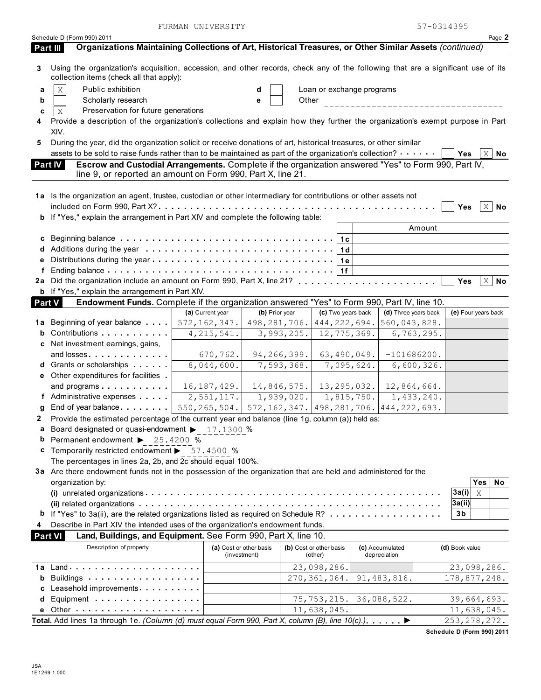FURMAN UNIVERSITY 57-0314395

| Organizations Maintaining Collections of Art, Historical Treasures, or Other Similar Assets (continued)<br>Part III<br>Using the organization's acquisition, accession, and other records, check any of the following that are a significant use of its<br>3<br>collection items (check all that apply):<br>$\rm X$<br>Public exhibition<br>Loan or exchange programs<br>d<br>a<br>Scholarly research<br>Other<br>b<br>е<br>___________________________<br>Preservation for future generations<br>Χ<br>c<br>Provide a description of the organization's collections and explain how they further the organization's exempt purpose in Part<br>XIV.<br>During the year, did the organization solicit or receive donations of art, historical treasures, or other similar<br>5<br>assets to be sold to raise funds rather than to be maintained as part of the organization's collection? $\cdots$<br>$\mathbf{X}$<br>Yes<br>No<br>Escrow and Custodial Arrangements. Complete if the organization answered "Yes" to Form 990, Part IV,<br><b>Part IV</b><br>line 9, or reported an amount on Form 990, Part X, line 21.<br>1a Is the organization an agent, trustee, custodian or other intermediary for contributions or other assets not<br>$X \mid No$<br>Yes<br>b If "Yes," explain the arrangement in Part XIV and complete the following table:<br>Amount<br>1c<br>1 <sub>d</sub><br>1e<br>е<br>1f<br>f<br>$X \mid N$ o<br>Yes<br><b>b</b> If "Yes," explain the arrangement in Part XIV.<br>Endowment Funds. Complete if the organization answered "Yes" to Form 990, Part IV, line 10.<br><b>Part V</b><br>(d) Three years back<br>(a) Current year<br>(b) Prior year<br>(c) Two years back<br>(e) Four years back<br>498,281,706.<br>444,222,694.<br>572, 162, 347.<br>560,043,828.<br>Beginning of year balance<br>1a<br>b Contributions<br>12, 775, 369.<br>6, 763, 295.<br>4, 215, 541.<br>3,993,205.<br>c Net investment earnings, gains,<br>and losses<br>94,266,399.<br>670,762.<br>63,490,049.<br>$-101686200.$<br>8,044,600.<br>7,593,368.<br>7,095,624.<br>6,600,326.<br>d Grants or scholarships<br>e Other expenditures for facilities.<br>and programs<br>16, 187, 429.<br>12,864,664.<br>$14,846,575.$ 13,295,032.<br>2,551,117.<br>$1,939,020.$ $1,815,750.$<br>$\overline{1,433,240}$ .<br>f Administrative expenses<br>550, 265, 504. 572, 162, 347. 498, 281, 706. 444, 222, 693.<br>g End of year balance<br>Provide the estimated percentage of the current year end balance (line 1g, column (a)) held as:<br>2<br>Board designated or quasi-endowment > 17.1300 %<br>Permanent endowment > 25.4200 %<br>b<br><b>c</b> Temporarily restricted endowment ▶ 57.4500 %<br>The percentages in lines 2a, 2b, and 2c should equal 100%.<br>3a Are there endowment funds not in the possession of the organization that are held and administered for the<br>organization by:<br><b>Yes</b><br>No<br>3a(i)<br>Χ<br>3a(ii)<br><b>b</b> If "Yes" to 3a(ii), are the related organizations listed as required on Schedule R?<br>3b<br>Describe in Part XIV the intended uses of the organization's endowment funds.<br>4<br><b>Part VI</b><br>Land, Buildings, and Equipment. See Form 990, Part X, line 10.<br>Description of property<br>(a) Cost or other basis<br>(b) Cost or other basis<br>(c) Accumulated<br>(d) Book value<br>(investment)<br>depreciation<br>(other)<br>23,098,286.<br>23,098,286.<br>Buildings<br>270, 361, 064.<br>178,877,248.<br>91, 483, 816.<br>b<br>c Leasehold improvements<br>75, 753, 215.<br>39,664,693.<br>Equipment<br>36,088,522.<br>d<br>11,638,045.<br>11,638,045.<br>Other $\cdots$ , $\cdots$ , $\cdots$ , $\cdots$ , $\cdots$ , $\cdots$ , $\cdots$<br>е<br>Total. Add lines 1a through 1e. (Column (d) must equal Form 990, Part X, column (B), line 10(c).). ▶<br>253, 278, 272. | Schedule D (Form 990) 2011 |  |  |  |  |  | Page 2 |
|--------------------------------------------------------------------------------------------------------------------------------------------------------------------------------------------------------------------------------------------------------------------------------------------------------------------------------------------------------------------------------------------------------------------------------------------------------------------------------------------------------------------------------------------------------------------------------------------------------------------------------------------------------------------------------------------------------------------------------------------------------------------------------------------------------------------------------------------------------------------------------------------------------------------------------------------------------------------------------------------------------------------------------------------------------------------------------------------------------------------------------------------------------------------------------------------------------------------------------------------------------------------------------------------------------------------------------------------------------------------------------------------------------------------------------------------------------------------------------------------------------------------------------------------------------------------------------------------------------------------------------------------------------------------------------------------------------------------------------------------------------------------------------------------------------------------------------------------------------------------------------------------------------------------------------------------------------------------------------------------------------------------------------------------------------------------------------------------------------------------------------------------------------------------------------------------------------------------------------------------------------------------------------------------------------------------------------------------------------------------------------------------------------------------------------------------------------------------------------------------------------------------------------------------------------------------------------------------------------------------------------------------------------------------------------------------------------------------------------------------------------------------------------------------------------------------------------------------------------------------------------------------------------------------------------------------------------------------------------------------------------------------------------------------------------------------------------------------------------------------------------------------------------------------------------------------------------------------------------------------------------------------------------------------------------------------------------------------------------------------------------------------------------------------------------------------------------------------------------------------------------------------------------------------------------------------------------------------------------------------------------------------------------------------------------------------------------------------------------------------------------------------------------------------------------------------------------------------------|----------------------------|--|--|--|--|--|--------|
|                                                                                                                                                                                                                                                                                                                                                                                                                                                                                                                                                                                                                                                                                                                                                                                                                                                                                                                                                                                                                                                                                                                                                                                                                                                                                                                                                                                                                                                                                                                                                                                                                                                                                                                                                                                                                                                                                                                                                                                                                                                                                                                                                                                                                                                                                                                                                                                                                                                                                                                                                                                                                                                                                                                                                                                                                                                                                                                                                                                                                                                                                                                                                                                                                                                                                                                                                                                                                                                                                                                                                                                                                                                                                                                                                                                                                                                  |                            |  |  |  |  |  |        |
|                                                                                                                                                                                                                                                                                                                                                                                                                                                                                                                                                                                                                                                                                                                                                                                                                                                                                                                                                                                                                                                                                                                                                                                                                                                                                                                                                                                                                                                                                                                                                                                                                                                                                                                                                                                                                                                                                                                                                                                                                                                                                                                                                                                                                                                                                                                                                                                                                                                                                                                                                                                                                                                                                                                                                                                                                                                                                                                                                                                                                                                                                                                                                                                                                                                                                                                                                                                                                                                                                                                                                                                                                                                                                                                                                                                                                                                  |                            |  |  |  |  |  |        |
|                                                                                                                                                                                                                                                                                                                                                                                                                                                                                                                                                                                                                                                                                                                                                                                                                                                                                                                                                                                                                                                                                                                                                                                                                                                                                                                                                                                                                                                                                                                                                                                                                                                                                                                                                                                                                                                                                                                                                                                                                                                                                                                                                                                                                                                                                                                                                                                                                                                                                                                                                                                                                                                                                                                                                                                                                                                                                                                                                                                                                                                                                                                                                                                                                                                                                                                                                                                                                                                                                                                                                                                                                                                                                                                                                                                                                                                  |                            |  |  |  |  |  |        |
|                                                                                                                                                                                                                                                                                                                                                                                                                                                                                                                                                                                                                                                                                                                                                                                                                                                                                                                                                                                                                                                                                                                                                                                                                                                                                                                                                                                                                                                                                                                                                                                                                                                                                                                                                                                                                                                                                                                                                                                                                                                                                                                                                                                                                                                                                                                                                                                                                                                                                                                                                                                                                                                                                                                                                                                                                                                                                                                                                                                                                                                                                                                                                                                                                                                                                                                                                                                                                                                                                                                                                                                                                                                                                                                                                                                                                                                  |                            |  |  |  |  |  |        |
|                                                                                                                                                                                                                                                                                                                                                                                                                                                                                                                                                                                                                                                                                                                                                                                                                                                                                                                                                                                                                                                                                                                                                                                                                                                                                                                                                                                                                                                                                                                                                                                                                                                                                                                                                                                                                                                                                                                                                                                                                                                                                                                                                                                                                                                                                                                                                                                                                                                                                                                                                                                                                                                                                                                                                                                                                                                                                                                                                                                                                                                                                                                                                                                                                                                                                                                                                                                                                                                                                                                                                                                                                                                                                                                                                                                                                                                  |                            |  |  |  |  |  |        |
|                                                                                                                                                                                                                                                                                                                                                                                                                                                                                                                                                                                                                                                                                                                                                                                                                                                                                                                                                                                                                                                                                                                                                                                                                                                                                                                                                                                                                                                                                                                                                                                                                                                                                                                                                                                                                                                                                                                                                                                                                                                                                                                                                                                                                                                                                                                                                                                                                                                                                                                                                                                                                                                                                                                                                                                                                                                                                                                                                                                                                                                                                                                                                                                                                                                                                                                                                                                                                                                                                                                                                                                                                                                                                                                                                                                                                                                  |                            |  |  |  |  |  |        |
|                                                                                                                                                                                                                                                                                                                                                                                                                                                                                                                                                                                                                                                                                                                                                                                                                                                                                                                                                                                                                                                                                                                                                                                                                                                                                                                                                                                                                                                                                                                                                                                                                                                                                                                                                                                                                                                                                                                                                                                                                                                                                                                                                                                                                                                                                                                                                                                                                                                                                                                                                                                                                                                                                                                                                                                                                                                                                                                                                                                                                                                                                                                                                                                                                                                                                                                                                                                                                                                                                                                                                                                                                                                                                                                                                                                                                                                  |                            |  |  |  |  |  |        |
|                                                                                                                                                                                                                                                                                                                                                                                                                                                                                                                                                                                                                                                                                                                                                                                                                                                                                                                                                                                                                                                                                                                                                                                                                                                                                                                                                                                                                                                                                                                                                                                                                                                                                                                                                                                                                                                                                                                                                                                                                                                                                                                                                                                                                                                                                                                                                                                                                                                                                                                                                                                                                                                                                                                                                                                                                                                                                                                                                                                                                                                                                                                                                                                                                                                                                                                                                                                                                                                                                                                                                                                                                                                                                                                                                                                                                                                  |                            |  |  |  |  |  |        |
|                                                                                                                                                                                                                                                                                                                                                                                                                                                                                                                                                                                                                                                                                                                                                                                                                                                                                                                                                                                                                                                                                                                                                                                                                                                                                                                                                                                                                                                                                                                                                                                                                                                                                                                                                                                                                                                                                                                                                                                                                                                                                                                                                                                                                                                                                                                                                                                                                                                                                                                                                                                                                                                                                                                                                                                                                                                                                                                                                                                                                                                                                                                                                                                                                                                                                                                                                                                                                                                                                                                                                                                                                                                                                                                                                                                                                                                  |                            |  |  |  |  |  |        |
|                                                                                                                                                                                                                                                                                                                                                                                                                                                                                                                                                                                                                                                                                                                                                                                                                                                                                                                                                                                                                                                                                                                                                                                                                                                                                                                                                                                                                                                                                                                                                                                                                                                                                                                                                                                                                                                                                                                                                                                                                                                                                                                                                                                                                                                                                                                                                                                                                                                                                                                                                                                                                                                                                                                                                                                                                                                                                                                                                                                                                                                                                                                                                                                                                                                                                                                                                                                                                                                                                                                                                                                                                                                                                                                                                                                                                                                  |                            |  |  |  |  |  |        |
|                                                                                                                                                                                                                                                                                                                                                                                                                                                                                                                                                                                                                                                                                                                                                                                                                                                                                                                                                                                                                                                                                                                                                                                                                                                                                                                                                                                                                                                                                                                                                                                                                                                                                                                                                                                                                                                                                                                                                                                                                                                                                                                                                                                                                                                                                                                                                                                                                                                                                                                                                                                                                                                                                                                                                                                                                                                                                                                                                                                                                                                                                                                                                                                                                                                                                                                                                                                                                                                                                                                                                                                                                                                                                                                                                                                                                                                  |                            |  |  |  |  |  |        |
|                                                                                                                                                                                                                                                                                                                                                                                                                                                                                                                                                                                                                                                                                                                                                                                                                                                                                                                                                                                                                                                                                                                                                                                                                                                                                                                                                                                                                                                                                                                                                                                                                                                                                                                                                                                                                                                                                                                                                                                                                                                                                                                                                                                                                                                                                                                                                                                                                                                                                                                                                                                                                                                                                                                                                                                                                                                                                                                                                                                                                                                                                                                                                                                                                                                                                                                                                                                                                                                                                                                                                                                                                                                                                                                                                                                                                                                  |                            |  |  |  |  |  |        |
|                                                                                                                                                                                                                                                                                                                                                                                                                                                                                                                                                                                                                                                                                                                                                                                                                                                                                                                                                                                                                                                                                                                                                                                                                                                                                                                                                                                                                                                                                                                                                                                                                                                                                                                                                                                                                                                                                                                                                                                                                                                                                                                                                                                                                                                                                                                                                                                                                                                                                                                                                                                                                                                                                                                                                                                                                                                                                                                                                                                                                                                                                                                                                                                                                                                                                                                                                                                                                                                                                                                                                                                                                                                                                                                                                                                                                                                  |                            |  |  |  |  |  |        |
|                                                                                                                                                                                                                                                                                                                                                                                                                                                                                                                                                                                                                                                                                                                                                                                                                                                                                                                                                                                                                                                                                                                                                                                                                                                                                                                                                                                                                                                                                                                                                                                                                                                                                                                                                                                                                                                                                                                                                                                                                                                                                                                                                                                                                                                                                                                                                                                                                                                                                                                                                                                                                                                                                                                                                                                                                                                                                                                                                                                                                                                                                                                                                                                                                                                                                                                                                                                                                                                                                                                                                                                                                                                                                                                                                                                                                                                  |                            |  |  |  |  |  |        |
|                                                                                                                                                                                                                                                                                                                                                                                                                                                                                                                                                                                                                                                                                                                                                                                                                                                                                                                                                                                                                                                                                                                                                                                                                                                                                                                                                                                                                                                                                                                                                                                                                                                                                                                                                                                                                                                                                                                                                                                                                                                                                                                                                                                                                                                                                                                                                                                                                                                                                                                                                                                                                                                                                                                                                                                                                                                                                                                                                                                                                                                                                                                                                                                                                                                                                                                                                                                                                                                                                                                                                                                                                                                                                                                                                                                                                                                  |                            |  |  |  |  |  |        |
|                                                                                                                                                                                                                                                                                                                                                                                                                                                                                                                                                                                                                                                                                                                                                                                                                                                                                                                                                                                                                                                                                                                                                                                                                                                                                                                                                                                                                                                                                                                                                                                                                                                                                                                                                                                                                                                                                                                                                                                                                                                                                                                                                                                                                                                                                                                                                                                                                                                                                                                                                                                                                                                                                                                                                                                                                                                                                                                                                                                                                                                                                                                                                                                                                                                                                                                                                                                                                                                                                                                                                                                                                                                                                                                                                                                                                                                  |                            |  |  |  |  |  |        |
|                                                                                                                                                                                                                                                                                                                                                                                                                                                                                                                                                                                                                                                                                                                                                                                                                                                                                                                                                                                                                                                                                                                                                                                                                                                                                                                                                                                                                                                                                                                                                                                                                                                                                                                                                                                                                                                                                                                                                                                                                                                                                                                                                                                                                                                                                                                                                                                                                                                                                                                                                                                                                                                                                                                                                                                                                                                                                                                                                                                                                                                                                                                                                                                                                                                                                                                                                                                                                                                                                                                                                                                                                                                                                                                                                                                                                                                  |                            |  |  |  |  |  |        |
|                                                                                                                                                                                                                                                                                                                                                                                                                                                                                                                                                                                                                                                                                                                                                                                                                                                                                                                                                                                                                                                                                                                                                                                                                                                                                                                                                                                                                                                                                                                                                                                                                                                                                                                                                                                                                                                                                                                                                                                                                                                                                                                                                                                                                                                                                                                                                                                                                                                                                                                                                                                                                                                                                                                                                                                                                                                                                                                                                                                                                                                                                                                                                                                                                                                                                                                                                                                                                                                                                                                                                                                                                                                                                                                                                                                                                                                  |                            |  |  |  |  |  |        |
|                                                                                                                                                                                                                                                                                                                                                                                                                                                                                                                                                                                                                                                                                                                                                                                                                                                                                                                                                                                                                                                                                                                                                                                                                                                                                                                                                                                                                                                                                                                                                                                                                                                                                                                                                                                                                                                                                                                                                                                                                                                                                                                                                                                                                                                                                                                                                                                                                                                                                                                                                                                                                                                                                                                                                                                                                                                                                                                                                                                                                                                                                                                                                                                                                                                                                                                                                                                                                                                                                                                                                                                                                                                                                                                                                                                                                                                  |                            |  |  |  |  |  |        |
|                                                                                                                                                                                                                                                                                                                                                                                                                                                                                                                                                                                                                                                                                                                                                                                                                                                                                                                                                                                                                                                                                                                                                                                                                                                                                                                                                                                                                                                                                                                                                                                                                                                                                                                                                                                                                                                                                                                                                                                                                                                                                                                                                                                                                                                                                                                                                                                                                                                                                                                                                                                                                                                                                                                                                                                                                                                                                                                                                                                                                                                                                                                                                                                                                                                                                                                                                                                                                                                                                                                                                                                                                                                                                                                                                                                                                                                  |                            |  |  |  |  |  |        |
|                                                                                                                                                                                                                                                                                                                                                                                                                                                                                                                                                                                                                                                                                                                                                                                                                                                                                                                                                                                                                                                                                                                                                                                                                                                                                                                                                                                                                                                                                                                                                                                                                                                                                                                                                                                                                                                                                                                                                                                                                                                                                                                                                                                                                                                                                                                                                                                                                                                                                                                                                                                                                                                                                                                                                                                                                                                                                                                                                                                                                                                                                                                                                                                                                                                                                                                                                                                                                                                                                                                                                                                                                                                                                                                                                                                                                                                  |                            |  |  |  |  |  |        |
|                                                                                                                                                                                                                                                                                                                                                                                                                                                                                                                                                                                                                                                                                                                                                                                                                                                                                                                                                                                                                                                                                                                                                                                                                                                                                                                                                                                                                                                                                                                                                                                                                                                                                                                                                                                                                                                                                                                                                                                                                                                                                                                                                                                                                                                                                                                                                                                                                                                                                                                                                                                                                                                                                                                                                                                                                                                                                                                                                                                                                                                                                                                                                                                                                                                                                                                                                                                                                                                                                                                                                                                                                                                                                                                                                                                                                                                  |                            |  |  |  |  |  |        |
|                                                                                                                                                                                                                                                                                                                                                                                                                                                                                                                                                                                                                                                                                                                                                                                                                                                                                                                                                                                                                                                                                                                                                                                                                                                                                                                                                                                                                                                                                                                                                                                                                                                                                                                                                                                                                                                                                                                                                                                                                                                                                                                                                                                                                                                                                                                                                                                                                                                                                                                                                                                                                                                                                                                                                                                                                                                                                                                                                                                                                                                                                                                                                                                                                                                                                                                                                                                                                                                                                                                                                                                                                                                                                                                                                                                                                                                  |                            |  |  |  |  |  |        |
|                                                                                                                                                                                                                                                                                                                                                                                                                                                                                                                                                                                                                                                                                                                                                                                                                                                                                                                                                                                                                                                                                                                                                                                                                                                                                                                                                                                                                                                                                                                                                                                                                                                                                                                                                                                                                                                                                                                                                                                                                                                                                                                                                                                                                                                                                                                                                                                                                                                                                                                                                                                                                                                                                                                                                                                                                                                                                                                                                                                                                                                                                                                                                                                                                                                                                                                                                                                                                                                                                                                                                                                                                                                                                                                                                                                                                                                  |                            |  |  |  |  |  |        |
|                                                                                                                                                                                                                                                                                                                                                                                                                                                                                                                                                                                                                                                                                                                                                                                                                                                                                                                                                                                                                                                                                                                                                                                                                                                                                                                                                                                                                                                                                                                                                                                                                                                                                                                                                                                                                                                                                                                                                                                                                                                                                                                                                                                                                                                                                                                                                                                                                                                                                                                                                                                                                                                                                                                                                                                                                                                                                                                                                                                                                                                                                                                                                                                                                                                                                                                                                                                                                                                                                                                                                                                                                                                                                                                                                                                                                                                  |                            |  |  |  |  |  |        |
|                                                                                                                                                                                                                                                                                                                                                                                                                                                                                                                                                                                                                                                                                                                                                                                                                                                                                                                                                                                                                                                                                                                                                                                                                                                                                                                                                                                                                                                                                                                                                                                                                                                                                                                                                                                                                                                                                                                                                                                                                                                                                                                                                                                                                                                                                                                                                                                                                                                                                                                                                                                                                                                                                                                                                                                                                                                                                                                                                                                                                                                                                                                                                                                                                                                                                                                                                                                                                                                                                                                                                                                                                                                                                                                                                                                                                                                  |                            |  |  |  |  |  |        |
|                                                                                                                                                                                                                                                                                                                                                                                                                                                                                                                                                                                                                                                                                                                                                                                                                                                                                                                                                                                                                                                                                                                                                                                                                                                                                                                                                                                                                                                                                                                                                                                                                                                                                                                                                                                                                                                                                                                                                                                                                                                                                                                                                                                                                                                                                                                                                                                                                                                                                                                                                                                                                                                                                                                                                                                                                                                                                                                                                                                                                                                                                                                                                                                                                                                                                                                                                                                                                                                                                                                                                                                                                                                                                                                                                                                                                                                  |                            |  |  |  |  |  |        |
|                                                                                                                                                                                                                                                                                                                                                                                                                                                                                                                                                                                                                                                                                                                                                                                                                                                                                                                                                                                                                                                                                                                                                                                                                                                                                                                                                                                                                                                                                                                                                                                                                                                                                                                                                                                                                                                                                                                                                                                                                                                                                                                                                                                                                                                                                                                                                                                                                                                                                                                                                                                                                                                                                                                                                                                                                                                                                                                                                                                                                                                                                                                                                                                                                                                                                                                                                                                                                                                                                                                                                                                                                                                                                                                                                                                                                                                  |                            |  |  |  |  |  |        |
|                                                                                                                                                                                                                                                                                                                                                                                                                                                                                                                                                                                                                                                                                                                                                                                                                                                                                                                                                                                                                                                                                                                                                                                                                                                                                                                                                                                                                                                                                                                                                                                                                                                                                                                                                                                                                                                                                                                                                                                                                                                                                                                                                                                                                                                                                                                                                                                                                                                                                                                                                                                                                                                                                                                                                                                                                                                                                                                                                                                                                                                                                                                                                                                                                                                                                                                                                                                                                                                                                                                                                                                                                                                                                                                                                                                                                                                  |                            |  |  |  |  |  |        |
|                                                                                                                                                                                                                                                                                                                                                                                                                                                                                                                                                                                                                                                                                                                                                                                                                                                                                                                                                                                                                                                                                                                                                                                                                                                                                                                                                                                                                                                                                                                                                                                                                                                                                                                                                                                                                                                                                                                                                                                                                                                                                                                                                                                                                                                                                                                                                                                                                                                                                                                                                                                                                                                                                                                                                                                                                                                                                                                                                                                                                                                                                                                                                                                                                                                                                                                                                                                                                                                                                                                                                                                                                                                                                                                                                                                                                                                  |                            |  |  |  |  |  |        |
|                                                                                                                                                                                                                                                                                                                                                                                                                                                                                                                                                                                                                                                                                                                                                                                                                                                                                                                                                                                                                                                                                                                                                                                                                                                                                                                                                                                                                                                                                                                                                                                                                                                                                                                                                                                                                                                                                                                                                                                                                                                                                                                                                                                                                                                                                                                                                                                                                                                                                                                                                                                                                                                                                                                                                                                                                                                                                                                                                                                                                                                                                                                                                                                                                                                                                                                                                                                                                                                                                                                                                                                                                                                                                                                                                                                                                                                  |                            |  |  |  |  |  |        |
|                                                                                                                                                                                                                                                                                                                                                                                                                                                                                                                                                                                                                                                                                                                                                                                                                                                                                                                                                                                                                                                                                                                                                                                                                                                                                                                                                                                                                                                                                                                                                                                                                                                                                                                                                                                                                                                                                                                                                                                                                                                                                                                                                                                                                                                                                                                                                                                                                                                                                                                                                                                                                                                                                                                                                                                                                                                                                                                                                                                                                                                                                                                                                                                                                                                                                                                                                                                                                                                                                                                                                                                                                                                                                                                                                                                                                                                  |                            |  |  |  |  |  |        |
|                                                                                                                                                                                                                                                                                                                                                                                                                                                                                                                                                                                                                                                                                                                                                                                                                                                                                                                                                                                                                                                                                                                                                                                                                                                                                                                                                                                                                                                                                                                                                                                                                                                                                                                                                                                                                                                                                                                                                                                                                                                                                                                                                                                                                                                                                                                                                                                                                                                                                                                                                                                                                                                                                                                                                                                                                                                                                                                                                                                                                                                                                                                                                                                                                                                                                                                                                                                                                                                                                                                                                                                                                                                                                                                                                                                                                                                  |                            |  |  |  |  |  |        |
|                                                                                                                                                                                                                                                                                                                                                                                                                                                                                                                                                                                                                                                                                                                                                                                                                                                                                                                                                                                                                                                                                                                                                                                                                                                                                                                                                                                                                                                                                                                                                                                                                                                                                                                                                                                                                                                                                                                                                                                                                                                                                                                                                                                                                                                                                                                                                                                                                                                                                                                                                                                                                                                                                                                                                                                                                                                                                                                                                                                                                                                                                                                                                                                                                                                                                                                                                                                                                                                                                                                                                                                                                                                                                                                                                                                                                                                  |                            |  |  |  |  |  |        |
|                                                                                                                                                                                                                                                                                                                                                                                                                                                                                                                                                                                                                                                                                                                                                                                                                                                                                                                                                                                                                                                                                                                                                                                                                                                                                                                                                                                                                                                                                                                                                                                                                                                                                                                                                                                                                                                                                                                                                                                                                                                                                                                                                                                                                                                                                                                                                                                                                                                                                                                                                                                                                                                                                                                                                                                                                                                                                                                                                                                                                                                                                                                                                                                                                                                                                                                                                                                                                                                                                                                                                                                                                                                                                                                                                                                                                                                  |                            |  |  |  |  |  |        |
|                                                                                                                                                                                                                                                                                                                                                                                                                                                                                                                                                                                                                                                                                                                                                                                                                                                                                                                                                                                                                                                                                                                                                                                                                                                                                                                                                                                                                                                                                                                                                                                                                                                                                                                                                                                                                                                                                                                                                                                                                                                                                                                                                                                                                                                                                                                                                                                                                                                                                                                                                                                                                                                                                                                                                                                                                                                                                                                                                                                                                                                                                                                                                                                                                                                                                                                                                                                                                                                                                                                                                                                                                                                                                                                                                                                                                                                  |                            |  |  |  |  |  |        |
|                                                                                                                                                                                                                                                                                                                                                                                                                                                                                                                                                                                                                                                                                                                                                                                                                                                                                                                                                                                                                                                                                                                                                                                                                                                                                                                                                                                                                                                                                                                                                                                                                                                                                                                                                                                                                                                                                                                                                                                                                                                                                                                                                                                                                                                                                                                                                                                                                                                                                                                                                                                                                                                                                                                                                                                                                                                                                                                                                                                                                                                                                                                                                                                                                                                                                                                                                                                                                                                                                                                                                                                                                                                                                                                                                                                                                                                  |                            |  |  |  |  |  |        |
|                                                                                                                                                                                                                                                                                                                                                                                                                                                                                                                                                                                                                                                                                                                                                                                                                                                                                                                                                                                                                                                                                                                                                                                                                                                                                                                                                                                                                                                                                                                                                                                                                                                                                                                                                                                                                                                                                                                                                                                                                                                                                                                                                                                                                                                                                                                                                                                                                                                                                                                                                                                                                                                                                                                                                                                                                                                                                                                                                                                                                                                                                                                                                                                                                                                                                                                                                                                                                                                                                                                                                                                                                                                                                                                                                                                                                                                  |                            |  |  |  |  |  |        |
|                                                                                                                                                                                                                                                                                                                                                                                                                                                                                                                                                                                                                                                                                                                                                                                                                                                                                                                                                                                                                                                                                                                                                                                                                                                                                                                                                                                                                                                                                                                                                                                                                                                                                                                                                                                                                                                                                                                                                                                                                                                                                                                                                                                                                                                                                                                                                                                                                                                                                                                                                                                                                                                                                                                                                                                                                                                                                                                                                                                                                                                                                                                                                                                                                                                                                                                                                                                                                                                                                                                                                                                                                                                                                                                                                                                                                                                  |                            |  |  |  |  |  |        |
|                                                                                                                                                                                                                                                                                                                                                                                                                                                                                                                                                                                                                                                                                                                                                                                                                                                                                                                                                                                                                                                                                                                                                                                                                                                                                                                                                                                                                                                                                                                                                                                                                                                                                                                                                                                                                                                                                                                                                                                                                                                                                                                                                                                                                                                                                                                                                                                                                                                                                                                                                                                                                                                                                                                                                                                                                                                                                                                                                                                                                                                                                                                                                                                                                                                                                                                                                                                                                                                                                                                                                                                                                                                                                                                                                                                                                                                  |                            |  |  |  |  |  |        |
|                                                                                                                                                                                                                                                                                                                                                                                                                                                                                                                                                                                                                                                                                                                                                                                                                                                                                                                                                                                                                                                                                                                                                                                                                                                                                                                                                                                                                                                                                                                                                                                                                                                                                                                                                                                                                                                                                                                                                                                                                                                                                                                                                                                                                                                                                                                                                                                                                                                                                                                                                                                                                                                                                                                                                                                                                                                                                                                                                                                                                                                                                                                                                                                                                                                                                                                                                                                                                                                                                                                                                                                                                                                                                                                                                                                                                                                  |                            |  |  |  |  |  |        |
|                                                                                                                                                                                                                                                                                                                                                                                                                                                                                                                                                                                                                                                                                                                                                                                                                                                                                                                                                                                                                                                                                                                                                                                                                                                                                                                                                                                                                                                                                                                                                                                                                                                                                                                                                                                                                                                                                                                                                                                                                                                                                                                                                                                                                                                                                                                                                                                                                                                                                                                                                                                                                                                                                                                                                                                                                                                                                                                                                                                                                                                                                                                                                                                                                                                                                                                                                                                                                                                                                                                                                                                                                                                                                                                                                                                                                                                  |                            |  |  |  |  |  |        |
|                                                                                                                                                                                                                                                                                                                                                                                                                                                                                                                                                                                                                                                                                                                                                                                                                                                                                                                                                                                                                                                                                                                                                                                                                                                                                                                                                                                                                                                                                                                                                                                                                                                                                                                                                                                                                                                                                                                                                                                                                                                                                                                                                                                                                                                                                                                                                                                                                                                                                                                                                                                                                                                                                                                                                                                                                                                                                                                                                                                                                                                                                                                                                                                                                                                                                                                                                                                                                                                                                                                                                                                                                                                                                                                                                                                                                                                  |                            |  |  |  |  |  |        |
|                                                                                                                                                                                                                                                                                                                                                                                                                                                                                                                                                                                                                                                                                                                                                                                                                                                                                                                                                                                                                                                                                                                                                                                                                                                                                                                                                                                                                                                                                                                                                                                                                                                                                                                                                                                                                                                                                                                                                                                                                                                                                                                                                                                                                                                                                                                                                                                                                                                                                                                                                                                                                                                                                                                                                                                                                                                                                                                                                                                                                                                                                                                                                                                                                                                                                                                                                                                                                                                                                                                                                                                                                                                                                                                                                                                                                                                  |                            |  |  |  |  |  |        |
|                                                                                                                                                                                                                                                                                                                                                                                                                                                                                                                                                                                                                                                                                                                                                                                                                                                                                                                                                                                                                                                                                                                                                                                                                                                                                                                                                                                                                                                                                                                                                                                                                                                                                                                                                                                                                                                                                                                                                                                                                                                                                                                                                                                                                                                                                                                                                                                                                                                                                                                                                                                                                                                                                                                                                                                                                                                                                                                                                                                                                                                                                                                                                                                                                                                                                                                                                                                                                                                                                                                                                                                                                                                                                                                                                                                                                                                  |                            |  |  |  |  |  |        |
|                                                                                                                                                                                                                                                                                                                                                                                                                                                                                                                                                                                                                                                                                                                                                                                                                                                                                                                                                                                                                                                                                                                                                                                                                                                                                                                                                                                                                                                                                                                                                                                                                                                                                                                                                                                                                                                                                                                                                                                                                                                                                                                                                                                                                                                                                                                                                                                                                                                                                                                                                                                                                                                                                                                                                                                                                                                                                                                                                                                                                                                                                                                                                                                                                                                                                                                                                                                                                                                                                                                                                                                                                                                                                                                                                                                                                                                  |                            |  |  |  |  |  |        |
|                                                                                                                                                                                                                                                                                                                                                                                                                                                                                                                                                                                                                                                                                                                                                                                                                                                                                                                                                                                                                                                                                                                                                                                                                                                                                                                                                                                                                                                                                                                                                                                                                                                                                                                                                                                                                                                                                                                                                                                                                                                                                                                                                                                                                                                                                                                                                                                                                                                                                                                                                                                                                                                                                                                                                                                                                                                                                                                                                                                                                                                                                                                                                                                                                                                                                                                                                                                                                                                                                                                                                                                                                                                                                                                                                                                                                                                  |                            |  |  |  |  |  |        |
|                                                                                                                                                                                                                                                                                                                                                                                                                                                                                                                                                                                                                                                                                                                                                                                                                                                                                                                                                                                                                                                                                                                                                                                                                                                                                                                                                                                                                                                                                                                                                                                                                                                                                                                                                                                                                                                                                                                                                                                                                                                                                                                                                                                                                                                                                                                                                                                                                                                                                                                                                                                                                                                                                                                                                                                                                                                                                                                                                                                                                                                                                                                                                                                                                                                                                                                                                                                                                                                                                                                                                                                                                                                                                                                                                                                                                                                  |                            |  |  |  |  |  |        |
|                                                                                                                                                                                                                                                                                                                                                                                                                                                                                                                                                                                                                                                                                                                                                                                                                                                                                                                                                                                                                                                                                                                                                                                                                                                                                                                                                                                                                                                                                                                                                                                                                                                                                                                                                                                                                                                                                                                                                                                                                                                                                                                                                                                                                                                                                                                                                                                                                                                                                                                                                                                                                                                                                                                                                                                                                                                                                                                                                                                                                                                                                                                                                                                                                                                                                                                                                                                                                                                                                                                                                                                                                                                                                                                                                                                                                                                  |                            |  |  |  |  |  |        |
| Schedule D (Form 990) 2011                                                                                                                                                                                                                                                                                                                                                                                                                                                                                                                                                                                                                                                                                                                                                                                                                                                                                                                                                                                                                                                                                                                                                                                                                                                                                                                                                                                                                                                                                                                                                                                                                                                                                                                                                                                                                                                                                                                                                                                                                                                                                                                                                                                                                                                                                                                                                                                                                                                                                                                                                                                                                                                                                                                                                                                                                                                                                                                                                                                                                                                                                                                                                                                                                                                                                                                                                                                                                                                                                                                                                                                                                                                                                                                                                                                                                       |                            |  |  |  |  |  |        |

**Schedule D (Form 990) 2011**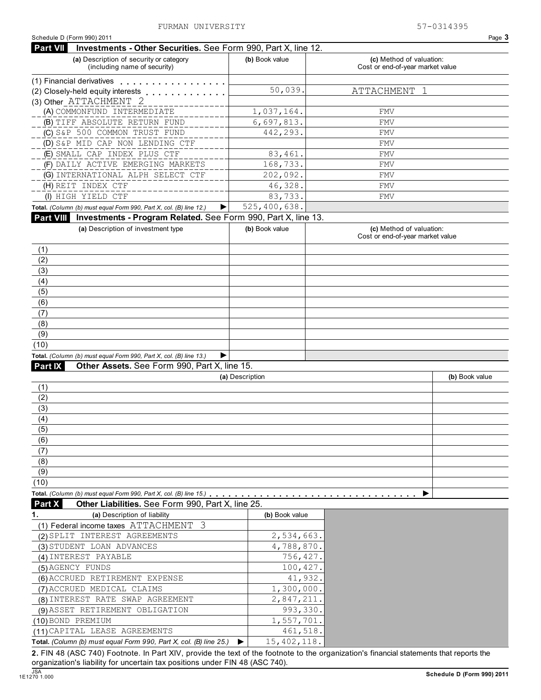**Part VII Investments - Other Securities.** See Form 990, Part X, line 12.

| (a) Description of security or category<br>(including name of security) | (b) Book value            | (c) Method of valuation:<br>Cost or end-of-year market value |
|-------------------------------------------------------------------------|---------------------------|--------------------------------------------------------------|
| (1) Financial derivatives                                               |                           |                                                              |
| (2) Closely-held equity interests                                       | 50,039.                   | ATTACHMENT                                                   |
| (3) Other ATTACHMENT 2                                                  |                           |                                                              |
| (A) COMMONFUND INTERMEDIATE                                             | 1,037,164.                | <b>FMV</b>                                                   |
| (B) TIFF ABSOLUTE RETURN FUND                                           | 6,697,813.                | <b>FMV</b>                                                   |
| (C) S&P 500 COMMON TRUST FUND                                           | 442,293.                  | <b>FMV</b>                                                   |
| (D) S&P MID CAP NON LENDING CTF                                         |                           | <b>FMV</b>                                                   |
| (E) SMALL CAP INDEX PLUS CTF                                            | 83,461.                   | <b>FMV</b>                                                   |
| (F) DAILY ACTIVE EMERGING MARKETS                                       | 168,733.                  | <b>FMV</b>                                                   |
| (G) INTERNATIONAL ALPH SELECT CTF                                       | 202,092.                  | <b>FMV</b>                                                   |
| (H) REIT INDEX CTF                                                      | 46,328.                   | <b>FMV</b>                                                   |
| (I) HIGH YIELD CTF                                                      | 83,733.                   | <b>FMV</b>                                                   |
| Total. (Column (b) must equal Form 990, Part X, col. (B) line 12.)<br>▶ | 525,400,638.              |                                                              |
| Part VIII Investments - Program Related. See Form 990, Part X, line 13. |                           |                                                              |
| (a) Description of investment type                                      | (b) Book value            | (c) Method of valuation:<br>Cost or end-of-year market value |
| (1)                                                                     |                           |                                                              |
| (2)                                                                     |                           |                                                              |
| (3)                                                                     |                           |                                                              |
| (4)                                                                     |                           |                                                              |
| (5)                                                                     |                           |                                                              |
| (6)                                                                     |                           |                                                              |
| (7)                                                                     |                           |                                                              |
| (8)                                                                     |                           |                                                              |
| (9)                                                                     |                           |                                                              |
| (10)                                                                    |                           |                                                              |
| Total. (Column (b) must equal Form 990, Part X, col. (B) line 13.)<br>▶ |                           |                                                              |
| Other Assets. See Form 990, Part X, line 15.<br><b>Part IX</b>          |                           |                                                              |
|                                                                         | (a) Description           | (b) Book value                                               |
| (1)<br>(2)                                                              |                           |                                                              |
| (3)                                                                     |                           |                                                              |
| (4)                                                                     |                           |                                                              |
| (5)                                                                     |                           |                                                              |
| (6)                                                                     |                           |                                                              |
| (7)                                                                     |                           |                                                              |
| (8)                                                                     |                           |                                                              |
| (9)                                                                     |                           |                                                              |
| (10)                                                                    |                           |                                                              |
| Total. (Column (b) must equal Form 990, Part X, col. (B) line 15.)      |                           |                                                              |
| Other Liabilities. See Form 990, Part X, line 25.<br>Part X             |                           |                                                              |
|                                                                         |                           |                                                              |
| 1.<br>(a) Description of liability                                      | (b) Book value            |                                                              |
| (1) Federal income taxes ATTACHMENT 3                                   |                           |                                                              |
| (2) SPLIT INTEREST AGREEMENTS                                           | 2,534,663.                |                                                              |
| (3) STUDENT LOAN ADVANCES                                               | 4,788,870.                |                                                              |
| (4) INTEREST PAYABLE                                                    | 756,427.                  |                                                              |
| (5) AGENCY FUNDS                                                        | 100,427.                  |                                                              |
| (6) ACCRUED RETIREMENT EXPENSE                                          | 41,932.                   |                                                              |
| (7) ACCRUED MEDICAL CLAIMS                                              | 1,300,000.                |                                                              |
| (8) INTEREST RATE SWAP AGREEMENT                                        | 2,847,211.                |                                                              |
| (9) ASSET RETIREMENT OBLIGATION                                         | 993,330.                  |                                                              |
| (10) BOND PREMIUM                                                       | 1,557,701.                |                                                              |
| (11) CAPITAL LEASE AGREEMENTS                                           | 461,518.<br>15, 402, 118. |                                                              |

**2.** FIN 48 (ASC 740) Footnote. In Part XIV, provide the text of the footnote to the organization's financial statements that reports the organization's liability for uncertain tax positions under FIN 48 (ASC 740).<br>1E1270 1.000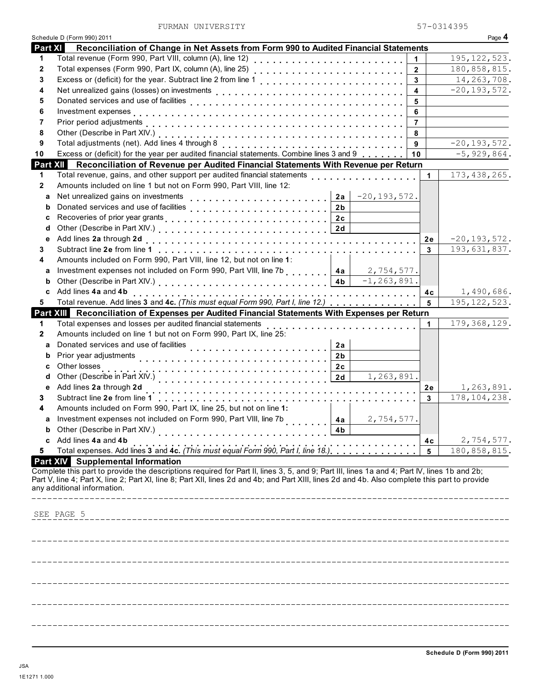FURMAN UNIVERSITY 57-0314395

|                | Schedule D (Form 990) 2011                                                                                                                                                                                                                                                                    |                         |             | Page 4           |
|----------------|-----------------------------------------------------------------------------------------------------------------------------------------------------------------------------------------------------------------------------------------------------------------------------------------------|-------------------------|-------------|------------------|
| <b>Part XI</b> | Reconciliation of Change in Net Assets from Form 990 to Audited Financial Statements                                                                                                                                                                                                          |                         |             |                  |
| 1              | Total revenue (Form 990, Part VIII, column (A), line 12)                                                                                                                                                                                                                                      | 1                       |             | 195, 122, 523.   |
| 2              | Total expenses (Form 990, Part IX, column (A), line 25)                                                                                                                                                                                                                                       | $\mathbf{2}$            |             | 180,858,815.     |
| 3              | Excess or (deficit) for the year. Subtract line 2 from line 1                                                                                                                                                                                                                                 | 3                       |             | 14, 263, 708.    |
| 4              |                                                                                                                                                                                                                                                                                               | $\overline{\mathbf{4}}$ |             | $-20, 193, 572.$ |
| 5              |                                                                                                                                                                                                                                                                                               | 5                       |             |                  |
| 6              |                                                                                                                                                                                                                                                                                               | 6                       |             |                  |
| 7              |                                                                                                                                                                                                                                                                                               | $\overline{7}$          |             |                  |
| 8              |                                                                                                                                                                                                                                                                                               | 8                       |             |                  |
| 9              | Total adjustments (net). Add lines 4 through 8 [1] [1] [1] $\frac{1}{2}$ [1] $\frac{1}{2}$ [1] $\frac{1}{2}$ [1] $\frac{1}{2}$ [1] $\frac{1}{2}$ [1] $\frac{1}{2}$ [1] $\frac{1}{2}$ [1] $\frac{1}{2}$ [1] $\frac{1}{2}$ [1] $\frac{1}{2}$ [1] $\frac{1}{2}$ [1] $\frac{1}{2}$                | 9                       |             | $-20, 193, 572.$ |
| 10             | Excess or (deficit) for the year per audited financial statements. Combine lines 3 and 9                                                                                                                                                                                                      | 10                      |             | $-5,929,864.$    |
|                |                                                                                                                                                                                                                                                                                               |                         |             |                  |
|                | Part XII Reconciliation of Revenue per Audited Financial Statements With Revenue per Return                                                                                                                                                                                                   |                         |             |                  |
| 1              | Total revenue, gains, and other support per audited financial statements                                                                                                                                                                                                                      |                         | $\mathbf 1$ | 173, 438, 265.   |
| $\mathbf{2}$   | Amounts included on line 1 but not on Form 990, Part VIII, line 12:                                                                                                                                                                                                                           |                         |             |                  |
| a              | Net unrealized gains on investments<br>$-20, 193, 572.$<br>2a                                                                                                                                                                                                                                 |                         |             |                  |
| b              | 2 <sub>b</sub>                                                                                                                                                                                                                                                                                |                         |             |                  |
| c              | 2c                                                                                                                                                                                                                                                                                            |                         |             |                  |
| d              | 2d                                                                                                                                                                                                                                                                                            |                         |             |                  |
| е              | Add lines 2a through 2d                                                                                                                                                                                                                                                                       |                         | 2e          | $-20, 193, 572.$ |
| 3              |                                                                                                                                                                                                                                                                                               |                         | 3           | 193,631,837.     |
| 4              | Amounts included on Form 990, Part VIII, line 12, but not on line 1:                                                                                                                                                                                                                          |                         |             |                  |
| а              | Investment expenses not included on Form 990, Part VIII, line 7b<br>2,754,577.<br>4a                                                                                                                                                                                                          |                         |             |                  |
| b              | $-1, 263, 891.$<br>4 <sub>b</sub>                                                                                                                                                                                                                                                             |                         |             |                  |
| c              | Add lines 4a and 4b                                                                                                                                                                                                                                                                           |                         | 4c          | 1,490,686.       |
| 5              | Total revenue. Add lines 3 and 4c. (This must equal Form 990, Part I, line 12.)                                                                                                                                                                                                               |                         | 5           | 195, 122, 523.   |
|                | Part XIII Reconciliation of Expenses per Audited Financial Statements With Expenses per Return                                                                                                                                                                                                |                         |             |                  |
| 1              | Total expenses and losses per audited financial statements<br>.                                                                                                                                                                                                                               |                         | 1           | 179, 368, 129.   |
| 2              | Amounts included on line 1 but not on Form 990, Part IX, line 25:                                                                                                                                                                                                                             |                         |             |                  |
| a              | Donated services and use of facilities<br>2a                                                                                                                                                                                                                                                  |                         |             |                  |
| b              | Prior year adjustments<br>2 <sub>b</sub>                                                                                                                                                                                                                                                      |                         |             |                  |
| c              | Other losses<br>2c                                                                                                                                                                                                                                                                            |                         |             |                  |
| d              | 1,263,891.<br>2d                                                                                                                                                                                                                                                                              |                         |             |                  |
| е              | Add lines 2a through 2d                                                                                                                                                                                                                                                                       |                         | 2e          | 1,263,891.       |
|                | Subtract line 2e from line 1                                                                                                                                                                                                                                                                  |                         | 3           | 178, 104, 238.   |
| 3              | Amounts included on Form 990, Part IX, line 25, but not on line 1:                                                                                                                                                                                                                            |                         |             |                  |
| 4              |                                                                                                                                                                                                                                                                                               |                         |             |                  |
| а              | Investment expenses not included on Form 990, Part VIII, line 7b<br>2,754,577.<br>4a                                                                                                                                                                                                          |                         |             |                  |
|                | Other (Describe in Part XIV.)<br>4b                                                                                                                                                                                                                                                           |                         |             |                  |
| c              | Add lines 4a and 4b                                                                                                                                                                                                                                                                           |                         | 4с          | 2,754,577.       |
| 5              | Total expenses. Add lines 3 and 4c. (This must equal Form 990, Part I, line 18.)                                                                                                                                                                                                              |                         | 5           | 180,858,815.     |
|                | <b>Part XIV</b> Supplemental Information                                                                                                                                                                                                                                                      |                         |             |                  |
|                | Complete this part to provide the descriptions required for Part II, lines 3, 5, and 9; Part III, lines 1a and 4; Part IV, lines 1b and 2b;<br>Part V, line 4; Part X, line 2; Part XI, line 8; Part XII, lines 2d and 4b; and Part XIII, lines 2d and 4b. Also complete this part to provide |                         |             |                  |
|                | any additional information.                                                                                                                                                                                                                                                                   |                         |             |                  |
|                |                                                                                                                                                                                                                                                                                               |                         |             |                  |
|                |                                                                                                                                                                                                                                                                                               |                         |             |                  |
|                | SEE PAGE 5                                                                                                                                                                                                                                                                                    |                         |             |                  |
|                |                                                                                                                                                                                                                                                                                               |                         |             |                  |
|                |                                                                                                                                                                                                                                                                                               |                         |             |                  |
|                |                                                                                                                                                                                                                                                                                               |                         |             |                  |
|                |                                                                                                                                                                                                                                                                                               |                         |             |                  |
|                |                                                                                                                                                                                                                                                                                               |                         |             |                  |
|                |                                                                                                                                                                                                                                                                                               |                         |             |                  |
|                |                                                                                                                                                                                                                                                                                               |                         |             |                  |
|                |                                                                                                                                                                                                                                                                                               |                         |             |                  |
|                |                                                                                                                                                                                                                                                                                               |                         |             |                  |
|                |                                                                                                                                                                                                                                                                                               |                         |             |                  |
|                |                                                                                                                                                                                                                                                                                               |                         |             |                  |
|                |                                                                                                                                                                                                                                                                                               |                         |             |                  |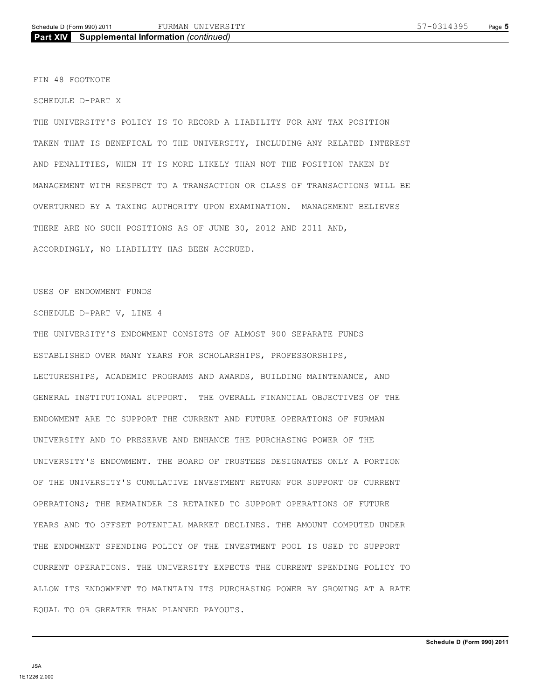FIN 48 FOOTNOTE

SCHEDULE D-PART X

THE UNIVERSITY'S POLICY IS TO RECORD A LIABILITY FOR ANY TAX POSITION TAKEN THAT IS BENEFICAL TO THE UNIVERSITY, INCLUDING ANY RELATED INTEREST AND PENALITIES, WHEN IT IS MORE LIKELY THAN NOT THE POSITION TAKEN BY MANAGEMENT WITH RESPECT TO A TRANSACTION OR CLASS OF TRANSACTIONS WILL BE OVERTURNED BY A TAXING AUTHORITY UPON EXAMINATION. MANAGEMENT BELIEVES THERE ARE NO SUCH POSITIONS AS OF JUNE 30, 2012 AND 2011 AND, ACCORDINGLY, NO LIABILITY HAS BEEN ACCRUED.

USES OF ENDOWMENT FUNDS

SCHEDULE D-PART V, LINE 4

THE UNIVERSITY'S ENDOWMENT CONSISTS OF ALMOST 900 SEPARATE FUNDS ESTABLISHED OVER MANY YEARS FOR SCHOLARSHIPS, PROFESSORSHIPS, LECTURESHIPS, ACADEMIC PROGRAMS AND AWARDS, BUILDING MAINTENANCE, AND GENERAL INSTITUTIONAL SUPPORT. THE OVERALL FINANCIAL OBJECTIVES OF THE ENDOWMENT ARE TO SUPPORT THE CURRENT AND FUTURE OPERATIONS OF FURMAN UNIVERSITY AND TO PRESERVE AND ENHANCE THE PURCHASING POWER OF THE UNIVERSITY'S ENDOWMENT. THE BOARD OF TRUSTEES DESIGNATES ONLY A PORTION OF THE UNIVERSITY'S CUMULATIVE INVESTMENT RETURN FOR SUPPORT OF CURRENT OPERATIONS; THE REMAINDER IS RETAINED TO SUPPORT OPERATIONS OF FUTURE YEARS AND TO OFFSET POTENTIAL MARKET DECLINES. THE AMOUNT COMPUTED UNDER THE ENDOWMENT SPENDING POLICY OF THE INVESTMENT POOL IS USED TO SUPPORT CURRENT OPERATIONS. THE UNIVERSITY EXPECTS THE CURRENT SPENDING POLICY TO ALLOW ITS ENDOWMENT TO MAINTAIN ITS PURCHASING POWER BY GROWING AT A RATE EQUAL TO OR GREATER THAN PLANNED PAYOUTS.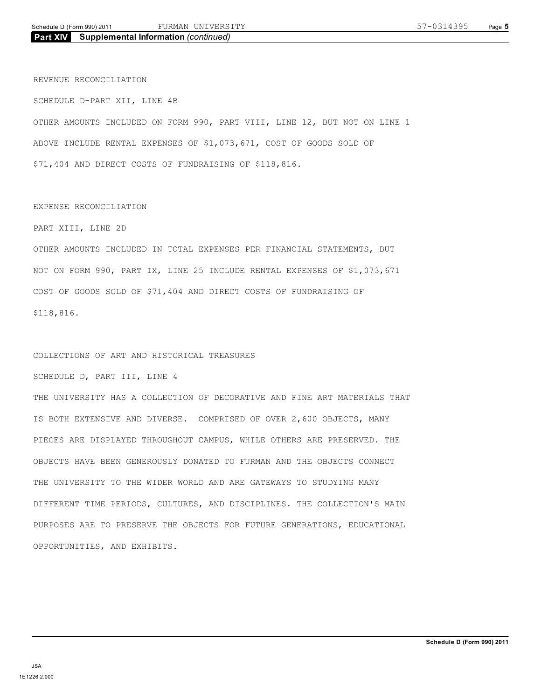REVENUE RECONCILIATION

SCHEDULE D-PART XII, LINE 4B OTHER AMOUNTS INCLUDED ON FORM 990, PART VIII, LINE 12, BUT NOT ON LINE 1 ABOVE INCLUDE RENTAL EXPENSES OF \$1,073,671, COST OF GOODS SOLD OF \$71,404 AND DIRECT COSTS OF FUNDRAISING OF \$118,816.

### EXPENSE RECONCILIATION

PART XIII, LINE 2D

OTHER AMOUNTS INCLUDED IN TOTAL EXPENSES PER FINANCIAL STATEMENTS, BUT NOT ON FORM 990, PART IX, LINE 25 INCLUDE RENTAL EXPENSES OF \$1,073,671 COST OF GOODS SOLD OF \$71,404 AND DIRECT COSTS OF FUNDRAISING OF \$118,816.

## COLLECTIONS OF ART AND HISTORICAL TREASURES

SCHEDULE D, PART III, LINE 4

THE UNIVERSITY HAS A COLLECTION OF DECORATIVE AND FINE ART MATERIALS THAT IS BOTH EXTENSIVE AND DIVERSE. COMPRISED OF OVER 2,600 OBJECTS, MANY PIECES ARE DISPLAYED THROUGHOUT CAMPUS, WHILE OTHERS ARE PRESERVED. THE OBJECTS HAVE BEEN GENEROUSLY DONATED TO FURMAN AND THE OBJECTS CONNECT THE UNIVERSITY TO THE WIDER WORLD AND ARE GATEWAYS TO STUDYING MANY DIFFERENT TIME PERIODS, CULTURES, AND DISCIPLINES. THE COLLECTION'S MAIN PURPOSES ARE TO PRESERVE THE OBJECTS FOR FUTURE GENERATIONS, EDUCATIONAL OPPORTUNITIES, AND EXHIBITS.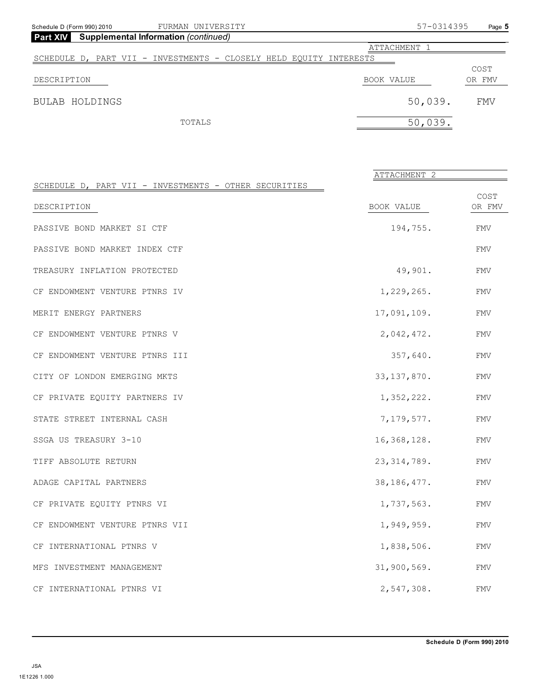| Schedule D (Form 990) 2010                                     | FURMAN UNIVERSITY                                                  |            | 57-0314395   | Page 5 |
|----------------------------------------------------------------|--------------------------------------------------------------------|------------|--------------|--------|
| <b>Part XIV</b><br><b>Supplemental Information (continued)</b> |                                                                    |            |              |        |
|                                                                |                                                                    |            | ATTACHMENT 1 |        |
|                                                                | SCHEDULE D, PART VII - INVESTMENTS - CLOSELY HELD EQUITY INTERESTS |            |              |        |
|                                                                |                                                                    |            |              | COST   |
| DESCRIPTION                                                    |                                                                    | BOOK VALUE |              | OR FMV |
| BULAB HOLDINGS                                                 |                                                                    |            | 50,039.      | FMV    |
|                                                                | TOTALS                                                             |            | 50,039.      |        |
|                                                                |                                                                    |            |              |        |

|                                                       | ATTACHMENT 2  |                |
|-------------------------------------------------------|---------------|----------------|
| SCHEDULE D, PART VII - INVESTMENTS - OTHER SECURITIES |               |                |
| DESCRIPTION                                           | BOOK VALUE    | COST<br>OR FMV |
| PASSIVE BOND MARKET SI CTF                            | 194,755.      | FMV            |
| PASSIVE BOND MARKET INDEX CTF                         |               | <b>FMV</b>     |
| TREASURY INFLATION PROTECTED                          | 49,901.       | FMV            |
| CF ENDOWMENT VENTURE PTNRS IV                         | 1,229,265.    | <b>FMV</b>     |
| MERIT ENERGY PARTNERS                                 | 17,091,109.   | <b>FMV</b>     |
| CF ENDOWMENT VENTURE PTNRS V                          | 2,042,472.    | <b>FMV</b>     |
| CF ENDOWMENT VENTURE PTNRS III                        | 357,640.      | FMV            |
| CITY OF LONDON EMERGING MKTS                          | 33, 137, 870. | FMV            |
| CF PRIVATE EQUITY PARTNERS IV                         | 1,352,222.    | FMV            |
| STATE STREET INTERNAL CASH                            | 7, 179, 577.  | FMV            |
| SSGA US TREASURY 3-10                                 | 16,368,128.   | <b>FMV</b>     |
| TIFF ABSOLUTE RETURN                                  | 23, 314, 789. | <b>FMV</b>     |
| ADAGE CAPITAL PARTNERS                                | 38, 186, 477. | <b>FMV</b>     |
| CF PRIVATE EQUITY PTNRS VI                            | 1,737,563.    | FMV            |
| CF ENDOWMENT VENTURE PTNRS VII                        | 1,949,959.    | FMV            |
| CF INTERNATIONAL PTNRS V                              | 1,838,506.    | FMV            |
| MFS INVESTMENT MANAGEMENT                             | 31,900,569.   | FMV            |
| CF INTERNATIONAL PTNRS VI                             | 2,547,308.    | <b>FMV</b>     |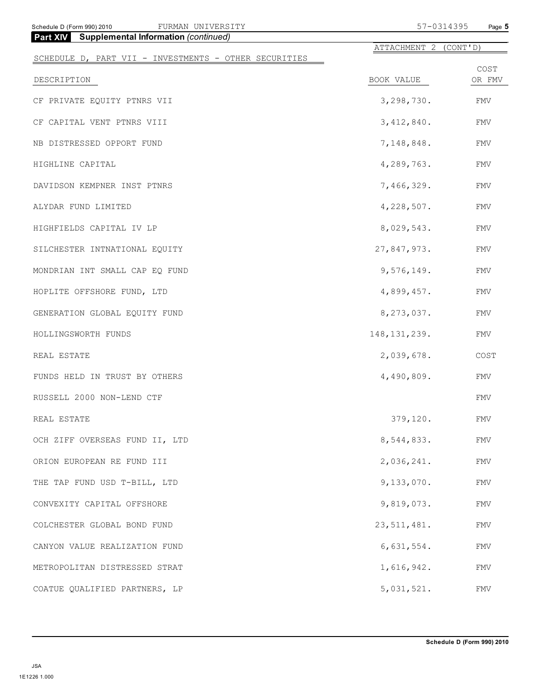| FURMAN UNIVERSITY<br>Schedule D (Form 990) 2010       | 57-0314395            | Page 5         |
|-------------------------------------------------------|-----------------------|----------------|
| <b>Part XIV</b> Supplemental Information (continued)  | ATTACHMENT 2 (CONT'D) |                |
| SCHEDULE D, PART VII - INVESTMENTS - OTHER SECURITIES |                       |                |
| DESCRIPTION                                           | BOOK VALUE            | COST<br>OR FMV |
| CF PRIVATE EQUITY PTNRS VII                           | 3,298,730.            | <b>FMV</b>     |
| CF CAPITAL VENT PTNRS VIII                            | 3,412,840.            | <b>FMV</b>     |
| NB DISTRESSED OPPORT FUND                             | 7,148,848.            | FMV            |
| HIGHLINE CAPITAL                                      | 4,289,763.            | FMV            |
| DAVIDSON KEMPNER INST PTNRS                           | 7,466,329.            | <b>FMV</b>     |
| ALYDAR FUND LIMITED                                   | 4,228,507.            | FMV            |
| HIGHFIELDS CAPITAL IV LP                              | 8,029,543.            | FMV            |
| SILCHESTER INTNATIONAL EQUITY                         | 27,847,973.           | FMV            |
| MONDRIAN INT SMALL CAP EQ FUND                        | 9,576,149.            | <b>FMV</b>     |
| HOPLITE OFFSHORE FUND, LTD                            | 4,899,457.            | FMV            |
| GENERATION GLOBAL EQUITY FUND                         | 8, 273, 037.          | FMV            |
| HOLLINGSWORTH FUNDS                                   | 148, 131, 239.        | FMV            |
| REAL ESTATE                                           | 2,039,678.            | COST           |
| FUNDS HELD IN TRUST BY OTHERS                         | 4,490,809.            | FMV            |
| RUSSELL 2000 NON-LEND CTF                             |                       | FMV            |
| REAL ESTATE                                           | 379,120.              | FMV            |
| OCH ZIFF OVERSEAS FUND II, LTD                        | 8,544,833.            | FMV            |
| ORION EUROPEAN RE FUND III                            | 2,036,241.            | FMV            |
| THE TAP FUND USD T-BILL, LTD                          | 9,133,070.            | FMV            |
| CONVEXITY CAPITAL OFFSHORE                            | 9,819,073.            | FMV            |
| COLCHESTER GLOBAL BOND FUND                           | 23, 511, 481.         | FMV            |
| CANYON VALUE REALIZATION FUND                         | 6,631,554.            | FMV            |
| METROPOLITAN DISTRESSED STRAT                         | 1,616,942.            | FMV            |
| COATUE QUALIFIED PARTNERS, LP                         | 5,031,521.            | ${\rm FMV}$    |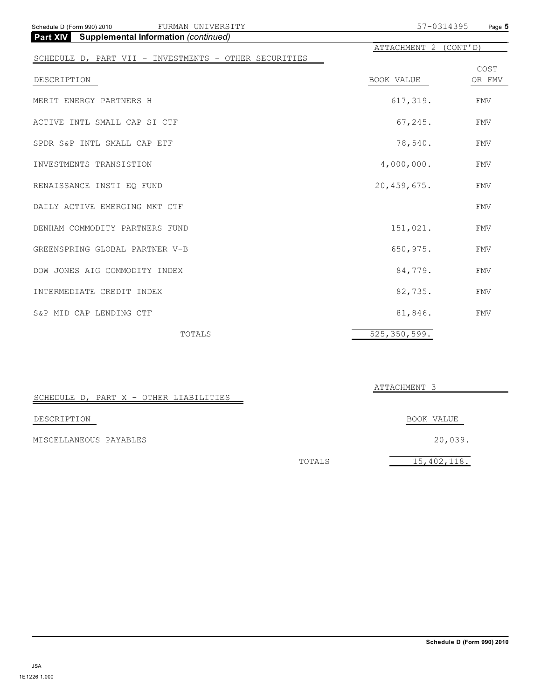| FURMAN UNIVERSITY<br>Schedule D (Form 990) 2010       | 57-0314395            | Page 5     |
|-------------------------------------------------------|-----------------------|------------|
| <b>Part XIV</b> Supplemental Information (continued)  |                       |            |
|                                                       | ATTACHMENT 2 (CONT'D) |            |
| SCHEDULE D, PART VII - INVESTMENTS - OTHER SECURITIES |                       |            |
|                                                       |                       | COST       |
| DESCRIPTION                                           | BOOK VALUE            | OR FMV     |
| MERIT ENERGY PARTNERS H                               | 617,319.              | FMV        |
| ACTIVE INTL SMALL CAP SI CTF                          | 67, 245.              | <b>FMV</b> |
| SPDR S&P INTL SMALL CAP ETF                           | 78,540.               | <b>FMV</b> |
| INVESTMENTS TRANSISTION                               | 4,000,000.            | <b>FMV</b> |
| RENAISSANCE INSTI EQ FUND                             | 20,459,675.           | <b>FMV</b> |
| DAILY ACTIVE EMERGING MKT CTF                         |                       | <b>FMV</b> |
| DENHAM COMMODITY PARTNERS FUND                        | 151,021.              | <b>FMV</b> |
| GREENSPRING GLOBAL PARTNER V-B                        | 650,975.              | <b>FMV</b> |
| DOW JONES AIG COMMODITY INDEX                         | 84,779.               | <b>FMV</b> |
| INTERMEDIATE CREDIT INDEX                             | 82,735.               | <b>FMV</b> |
| S&P MID CAP LENDING CTF                               | 81,846.               | <b>FMV</b> |
| TOTALS                                                | 525, 350, 599.        |            |

|                                        |        | ATTACHMENT 3 |
|----------------------------------------|--------|--------------|
| SCHEDULE D, PART X - OTHER LIABILITIES |        |              |
| DESCRIPTION                            |        | BOOK VALUE   |
| MISCELLANEOUS PAYABLES                 |        | 20,039.      |
|                                        | TOTALS | 15,402,118.  |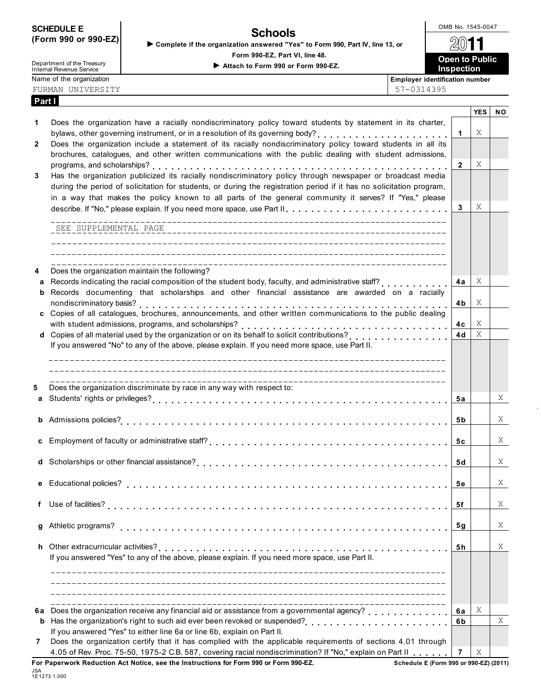| <b>SCHEDULE E</b>    |  |
|----------------------|--|
| (Form 990 or 990-EZ) |  |

Department of the Treasury

**Part I**

OMB No. 1545-0047 **Schools Complete if the organization answered "Yes" to Form 990, Part IV, line 13, or**

**Form 990-EZ, Part VI, line 48.**



FURMAN UNIVERSITY 57-0314395

|   |                                                                                                                                                             |                | <b>YES</b> | <b>NO</b> |
|---|-------------------------------------------------------------------------------------------------------------------------------------------------------------|----------------|------------|-----------|
| 1 | Does the organization have a racially nondiscriminatory policy toward students by statement in its charter,                                                 |                |            |           |
|   | bylaws, other governing instrument, or in a resolution of its governing body?<br>.                                                                          | 1              | Χ          |           |
| 2 | Does the organization include a statement of its racially nondiscriminatory policy toward students in all its                                               |                |            |           |
|   | brochures, catalogues, and other written communications with the public dealing with student admissions,                                                    |                |            |           |
|   |                                                                                                                                                             | 2              | X          |           |
| 3 | Has the organization publicized its racially nondiscriminatory policy through newspaper or broadcast media                                                  |                |            |           |
|   | during the period of solicitation for students, or during the registration period if it has no solicitation program,                                        |                |            |           |
|   | in a way that makes the policy known to all parts of the general community it serves? If "Yes," please                                                      |                |            |           |
|   | describe. If "No," please explain. If you need more space, use Part II.                                                                                     | 3              | Χ          |           |
|   |                                                                                                                                                             |                |            |           |
|   | SEE SUPPLEMENTAL PAGE                                                                                                                                       |                |            |           |
|   |                                                                                                                                                             |                |            |           |
|   |                                                                                                                                                             |                |            |           |
| 4 | Does the organization maintain the following?                                                                                                               |                |            |           |
| a | Records indicating the racial composition of the student body, faculty, and administrative staff?                                                           | 4a             | Χ          |           |
| b | Records documenting that scholarships and other financial assistance are awarded on a racially                                                              |                |            |           |
|   | nondiscriminatory basis?                                                                                                                                    | 4b.            | Χ          |           |
|   | c Copies of all catalogues, brochures, announcements, and other written communications to the public dealing                                                |                |            |           |
|   | with student admissions, programs, and scholarships?                                                                                                        | 4с             | Χ          |           |
|   | with student admissions, programs, and scholarships?<br><b>d</b> Copies of all material used by the organization or on its behalf to solicit contributions? | 4d             | X          |           |
|   | If you answered "No" to any of the above, please explain. If you need more space, use Part II.                                                              |                |            |           |
|   |                                                                                                                                                             |                |            |           |
|   |                                                                                                                                                             |                |            |           |
|   | --------------------------------                                                                                                                            |                |            |           |
| 5 | Does the organization discriminate by race in any way with respect to:                                                                                      |                |            |           |
| а |                                                                                                                                                             | 5а             |            | X         |
|   |                                                                                                                                                             |                |            |           |
|   |                                                                                                                                                             | 5 b            |            | X         |
|   |                                                                                                                                                             |                |            |           |
|   |                                                                                                                                                             | 5с             |            | X         |
|   |                                                                                                                                                             |                |            |           |
|   |                                                                                                                                                             | 5d             |            | X         |
|   |                                                                                                                                                             |                |            |           |
|   | e Educational policies?                                                                                                                                     | 5е             |            | Χ         |
|   |                                                                                                                                                             |                |            | Χ         |
|   | Use of facilities?                                                                                                                                          | 5f             |            |           |
| g | Athletic programs?                                                                                                                                          | 5g             |            | X         |
|   |                                                                                                                                                             |                |            |           |
|   |                                                                                                                                                             | 5h             |            | Χ         |
|   | If you answered "Yes" to any of the above, please explain. If you need more space, use Part II.                                                             |                |            |           |
|   |                                                                                                                                                             |                |            |           |
|   |                                                                                                                                                             |                |            |           |
|   |                                                                                                                                                             |                |            |           |
|   |                                                                                                                                                             |                |            |           |
|   |                                                                                                                                                             | 6а             | Χ          |           |
|   |                                                                                                                                                             | 6b             |            | Χ         |
|   | If you answered "Yes" to either line 6a or line 6b, explain on Part II.                                                                                     |                |            |           |
| 7 | Does the organization certify that it has complied with the applicable requirements of sections 4.01 through                                                |                |            |           |
|   | 4.05 of Rev. Proc. 75-50, 1975-2 C.B. 587, covering racial nondiscrimination? If "No," explain on Part II                                                   | $\overline{7}$ | Χ          |           |
|   | For Paperwork Reduction Act Notice, see the Instructions for Form 990 or Form 990-EZ.<br>Schedule E (Form 990 or 990-EZ) (2011)                             |                |            |           |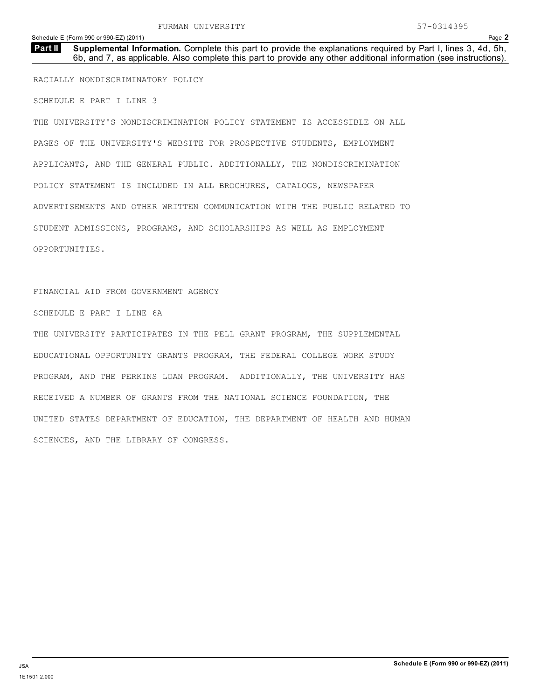**Supplemental Information.** Complete this part to provide the explanations required by Part I, lines 3, 4d, 5h, 6b, and 7, as applicable. Also complete this part to provide any other additional information (see instructions). **Part II**

RACIALLY NONDISCRIMINATORY POLICY

SCHEDULE E PART I LINE 3

THE UNIVERSITY'S NONDISCRIMINATION POLICY STATEMENT IS ACCESSIBLE ON ALL PAGES OF THE UNIVERSITY'S WEBSITE FOR PROSPECTIVE STUDENTS, EMPLOYMENT APPLICANTS, AND THE GENERAL PUBLIC. ADDITIONALLY, THE NONDISCRIMINATION POLICY STATEMENT IS INCLUDED IN ALL BROCHURES, CATALOGS, NEWSPAPER ADVERTISEMENTS AND OTHER WRITTEN COMMUNICATION WITH THE PUBLIC RELATED TO STUDENT ADMISSIONS, PROGRAMS, AND SCHOLARSHIPS AS WELL AS EMPLOYMENT OPPORTUNITIES.

## FINANCIAL AID FROM GOVERNMENT AGENCY

SCHEDULE E PART I LINE 6A

THE UNIVERSITY PARTICIPATES IN THE PELL GRANT PROGRAM, THE SUPPLEMENTAL EDUCATIONAL OPPORTUNITY GRANTS PROGRAM, THE FEDERAL COLLEGE WORK STUDY PROGRAM, AND THE PERKINS LOAN PROGRAM. ADDITIONALLY, THE UNIVERSITY HAS RECEIVED A NUMBER OF GRANTS FROM THE NATIONAL SCIENCE FOUNDATION, THE UNITED STATES DEPARTMENT OF EDUCATION, THE DEPARTMENT OF HEALTH AND HUMAN SCIENCES, AND THE LIBRARY OF CONGRESS.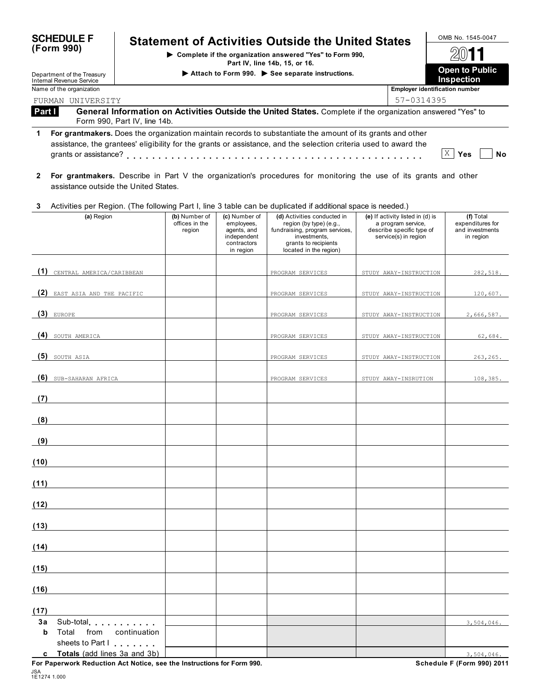| <b>SCHEDULE F</b>                                      |                              |                                           |                                                                                       | <b>Statement of Activities Outside the United States</b>                                                                                                                                                                                                                                                                                                                                  |                                                                                                             | OMB No. 1545-0047                                             |
|--------------------------------------------------------|------------------------------|-------------------------------------------|---------------------------------------------------------------------------------------|-------------------------------------------------------------------------------------------------------------------------------------------------------------------------------------------------------------------------------------------------------------------------------------------------------------------------------------------------------------------------------------------|-------------------------------------------------------------------------------------------------------------|---------------------------------------------------------------|
| (Form 990)                                             |                              |                                           |                                                                                       | Complete if the organization answered "Yes" to Form 990,<br>Part IV, line 14b, 15, or 16.                                                                                                                                                                                                                                                                                                 |                                                                                                             |                                                               |
| Department of the Treasury<br>Internal Revenue Service |                              |                                           |                                                                                       | Attach to Form 990. See separate instructions.                                                                                                                                                                                                                                                                                                                                            |                                                                                                             | Open to Public<br>Inspection                                  |
| Name of the organization                               |                              |                                           |                                                                                       |                                                                                                                                                                                                                                                                                                                                                                                           | <b>Employer identification number</b>                                                                       |                                                               |
| FURMAN UNIVERSITY                                      |                              |                                           |                                                                                       |                                                                                                                                                                                                                                                                                                                                                                                           | 57-0314395                                                                                                  |                                                               |
| Part I                                                 | Form 990, Part IV, line 14b. |                                           |                                                                                       | General Information on Activities Outside the United States. Complete if the organization answered "Yes" to                                                                                                                                                                                                                                                                               |                                                                                                             |                                                               |
| 1                                                      |                              |                                           |                                                                                       | For grantmakers. Does the organization maintain records to substantiate the amount of its grants and other<br>assistance, the grantees' eligibility for the grants or assistance, and the selection criteria used to award the<br>grants or assistance? $\ldots$ , $\ldots$ , $\ldots$ , $\ldots$ , $\ldots$ , $\ldots$ , $\ldots$ , $\ldots$ , $\ldots$ , $\ldots$ , $\ldots$ , $\ldots$ |                                                                                                             | X <sub>1</sub><br>Yes<br><b>No</b>                            |
| 2<br>assistance outside the United States.             |                              |                                           |                                                                                       | For grantmakers. Describe in Part V the organization's procedures for monitoring the use of its grants and other                                                                                                                                                                                                                                                                          |                                                                                                             |                                                               |
| 3                                                      |                              |                                           |                                                                                       | Activities per Region. (The following Part I, line 3 table can be duplicated if additional space is needed.)                                                                                                                                                                                                                                                                              |                                                                                                             |                                                               |
| (a) Region                                             |                              | (b) Number of<br>offices in the<br>region | (c) Number of<br>employees,<br>agents, and<br>independent<br>contractors<br>in region | (d) Activities conducted in<br>region (by type) (e.g.,<br>fundraising, program services,<br>investments.<br>grants to recipients<br>located in the region)                                                                                                                                                                                                                                | (e) If activity listed in (d) is<br>a program service,<br>describe specific type of<br>service(s) in region | (f) Total<br>expenditures for<br>and investments<br>in region |
| (1) CENTRAL AMERICA/CARIBBEAN                          |                              |                                           |                                                                                       | PROGRAM SERVICES                                                                                                                                                                                                                                                                                                                                                                          | STUDY AWAY-INSTRUCTION                                                                                      | 282,518.                                                      |
|                                                        |                              |                                           |                                                                                       |                                                                                                                                                                                                                                                                                                                                                                                           |                                                                                                             |                                                               |
| (2) EAST ASIA AND THE PACIFIC                          |                              |                                           |                                                                                       | PROGRAM SERVICES                                                                                                                                                                                                                                                                                                                                                                          | STUDY AWAY-INSTRUCTION                                                                                      | 120,607.                                                      |
| $(3)$ EUROPE                                           |                              |                                           |                                                                                       | PROGRAM SERVICES                                                                                                                                                                                                                                                                                                                                                                          | STUDY AWAY-INSTRUCTION                                                                                      | 2,666,587.                                                    |
| (4) SOUTH AMERICA                                      |                              |                                           |                                                                                       | PROGRAM SERVICES                                                                                                                                                                                                                                                                                                                                                                          | STUDY AWAY-INSTRUCTION                                                                                      | 62,684.                                                       |
| $(5)$ SOUTH ASIA                                       |                              |                                           |                                                                                       | PROGRAM SERVICES                                                                                                                                                                                                                                                                                                                                                                          | STUDY AWAY-INSTRUCTION                                                                                      | 263,265.                                                      |
| (6) SUB-SAHARAN AFRICA                                 |                              |                                           |                                                                                       | PROGRAM SERVICES                                                                                                                                                                                                                                                                                                                                                                          | STUDY AWAY-INSRUTION                                                                                        | 108,385.                                                      |
| (7)                                                    |                              |                                           |                                                                                       |                                                                                                                                                                                                                                                                                                                                                                                           |                                                                                                             |                                                               |
| (8)                                                    |                              |                                           |                                                                                       |                                                                                                                                                                                                                                                                                                                                                                                           |                                                                                                             |                                                               |
| (9)                                                    |                              |                                           |                                                                                       |                                                                                                                                                                                                                                                                                                                                                                                           |                                                                                                             |                                                               |
| (10)                                                   |                              |                                           |                                                                                       |                                                                                                                                                                                                                                                                                                                                                                                           |                                                                                                             |                                                               |
| (11)                                                   |                              |                                           |                                                                                       |                                                                                                                                                                                                                                                                                                                                                                                           |                                                                                                             |                                                               |
| (12)                                                   |                              |                                           |                                                                                       |                                                                                                                                                                                                                                                                                                                                                                                           |                                                                                                             |                                                               |
| (13)                                                   |                              |                                           |                                                                                       |                                                                                                                                                                                                                                                                                                                                                                                           |                                                                                                             |                                                               |
| (14)                                                   |                              |                                           |                                                                                       |                                                                                                                                                                                                                                                                                                                                                                                           |                                                                                                             |                                                               |
| (15)                                                   |                              |                                           |                                                                                       |                                                                                                                                                                                                                                                                                                                                                                                           |                                                                                                             |                                                               |
|                                                        |                              |                                           |                                                                                       |                                                                                                                                                                                                                                                                                                                                                                                           |                                                                                                             |                                                               |
| (16)                                                   |                              |                                           |                                                                                       |                                                                                                                                                                                                                                                                                                                                                                                           |                                                                                                             |                                                               |
| (17)                                                   |                              |                                           |                                                                                       |                                                                                                                                                                                                                                                                                                                                                                                           |                                                                                                             |                                                               |
| Sub-total entering the sub-<br>За<br>Total from<br>b   | continuation                 |                                           |                                                                                       |                                                                                                                                                                                                                                                                                                                                                                                           |                                                                                                             | 3,504,046.                                                    |
| sheets to Part I<br>c Totals (add lines 3a and 3b)     |                              |                                           |                                                                                       |                                                                                                                                                                                                                                                                                                                                                                                           |                                                                                                             | 3,504,046.                                                    |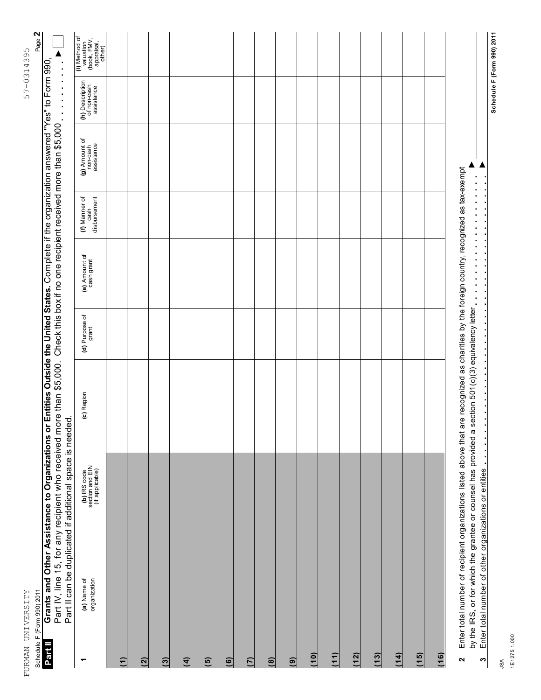| ļ<br>I<br>$1\,4\,$<br>$\overline{1}$<br>ł |
|-------------------------------------------|
| $\frac{1}{1}$<br>ת<br>ני<br>.<br>)        |
|                                           |
|                                           |
|                                           |
|                                           |
|                                           |
|                                           |
|                                           |
|                                           |
|                                           |
|                                           |
|                                           |
|                                           |
|                                           |
|                                           |
|                                           |
|                                           |
|                                           |
|                                           |
|                                           |
|                                           |
| $\frac{1}{4}$                             |
| $\ddot{\phantom{a}}$                      |
| i<br>j<br>ļ<br>I                          |

| Ľ             |
|---------------|
| σ             |
| $\sim$        |
| ≂             |
| ⊣<br><b>T</b> |
| C<br>۲<br>١   |
| c             |
|               |
|               |
| н             |

|                            | n a         |
|----------------------------|-------------|
|                            | hus atusis. |
| Schedule F (Form 990) 2011 |             |

| Page 2<br>Schedule F (Form 990) 2011                                                                                                                             |
|------------------------------------------------------------------------------------------------------------------------------------------------------------------|
| r Entities Outside the United States. Complete if the organization answered "Yes" to Form 990,<br><b>Part II</b> Grants and Other Assistance to Organizations or |
| Part IV, line 15, for any recipient who received more than \$5,000. Check this box if no one recipient received more than \$5,000                                |
| Part II can be duplicated if additional space is needer                                                                                                          |
|                                                                                                                                                                  |

| (a) Name of<br>organization<br>٣                                                                                                                                                                                         | (b) IRS code<br>section and EIN<br>(if applicable) | (c) Region                           | (d) Purpose of<br>grant | (e) Amount of<br>cash grant | (f) Manner of<br>cash<br>disbursement | (g) Amount of<br>non-cash<br>assistance | (h) Description<br>of non-cash<br>assistance | (i) Method of<br>valuation<br>(book, FMV,<br>appraisal,<br>other) |
|--------------------------------------------------------------------------------------------------------------------------------------------------------------------------------------------------------------------------|----------------------------------------------------|--------------------------------------|-------------------------|-----------------------------|---------------------------------------|-----------------------------------------|----------------------------------------------|-------------------------------------------------------------------|
| $\widehat{\tau}$                                                                                                                                                                                                         |                                                    |                                      |                         |                             |                                       |                                         |                                              |                                                                   |
| $\overline{2}$                                                                                                                                                                                                           |                                                    |                                      |                         |                             |                                       |                                         |                                              |                                                                   |
| $\overline{3}$                                                                                                                                                                                                           |                                                    |                                      |                         |                             |                                       |                                         |                                              |                                                                   |
| $\overline{4}$                                                                                                                                                                                                           |                                                    |                                      |                         |                             |                                       |                                         |                                              |                                                                   |
| $\overline{5}$                                                                                                                                                                                                           |                                                    |                                      |                         |                             |                                       |                                         |                                              |                                                                   |
| $\ddot{\mathbf{e}}$                                                                                                                                                                                                      |                                                    |                                      |                         |                             |                                       |                                         |                                              |                                                                   |
| $\tilde{C}$                                                                                                                                                                                                              |                                                    |                                      |                         |                             |                                       |                                         |                                              |                                                                   |
| $\mathbf{a}$                                                                                                                                                                                                             |                                                    |                                      |                         |                             |                                       |                                         |                                              |                                                                   |
| $\widehat{\mathbf{e}}$                                                                                                                                                                                                   |                                                    |                                      |                         |                             |                                       |                                         |                                              |                                                                   |
| (10)                                                                                                                                                                                                                     |                                                    |                                      |                         |                             |                                       |                                         |                                              |                                                                   |
| (11)                                                                                                                                                                                                                     |                                                    |                                      |                         |                             |                                       |                                         |                                              |                                                                   |
| (12)                                                                                                                                                                                                                     |                                                    |                                      |                         |                             |                                       |                                         |                                              |                                                                   |
| $(13)$                                                                                                                                                                                                                   |                                                    |                                      |                         |                             |                                       |                                         |                                              |                                                                   |
| (14)                                                                                                                                                                                                                     |                                                    |                                      |                         |                             |                                       |                                         |                                              |                                                                   |
| (15)                                                                                                                                                                                                                     |                                                    |                                      |                         |                             |                                       |                                         |                                              |                                                                   |
| (16)                                                                                                                                                                                                                     |                                                    |                                      |                         |                             |                                       |                                         |                                              |                                                                   |
| Enter total number of recipient organizations listed above that are recognized as charities by the foreign country, recognized as tax-exempt<br>by the IRS, or for which the grantee or counsel has provided a<br>$\sim$ |                                                    | section 501(c)(3) equivalency letter |                         |                             |                                       |                                         |                                              |                                                                   |
| Enter total number of other organizations or entities<br>$\boldsymbol{\varsigma}$<br>ć                                                                                                                                   |                                                    |                                      |                         |                             |                                       |                                         |                                              | Schedule F (Form 990) 2011                                        |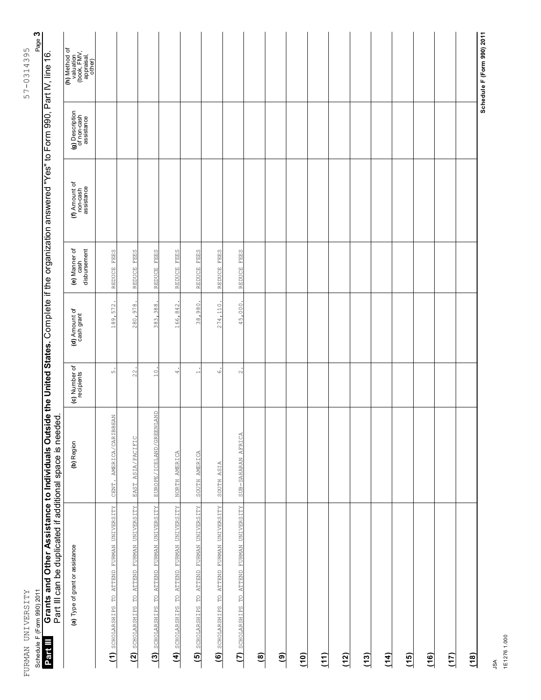| Ì<br>I<br>J<br>١<br>$\tilde{\zeta}$ |  |
|-------------------------------------|--|
| I                                   |  |
| ς<br>Γ<br>r<br>1<br>l<br>)<br>Í     |  |
|                                     |  |
|                                     |  |
|                                     |  |
|                                     |  |
|                                     |  |
|                                     |  |
|                                     |  |
|                                     |  |
|                                     |  |
|                                     |  |
|                                     |  |
|                                     |  |
|                                     |  |
|                                     |  |
|                                     |  |
|                                     |  |
|                                     |  |
|                                     |  |
|                                     |  |
|                                     |  |
|                                     |  |
|                                     |  |
|                                     |  |
|                                     |  |
|                                     |  |
|                                     |  |
|                                     |  |
|                                     |  |
|                                     |  |
|                                     |  |
|                                     |  |
|                                     |  |
| į                                   |  |

Schedule F (Form 990) 2011 **Part III**

Page  $3$ 57-0314395

Schedule F (Form 990) 2011 Page **3** Grants and Other Assistance to Individuals Outside the United States. Complete if the organization answered "Yes" to Form 990, Part IV, line 16.<br>Part III can be duplicated if additional space is needed Grants and Other Assistance to Individuals Outside the United States. Complete if the organization answered "Yes" to Form 990, Part IV, line 16.<br>Do# III aco be divided if additional concepts

| Part III can be duplicated if additional space is needed |                          |                             |                             |                                       |                                         |                                              |                                                                   |
|----------------------------------------------------------|--------------------------|-----------------------------|-----------------------------|---------------------------------------|-----------------------------------------|----------------------------------------------|-------------------------------------------------------------------|
| (a) Type of grant or assistance                          | (b) Region               | (c) Number of<br>recipients | (d) Amount of<br>cash grant | (e) Manner of<br>disbursement<br>cash | (f) Amount of<br>non-cash<br>assistance | (g) Description<br>of non-cash<br>assistance | (h) Method of<br>valuation<br>(book, FMV,<br>appraisal,<br>other) |
| (1) SCHOLARSHIPS TO ATTEND FURMAN UNIVERSITY             | CENT. AMERICA/CARIBBEAN  | ഗ                           | 189,572                     | REDUCE FEES                           |                                         |                                              |                                                                   |
| TO ATTEND FURMAN UNIVERSITY<br>$(2)$ scholarships        | EAST ASIA/PACIFIC        | 22                          | 280,978                     | <b>FEES</b><br>REDUCE                 |                                         |                                              |                                                                   |
| TO ATTEND FURMAN UNIVERSITY<br>(3) SCHOLARSHIPS          | EUROPE/ICELAND/GREENLAND | $\frac{0}{1}$               | 383,388                     | FEES<br>REDUCE                        |                                         |                                              |                                                                   |
| (4) SCHOLARSHIPS TO ATTEND FURMAN UNIVERSITY             | NORTH AMERICA            | $\Delta$                    | 166,842                     | <b>FEES</b><br>REDUCE                 |                                         |                                              |                                                                   |
| (5) SCHOLARSHIPS TO ATTEND FURMAN UNIVERSITY             | SOUTH AMERICA            | $\overline{\phantom{0}}$    | 38,980                      | <b>FEES</b><br>REDUCE                 |                                         |                                              |                                                                   |
| (6) SCHOLARSHIPS TO ATTEND FURMAN UNIVERSITY             | SOUTH ASIA               | $\circ$                     | 274,110                     | <b>FEES</b><br>REDUCE                 |                                         |                                              |                                                                   |
| (7) SCHOLARSHIPS TO ATTEND FURMAN UNIVERSITY             | SUB-SAHARAN AFRICA       | $\sim$                      | 45,000                      | REDUCE FEES                           |                                         |                                              |                                                                   |
| $\circledast$                                            |                          |                             |                             |                                       |                                         |                                              |                                                                   |
| $\boxed{6}$                                              |                          |                             |                             |                                       |                                         |                                              |                                                                   |
| (10)                                                     |                          |                             |                             |                                       |                                         |                                              |                                                                   |
| (11)                                                     |                          |                             |                             |                                       |                                         |                                              |                                                                   |
| (12)                                                     |                          |                             |                             |                                       |                                         |                                              |                                                                   |
| (13)                                                     |                          |                             |                             |                                       |                                         |                                              |                                                                   |
| (14)                                                     |                          |                             |                             |                                       |                                         |                                              |                                                                   |
| (15)                                                     |                          |                             |                             |                                       |                                         |                                              |                                                                   |
| (16)                                                     |                          |                             |                             |                                       |                                         |                                              |                                                                   |
| (17)                                                     |                          |                             |                             |                                       |                                         |                                              |                                                                   |
| (18)                                                     |                          |                             |                             |                                       |                                         |                                              |                                                                   |
|                                                          |                          |                             |                             |                                       |                                         |                                              | Schedule F (Form 990) 2011                                        |

JSA 1E1276 1.000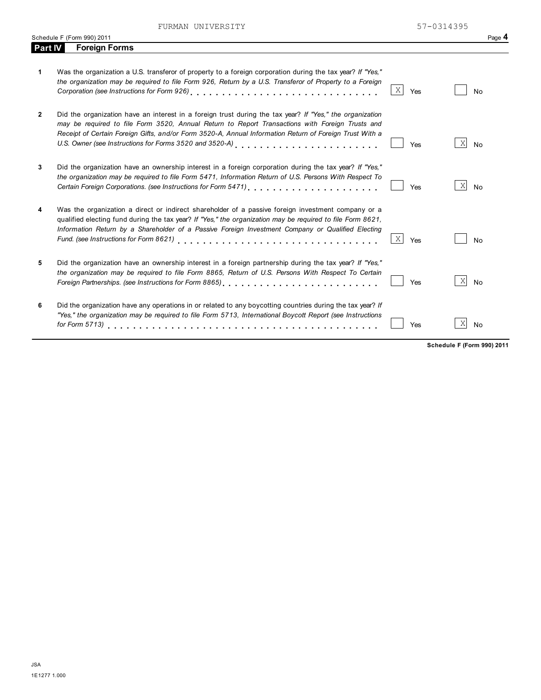FURMAN UNIVERSITY 57-0314395

|                | Schedule F (Form 990) 2011                                                                                                                                                                                                                                                                                                                                      |          | Page 4                       |
|----------------|-----------------------------------------------------------------------------------------------------------------------------------------------------------------------------------------------------------------------------------------------------------------------------------------------------------------------------------------------------------------|----------|------------------------------|
| <b>Part IV</b> | <b>Foreign Forms</b>                                                                                                                                                                                                                                                                                                                                            |          |                              |
| $\mathbf 1$    | Was the organization a U.S. transferor of property to a foreign corporation during the tax year? If "Yes,"<br>the organization may be required to file Form 926, Return by a U.S. Transferor of Property to a Foreign                                                                                                                                           | Χ<br>Yes | <b>No</b>                    |
| $\mathbf{2}$   | Did the organization have an interest in a foreign trust during the tax year? If "Yes," the organization<br>may be required to file Form 3520, Annual Return to Report Transactions with Foreign Trusts and<br>Receipt of Certain Foreign Gifts, and/or Form 3520-A, Annual Information Return of Foreign Trust With a                                          | Yes      | Χ<br><b>No</b>               |
| 3              | Did the organization have an ownership interest in a foreign corporation during the tax year? If "Yes."<br>the organization may be required to file Form 5471, Information Return of U.S. Persons With Respect To<br>Certain Foreign Corporations. (see Instructions for Form 5471) [10] [10] [10] [10] [10] Certain Foreign Corporations.                      | Yes      | $\vert X \vert$<br><b>No</b> |
| 4              | Was the organization a direct or indirect shareholder of a passive foreign investment company or a<br>qualified electing fund during the tax year? If "Yes," the organization may be required to file Form 8621,<br>Information Return by a Shareholder of a Passive Foreign Investment Company or Qualified Electing<br>Fund. (see Instructions for Form 8621) | Χ<br>Yes | <b>No</b>                    |
| 5              | Did the organization have an ownership interest in a foreign partnership during the tax year? If "Yes,"<br>the organization may be required to file Form 8865, Return of U.S. Persons With Respect To Certain<br>Foreign Partnerships. (see Instructions for Form 8865)                                                                                         | Yes      | X<br><b>No</b>               |
| 6              | Did the organization have any operations in or related to any boycotting countries during the tax year? If<br>"Yes," the organization may be required to file Form 5713, International Boycott Report (see Instructions                                                                                                                                         | Yes      | Χ<br><b>No</b>               |

**Schedule F (Form 990) 2011**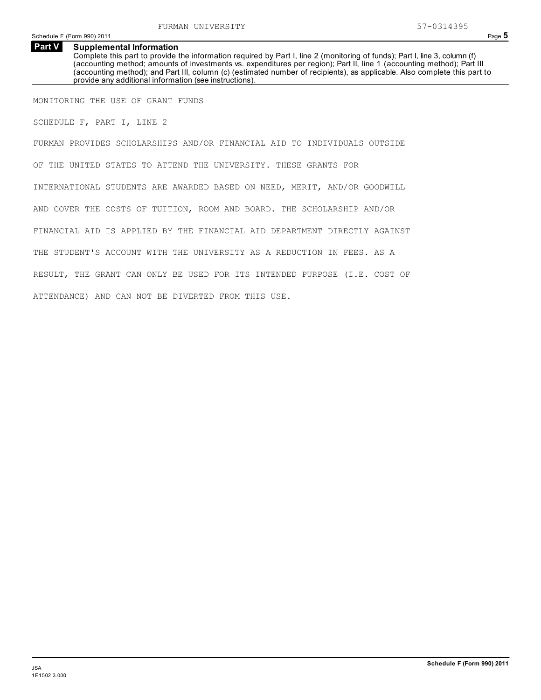### **Supplemental Information Part V**

Complete this part to provide the information required by Part I, line 2 (monitoring of funds); Part I, line 3, column (f) (accounting method; amounts of investments vs. expenditures per region); Part II, line 1 (accounting method); Part III (accounting method); and Part III, column (c) (estimated number of recipients), as applicable. Also complete this part to provide any additional information (see instructions).

MONITORING THE USE OF GRANT FUNDS

SCHEDULE F, PART I, LINE 2

FURMAN PROVIDES SCHOLARSHIPS AND/OR FINANCIAL AID TO INDIVIDUALS OUTSIDE OF THE UNITED STATES TO ATTEND THE UNIVERSITY. THESE GRANTS FOR INTERNATIONAL STUDENTS ARE AWARDED BASED ON NEED, MERIT, AND/OR GOODWILL AND COVER THE COSTS OF TUITION, ROOM AND BOARD. THE SCHOLARSHIP AND/OR FINANCIAL AID IS APPLIED BY THE FINANCIAL AID DEPARTMENT DIRECTLY AGAINST THE STUDENT'S ACCOUNT WITH THE UNIVERSITY AS A REDUCTION IN FEES. AS A RESULT, THE GRANT CAN ONLY BE USED FOR ITS INTENDED PURPOSE (I.E. COST OF ATTENDANCE) AND CAN NOT BE DIVERTED FROM THIS USE.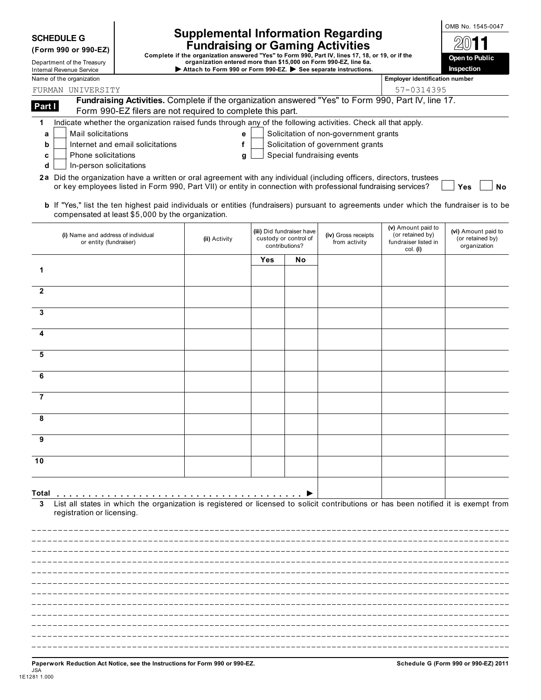| <b>SCHEDULE G</b> |  |
|-------------------|--|
|-------------------|--|

| (Form 990 or 990-EZ |  |
|---------------------|--|
|---------------------|--|

| <b>Internal Revenue Service</b> |
|---------------------------------|
|                                 |

# Supplemental Information Regarding **Supplemental** Information Regarding

SCHEDULE G<br>
(Form 990 or 990-EZ)<br>
Complete if the organization answered "Yes" to Form 990, Part IV, lines 17, 18, or 19, or if the<br>
Department of the Treasury<br>
Internal Revenue Service<br>
Internal Revenue Service<br> **EXECUTE:** 

| <b>Open to Public</b><br>Inspection |
|-------------------------------------|

|                | internal Revenue Service<br>Name of the organization                                                                                                                                                                                    | Attach to Form 990 or Form 990-EZ. P See separate instructions. |     |                                                                      |                                       | <b>Employer identification number</b>                                      | пырссион                                                |
|----------------|-----------------------------------------------------------------------------------------------------------------------------------------------------------------------------------------------------------------------------------------|-----------------------------------------------------------------|-----|----------------------------------------------------------------------|---------------------------------------|----------------------------------------------------------------------------|---------------------------------------------------------|
|                | FURMAN UNIVERSITY                                                                                                                                                                                                                       |                                                                 |     |                                                                      |                                       | 57-0314395                                                                 |                                                         |
|                | Fundraising Activities. Complete if the organization answered "Yes" to Form 990, Part IV, line 17.                                                                                                                                      |                                                                 |     |                                                                      |                                       |                                                                            |                                                         |
| Part I         | Form 990-EZ filers are not required to complete this part.                                                                                                                                                                              |                                                                 |     |                                                                      |                                       |                                                                            |                                                         |
| 1              | Indicate whether the organization raised funds through any of the following activities. Check all that apply.                                                                                                                           |                                                                 |     |                                                                      |                                       |                                                                            |                                                         |
| a              | Mail solicitations                                                                                                                                                                                                                      | е                                                               |     |                                                                      | Solicitation of non-government grants |                                                                            |                                                         |
| b              | Internet and email solicitations                                                                                                                                                                                                        | f                                                               |     |                                                                      | Solicitation of government grants     |                                                                            |                                                         |
| c              | Phone solicitations                                                                                                                                                                                                                     | g                                                               |     |                                                                      | Special fundraising events            |                                                                            |                                                         |
| d              | In-person solicitations                                                                                                                                                                                                                 |                                                                 |     |                                                                      |                                       |                                                                            |                                                         |
|                | 2a Did the organization have a written or oral agreement with any individual (including officers, directors, trustees<br>or key employees listed in Form 990, Part VII) or entity in connection with professional fundraising services? |                                                                 |     |                                                                      |                                       |                                                                            | <b>No</b><br>Yes                                        |
|                | b If "Yes," list the ten highest paid individuals or entities (fundraisers) pursuant to agreements under which the fundraiser is to be<br>compensated at least \$5,000 by the organization.                                             |                                                                 |     |                                                                      |                                       |                                                                            |                                                         |
|                | (i) Name and address of individual<br>or entity (fundraiser)                                                                                                                                                                            | (ii) Activity                                                   |     | (iii) Did fundraiser have<br>custody or control of<br>contributions? | (iv) Gross receipts<br>from activity  | (v) Amount paid to<br>(or retained by)<br>fundraiser listed in<br>col. (i) | (vi) Amount paid to<br>(or retained by)<br>organization |
|                |                                                                                                                                                                                                                                         |                                                                 | Yes | No                                                                   |                                       |                                                                            |                                                         |
| 1              |                                                                                                                                                                                                                                         |                                                                 |     |                                                                      |                                       |                                                                            |                                                         |
| $\mathbf{2}$   |                                                                                                                                                                                                                                         |                                                                 |     |                                                                      |                                       |                                                                            |                                                         |
| 3              |                                                                                                                                                                                                                                         |                                                                 |     |                                                                      |                                       |                                                                            |                                                         |
| 4              |                                                                                                                                                                                                                                         |                                                                 |     |                                                                      |                                       |                                                                            |                                                         |
| 5              |                                                                                                                                                                                                                                         |                                                                 |     |                                                                      |                                       |                                                                            |                                                         |
| 6              |                                                                                                                                                                                                                                         |                                                                 |     |                                                                      |                                       |                                                                            |                                                         |
| $\overline{7}$ |                                                                                                                                                                                                                                         |                                                                 |     |                                                                      |                                       |                                                                            |                                                         |
| 8              |                                                                                                                                                                                                                                         |                                                                 |     |                                                                      |                                       |                                                                            |                                                         |
| 9              |                                                                                                                                                                                                                                         |                                                                 |     |                                                                      |                                       |                                                                            |                                                         |
| 10             |                                                                                                                                                                                                                                         |                                                                 |     |                                                                      |                                       |                                                                            |                                                         |
|                |                                                                                                                                                                                                                                         |                                                                 |     |                                                                      |                                       |                                                                            |                                                         |
| Total          |                                                                                                                                                                                                                                         |                                                                 |     |                                                                      |                                       |                                                                            |                                                         |
|                | List all states in which the organization is registered or licensed to solicit contributions or has been notified it is exempt from<br>registration or licensing.                                                                       |                                                                 |     |                                                                      |                                       |                                                                            |                                                         |
|                |                                                                                                                                                                                                                                         |                                                                 |     |                                                                      |                                       |                                                                            |                                                         |
|                |                                                                                                                                                                                                                                         |                                                                 |     |                                                                      |                                       |                                                                            |                                                         |
|                |                                                                                                                                                                                                                                         |                                                                 |     |                                                                      |                                       |                                                                            |                                                         |
|                |                                                                                                                                                                                                                                         |                                                                 |     |                                                                      |                                       |                                                                            |                                                         |
|                |                                                                                                                                                                                                                                         |                                                                 |     |                                                                      |                                       |                                                                            |                                                         |
|                |                                                                                                                                                                                                                                         |                                                                 |     |                                                                      |                                       |                                                                            |                                                         |
|                |                                                                                                                                                                                                                                         |                                                                 |     |                                                                      |                                       |                                                                            |                                                         |
|                |                                                                                                                                                                                                                                         |                                                                 |     |                                                                      |                                       |                                                                            |                                                         |
|                |                                                                                                                                                                                                                                         |                                                                 |     |                                                                      |                                       |                                                                            |                                                         |
|                |                                                                                                                                                                                                                                         |                                                                 |     |                                                                      |                                       |                                                                            |                                                         |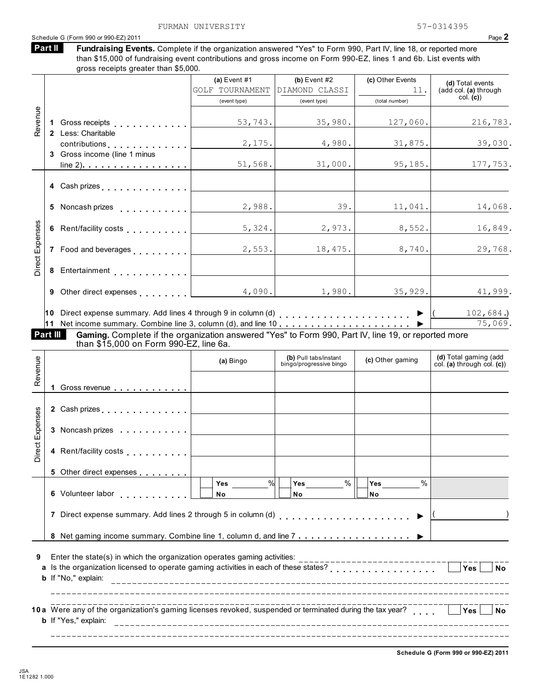|                 |          | Schedule G (Form 990 or 990-EZ) 2011                                                                               |                      |                                                  |                         | Page 2                                              |
|-----------------|----------|--------------------------------------------------------------------------------------------------------------------|----------------------|--------------------------------------------------|-------------------------|-----------------------------------------------------|
|                 | Part II  | Fundraising Events. Complete if the organization answered "Yes" to Form 990, Part IV, line 18, or reported more    |                      |                                                  |                         |                                                     |
|                 |          | than \$15,000 of fundraising event contributions and gross income on Form 990-EZ, lines 1 and 6b. List events with |                      |                                                  |                         |                                                     |
|                 |          | gross receipts greater than \$5,000.                                                                               |                      |                                                  |                         |                                                     |
|                 |          |                                                                                                                    | (a) Event $#1$       | (b) Event $#2$                                   | (c) Other Events        | (d) Total events                                    |
|                 |          |                                                                                                                    | GOLF TOURNAMENT      | DIAMOND CLASSI                                   | 11.                     | (add col. (a) through<br>col. (c)                   |
|                 |          |                                                                                                                    | (event type)         | (event type)                                     | (total number)          |                                                     |
| Revenue         |          |                                                                                                                    |                      |                                                  |                         |                                                     |
|                 |          |                                                                                                                    | 53,743.              | 35,980.                                          | 127,060.                | 216,783.                                            |
|                 |          | 2 Less: Charitable                                                                                                 |                      |                                                  |                         |                                                     |
|                 |          | contributions                                                                                                      | 2,175.               | 4,980.                                           | 31,875.                 | 39,030.                                             |
|                 |          | 3 Gross income (line 1 minus                                                                                       | 51,568.              | 31,000.                                          | 95, 185.                | 177,753.                                            |
|                 |          |                                                                                                                    |                      |                                                  |                         |                                                     |
|                 |          |                                                                                                                    |                      |                                                  |                         |                                                     |
|                 |          | 4 Cash prizes                                                                                                      |                      |                                                  |                         |                                                     |
|                 |          | 5 Noncash prizes                                                                                                   | 2,988.               | 39.                                              | 11,041.                 | 14,068.                                             |
|                 |          |                                                                                                                    |                      |                                                  |                         |                                                     |
|                 |          | 6 Rent/facility costs                                                                                              | 5,324.               | 2,973.                                           | 8,552.                  | 16,849.                                             |
|                 |          |                                                                                                                    |                      |                                                  |                         |                                                     |
| Direct Expenses |          | 7 Food and beverages                                                                                               | 2,553.               | 18,475.                                          | 8,740.                  | 29,768.                                             |
|                 |          |                                                                                                                    |                      |                                                  |                         |                                                     |
|                 |          | 8 Entertainment [1999]                                                                                             |                      |                                                  |                         |                                                     |
|                 |          |                                                                                                                    |                      |                                                  |                         |                                                     |
|                 |          | 9 Other direct expenses [                                                                                          | 4,090.               | 1,980.                                           | 35,929.                 | 41,999.                                             |
|                 |          |                                                                                                                    |                      |                                                  |                         |                                                     |
|                 |          | 10 Direct expense summary. Add lines 4 through 9 in column (d) $\blacksquare$                                      |                      |                                                  |                         | $102,684.$ )                                        |
|                 |          |                                                                                                                    |                      |                                                  |                         | 75,069.                                             |
|                 | Part III | Gaming. Complete if the organization answered "Yes" to Form 990, Part IV, line 19, or reported more                |                      |                                                  |                         |                                                     |
|                 |          | than \$15,000 on Form 990-EZ, line 6a.                                                                             |                      |                                                  |                         |                                                     |
|                 |          |                                                                                                                    | (a) Bingo            | (b) Pull tabs/instant<br>bingo/progressive bingo | (c) Other gaming        | (d) Total gaming (add<br>col. (a) through col. (c)) |
| Revenue         |          |                                                                                                                    |                      |                                                  |                         |                                                     |
|                 |          |                                                                                                                    |                      |                                                  |                         |                                                     |
|                 |          | 1 Gross revenue                                                                                                    |                      |                                                  |                         |                                                     |
|                 |          | 2 Cash prizes                                                                                                      |                      |                                                  |                         |                                                     |
| Direct Expenses |          |                                                                                                                    |                      |                                                  |                         |                                                     |
|                 |          | 3 Noncash prizes                                                                                                   |                      |                                                  |                         |                                                     |
|                 |          |                                                                                                                    |                      |                                                  |                         |                                                     |
|                 |          | 4 Rent/facility costs                                                                                              |                      |                                                  |                         |                                                     |
|                 |          |                                                                                                                    |                      |                                                  |                         |                                                     |
|                 |          | 5 Other direct expenses                                                                                            |                      |                                                  |                         |                                                     |
|                 |          |                                                                                                                    | $\frac{9}{6}$<br>Yes | $\%$<br>Yes                                      | $\%$<br>Yes             |                                                     |
|                 |          | 6 Volunteer labor                                                                                                  | No                   | <b>No</b>                                        | <b>No</b>               |                                                     |
|                 |          |                                                                                                                    |                      |                                                  |                         |                                                     |
|                 |          | 7 Direct expense summary. Add lines 2 through 5 in column (d)                                                      |                      |                                                  |                         |                                                     |
|                 |          |                                                                                                                    |                      |                                                  |                         |                                                     |
|                 |          |                                                                                                                    |                      |                                                  |                         |                                                     |
|                 |          |                                                                                                                    |                      |                                                  |                         |                                                     |
| 9               |          | Enter the state(s) in which the organization operates gaming activities:                                           |                      |                                                  | ----------------------- |                                                     |
|                 |          | a Is the organization licensed to operate gaming activities in each of these states?                               |                      |                                                  |                         | Yes<br><b>No</b>                                    |
|                 |          | b If "No," explain:                                                                                                |                      |                                                  |                         |                                                     |
|                 |          |                                                                                                                    |                      |                                                  |                         |                                                     |
|                 |          |                                                                                                                    |                      |                                                  |                         | Yes<br><b>No</b>                                    |
|                 |          | b If "Yes," explain:                                                                                               |                      |                                                  |                         |                                                     |
|                 |          |                                                                                                                    |                      |                                                  |                         |                                                     |
|                 |          |                                                                                                                    |                      |                                                  |                         |                                                     |

**Schedule G (Form 990 or 990-EZ) 2011**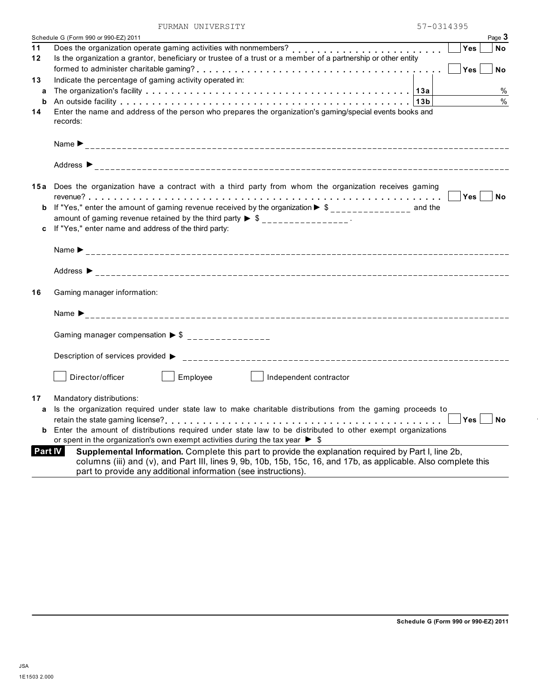|    | FURMAN UNIVERSITY                                                                                                                                                                                                                                                                                           | 57-0314395 |           |
|----|-------------------------------------------------------------------------------------------------------------------------------------------------------------------------------------------------------------------------------------------------------------------------------------------------------------|------------|-----------|
|    | Schedule G (Form 990 or 990-EZ) 2011                                                                                                                                                                                                                                                                        |            | Page 3    |
| 11 | Does the organization operate gaming activities with nonmembers?<br>                                                                                                                                                                                                                                        | Yes        | <b>No</b> |
| 12 | Is the organization a grantor, beneficiary or trustee of a trust or a member of a partnership or other entity                                                                                                                                                                                               |            |           |
|    |                                                                                                                                                                                                                                                                                                             |            | <b>No</b> |
| 13 | Indicate the percentage of gaming activity operated in:                                                                                                                                                                                                                                                     |            |           |
| a  |                                                                                                                                                                                                                                                                                                             |            | %         |
| b  |                                                                                                                                                                                                                                                                                                             |            | $\%$      |
| 14 | Enter the name and address of the person who prepares the organization's gaming/special events books and<br>records:                                                                                                                                                                                        |            |           |
|    |                                                                                                                                                                                                                                                                                                             |            |           |
|    |                                                                                                                                                                                                                                                                                                             |            |           |
|    | 15a Does the organization have a contract with a third party from whom the organization receives gaming                                                                                                                                                                                                     |            |           |
|    |                                                                                                                                                                                                                                                                                                             | Yes        | <b>No</b> |
|    | <b>b</b> If "Yes," enter the amount of gaming revenue received by the organization $\triangleright$ \$_______________ and the                                                                                                                                                                               |            |           |
|    | amount of gaming revenue retained by the third party $\triangleright$ \$ _______________.                                                                                                                                                                                                                   |            |           |
|    | If "Yes," enter name and address of the third party:                                                                                                                                                                                                                                                        |            |           |
|    |                                                                                                                                                                                                                                                                                                             |            |           |
|    |                                                                                                                                                                                                                                                                                                             |            |           |
| 16 | Gaming manager information:                                                                                                                                                                                                                                                                                 |            |           |
|    |                                                                                                                                                                                                                                                                                                             |            |           |
|    | Gaming manager compensation $\triangleright$ \$ ________________                                                                                                                                                                                                                                            |            |           |
|    | Description of services provided ▶                                                                                                                                                                                                                                                                          |            |           |
|    | Director/officer<br>Employee<br>Independent contractor                                                                                                                                                                                                                                                      |            |           |
| 17 | Mandatory distributions:                                                                                                                                                                                                                                                                                    |            |           |
| a  | Is the organization required under state law to make charitable distributions from the gaming proceeds to                                                                                                                                                                                                   |            |           |
|    |                                                                                                                                                                                                                                                                                                             | Yes        | <b>No</b> |
| b  | Enter the amount of distributions required under state law to be distributed to other exempt organizations                                                                                                                                                                                                  |            |           |
|    | or spent in the organization's own exempt activities during the tax year $\blacktriangleright$ \$                                                                                                                                                                                                           |            |           |
|    | <b>Part IV</b><br>Supplemental Information. Complete this part to provide the explanation required by Part I, line 2b,<br>columns (iii) and (v), and Part III, lines 9, 9b, 10b, 15b, 15c, 16, and 17b, as applicable. Also complete this<br>part to provide any additional information (see instructions). |            |           |
|    |                                                                                                                                                                                                                                                                                                             |            |           |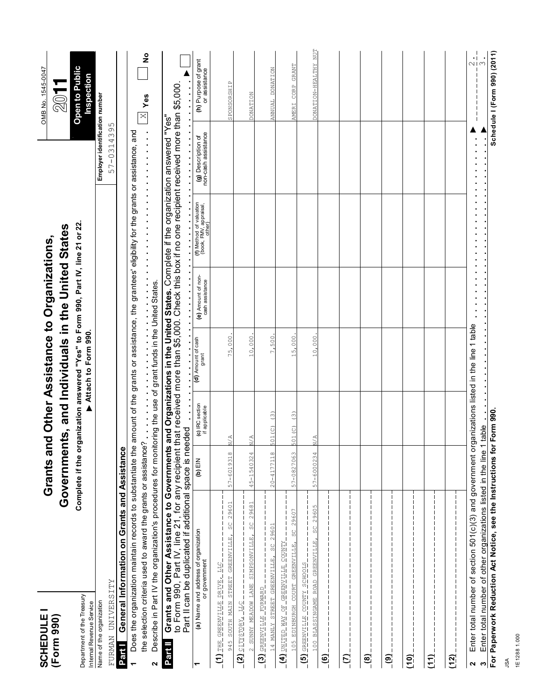| <b>SCHEDULE1</b><br>(Form 990)                                                                                                                                                                                           |                                                                                                                                                                                                                                                                                                                                               |                |                                  | Grants and Other Assistance to Organizations,                                                                                                                |                                       |                                                             |                                              | OMB No. 1545-0047                                  |
|--------------------------------------------------------------------------------------------------------------------------------------------------------------------------------------------------------------------------|-----------------------------------------------------------------------------------------------------------------------------------------------------------------------------------------------------------------------------------------------------------------------------------------------------------------------------------------------|----------------|----------------------------------|--------------------------------------------------------------------------------------------------------------------------------------------------------------|---------------------------------------|-------------------------------------------------------------|----------------------------------------------|----------------------------------------------------|
| Department of the Treasury<br>Internal Revenue Service                                                                                                                                                                   |                                                                                                                                                                                                                                                                                                                                               |                |                                  | Complete if the organization answered "Yes" to Form 990, Part IV, line 21 or 22.<br>Governments, and Individuals in the United States<br>Attach to Form 990. |                                       |                                                             |                                              | <b>Open to Public</b><br>Inspection<br><b>2011</b> |
| FURMAN UNIVERSITY<br>Name of the organization                                                                                                                                                                            |                                                                                                                                                                                                                                                                                                                                               |                |                                  |                                                                                                                                                              |                                       |                                                             | Employer identification number<br>57-0314395 |                                                    |
| Part I                                                                                                                                                                                                                   | General Information on Grants and Assistance                                                                                                                                                                                                                                                                                                  |                |                                  |                                                                                                                                                              |                                       |                                                             |                                              |                                                    |
|                                                                                                                                                                                                                          | Does the organization maintain records to substantiate the amount of the grants or assistance, the grantees' eligibility for the grants or assistance, and<br>the selection criteria used to award the grants or assistance?                                                                                                                  |                |                                  |                                                                                                                                                              |                                       |                                                             |                                              | °,<br>$\times$ Yes                                 |
| $\mathbf{a}$                                                                                                                                                                                                             | the organization's procedures for monitoring the use of grant funds in the United States.<br>Describe in Part IV the organization's procedures for monitoring the use of grant funds in the United States.                                                                                                                                    |                |                                  |                                                                                                                                                              |                                       |                                                             |                                              |                                                    |
| Part II                                                                                                                                                                                                                  | to Form 990, Part IV, line 21, for any recipient that received more than \$5,000. Check this box if no one recipient received more than \$5,000.<br>Grants and Other Assistance to Governments and Organizations in the United States. Complete if the organization answered "Yes"<br>Part II can be duplicated if additional space is needed |                |                                  |                                                                                                                                                              |                                       |                                                             |                                              |                                                    |
| ᡪ                                                                                                                                                                                                                        | (a) Name and address of organization<br>or government                                                                                                                                                                                                                                                                                         | NIE (q)        | (c) IRC section<br>if applicable | (d) Amount of cash<br>grant                                                                                                                                  | (e) Amount of non-<br>cash assistance | (f) Method of valuation<br>(book, FMV, appraisal,<br>other) | (g) Description of<br>non-cash assistance    | (h) Purpose of grant<br>or assistance              |
| $\pm$ (1) THE GREENVILLE DRIVE $\pm$                                                                                                                                                                                     | SC 29601<br>945 SOUTH MAIN STREET GREENVILLE,                                                                                                                                                                                                                                                                                                 | 57-6019318     | $\leq$                           | 75,000                                                                                                                                                       |                                       |                                                             |                                              | SPONSORSHIP                                        |
| <b>CITY STORY LIC</b><br>(2)                                                                                                                                                                                             |                                                                                                                                                                                                                                                                                                                                               |                |                                  |                                                                                                                                                              |                                       |                                                             |                                              |                                                    |
|                                                                                                                                                                                                                          | 2 SUNNY MEADOW LANE SIMPSONVILLE, SC 29681                                                                                                                                                                                                                                                                                                    | 45-1540324     | $\frac{A}{Z}$                    | 10,000                                                                                                                                                       |                                       |                                                             |                                              | <b>DONATION</b>                                    |
| 14 MANLY STREET GREENVILLE,<br>GREENVILLE FORWARD<br>$\overline{c}$                                                                                                                                                      | 29601<br>SC<br>S                                                                                                                                                                                                                                                                                                                              | $20 - 4177118$ | $\widehat{\mathcal{C}}$<br>01(C) | 7,500                                                                                                                                                        |                                       |                                                             |                                              | ANNUAL DONATION                                    |
| <b>KLNOO FITINGHED IO KW CHLING</b><br>$\overline{A}$                                                                                                                                                                    |                                                                                                                                                                                                                                                                                                                                               |                |                                  |                                                                                                                                                              |                                       |                                                             |                                              |                                                    |
| 105 EDINBURGH COURT GREENVILLE,                                                                                                                                                                                          | 29607<br>ς,                                                                                                                                                                                                                                                                                                                                   | 57-0827063     | $\widehat{c}$<br>501(C)          | 15,000                                                                                                                                                       |                                       |                                                             |                                              | AMERI CORP GRANT                                   |
| 100 BLASSINGAME ROAD GREENVILLE,<br>$ \overline{\text{STOOHS}}$ $\overline{\text{AIDO}}$ $\overline{\text{O}}$ $\overline{\text{O}}$ $\overline{\text{O}}$ $\overline{\text{OHOO}}$ $\overline{\text{O}}$<br>$\boxed{5}$ | 29605<br>SC                                                                                                                                                                                                                                                                                                                                   | 57-6000234     | N/A                              | 10,000                                                                                                                                                       |                                       |                                                             |                                              | DONATION-HEALTHY NUT                               |
| <u>(a)</u>                                                                                                                                                                                                               |                                                                                                                                                                                                                                                                                                                                               |                |                                  |                                                                                                                                                              |                                       |                                                             |                                              |                                                    |
| $\overline{C}$                                                                                                                                                                                                           |                                                                                                                                                                                                                                                                                                                                               |                |                                  |                                                                                                                                                              |                                       |                                                             |                                              |                                                    |
| $\overline{6}$                                                                                                                                                                                                           |                                                                                                                                                                                                                                                                                                                                               |                |                                  |                                                                                                                                                              |                                       |                                                             |                                              |                                                    |
| $\overline{6}$                                                                                                                                                                                                           |                                                                                                                                                                                                                                                                                                                                               |                |                                  |                                                                                                                                                              |                                       |                                                             |                                              |                                                    |
| $\overline{10}$                                                                                                                                                                                                          |                                                                                                                                                                                                                                                                                                                                               |                |                                  |                                                                                                                                                              |                                       |                                                             |                                              |                                                    |
| (11)                                                                                                                                                                                                                     |                                                                                                                                                                                                                                                                                                                                               |                |                                  |                                                                                                                                                              |                                       |                                                             |                                              |                                                    |
| (12)                                                                                                                                                                                                                     |                                                                                                                                                                                                                                                                                                                                               |                |                                  |                                                                                                                                                              |                                       |                                                             |                                              |                                                    |
| ო <br>$\mathbf{a}$                                                                                                                                                                                                       | Enter total number of section 501(c)(3) and government organizations listed in the line 1 table<br>Enter total number of other organizations listed in the line 1                                                                                                                                                                             |                | table                            |                                                                                                                                                              |                                       |                                                             |                                              | $\frac{1}{2}$                                      |
|                                                                                                                                                                                                                          | For Paperwork Reduction Act Notice, see the Instructions for                                                                                                                                                                                                                                                                                  |                | Form 990.                        |                                                                                                                                                              |                                       |                                                             |                                              | Schedule I (Form 990) (2011)                       |

JSA 1E1288 1.000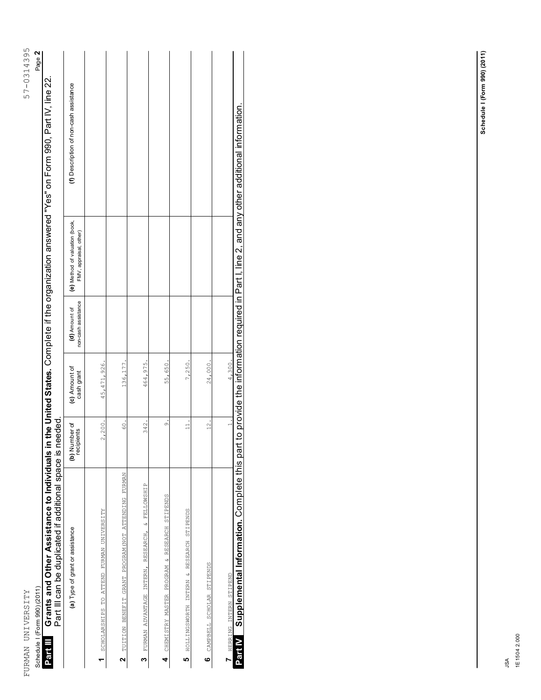| l<br>l                |  |
|-----------------------|--|
| $57 - 0^{\circ}$<br>5 |  |
|                       |  |
|                       |  |
|                       |  |
|                       |  |
|                       |  |
|                       |  |
|                       |  |
|                       |  |
|                       |  |
|                       |  |
|                       |  |
|                       |  |
|                       |  |
|                       |  |
|                       |  |
|                       |  |
|                       |  |
|                       |  |
|                       |  |
|                       |  |
| $\frac{1}{2}$         |  |
| į                     |  |
| .<br>י                |  |

57-0314395 Page 2

Schedule I (Form 990) (2011) Page **2** Schedule I (Form 990) (2011) **Part III**

Grants and Other Assistance to Individuals in the United States. Complete if the organization answered "Yes" on Form 990, Part IV, line 22.<br>Part III can be duplicated if additional space is needed. Grants and Other Assistance to Individuals in the United States. Complete if the organization answered "Yes" on Form 990, Part IV, line 22.<br>Dott III acs be directed if additional access is accede Part III can be duplicated if additional space is needed.

| (a) Type of grant or assistance                                        | (b) Number of<br>recipients | (c) Amount of<br>cash grant | non-cash assistance<br>(d) Amount of | (e) Method of valuation (book,<br>FMV, appraisal, other) | (f) Description of non-cash assistance                                                         |
|------------------------------------------------------------------------|-----------------------------|-----------------------------|--------------------------------------|----------------------------------------------------------|------------------------------------------------------------------------------------------------|
| SCHOLARSHIPS TO ATTEND FURMAN UNIVERSITY                               | 2,200                       | 45,471,926.                 |                                      |                                                          |                                                                                                |
| TUITION BENEFIT GRANT PROGRAM ATTENDINDING FURMAN<br>$\mathbf{\Omega}$ | 60.                         | 136,177                     |                                      |                                                          |                                                                                                |
| FURMAN ADVANTAGE INTERN, RESEARCH, & FELLOWSHIP<br>ო                   | 342.                        | 464,975.                    |                                      |                                                          |                                                                                                |
| CHEMISTRY MASTER PROGRAM & RESEARCH STIPENDS<br>4                      | $\overline{\circ}$          | 55,650                      |                                      |                                                          |                                                                                                |
| HOLLINGSWORTH INTERN & RESEARCH STIPENDS<br>LΩ                         | $\Box$                      | 7,250                       |                                      |                                                          |                                                                                                |
| CAMPBELL SCHOLAR STIPENDS<br>$\bullet$                                 | $\frac{2}{1}$               | 24,000                      |                                      |                                                          |                                                                                                |
| HERRING INTERN STIPEND                                                 |                             | 4,300.                      |                                      |                                                          |                                                                                                |
| Supplemental Information. Complete this par<br>Part IV                 |                             |                             |                                      |                                                          | t to provide the information required in Part I, line 2, and any other additional information. |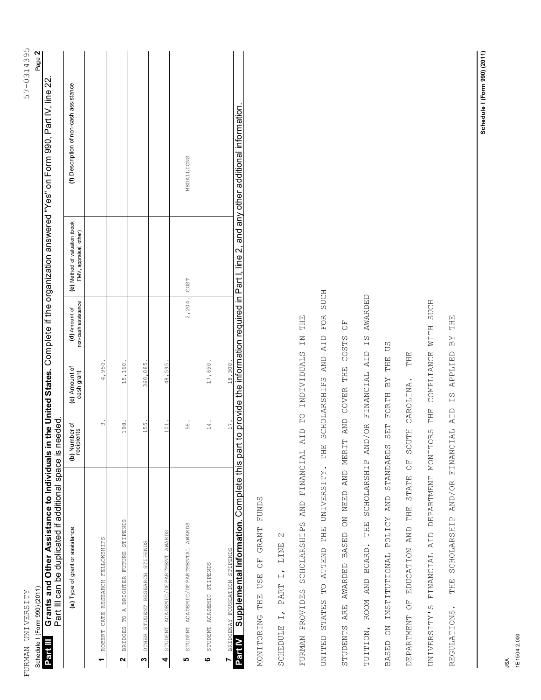| $\overline{a}$                                     |  |
|----------------------------------------------------|--|
|                                                    |  |
|                                                    |  |
| l                                                  |  |
| ے<br>ا                                             |  |
| l                                                  |  |
| $\overline{ }$<br>Ś<br>l                           |  |
|                                                    |  |
|                                                    |  |
|                                                    |  |
|                                                    |  |
|                                                    |  |
|                                                    |  |
|                                                    |  |
|                                                    |  |
|                                                    |  |
|                                                    |  |
|                                                    |  |
|                                                    |  |
|                                                    |  |
|                                                    |  |
|                                                    |  |
|                                                    |  |
|                                                    |  |
|                                                    |  |
|                                                    |  |
|                                                    |  |
|                                                    |  |
|                                                    |  |
|                                                    |  |
|                                                    |  |
|                                                    |  |
|                                                    |  |
|                                                    |  |
|                                                    |  |
|                                                    |  |
|                                                    |  |
|                                                    |  |
|                                                    |  |
|                                                    |  |
|                                                    |  |
|                                                    |  |
|                                                    |  |
|                                                    |  |
|                                                    |  |
|                                                    |  |
|                                                    |  |
|                                                    |  |
|                                                    |  |
|                                                    |  |
|                                                    |  |
|                                                    |  |
|                                                    |  |
|                                                    |  |
|                                                    |  |
|                                                    |  |
|                                                    |  |
|                                                    |  |
|                                                    |  |
|                                                    |  |
|                                                    |  |
|                                                    |  |
|                                                    |  |
|                                                    |  |
|                                                    |  |
|                                                    |  |
|                                                    |  |
|                                                    |  |
|                                                    |  |
|                                                    |  |
|                                                    |  |
|                                                    |  |
| $\frac{1}{4}$                                      |  |
|                                                    |  |
|                                                    |  |
|                                                    |  |
|                                                    |  |
|                                                    |  |
| ׇ֚֓֡                                               |  |
| į                                                  |  |
|                                                    |  |
| į                                                  |  |
| <br> <br> <br> <br> <br> <br> <br> <br> <br>ļ<br>l |  |

57-0314395 Page 2

Schedule I (Form 990) (2011) Page **2** Schedule I (Form 990) (2011) **Part III**

Grants and Other Assistance to Individuals in the United States. Complete if the organization answered "Yes" on Form 990, Part IV, line 22.<br>Dott III acs be directed if additional access is accede Grants and Other Assistance to Individuals in the United States. Complete if the organization answered "Yes" on Form 990, Part IV, line 22 Part III can be duplicated if additional space is needed. Part III can be duplicated if additional space is needed.

| (a) Type of grant or assistance                            | (b) Number of<br>recipients | (c) Amount of<br>cash grant | non-cash assistance<br>(d) Amount of | (e) Method of valuation (book,<br>FMV, appraisal, other) | (f) Description of non-cash assistance                                                        |
|------------------------------------------------------------|-----------------------------|-----------------------------|--------------------------------------|----------------------------------------------------------|-----------------------------------------------------------------------------------------------|
| ROBERT CATE RESEARCH FELLOWSHIPS                           | $\infty$                    | 4,950                       |                                      |                                                          |                                                                                               |
| BRIDGES TO A BRIGHTER FUTURE STIPENDS                      | 198.                        | 15,160.                     |                                      |                                                          |                                                                                               |
| OTHER STUDENT RESEARCH STIPENDS<br>m                       | 155.                        | 360,085.                    |                                      |                                                          |                                                                                               |
| STUDENT ACADEMIC/DEPARTMENT AWARDS<br>4                    | 101                         | 48,595.                     |                                      |                                                          |                                                                                               |
| STUDENT ACADEMIC/DEPARTMENTAL AWARDS<br>LO                 | 58                          |                             | 2,204.                               | COST                                                     | MEDALLIONS                                                                                    |
| STUDENT ACADEMIC STIPENDS<br>ဖ                             | $\frac{1}{4}$               | 17,650                      |                                      |                                                          |                                                                                               |
| BRIDGEWAY FOUNDATION STIPENDS                              | 17.                         | 18,300.                     |                                      |                                                          |                                                                                               |
| <b>Part IV</b> Supplemental Information. Complete this par |                             |                             |                                      |                                                          | t to provide the information required in Part I, line 2, and any other additional information |

OF GRANT FUNDS MONITORING THE USE OF GRANT FUNDS **USE** MONITORING THE

 $\mathcal{L}$ SCHEDULE I, PART I, LINE 2 PART I, LINE SCHEDULE I,

FOR SUCH UNITED STATES TO ATTEND THE UNIVERSITY. THE SCHOLARSHIPS AND AID FOR SUCH TUITION, ROOM AND BOARD. THE SCHOLARSHIP AND/OR FINANCIAL AID IS AWARDED TUITION, ROOM AND BOARD. THE SCHOLARSHIP AND/OR FINANCIAL AID IS AWARDED UNIVERSITY'S FINANCIAL AID DEPARTMENT MONITORS THE COMPLIANCE WITH SUCH UNIVERSITY'S FINANCIAL AID DEPARTMENT MONITORS THE COMPLIANCE WITH SUCH THE THE FURMAN PROVIDES SCHOLARSHIPS AND FINANCIAL AID TO INDIVIDUALS IN THE REGULATIONS. THE SCHOLARSHIP AND/OR FINANCIAL AID IS APPLIED BY THEFU<br>O STUDENTS ARE AWARDED BASED ON NEED AND MERIT AND COVER THE COSTS OF UNITED STATES TO ATTEND THE UNIVERSITY. THE SCHOLARSHIPS AND AID FURMAN PROVIDES SCHOLARSHIPS AND FINANCIAL AID TO INDIVIDUALS IN STUDENTS ARE AWARDED BASED ON NEED AND MERIT AND COVER THE COSTS  $\mathbb{R} \times$ **SC** BASED ON INSTITUTIONAL POLICY AND STANDARDS SET FORTH BY THE US THE SCHOLARSHIP AND/OR FINANCIAL AID IS APPLIED THE THE DEPARTMENT OF EDUCATION AND THE STATE OF SOUTH CAROLINA. THE BY DEPARTMENT OF EDUCATION AND THE STATE OF SOUTH CAROLINA. BASED ON INSTITUTIONAL POLICY AND STANDARDS SET FORTH REGULATIONS.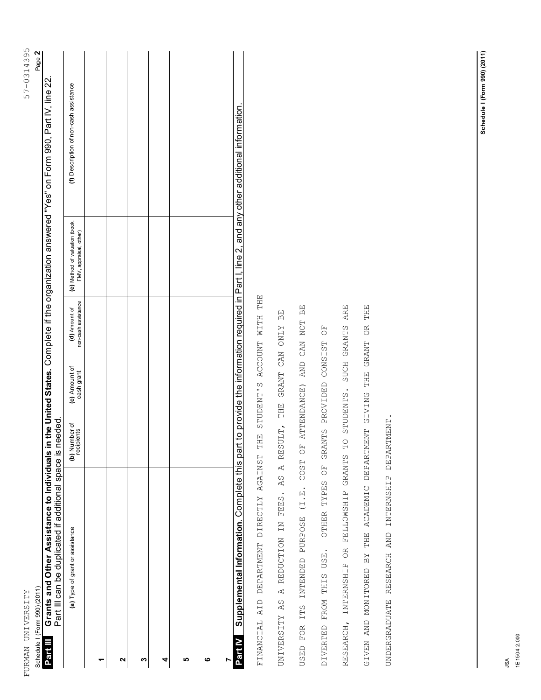| 57-0314395                            | Page 2 |
|---------------------------------------|--------|
|                                       |        |
|                                       |        |
| $+ 1$                                 |        |
| :<br> <br> <br>$\overline{a}$<br><br> | i      |

57-0314395 Page 2

Schedule I (Form 990) (2011) Page **2** Grants and Other Assistance to Individuals in the United States. Complete if the organization answered "Yes" on Form 990, Part IV, line 22.<br>Dott III acs be directed if additional access is accede **Grants and Other Assistance to Individuals in the United States.** Complete if the organization answered "Yes" on Form 990, Part IV, line 22.<br>Part III can be duplicated if additional space is needed. **Part III**

| (b) Number of<br>recipients<br>(a) Type of grant or assistance |  |  |  | Supplemental Information. Complete this par                                                    |
|----------------------------------------------------------------|--|--|--|------------------------------------------------------------------------------------------------|
|                                                                |  |  |  |                                                                                                |
|                                                                |  |  |  |                                                                                                |
| (c) Amount of<br>cash grant                                    |  |  |  |                                                                                                |
| non-cash assistance<br>(d) Amount of                           |  |  |  |                                                                                                |
| (e) Method of valuation (book,<br>FMV, appraisal, other)       |  |  |  |                                                                                                |
| (f) Description of non-cash assistance                         |  |  |  | t to provide the information required in Part I, line 2, and any other additional information. |
|                                                                |  |  |  |                                                                                                |

STUDENT'S ACCOUNT WITH THE FINANCIAL AID DEPARTMENT DIRECTLY AGAINST THE STUDENT'S ACCOUNT WITH THE FINANCIAL AID DEPARTMENT DIRECTLY AGAINST THE

USED FOR ITS INTENDED PURPOSE (I.E. COST OF ATTENDANCE) AND CAN NOT BE RESEARCH, INTERNSHIP OR FELLOWSHIP GRANTS TO STUDENTS. SUCH GRANTS ARE USED FOR ITS INTENDED PURPOSE (I.E. COST OF ATTENDANCE) AND CAN NOT BE RESEARCH, INTERNSHIP OR FELLOWSHIP GRANTS TO STUDENTS. SUCH GRANTS ARE BE UNIVERSITY AS A REDUCTION IN FEES. AS A RESULT, THE GRANT CAN ONLY BE UNIVERSITY AS A REDUCTION IN FEES. AS A RESULT, THE GRANT CAN ONLY OTHER TYPES OF GRANTS PROVIDED CONSIST OF DIVERTED FROM THIS USE. OTHER TYPES OF GRANTS PROVIDED CONSIST OF DIVERTED FROM THIS USE.

GIVEN AND MONITORED BY THE ACADEMIC DEPARTMENT GIVING THE GRANT OR THE

GIVEN AND MONITORED BY THE ACADEMIC DEPARTMENT GIVING THE GRANT OR THE

UNDERGRADUATE RESEARCH AND INTERNSHIP DEPARTMENT.

UNDERGRADUATE RESEARCH AND INTERNSHIP DEPARTMENT.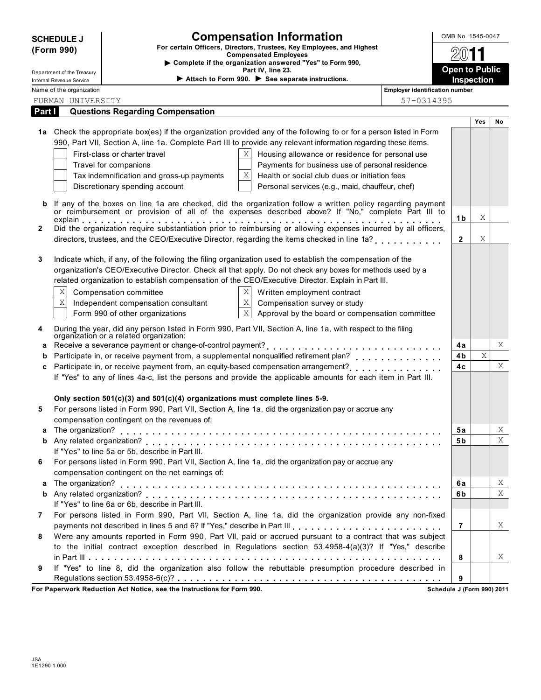|        | <b>SCHEDULE J</b><br>(Form 990) |                                                                                                                                       | <b>Compensation Information</b><br>For certain Officers, Directors, Trustees, Key Employees, and Highest<br><b>Compensated Employees</b>                                                                                                                                                                                                                                                                                                                                            |                                | OMB No. 1545-0047               |     |    |
|--------|---------------------------------|---------------------------------------------------------------------------------------------------------------------------------------|-------------------------------------------------------------------------------------------------------------------------------------------------------------------------------------------------------------------------------------------------------------------------------------------------------------------------------------------------------------------------------------------------------------------------------------------------------------------------------------|--------------------------------|---------------------------------|-----|----|
|        | Department of the Treasury      |                                                                                                                                       | Complete if the organization answered "Yes" to Form 990,<br>Part IV, line 23.                                                                                                                                                                                                                                                                                                                                                                                                       |                                | <b>Open to Public</b>           |     |    |
|        | Internal Revenue Service        |                                                                                                                                       | Attach to Form 990. See separate instructions.                                                                                                                                                                                                                                                                                                                                                                                                                                      |                                | Inspection                      |     |    |
|        | Name of the organization        |                                                                                                                                       |                                                                                                                                                                                                                                                                                                                                                                                                                                                                                     | Employer identification number |                                 |     |    |
|        | FURMAN UNIVERSITY               |                                                                                                                                       |                                                                                                                                                                                                                                                                                                                                                                                                                                                                                     | 57-0314395                     |                                 |     |    |
| Part I |                                 | <b>Questions Regarding Compensation</b>                                                                                               |                                                                                                                                                                                                                                                                                                                                                                                                                                                                                     |                                |                                 |     |    |
|        |                                 | First-class or charter travel<br>Travel for companions<br>Tax indemnification and gross-up payments<br>Discretionary spending account | 1a Check the appropriate box(es) if the organization provided any of the following to or for a person listed in Form<br>990, Part VII, Section A, line 1a. Complete Part III to provide any relevant information regarding these items.<br>Χ<br>Housing allowance or residence for personal use<br>Payments for business use of personal residence<br>Χ<br>Health or social club dues or initiation fees<br>Personal services (e.g., maid, chauffeur, chef)                         |                                |                                 | Yes | No |
|        |                                 |                                                                                                                                       | If any of the boxes on line 1a are checked, did the organization follow a written policy regarding payment<br>or reimbursement or provision of all of the expenses described above? If "No," complete Part III to                                                                                                                                                                                                                                                                   |                                | 1b                              | Χ   |    |
| 2      |                                 |                                                                                                                                       | Did the organization require substantiation prior to reimbursing or allowing expenses incurred by all officers,<br>directors, trustees, and the CEO/Executive Director, regarding the items checked in line 1a?                                                                                                                                                                                                                                                                     |                                | $\mathbf{2}$                    | Χ   |    |
| 3      | X<br>$\mathbf X$                | Compensation committee<br>Independent compensation consultant<br>Form 990 of other organizations                                      | Indicate which, if any, of the following the filing organization used to establish the compensation of the<br>organization's CEO/Executive Director. Check all that apply. Do not check any boxes for methods used by a<br>related organization to establish compensation of the CEO/Executive Director. Explain in Part III.<br>X.<br>Written employment contract<br>$\mathbf X$<br>Compensation survey or study<br>$\mathbf X$<br>Approval by the board or compensation committee |                                |                                 |     |    |
| 4      |                                 | organization or a related organization:                                                                                               | During the year, did any person listed in Form 990, Part VII, Section A, line 1a, with respect to the filing                                                                                                                                                                                                                                                                                                                                                                        |                                |                                 |     |    |
| a      |                                 |                                                                                                                                       |                                                                                                                                                                                                                                                                                                                                                                                                                                                                                     |                                | 4a                              |     | Χ  |
| b      |                                 |                                                                                                                                       | Participate in, or receive payment from, a supplemental nonqualified retirement plan?                                                                                                                                                                                                                                                                                                                                                                                               |                                | 4b                              | X   |    |
| C      |                                 |                                                                                                                                       | Participate in, or receive payment from, an equity-based compensation arrangement?<br>If "Yes" to any of lines 4a-c, list the persons and provide the applicable amounts for each item in Part III.                                                                                                                                                                                                                                                                                 |                                | 4c                              |     | Χ  |
| 5      |                                 | Only section $501(c)(3)$ and $501(c)(4)$ organizations must complete lines 5-9.<br>compensation contingent on the revenues of:        | For persons listed in Form 990, Part VII, Section A, line 1a, did the organization pay or accrue any                                                                                                                                                                                                                                                                                                                                                                                |                                |                                 |     |    |
|        |                                 |                                                                                                                                       |                                                                                                                                                                                                                                                                                                                                                                                                                                                                                     |                                | 5а                              |     | X  |
| b      |                                 | If "Yes" to line 5a or 5b, describe in Part III.                                                                                      |                                                                                                                                                                                                                                                                                                                                                                                                                                                                                     |                                | 5b                              |     | X  |
| 6      |                                 | compensation contingent on the net earnings of:                                                                                       | For persons listed in Form 990, Part VII, Section A, line 1a, did the organization pay or accrue any                                                                                                                                                                                                                                                                                                                                                                                |                                |                                 |     |    |
| а      |                                 |                                                                                                                                       |                                                                                                                                                                                                                                                                                                                                                                                                                                                                                     |                                | 6a                              |     | X  |
| b      |                                 |                                                                                                                                       |                                                                                                                                                                                                                                                                                                                                                                                                                                                                                     |                                | 6b                              |     | X  |
|        |                                 | If "Yes" to line 6a or 6b, describe in Part III.                                                                                      |                                                                                                                                                                                                                                                                                                                                                                                                                                                                                     |                                |                                 |     |    |
| 7      |                                 |                                                                                                                                       | For persons listed in Form 990, Part VII, Section A, line 1a, did the organization provide any non-fixed                                                                                                                                                                                                                                                                                                                                                                            |                                | $\overline{7}$                  |     |    |
| 8      |                                 |                                                                                                                                       | payments not described in lines 5 and 6? If "Yes," describe in Part III [1] [1] [1] [1] [1] [1] [1] [1] [1] [1<br>Were any amounts reported in Form 990, Part VII, paid or accrued pursuant to a contract that was subject<br>to the initial contract exception described in Regulations section 53.4958-4(a)(3)? If "Yes," describe                                                                                                                                                |                                |                                 |     | X  |
| 9      |                                 |                                                                                                                                       | If "Yes" to line 8, did the organization also follow the rebuttable presumption procedure described in                                                                                                                                                                                                                                                                                                                                                                              |                                | 8                               |     | X  |
|        |                                 | For Paperwork Reduction Act Notice, see the Instructions for Form 990.                                                                |                                                                                                                                                                                                                                                                                                                                                                                                                                                                                     |                                | 9<br>Schedule J (Form 990) 2011 |     |    |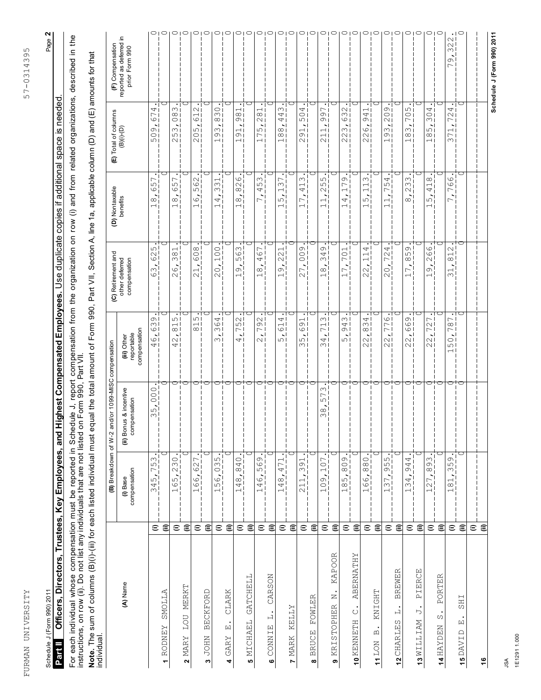| l<br>l                    |
|---------------------------|
| $\sim$ $\sim$ $\sim$<br>5 |
|                           |
|                           |
|                           |
|                           |
|                           |
|                           |
|                           |
|                           |
|                           |
|                           |
|                           |
|                           |
|                           |
|                           |
|                           |
|                           |
|                           |
|                           |
|                           |
|                           |
|                           |
| $\ddot{\phantom{a}}$      |
| - 1111-111                |

Page 2

### Schedule J (Form 990) 2011

# Schedule J (Form 990) 2011 Page **2** Officers, Directors, Trustees, Key Employees, and Highest Compensated Employees. Use duplicate copies if additional space is needed.

Part II Cofficers, Directors, Trustees, Key Employees, and Highest Compensated Employees. Use duplicate copies if additional space is needed.<br>For each individual whose compensation must be reported in Schedule J, report co For each individual whose compensation must be reported in Schedule J, report compensation from the organization on row (i) and from related organizations, described in the instructions, on row (ii). Do not list any individuals that are not listed on Form 990, Part VII.

**Note.** The sum of columns (B)(i)-(iii) for each listed individual must equal the total amount of Form 990, Part VII, Section A, line 1a, applicable column (D) and (E) amounts for that<br>individual Note. The sum of columns (B)(i)-(iii) for each listed individual must equal the total amount of Form 990, Part VII, Section A, line 1a, applicable column (D) and (E) amounts for that<br>individual.

|                                                                  |                         | (B) Breakdown of W-2 a                                                                                          | nd/or 1099-MISC compensation                    |                                                                                             | (C) Retirement and                                                                                  | (D) Nontaxable                                                                                                                      | (E) Total of columns                                                                                                                   | (F) Compensation                          |
|------------------------------------------------------------------|-------------------------|-----------------------------------------------------------------------------------------------------------------|-------------------------------------------------|---------------------------------------------------------------------------------------------|-----------------------------------------------------------------------------------------------------|-------------------------------------------------------------------------------------------------------------------------------------|----------------------------------------------------------------------------------------------------------------------------------------|-------------------------------------------|
| (A) Name                                                         |                         | compensation<br>(i) Base                                                                                        | is & incentive<br>pensation<br>com<br>(ii) Bonu | compensation<br>reportable<br>(iii) Other                                                   | other deferred<br>compensation                                                                      | benefits                                                                                                                            | $(B)(i)-(D)$                                                                                                                           | reported as deferred in<br>prior Form 990 |
|                                                                  | $\widehat{=}$           | ന¦<br>$\overline{1}$<br>$\overline{\phantom{0}}$<br>45,<br>$\infty$                                             | 000<br>ഗ<br>$\infty$                            | ത I<br>$\frac{1}{2}$<br>ا<br>اَه<br>41                                                      | ഗ<br>$\mathcal{S}$<br>63                                                                            | ┍<br>$\frac{5}{6}$<br>$\infty$<br>$\overline{\phantom{0}}$                                                                          | 4<br>$rac{7}{6}$<br>$\overline{\phantom{a}}$<br>$\circ$<br>$\circ$<br>$\sqrt{ }$                                                       | ◯∣                                        |
| <b>SMOLLA</b><br><b>RODNEY</b><br>÷                              | €                       | ◯                                                                                                               |                                                 |                                                                                             |                                                                                                     |                                                                                                                                     |                                                                                                                                        | ◠                                         |
|                                                                  | $\widehat{=}$           | $\circ$<br>$\frac{23}{1}$<br>59<br>$\overline{\phantom{0}}$                                                     |                                                 | ا صا<br>$\frac{1}{\infty}$<br>ᆔ<br>$\sim$<br>41                                             | ⊣<br>$\frac{8}{3}$<br>$\circ$<br>$\sim$                                                             | ഗ<br>$\circ$<br>$\infty$<br>$\overline{\phantom{0}}$                                                                                | $\infty$<br>$\infty$ j<br>oi<br>$\overline{\phantom{a}}$<br>$\infty$<br>$\sqrt{ }$<br>$\sim$                                           | O                                         |
| MERKT<br><b>LOU</b><br>MARY<br>2                                 | €                       | 冖                                                                                                               | ਰ                                               |                                                                                             |                                                                                                     |                                                                                                                                     |                                                                                                                                        | ◯                                         |
|                                                                  | $\widehat{=}$           | ٠i<br>$\overline{ }$<br>$\overline{6}$<br>99<br>$\overline{\phantom{0}}$                                        | っ                                               | $\bullet$<br>ا صا<br>$\frac{1}{\infty}$                                                     | 608<br>$\overline{\phantom{0}}$<br>$\sim$                                                           | $\sim$<br>$\circ$<br>ഗ<br>$\infty$<br>$\overline{\phantom{0}}$                                                                      | ٠<br>$\sim$<br>$\frac{1}{2}$<br>$\overline{\phantom{a}}$<br>$\sqrt{ }$<br>$\bigcirc$<br>$\sim$                                         |                                           |
| <b>BECKFORD</b><br><b>JOHN</b><br>S                              | €                       | 冖                                                                                                               | ⊂                                               |                                                                                             |                                                                                                     |                                                                                                                                     |                                                                                                                                        |                                           |
|                                                                  | $\widehat{=}$           | $\bullet$<br>ഗ<br>03<br>$\circ$<br>ഗ<br>$\overline{\phantom{0}}$                                                | 冖                                               | ٠<br>364<br>ᆡ<br>$\infty$ l                                                                 | 100<br>$\circ$<br>$\mathcal{Q}$                                                                     | $\overline{\phantom{0}}$<br>$\frac{3}{2}$<br>$\overline{\phantom{a}}$<br>4<br>$\overline{\phantom{0}}$                              | $\cdot$  <br>$\circ$<br>m i<br>$\infty$<br>$\overline{\phantom{a}}$<br>$\infty$<br>$\circ$<br>$\overline{\phantom{0}}$                 |                                           |
| CLARK<br>$\bullet$<br>囸<br>GARY<br>4                             | $\widehat{\equiv}$      | ◯                                                                                                               | ᇊ                                               |                                                                                             |                                                                                                     |                                                                                                                                     | ◯                                                                                                                                      |                                           |
|                                                                  | $\widehat{=}$           | $\frac{0}{4}$<br>$\infty$ <sup>1</sup><br>$\overline{\phantom{a}}$<br>$\infty$<br>4<br>$\overline{\phantom{0}}$ | 冖                                               | $\cdot$ 1<br>51<br>ا حا<br>니<br>41                                                          | 563<br>G<br>$\overline{\phantom{0}}$                                                                | 9<br>Nί<br>$\infty$<br>$\overline{\phantom{a}}$<br>$\infty$<br>$\overline{\phantom{0}}$                                             | $\overline{\phantom{0}}$<br>$\infty$<br>$\sigma$<br>$91 -$<br>$\overline{\phantom{0}}$                                                 |                                           |
| GATCHELL<br>MICHAEL<br>မာ                                        | €                       | ⊂                                                                                                               | ᢛ                                               |                                                                                             |                                                                                                     |                                                                                                                                     | С                                                                                                                                      |                                           |
|                                                                  | $\widehat{=}$           | Ò<br>$\circ$<br>$\overline{10}$<br>$\dot{\circ}$<br>4<br>$\overline{\phantom{0}}$                               | 冖                                               | $\bullet$<br>$792 -$<br>니<br>$\sim$                                                         | ┌<br>$\circ$<br>4<br>$\infty$<br>$\overline{\phantom{0}}$                                           | ω<br>ഗ<br>4<br>$\overline{\phantom{a}}$<br>$\overline{ }$                                                                           | $\overline{\phantom{0}}$<br>$\infty$<br>$\sim$<br>$\overline{\phantom{a}}$<br>$\sqrt{2}$<br>$\overline{\phantom{0}}$<br>$\overline{+}$ |                                           |
| CARSON<br>一<br>CONNIE<br>ဖ                                       | €                       | С                                                                                                               | ᡊ                                               |                                                                                             |                                                                                                     |                                                                                                                                     |                                                                                                                                        |                                           |
|                                                                  | $\widehat{\cdot}$       | $\bullet$<br>$\overline{\phantom{0}}$<br>$\overline{ }$<br>4<br>$\infty$<br>4<br>$\overline{\phantom{0}}$       | 冖                                               | $\cdot$ 1<br>4<br>$\frac{1}{6}$<br>ᆡ<br>மி                                                  | $\overline{\phantom{0}}$<br>22<br>$\circ$<br>$\overline{\phantom{0}}$                               | $\bullet$<br>$\overline{ }$<br>$\infty$<br>Hj<br>$\overline{\phantom{0}}$<br>ம<br>$\overline{\phantom{0}}$                          | $\cdot$  <br>S<br>4<br>41<br>$\overline{\phantom{a}}$<br>$\infty$<br>$\infty$<br>$\overline{\phantom{0}}$                              |                                           |
| KELLY<br>MARK<br>Z                                               | $\widehat{\epsilon}$    |                                                                                                                 | ਾਂਹ                                             |                                                                                             |                                                                                                     |                                                                                                                                     |                                                                                                                                        |                                           |
|                                                                  | $\widehat{\cdot}$       | ٠i<br>$\frac{1}{2}$<br>$\infty$<br>$\overline{1}$<br>$\overline{\phantom{0}}$<br>$\mathcal{L}$<br>п<br>п<br>Ш   | 冖<br>ш<br>п<br>1                                | $-1691$<br>ᆗ<br>ا ص<br>m I                                                                  | の<br>$\circ$<br>7,<br>$\overline{\mathcal{C}}$                                                      | ٠<br>Μ<br>$\frac{1}{4}$<br>$\sum_{i=1}^{n}$<br>$\overline{\phantom{0}}$                                                             | $\cdot$ 1<br>4<br>$\circ$<br>ا صا<br>$91 -$<br>$\sim$                                                                                  |                                           |
| FOWLER<br><b>BRUCE</b><br>$\infty$                               | €                       | С                                                                                                               | ⊤⊂                                              |                                                                                             |                                                                                                     |                                                                                                                                     | С                                                                                                                                      |                                           |
|                                                                  | $\widehat{\cdot}$       | اقيءَ<br>$\frac{1}{2}$<br>$\overline{\phantom{a}}$<br>109                                                       | Μ<br>Γ<br>ம்<br>$\infty$<br>$\infty$            | $\bullet$<br>ω<br>71<br>$\frac{1}{4}$<br>m I                                                | თ<br>34<br>$\ddot{\circ}$<br>$\overline{\phantom{0}}$                                               | $\bullet$<br>ഗ<br>ഥി<br>$\sim$<br>$\overline{\phantom{a}}$<br>$\overline{\phantom{0}}$<br>$\overline{\phantom{0}}$                  | $\cdot$ 1<br>冖<br>.<br>ഗ<br>c)<br>$\dot{+}$<br>$\overline{\phantom{0}}$<br>$\sim$                                                      |                                           |
| KAPOOR<br>z<br>STOPHER<br>KRI.<br>თ                              | €                       |                                                                                                                 |                                                 |                                                                                             |                                                                                                     |                                                                                                                                     |                                                                                                                                        |                                           |
|                                                                  | $\widehat{=}$           | $\overline{\delta}$ .<br>$\frac{0}{8}$<br>$85$ ,<br>$\overline{\phantom{0}}$<br>Ш<br>п<br>п<br>1                | ∍<br>ı<br>п<br>1<br>I                           | $\bullet$<br>943<br>ᅱ<br>ωΙ<br>ш                                                            | 70<br>7.<br>$\overline{\phantom{0}}$                                                                | თ<br>$\overline{ }$<br>⊣i<br>$\sim$<br>4<br>$\overline{\phantom{0}}$                                                                | $\cdot$ 1<br>$\sim$<br>$rac{3}{6}$<br>$\overline{\phantom{a}}$<br>$\infty$<br>$\sim$<br>$\sim$                                         |                                           |
| <b>ABERNATHY</b><br>U<br>10 KENNETH                              | €                       |                                                                                                                 |                                                 |                                                                                             |                                                                                                     |                                                                                                                                     |                                                                                                                                        |                                           |
|                                                                  | $\mathrel{\widehat{=}}$ | $\overline{\gamma}_1$<br>$\circ$<br>$\frac{8}{8}$<br>66,<br>$\overline{\phantom{0}}$                            | 冖                                               | $\bullet$<br>$834 -$<br>ᆗ<br>$\sim$<br>$\sim$                                               | 4<br>$\overline{\phantom{0}}$<br>$\overline{\phantom{0}}$<br>$\tilde{\mathcal{L}}$<br>$\mathcal{O}$ | $\bullet$<br>S<br>$\overline{\phantom{0}}$<br>$\overline{\phantom{0}}$<br>$\overline{\phantom{0}}$<br>ഗ<br>$\overline{\phantom{m}}$ | $\cdot$ 1<br>⊶ i<br>$\frac{4}{9}$<br>$\overline{\phantom{a}}$<br>$\circ$<br>$\sim$<br>$\sim$                                           |                                           |
| KNIGHT<br>$\bullet$<br>$\mathbf{\underline{\upomega}}$<br>11 LON | €                       |                                                                                                                 | ⊂                                               |                                                                                             |                                                                                                     |                                                                                                                                     | СJ                                                                                                                                     |                                           |
|                                                                  | $\widehat{=}$           | ٠i<br>് പ<br>$\overline{10}$<br>c)<br>37,<br>$\overline{\phantom{0}}$                                           | 冖                                               | $\cdot^{\mathsf{T}}$<br>ا ص<br>$\overline{77}$<br>ᆟ<br>$\sim$<br>NΙ                         | 4<br>72<br>$\dot{\circ}$<br>$\mathcal{Q}$                                                           | 4<br>ഗ<br>$\overline{ }$<br>$\overline{\phantom{0}}$<br>$\overline{\phantom{0}}$                                                    | $\cdot$ 1<br>9<br>$\circ$<br>$\sim$<br>$\frac{1}{2}$<br>$\circ$<br>$\overline{+}$                                                      |                                           |
| <b>BREWER</b><br>ᆸ<br>ω<br>12 CHARLE                             | €                       |                                                                                                                 | ┍                                               |                                                                                             |                                                                                                     |                                                                                                                                     |                                                                                                                                        |                                           |
|                                                                  | $\widehat{=}$           | 4<br>94.<br>34,<br>$\overline{\phantom{0}}$<br>п<br>ш                                                           | . .<br>Ш<br>ш                                   | 669<br>ᆔ<br>$\sim$<br>NΙ                                                                    | Ō<br>85<br>7,                                                                                       | ω<br>$\sim$<br>$\sim$<br>$\overline{\phantom{a}}$<br>$\infty$                                                                       | $\cdot$ 1<br>ம் i<br>Οj<br>$\Gamma$<br>$\overline{\phantom{a}}$<br>$\infty$<br>$\infty$<br>$\overline{+}$                              |                                           |
| PIERCE<br>⋻<br>13 WILLIAM                                        | €                       |                                                                                                                 | ⊂.                                              |                                                                                             |                                                                                                     |                                                                                                                                     |                                                                                                                                        |                                           |
|                                                                  | $\widehat{=}$           | ٠i<br>$\frac{1}{2}$<br>$\infty$<br>$\tilde{L}$<br>$\sim$<br>$\overline{\phantom{0}}$                            | 61                                              | $\cdot$ 1<br>$\overline{\phantom{0}}$<br>$72 -$<br>ᆔ<br>$\sim$<br>$\sim$                    | $\circ$<br>$\circ$<br>$\sim$<br>S<br>$\overline{\phantom{0}}$                                       | $\infty$<br>Ηj<br>4<br>ഗ<br>$\overline{\phantom{0}}$                                                                                | $\cdot$  <br>4<br>$\circ$<br>$\infty$ i<br>$\sim$<br>$\sqrt{ }$<br>$\infty$<br>$\overline{+}$                                          |                                           |
| PORTER<br>$\cdot$<br>WΟ<br>NAHAYDEN                              | ε                       |                                                                                                                 | $\overline{\phantom{a}}$                        |                                                                                             |                                                                                                     |                                                                                                                                     |                                                                                                                                        |                                           |
|                                                                  | $\mathrel{\widehat{=}}$ | $\tilde{\mathcal{F}}_1$<br>O<br>ഗ<br>$\infty$<br>$\overline{\circ}$<br>$\overline{\phantom{0}}$                 | 冖                                               | $\cdot$<br>⊢<br>$\infty$<br>$\overline{\phantom{0}}$<br>اء<br>$\circ$<br>$\sqrt{ }$<br>ا ہے | $\sim$<br>$\overline{\circ}$<br>$\overline{\phantom{0}}$<br>$\infty$                                | $\circ$<br>0<br>冖<br>N<br>┌                                                                                                         | $\cdot$ 1<br>4 i<br>$\sim$<br>$\overline{\phantom{0}}$<br>$\overline{\phantom{0}}$<br>$\overline{\phantom{0}}$<br>$\Gamma$<br>$\infty$ | 322<br>O<br>$\overline{\phantom{0}}$      |
| <b>SHI</b><br>囜<br>15 DAVID                                      | ε                       |                                                                                                                 | ⊂.                                              |                                                                                             |                                                                                                     |                                                                                                                                     |                                                                                                                                        |                                           |
|                                                                  | $\widehat{=}$           |                                                                                                                 |                                                 |                                                                                             |                                                                                                     |                                                                                                                                     |                                                                                                                                        |                                           |
| $\ddot{\bullet}$                                                 | €                       |                                                                                                                 |                                                 |                                                                                             |                                                                                                     |                                                                                                                                     |                                                                                                                                        |                                           |
|                                                                  |                         |                                                                                                                 |                                                 |                                                                                             |                                                                                                     |                                                                                                                                     |                                                                                                                                        | Schedule J (Form 990) 2011                |

**Schedule J (Form 990) 2011**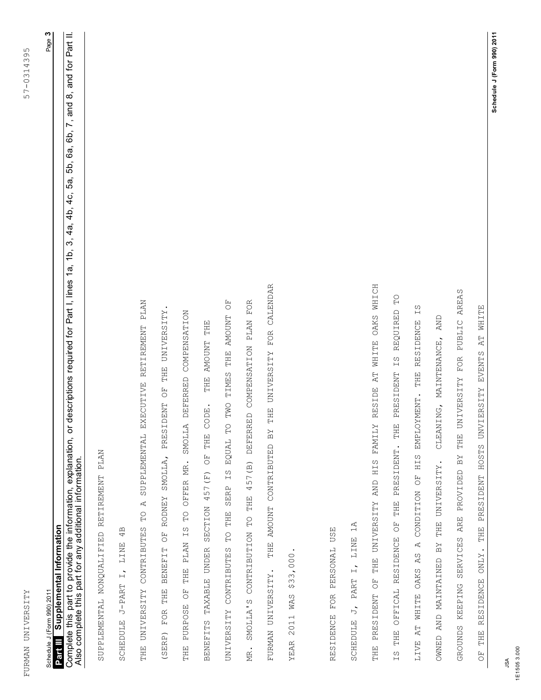| ا<br>ا<br>I<br>J<br>$-43$<br>$\ddot{\phantom{0}}$<br>ł |
|--------------------------------------------------------|
| 57-03<br>-<br>)                                        |
|                                                        |
|                                                        |
|                                                        |
|                                                        |
|                                                        |
|                                                        |
|                                                        |
|                                                        |
|                                                        |
|                                                        |
|                                                        |
|                                                        |
| ------------                                           |
| j<br>į<br>,                                            |

| Schedule J (Form 990) 2011 | Information<br>Supplemental |   |
|----------------------------|-----------------------------|---|
|                            |                             | ĺ |

Page **3**

and for Part II. Complete this part to provide the information, explanation, or descriptions required for Part I, lines 1a, 1b, 3, 4a, 4b, 4c, 5a, 5b, 6a, 6b, 7, and 8, and for Part II.<br>Also complete this part for anu additional informatio  $\dot{\infty}$ 5b, 6a, 6b, 7, and 5а,  $\frac{1}{4}$ 4a, 4b,  $\mathfrak{S}$ 1b, Complete this part to provide the information, explanation, or descriptions required for Part I, lines 1a, Also complete this part for any additional information. Also complete this part for any additional information.

SUPPLEMENTAL NONQUALIFIED RETIREMENT PLAN SUPPLEMENTAL NONQUALIFIED RETIREMENT PLAN

 $4B$ SCHEDULE J-PART I, LINE 4B LINE  $\overrightarrow{L}$ SCHEDULE J-PART

CALENDAR FURMAN UNIVERSITY. THE AMOUNT CONTRIBUTED BY THE UNIVERSITY FOR CALENDAR FOR SUPPLEMENTAL EXECUTIVE RETIREMENT PLAN THE UNIVERSITY CONTRIBUTES TO A SUPPLEMENTAL EXECUTIVE RETIREMENT PLAN FO MR. SMOLLA'S CONTRIBUTION TO THE 457(B) DEFERRED COMPENSATION PLAN FOR UNIVERSITY CONTRIBUTES TO THE SERP IS EQUAL TO TWO TIMES THE AMOUNT OF (SERP) FOR THE BENEFIT OF RODNEY SMOLLA, PRESIDENT OF THE UNIVERSITY. THE UNIVERSITY DEFERRED COMPENSATION THE PURPOSE OF THE PLAN IS TO OFFER MR. SMOLLA DEFERRED COMPENSATION TIMES THE AMOUNT **PLAN** AMOUNT THE BENEFITS TAXABLE UNDER SECTION 457(F) OF THE CODE. THE AMOUNT THE THE AMOUNT CONTRIBUTED BY THE UNIVERSITY FOR DEFERRED COMPENSATION THE  $\overline{C}$ TWO PRESIDENT **CODE** SMOLLA  $\Gamma$ THE EQUAL  $\overline{C}$ SMOLLA, OFFER MR. 457 (B)  $\frac{1}{2}$ 457 (F) **SERP** THE **RODNEY**  $\overline{A}$ SECTION  $\overline{C}$  $\Gamma$ THE  $\Gamma$  $\overline{C}$ CONTRIBUTES  $\Gamma$ SMOLLA'S CONTRIBUTION BENEFIT OF THE PLAN TAXABLE UNDER CONTRIBUTES YEAR 2011 WAS \$33,000. YEAR 2011 WAS \$33,000 FURMAN UNIVERSITY. THE THE UNIVERSITY  $\overline{C}$ THE PURPOSE FOR **UNIVERSITY BENEFITS** (SERP) MR.

RESIDENCE FOR PERSONAL USE RESIDENCE FOR PERSONAL USE  $1A$ SCHEDULE J, PART I, LINE 1A LINE  $\overline{L}$ PART  $\overline{5}$ SCHEDULE

RESIDE AT WHITE OAKS WHICH THE PRESIDENT OF THE UNIVERSITY AND HIS FAMILY RESIDE AT WHITE OAKS WHICH PUBLIC AREAS GROUNDS KEEPING SERVICES ARE PROVIDED BY THE UNIVERSITY FOR PUBLIC AREAS  $\mathbb{P}^{\bullet}$ IS THE OFFICAL RESIDENCE OF THE PRESIDENT. THE PRESIDENT IS REQUIRED TO S I **WHITE** LIVE AT WHITE OAKS AS A CONDITION OF HIS EMPLOYMENT. THE RESIDENCE IS REQUIRED AND OWNED AND MAINTAINED BY THE UNIVERSITY. CLEANING, MAINTENANCE, AND **RESIDENCE**  $\mathbb{A}\mathbb{T}$ MAINTENANCE. HOSTS UNVIERSITY EVENTS  $\frac{1}{2}$ FOR THE PRESIDENT THE UNIVERSITY HIS EMPLOYMENT. CLEANING, *LAMITY* PRESIDENT. THE SERVICES ARE PROVIDED BY HIS THE UNIVERSITY. PRESIDENT CONDITION OF THE UNIVERSITY AND THE  $\begin{array}{c} \n\text{F} \\
\text{O} \n\end{array}$ THE **RESIDENCE**  $\overline{A}$ NNED AND MAINTAINED BY ONLY.  $\overline{A}S$ WHITE OAKS THE PRESIDENT OF **RESIDENCE** GROUNDS KEEPING OFFICAL LIVE AT THE THE  $\overline{C}$  $\frac{1}{2}$ 

OF THE RESIDENCE ONLY. THE PRESIDENT HOSTS UNVIERSITY EVENTS AT WHITE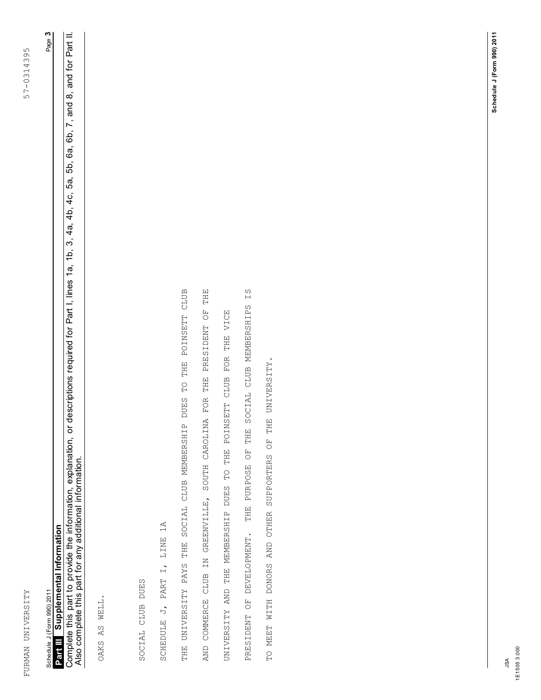| l<br>I<br>֠<br>$\breve{}$<br>١<br>143<br>$\frac{1}{2}$<br>l |
|-------------------------------------------------------------|
| $\frac{1}{2}$<br>57-03<br>$\overline{a}$                    |
| )                                                           |
|                                                             |
|                                                             |
|                                                             |
|                                                             |
|                                                             |
|                                                             |
|                                                             |
|                                                             |
|                                                             |
|                                                             |
|                                                             |
|                                                             |
|                                                             |
|                                                             |
|                                                             |
|                                                             |
|                                                             |
|                                                             |
|                                                             |
|                                                             |
| $+ + +$                                                     |
|                                                             |
| l<br>i<br>district                                          |
|                                                             |

### **Supplemental Information** Schedule J (Form 990) 2011 Schedule J (Form 990) 2011

Page **3**

5a, 5b, 6a, 6b, 7, and 8, and for Part II. Complete this part to provide the information, explanation, or descriptions required for Part I, lines 1a, 1b, 3, 4a, 4b, 4c, 5a, 5b, 6a, 6b, 7, and 8, and for Part II.<br>Also complete this part for anu additional informatio  $4c$ **Part III** Supplemental Information<br>Complete this part to provide the information, explanation, or descriptions required for Part I, lines 1a, 1b, 3, 4a, 4b,<br>Also complete this part for any additional information. Also complete this part for any additional information.

OAKS AS WELL. OAKS AS WELL. SOCIAL CLUB DUES SOCIAL CLUB DUES SCHEDULE J, PART I, LINE 1A SCHEDULE J, PART I, LINE 1A THE POINSETT CLUB AND COMMERCE CLUB IN GREENVILLE, SOUTH CAROLINA FOR THE PRESIDENT OF THE PRESIDENT OF DEVELOPMENT. THE PURPOSE OF THE SOCIAL CLUB MEMBERSHIPS IS THE UNIVERSITY PAYS THE SOCIAL CLUB MEMBERSHIP DUES TO THE POINSETT CLUB AND COMMERCE CLUB IN GREENVILLE, SOUTH CAROLINA FOR THE PRESIDENT OF THE PRESIDENT OF DEVELOPMENT. THE PURPOSE OF THE SOCIAL CLUB MEMBERSHIPS IS POINSETT CLUB FOR THE VICE UNIVERSITY AND THE MEMBERSHIP DUES TO THE POINSETT CLUB FOR THE VICE TO MEET WITH DONORS AND OTHER SUPPORTERS OF THE UNIVERSITY.TO MEET WITH DONORS AND OTHER SUPPORTERS OF THE UNIVERSITY.  $\Gamma$ THE SOCIAL CLUB MEMBERSHIP DUES UNIVERSITY AND THE MEMBERSHIP DUES TO THE PAYS THE UNIVERSITY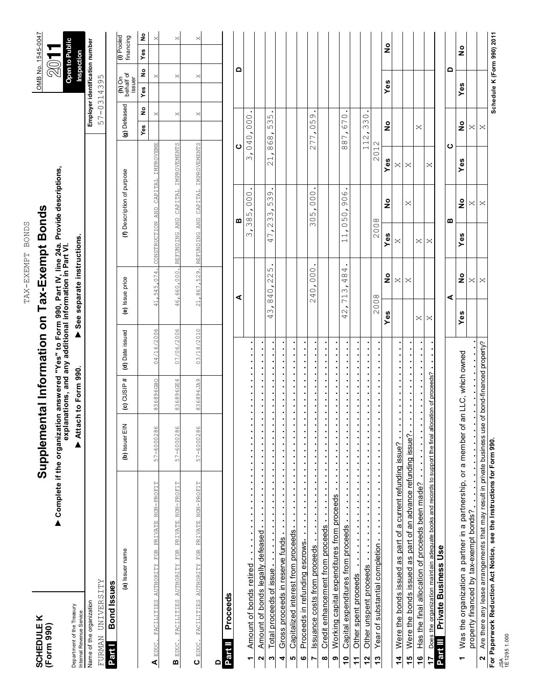| ×       |         |
|---------|---------|
|         | နွ<br>თ |
|         | E       |
| Ĩ.<br>Ũ |         |

TAX-EXEMPT BONDS TAX-EXEMPT BONDS

# Supplemental Information on Tax-Exempt Bonds **(Form 990) Supplemental Information on Tax-Exempt Bonds**

▶ Complete if the organization answered "Yes" to Form 990, Part IV, line 24a. Provide descriptions, explanations, and any additional information in Part VI. ▶ Complete if the organization answered "Yes" to Form 990, Part IV, line 24a. Provide descriptions,<br>●xplanations, and any additional information in Part VI.

See separate instructions. **explanations, and any additional information in Part VI.** Attach to Form 990.

Internal Revenue Service <sup>2</sup><br>Name of the organization<br>Name of the organization

Name of the organization **Employer identification number** Name of the organization

Department of the Treasury

Department of the Treasury Internal Revenue Service

FURMAN UNIVERSITY 57-0314395 FURMAN UNIVERSITY

**Bond Issues Part I**

| (a) Issuer name                                               | (b) Issuer Ell |           | (c) CUSIP # $\vert$ (d) Date issued | (e) Issue price | (f) Description of purpose                     | (g) Defeased |     | tn Unit<br>behalf of<br>issuer | U) Lonen<br>I financing |          |
|---------------------------------------------------------------|----------------|-----------|-------------------------------------|-----------------|------------------------------------------------|--------------|-----|--------------------------------|-------------------------|----------|
|                                                               |                |           |                                     |                 |                                                | ş<br>yes     | Yes | $rac{1}{2}$                    | Yes                     | ž        |
| A EDUC. FACILITIES AUTHORITY FOR PRIVATE NON-PROFIT           | 57-6000286     | 836896GBO | 04/16/2006                          |                 | 41,545,074. CONSTRUCTION AND CAPITAL IMPROVEME | ×            |     | ×                              |                         | $\times$ |
| B EDUC. FACILITIES AUTHORITY FOR PRIVATE NON-PROFIT           | 57-6000286     | 836896GE4 | 07/06/2006                          |                 | 46,660,000. REFUNDING AND CAPITAL IMPROVEMENTS | ×            |     | ×                              |                         | $\times$ |
| $\mathbf C$ EDUC. FACILITIES AUTHORITY FOR PRIVATE NON-PROFIT | 57-6000286     | 836896JA9 | 03/18/2010                          |                 | 21,867,529. REFUNDING AND CAPITAL IMPROVEMENTS | ×            |     | ×                              |                         | $\times$ |
|                                                               |                |           |                                     |                 |                                                |              |     |                                |                         |          |
| Partill Proceeds                                              |                |           |                                     |                 |                                                |              |     |                                |                         |          |

| <b>Partill</b> Proceeds                                                                                                                                         |                                 |                                            |                                                      |                    |                                    |                                   |                            |               |
|-----------------------------------------------------------------------------------------------------------------------------------------------------------------|---------------------------------|--------------------------------------------|------------------------------------------------------|--------------------|------------------------------------|-----------------------------------|----------------------------|---------------|
|                                                                                                                                                                 |                                 | ⋖                                          |                                                      | ≃                  | ပ                                  |                                   | ≏                          |               |
| $\frac{1}{2}$ , $\frac{1}{2}$ , $\frac{1}{2}$ , $\frac{1}{2}$<br>-<br>-<br>-<br>-<br>1 Amount of bonds retired                                                  |                                 |                                            | $\infty$                                             | 000<br>385         | ω                                  | 040,000                           |                            |               |
| E<br>i,<br>E<br>i.<br>$\ddot{\phantom{0}}$<br>-<br>-<br>-<br>-<br>Amount of bonds legally defeased<br>ี่                                                        |                                 |                                            |                                                      |                    |                                    |                                   |                            |               |
| ä<br>s<br>ä<br>s<br>$\ddot{\phantom{a}}$<br>Total proceeds of issue<br>ო                                                                                        | Μ<br>4                          | 225<br>$\circ$<br>$\frac{4}{3}$            | 47,                                                  | 0<br>Μ<br>ഗ<br>233 | $\overline{\phantom{0}}$<br>$\sim$ | ഗ<br>$\sim$<br>ഗ<br>868           |                            |               |
| s<br>$\ddot{\phantom{a}}$<br>:<br>Gross proceeds in reserve funds<br>4                                                                                          |                                 |                                            |                                                      |                    |                                    |                                   |                            |               |
| Capitalized interest from proceeds<br>ю                                                                                                                         |                                 |                                            |                                                      |                    |                                    |                                   |                            |               |
| Proceeds in refunding escrows<br>ဖ                                                                                                                              |                                 |                                            |                                                      |                    |                                    |                                   |                            |               |
| Ė<br>$\ddot{\phantom{a}}$<br>Issuance costs from proceeds<br>$\overline{a}$                                                                                     | $\mathcal{Q}$                   | 0.000<br>4                                 | Μ                                                    | 000.<br>05         |                                    | 277,059                           |                            |               |
| :<br>:<br>Credit enhancement from proceeds<br>$\infty$                                                                                                          |                                 |                                            |                                                      |                    |                                    |                                   |                            |               |
| ×<br>×,<br>Ė<br>$\ddot{\phantom{0}}$<br>Working capital expenditures from proceeds<br>თ                                                                         |                                 |                                            |                                                      |                    |                                    |                                   |                            |               |
| Capital expenditures from proceeds<br>$\ddot{a}$                                                                                                                | $\frac{1}{2}$<br>4              | 4<br>$\frac{8}{4}$<br>Μ<br>$\overline{71}$ | $\overline{\phantom{0}}$<br>$\overline{\phantom{0}}$ | 906<br>050         | $\infty$                           | 670<br>$\overline{C}$<br>$\infty$ |                            |               |
| Other spent proceeds                                                                                                                                            |                                 |                                            |                                                      |                    |                                    |                                   |                            |               |
| Other unspent proceeds<br>$\frac{2}{3}$                                                                                                                         |                                 |                                            |                                                      |                    |                                    | 112,330                           |                            |               |
| ı<br>$\ddot{\phantom{a}}$<br>Year of substantial completion and the substantial completion<br>$\frac{3}{2}$                                                     | 008<br>$\overline{\mathcal{C}}$ |                                            | 2008                                                 |                    | 2012                               |                                   |                            |               |
|                                                                                                                                                                 | Yes                             | $\frac{1}{2}$                              | Yes                                                  | $\frac{1}{2}$      | Yes                                | $\frac{1}{2}$                     | Yes                        | $\frac{1}{2}$ |
| $\blacksquare$<br>×<br>$\blacksquare$<br>$\blacksquare$<br>$\ddot{\phantom{0}}$<br>Were the bonds issued as part of a current refunding issue?<br>$\frac{4}{1}$ |                                 | $\times$                                   | ×                                                    |                    | ×                                  |                                   |                            |               |
| E<br>$\ddot{\phantom{a}}$<br>Were the bonds issued as part of an advance refunding issue?<br>15<br>1                                                            |                                 | ×                                          |                                                      | ×                  | ×                                  |                                   |                            |               |
| Has the final allocation of proceeds been made?<br>$rac{6}{1}$                                                                                                  | ×                               |                                            | ×                                                    |                    |                                    | ×                                 |                            |               |
| location of proceeds?<br><b>17</b> Does the organization maintain adequate books and records to support the final all                                           | ×                               |                                            | ×                                                    |                    | $\times$                           |                                   |                            |               |
| Private Business Use<br>Part III                                                                                                                                |                                 |                                            |                                                      |                    |                                    |                                   |                            |               |
|                                                                                                                                                                 |                                 | ⋖                                          |                                                      | മ                  | ပ                                  |                                   | ۵                          |               |
| an LLC, which owned<br>Was the organization a partner in a partnership, or a member of<br>٣                                                                     | Yes                             | $\frac{1}{2}$                              | Yes                                                  | $\frac{1}{2}$      | Yes                                | $\frac{1}{2}$                     | Yes                        | $\frac{1}{2}$ |
| property financed by tax-exempt bonds?                                                                                                                          |                                 | ×                                          |                                                      | ×                  |                                    | ×                                 |                            |               |
| se of bond-financed property?<br>Are there any lease arrangements that may result in private business us<br>$\sim$                                              |                                 | ×                                          |                                                      | ×                  |                                    | ×                                 |                            |               |
| For Paperwork Reduction Act Notice, see the Instructions for Form 990.                                                                                          |                                 |                                            |                                                      |                    |                                    |                                   | Schedule K (Form 990) 2011 |               |



Inspection<br>Employer identification number 57-0314395

**(h)** On **(i)** Pooled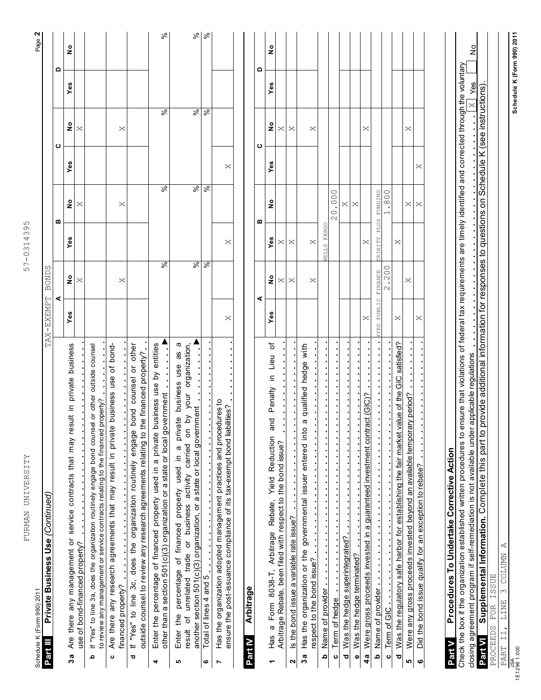| FURMAN UNIVERSITY                                                                                                                                                                                                                                                                  |                       |                          | $\infty$<br>$\infty$<br>$57 - 0314$ | ഗ                                |            |                    |        | Page 2        |
|------------------------------------------------------------------------------------------------------------------------------------------------------------------------------------------------------------------------------------------------------------------------------------|-----------------------|--------------------------|-------------------------------------|----------------------------------|------------|--------------------|--------|---------------|
| Private Business Use (Continued)<br>Schedule K (Form 990) 2011<br>Part III                                                                                                                                                                                                         | TAX-EXEMPT            | BONDS                    |                                     |                                  |            |                    |        |               |
|                                                                                                                                                                                                                                                                                    | ⋖                     |                          |                                     | ⋒                                |            | ပ                  | ۵      |               |
| Are there any management or service contracts that may result in private business<br>3a                                                                                                                                                                                            | Yes                   | $\frac{1}{2}$            | Yes                                 | ٥<br>Z                           | Yes        | ٥<br>Z             | Yes    | $\frac{1}{2}$ |
| use of bond-financed property?                                                                                                                                                                                                                                                     |                       | $\times$                 |                                     | $\bowtie$                        |            | $\times$           |        |               |
| If "Yes" to line 3a, does the organization routinely engage bond counsel or other outside counsel<br>to review any management or service contracts relating to the financed property?<br>ء                                                                                         |                       |                          |                                     |                                  |            |                    |        |               |
| Are there any research agreements that may result in private business use of bond-<br>ပ                                                                                                                                                                                            |                       |                          |                                     |                                  |            |                    |        |               |
| financed property?                                                                                                                                                                                                                                                                 |                       | ×                        |                                     | ×                                |            | ×                  |        |               |
| bond counsel or other<br>outside counsel to review any research agreements relating to the financed property?<br>If "Yes" to line 3c, does the organization routinely engage<br>ರ                                                                                                  |                       |                          |                                     |                                  |            |                    |        |               |
|                                                                                                                                                                                                                                                                                    |                       |                          |                                     |                                  |            |                    |        |               |
| Enter the percentage of financed property used in a private business use by entities<br>other than a section 501(c)(3) organization or a state or local government<br>4                                                                                                            |                       | $\overline{\mathcal{S}}$ |                                     | $\overline{\mathcal{S}}$         |            | %                  |        | $\%$          |
| ω<br>జ<br>Enter the percentage of financed property used in a private business use<br>result of unrelated trade or business activity carried on by your organiz<br>ю                                                                                                               |                       |                          |                                     |                                  |            |                    |        |               |
| organization,<br>another section 501(c)(3) organization, or a state or local government                                                                                                                                                                                            |                       | $\overline{\mathcal{S}}$ |                                     | $\overline{\mathcal{S}}$         |            |                    |        | %             |
| Total of lines 4 and 5 $\cdots$ $\cdots$ $\cdots$ $\cdots$ $\cdots$<br>ဖ                                                                                                                                                                                                           |                       | $\bar{\mathcal{S}}$      |                                     | $\overline{\mathcal{S}}$         |            | <u>% </u>          |        | ∣శ            |
| Has the organization adopted management practices and procedures to<br>ensure the post-issuance compliance of its tax-exempt bond liabilities?<br>Ľ                                                                                                                                | $\times$              |                          | ×                                   |                                  | ×          |                    |        |               |
|                                                                                                                                                                                                                                                                                    |                       |                          |                                     |                                  |            |                    |        |               |
| <b>Arbitrage</b><br>Part IV                                                                                                                                                                                                                                                        |                       |                          |                                     |                                  |            |                    |        |               |
|                                                                                                                                                                                                                                                                                    | ⋖                     |                          |                                     | m                                |            | ပ                  | ٥      |               |
| ŏ<br>Lieu<br>Penalty in<br>g<br>$\omega$<br>a Form 8038-T, Arbitrage Rebate, Yield Reduction<br>Has<br>٣                                                                                                                                                                           | Yes                   | ş                        | Yes                                 | ş                                | Yes        | $\frac{1}{2}$      | Yes    | ş             |
| Arbitrage Rebate, been filed with respect to the bond issue?                                                                                                                                                                                                                       |                       | $\bowtie$                | ×                                   |                                  |            | $\bowtie$          |        |               |
| Is the bond issue a variable rate issue?<br>2                                                                                                                                                                                                                                      |                       | $\times$                 | $\times$                            |                                  |            | $\times$           |        |               |
| hedge with<br>qualified<br>$\omega$<br>Has the organization or the governmental issuer entered into<br>respect to the bond issue?<br>3a                                                                                                                                            |                       | ×                        | ×                                   |                                  |            | $\bowtie$          |        |               |
| j.<br><b>b</b> Name of provider                                                                                                                                                                                                                                                    |                       |                          | FARGC<br>VELLS                      |                                  |            |                    |        |               |
| c Term of hedge                                                                                                                                                                                                                                                                    |                       |                          |                                     | 20.000                           |            |                    |        |               |
| d Was the hedge superintegrated?                                                                                                                                                                                                                                                   |                       |                          |                                     | X                                |            |                    |        |               |
| e Was the hedge terminated?                                                                                                                                                                                                                                                        |                       |                          |                                     | $\times$                         |            |                    |        |               |
| 4a Were gross proceeds invested in a guaranteed investment contract (GIC)?                                                                                                                                                                                                         | ×                     |                          | ×                                   |                                  |            | ×                  |        |               |
| <b>b</b> Name of provider                                                                                                                                                                                                                                                          | PUBLIC<br><b>OATE</b> | <b>FINANCE</b>           | <b>PLUS</b><br><b>EINITY</b>        | <b>FUNDING</b>                   |            |                    |        |               |
| $\overline{\phantom{a}}$<br>c Term of GIC                                                                                                                                                                                                                                          |                       | .200<br>$\mathcal{O}$    |                                     | .800<br>$\overline{\phantom{0}}$ |            |                    |        |               |
| satisfied?<br>96<br>Was the regulatory safe harbor for establishing the fair market value of the<br>Ō                                                                                                                                                                              | ×                     |                          | ×                                   |                                  |            |                    |        |               |
| Were any gross proceeds invested beyond an available temporary period?<br>LO                                                                                                                                                                                                       |                       | ×                        |                                     | ×                                |            | ×                  |        |               |
| Did the bond issue qualify for an exception to rebate?<br>$\bullet$                                                                                                                                                                                                                | ×                     |                          |                                     | $\times$                         | ×          |                    |        |               |
|                                                                                                                                                                                                                                                                                    |                       |                          |                                     |                                  |            |                    |        |               |
| Procedures To Undertake Corrective Action<br>Part V                                                                                                                                                                                                                                |                       |                          |                                     |                                  |            |                    |        |               |
| Check the box if the organization established written procedures to ensure that violations of federal tax requirements are timely identified and corrected through the voluntary<br>applicable regulations<br>closing agreement program if self-remediation is not available under |                       |                          |                                     |                                  |            |                    | $Y$ es | ş             |
| Supplemental Information. Complete this part to provide additional information for responses to questions on<br>Part VI                                                                                                                                                            |                       |                          |                                     |                                  | Schedule K | (see instructions) |        |               |
| FOR ISSUE<br>PROCEEDS                                                                                                                                                                                                                                                              |                       |                          |                                     |                                  |            |                    |        |               |
| LINE 3 COLUMN A<br>PART II,                                                                                                                                                                                                                                                        |                       |                          |                                     |                                  |            |                    |        |               |

57-0314395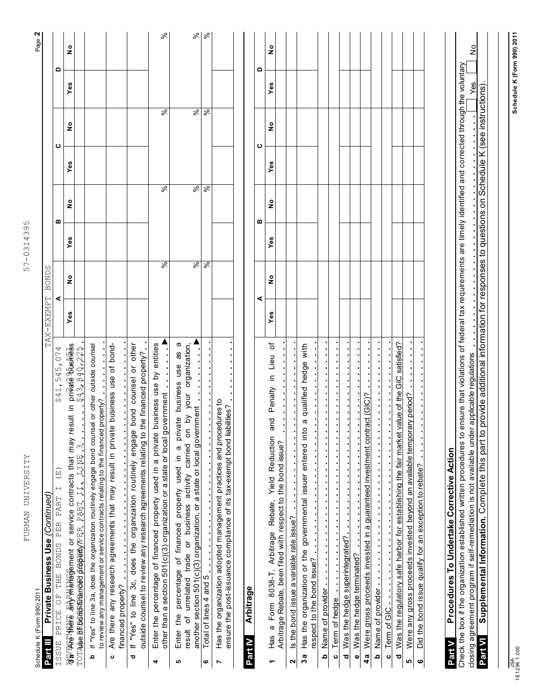| FURMAN UNIVERSITY<br>Schedule K (Form 990) 2011                                                                                                                                                                                                                                 |                            | $\infty$<br>4<br>$57 - 031$ | ഗ<br>Q) |                          |               |     | N<br>Page     |
|---------------------------------------------------------------------------------------------------------------------------------------------------------------------------------------------------------------------------------------------------------------------------------|----------------------------|-----------------------------|---------|--------------------------|---------------|-----|---------------|
| Private Business Use (Continued)<br>Part III                                                                                                                                                                                                                                    | <b>BONDS</b><br>TAX-EXEMPT |                             |         |                          |               |     |               |
| 545,074<br>\$41,<br>$\widetilde{E}$<br>$\vdash$<br>ISSUE PRICE OF THE BONDS PER PART                                                                                                                                                                                            | ⋖                          |                             | ≃       |                          | ပ             | ≏   |               |
| privaté busikess<br>\$43,840,225<br>$\equiv$<br>sult<br>명합 아이 대한 대학 이 wervice contracts that may re<br>TOTALSe BROOKELEMARGEO LASSENCER PART II. LINE                                                                                                                           | ە<br>2<br>Yes              | Yes                         | ە<br>2  | ဖာ<br>قح                 | ە<br>2        | Yes | ە<br>2        |
| sel or other outside counsel<br>property?<br>If "Yes" to line 3a, does the organization routinely engage bond couns<br>to review any management or service contracts relating to the financed<br>ء                                                                              |                            |                             |         |                          |               |     |               |
| Are there any research agreements that may result in private business use of bond-<br>$\frac{1}{2}$<br>financed property?<br>ပ                                                                                                                                                  |                            |                             |         |                          |               |     |               |
| bond counsel or other<br>the financed property?<br>If "Yes" to line 3c, does the organization routinely engage<br>outside counsel to review any research agreements relating to t<br>ਠ                                                                                          |                            |                             |         |                          |               |     |               |
| business use by entities<br>other than a section 501(c)(3) organization or a state or local government<br>Enter the percentage of financed property used in a private<br>4                                                                                                      |                            | $\sqrt{2}$                  |         | $\overline{\mathcal{S}}$ | %             |     | ಸಿ            |
| ω<br>by your organization,<br>æ<br>property used in a private business use<br>another section 501(c)(3) organization, or a state or local government<br>δ<br>of unrelated trade or business activity carried<br>percentage of financed<br>Enter the<br>result<br>ю              |                            | ℅                           |         | ङ।                       | %             |     | $\frac{1}{8}$ |
| $\ddot{\phantom{0}}$<br>Total of lines $4$ and $5$<br>ဖ                                                                                                                                                                                                                         |                            | $\%$                        |         | ∣৯                       | $\%$          |     |               |
| Has the organization adopted management practices and procedures to<br>ensure the post-issuance compliance of its tax-exempt bond liabilities?<br>Ľ                                                                                                                             |                            |                             |         |                          |               |     |               |
|                                                                                                                                                                                                                                                                                 |                            |                             |         |                          |               |     |               |
| Arbitrage<br>Part IV                                                                                                                                                                                                                                                            |                            |                             |         |                          |               |     |               |
|                                                                                                                                                                                                                                                                                 | ⋖                          |                             | m       |                          | ပ             | ≏   |               |
| ৳<br>Lieu<br>≘.<br>Penalty<br>and<br>Arbitrage Rebate, Yield Reduction<br>Arbitrage Rebate, been filed with respect to the bond issue?<br>a Form 8038-T,<br>S&H<br>٣                                                                                                            | ş<br>Yes                   | Yes                         | ş       | Yes                      | $\frac{1}{2}$ | Yes | $\frac{1}{2}$ |
| Is the bond issue a variable rate issue?<br>2                                                                                                                                                                                                                                   |                            |                             |         |                          |               |     |               |
| hedge with<br>qualified<br>ω<br>Has the organization or the governmental issuer entered into<br>respect to the bond issue?<br>3a                                                                                                                                                |                            |                             |         |                          |               |     |               |
| Name of provider<br>≏                                                                                                                                                                                                                                                           |                            |                             |         |                          |               |     |               |
| Was the hedge superintegrated?<br>Term of hedge<br>ᅙ<br>ပ                                                                                                                                                                                                                       |                            |                             |         |                          |               |     |               |
| Was the hedge terminated?<br>$\pmb{\omega}$                                                                                                                                                                                                                                     |                            |                             |         |                          |               |     |               |
| sign[alcore]<br>Were gross proceeds invested in a guaranteed investment contr<br>4a                                                                                                                                                                                             |                            |                             |         |                          |               |     |               |
| $\frac{1}{2}$ , $\frac{1}{2}$ , $\frac{1}{2}$ , $\frac{1}{2}$ , $\frac{1}{2}$<br>$\ddot{\phantom{a}}$<br>Name of provider and a control of the provider<br>م                                                                                                                    |                            |                             |         |                          |               |     |               |
| Term of GIC<br>$\mathbf 0$                                                                                                                                                                                                                                                      |                            |                             |         |                          |               |     |               |
| value of the GIC satisfied?<br>Was the regulatory safe harbor for establishing the fair market<br>$\overline{\mathbf{c}}$                                                                                                                                                       |                            |                             |         |                          |               |     |               |
| Were any gross proceeds invested beyond an available temporary period?<br>Did the bond issue qualify for an exception to rebate?<br>LQ<br>$\bullet$                                                                                                                             |                            |                             |         |                          |               |     |               |
|                                                                                                                                                                                                                                                                                 |                            |                             |         |                          |               |     |               |
| Procedures To Undertake Corrective Action<br>Part V                                                                                                                                                                                                                             |                            |                             |         |                          |               |     |               |
| Check the box if the organization established written procedures to ensure that violations of federal tax requirements are timely identified and corrected through the voluntary<br>closing agreement program if self-remediation is not available under applicable regulations |                            |                             |         |                          |               | Yes | ş             |
| provide additional information for responses to questions on Schedule K (see instructions)<br>Supplemental Information. Complete this part to<br>Part VI                                                                                                                        |                            |                             |         |                          |               |     |               |
|                                                                                                                                                                                                                                                                                 |                            |                             |         |                          |               |     |               |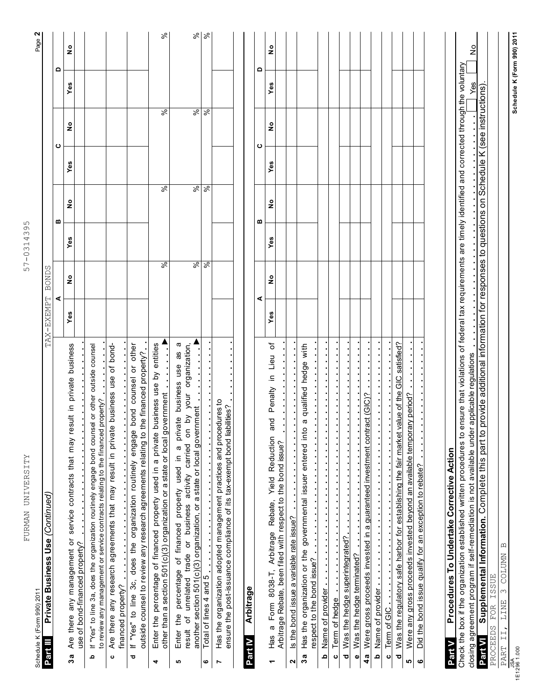| FURMAN UNIVERSITY<br>Schedule K (Form 990) 2011                                                                                                                                                                                                                                    |            |               | 57-0314395 |                          |     |                          |                            | Page 2        |
|------------------------------------------------------------------------------------------------------------------------------------------------------------------------------------------------------------------------------------------------------------------------------------|------------|---------------|------------|--------------------------|-----|--------------------------|----------------------------|---------------|
| Private Business Use (Continued)<br>Part III                                                                                                                                                                                                                                       | TAX-EXEMPT | <b>BONDS</b>  |            |                          |     |                          |                            |               |
|                                                                                                                                                                                                                                                                                    |            | ⋖             |            | ≃                        |     | ပ                        | ٥                          |               |
| sult in private business<br>Are there any management or service contracts that may re<br>use of bond-financed property?<br>3a                                                                                                                                                      | Yes        | $\frac{1}{2}$ | Yes        | $\frac{1}{2}$            | Yes | $\frac{1}{2}$            | Yes                        | °             |
| If "Yes" to line 3a, does the organization routinely engage bond counsel or other outside counsel<br>property?<br>to review any management or service contracts relating to the financed<br>ء                                                                                      |            |               |            |                          |     |                          |                            |               |
| Are there any research agreements that may result in private business use of bond-<br>financed property?<br>$\mathbf 0$                                                                                                                                                            |            |               |            |                          |     |                          |                            |               |
| bond counsel or other<br>outside counsel to review any research agreements relating to the financed property?<br>If "Yes" to line 3c, does the organization routinely engage<br>ō                                                                                                  |            |               |            |                          |     |                          |                            |               |
| business use by entities<br>other than a section 501(c)(3) organization or a state or local government<br>Enter the percentage of financed property used in a private<br>4                                                                                                         |            | $\frac{8}{6}$ |            | $\overline{\mathcal{S}}$ |     | $\overline{\mathcal{S}}$ |                            | $\%$          |
| ᢐ<br>your organization,<br>æ<br>use<br>Enter the percentage of financed property used in a private business<br>another section 501(c)(3) organization, or a state or local government<br>$\tilde{c}$<br>activity carried on<br>unrelated trade or business<br>ŏ<br>result<br>ю     |            | $\sqrt{2}$    |            | $\overline{\mathcal{S}}$ |     | $\overline{\mathcal{S}}$ |                            | $\%$          |
| Total of lines 4 and 5<br>O                                                                                                                                                                                                                                                        |            | $\sqrt{2}$    |            | ∣ड़                      |     | $\overline{\frac{8}{5}}$ |                            | వి            |
| Has the organization adopted management practices and procedures to<br>ensure the post-issuance compliance of its tax-exempt bond liabilities?<br>Ľ                                                                                                                                |            |               |            |                          |     |                          |                            |               |
| Arbitrage<br>Part IV                                                                                                                                                                                                                                                               |            |               |            |                          |     |                          |                            |               |
|                                                                                                                                                                                                                                                                                    |            | ⋖             |            | m                        |     | ပ                        | $\Omega$                   |               |
| Lieu of<br>$\equiv$<br>Penalty<br>Has a Form 8038-T, Arbitrage Rebate, Yield Reduction and<br>٣                                                                                                                                                                                    | Yes        | $\frac{1}{2}$ | Yes        | ە<br>2                   | Yes | 。<br>2                   | Yes                        | $\frac{1}{2}$ |
| Arbitrage Rebate, been filed with respect to the bond issue?<br>$\boldsymbol{\mathsf{N}}$                                                                                                                                                                                          |            |               |            |                          |     |                          |                            |               |
| a qualified hedge with<br>Has the organization or the governmental issuer entered into<br>Is the bond issue a variable rate issue?<br>3a                                                                                                                                           |            |               |            |                          |     |                          |                            |               |
| respect to the bond issue?                                                                                                                                                                                                                                                         |            |               |            |                          |     |                          |                            |               |
| Name of provider<br><u>م</u>                                                                                                                                                                                                                                                       |            |               |            |                          |     |                          |                            |               |
| $\ddot{\cdot}$<br>Term of hedge<br>$\circ$                                                                                                                                                                                                                                         |            |               |            |                          |     |                          |                            |               |
| Was the hedge superintegrated?<br>ᅙ                                                                                                                                                                                                                                                |            |               |            |                          |     |                          |                            |               |
| Was the hedge terminated?<br>$\bullet$                                                                                                                                                                                                                                             |            |               |            |                          |     |                          |                            |               |
| act (GIC)<br>Were gross proceeds invested in a guaranteed investment contr<br>4a<br><u>ം</u>                                                                                                                                                                                       |            |               |            |                          |     |                          |                            |               |
| Name of provider and a control of the control of provider<br>Term of GIC<br>$\circ$                                                                                                                                                                                                |            |               |            |                          |     |                          |                            |               |
| satisfied?<br><u>ပ</u><br>Was the regulatory safe harbor for establishing the fair market value of the<br>ō                                                                                                                                                                        |            |               |            |                          |     |                          |                            |               |
| Were any gross proceeds invested beyond an available temporary period?<br>ю                                                                                                                                                                                                        |            |               |            |                          |     |                          |                            |               |
| Did the bond issue qualify for an exception to rebate?<br>$\bullet$                                                                                                                                                                                                                |            |               |            |                          |     |                          |                            |               |
| Procedures To Undertake Corrective Action<br>Part V                                                                                                                                                                                                                                |            |               |            |                          |     |                          |                            |               |
| Check the box if the organization established written procedures to ensure that violations of federal tax requirements are timely identified and corrected through the voluntary<br>applicable regulations<br>closing agreement program if self-remediation is not available under |            |               |            |                          |     |                          | Yes                        | ş             |
| provide additional information for responses to questions on Schedule K (see instructions)<br>Supplemental Information. Complete this part to<br>Part VI                                                                                                                           |            |               |            |                          |     |                          |                            |               |
| PROCEEDS FOR ISSUE                                                                                                                                                                                                                                                                 |            |               |            |                          |     |                          |                            |               |
| PART II, LINE 3 COLUMN B                                                                                                                                                                                                                                                           |            |               |            |                          |     |                          |                            |               |
| $\frac{JSA}{1E12961.000}$                                                                                                                                                                                                                                                          |            |               |            |                          |     |                          | Schedule K (Form 990) 2011 |               |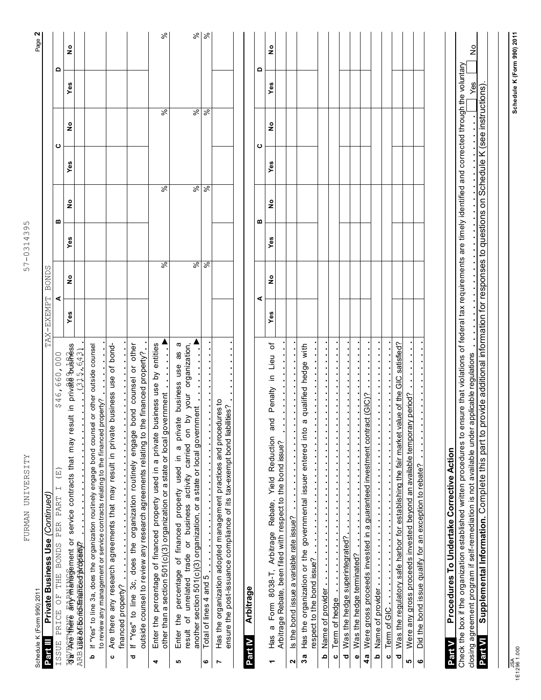| FURMAN UNIVERSITY                                                                                                                                                                                                                                        |                     | 57-0314395    |   |                          |           |     |          |
|----------------------------------------------------------------------------------------------------------------------------------------------------------------------------------------------------------------------------------------------------------|---------------------|---------------|---|--------------------------|-----------|-----|----------|
| Schedule K (Form 990) 2011                                                                                                                                                                                                                               |                     |               |   |                          |           |     | Page 2   |
| Private Business Use (Continued)<br>Part III                                                                                                                                                                                                             | BONDS<br>TAX-EXEMPT |               |   |                          |           |     |          |
| \$46,660,000<br>(E)<br>$\overline{\phantom{0}}$<br>PART<br>PER<br><b>BONDS</b><br>THE<br>$\bigcup_{i=1}^{\lfloor n \rfloor}$<br>PRICE<br>ISSUE                                                                                                           | ⋖                   |               | ≃ |                          | ပ         | ≏   |          |
| 명일 아이 대한 대한 대한 대한 대한 이 service contracts that may result in private Pushess<br>(315, 643)<br>ARB LISE AGEO ROBINATICE OP ANOVENY?                                                                                                                        | ş<br>Yes            | Yes           | ş | Yes                      | ş         | Yes | ş        |
| If "Yes" to line 3a, does the organization routinely engage bond counsel or other outside counsel<br>to review any management or service contracts relating to the financed property?<br>Ω                                                               |                     |               |   |                          |           |     |          |
| Are there any research agreements that may result in private business use of bond-<br>financed property?<br>$\mathbf{o}$                                                                                                                                 |                     |               |   |                          |           |     |          |
| bond counsel or other<br>outside counsel to review any research agreements relating to the financed property?<br>If "Yes" to line 3c, does the organization routinely engage<br>ರ                                                                        |                     |               |   |                          |           |     |          |
| Enter the percentage of financed property used in a private business use by entities<br>other than a section 501(c)(3) organization or a state or local government<br>4                                                                                  |                     | $\sqrt{2}$    |   | रू                       | %         |     | ಸಿ       |
| ω<br>by your organization,<br>ඝ<br>Enter the percentage of financed property used in a private business use<br>another section 501(c)(3) organization, or a state or local government<br>result of unrelated trade or business activity carried on<br>မာ |                     | $\frac{8}{6}$ |   | $\overline{\mathcal{S}}$ |           |     | Se       |
| Total of lines 4 and 5<br>ဖ                                                                                                                                                                                                                              |                     | $\sqrt{2}$    |   | $\overline{\mathcal{S}}$ | <u>% </u> |     | $\aleph$ |
| Has the organization adopted management practices and procedures to<br>ensure the post-issuance compliance of its tax-exempt bond liabilities?<br>Ľ                                                                                                      |                     |               |   |                          |           |     |          |
| Arbitrage<br>Part IV                                                                                                                                                                                                                                     |                     |               |   |                          |           |     |          |
|                                                                                                                                                                                                                                                          | ⋖                   |               | ≃ |                          | ပ         | ٥   |          |
| ð,<br>in Lieu<br>Penalty<br>and<br>Form 8038-T, Arbitrage Rebate, Yield Reduction<br>Arbitrage Rebate, been filed with respect to the bond issue?<br>$\omega$<br>Has                                                                                     | ş<br>Yes            | Yes           | ş | Yes                      | ş         | Yes | ş        |
| Is the bond issue a variable rate issue?<br>Ν                                                                                                                                                                                                            |                     |               |   |                          |           |     |          |
| hedge with<br>qualified<br>$\sigma$<br>Has the organization or the governmental issuer entered into<br>respect to the bond issue?<br>3a                                                                                                                  |                     |               |   |                          |           |     |          |
| Name of provider<br><u>م</u>                                                                                                                                                                                                                             |                     |               |   |                          |           |     |          |
| Term of hedge<br>ပ                                                                                                                                                                                                                                       |                     |               |   |                          |           |     |          |
| Was the hedge superintegrated?<br>$\overline{\mathbf{c}}$                                                                                                                                                                                                |                     |               |   |                          |           |     |          |
| act (GIC)?<br>Were gross proceeds invested in a guaranteed investment contr<br>Was the hedge terminated?<br>4a<br>$\bullet$                                                                                                                              |                     |               |   |                          |           |     |          |
| <b>.</b><br>Name of provider<br>Q                                                                                                                                                                                                                        |                     |               |   |                          |           |     |          |
| $\ddot{\cdot}$<br>Term of GIC<br>ပ                                                                                                                                                                                                                       |                     |               |   |                          |           |     |          |
| Was the regulatory safe harbor for establishing the fair market value of the GIC satisfied?<br>ত                                                                                                                                                         |                     |               |   |                          |           |     |          |
| Were any gross proceeds invested beyond an available temporary period?<br>LO                                                                                                                                                                             |                     |               |   |                          |           |     |          |
| Did the bond issue qualify for an exception to rebate?<br>$\bullet$                                                                                                                                                                                      |                     |               |   |                          |           |     |          |
|                                                                                                                                                                                                                                                          |                     |               |   |                          |           |     |          |
| Procedures To Undertake Corrective Action<br>Part V                                                                                                                                                                                                      |                     |               |   |                          |           |     |          |
|                                                                                                                                                                                                                                                          |                     |               |   |                          |           |     |          |

## Check the box if the organization established written procedures to ensure that violations of federal tax requirements are timely identified and corrected through the voluntary Check the box if the organization established written procedures to ensure that violations of federal tax requirements are timely identified and corrected through the voluntary Part V

 $\frac{1}{2}$ closing agreement program if self-remediation is not available under applicable regulations<br><mark>Parr VI Supplemental Information.</mark> Complete this part to provide additional information for responses to questions on Schedule K Yes Supplemental Information. Complete this part to provide additional information for responses to questions on Schedule K (see instructions) closing agreement program if self-remediation is not available under applicable regulations entitions and a controller controller and controller and controller and controller and controller and controller and controller an Part VI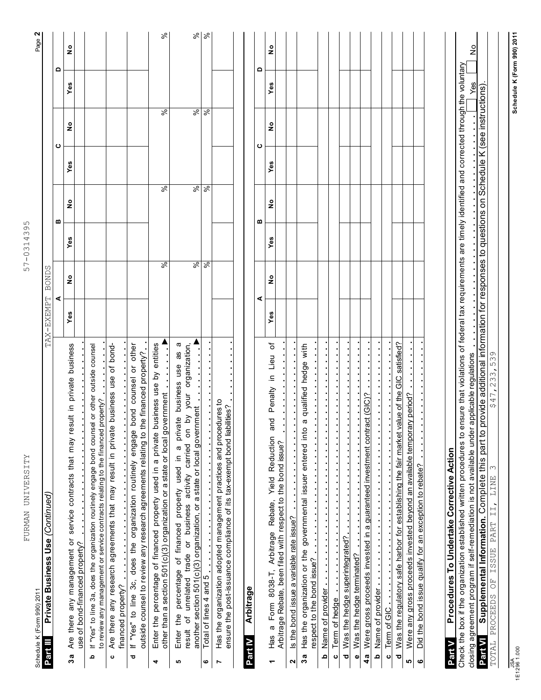| FURMAN UNIVERSITY                                                                                                                                                                                                                                         |                          |            |                          | 57-0314395 |                          |     |                          |     |               |
|-----------------------------------------------------------------------------------------------------------------------------------------------------------------------------------------------------------------------------------------------------------|--------------------------|------------|--------------------------|------------|--------------------------|-----|--------------------------|-----|---------------|
| Schedule K (Form 990) 2011                                                                                                                                                                                                                                |                          |            |                          |            |                          |     |                          |     | Page 2        |
| Private Business Use (Continued)<br>Part III                                                                                                                                                                                                              |                          | TAX-EXEMPT | BONDS                    |            |                          |     |                          |     |               |
|                                                                                                                                                                                                                                                           |                          | ⋖          |                          |            | m                        |     | ပ                        | ٥   |               |
| Are there any management or service contracts that may result in private business<br>use of bond-financed property?<br>3a                                                                                                                                 |                          | Yes        | ە<br>2                   | Yes        | $\frac{1}{2}$            | Yes | $\frac{1}{2}$            | Yes | $\frac{1}{2}$ |
| If "Yes" to line 3a, does the organization routinely engage bond counsel or other outside counsel<br>to review any management or service contracts relating to the financed property?<br>ء                                                                |                          |            |                          |            |                          |     |                          |     |               |
| Are there any research agreements that may result in private<br><b>.</b><br>financed property?<br>ပ                                                                                                                                                       | business use of bond-    |            |                          |            |                          |     |                          |     |               |
| outside counsel to review any research agreements relating to the financed property?<br>If "Yes" to line 3c, does the organization routinely engage<br>ಾ                                                                                                  | bond counsel or other    |            |                          |            |                          |     |                          |     |               |
| Enter the percentage of financed property used in a private business use by entities<br>other than a section 501(c)(3) organization or a state or local government<br>4                                                                                   |                          |            | $\overline{\mathcal{S}}$ |            | रू                       |     | %                        |     | ಸಿ            |
| activity carried on by your organization,<br>private business<br>another section 501(c)(3) organization, or a state or local government<br>$\omega$<br>Enter the percentage of financed property used in<br>of unrelated trade or business<br>result<br>ю | œ<br>æ<br>use            |            | $\overline{\mathcal{S}}$ |            | $\overline{\mathcal{S}}$ |     | %                        |     |               |
| Total of lines 4 and 5<br>$\bullet$                                                                                                                                                                                                                       |                          |            | $\overline{\mathcal{S}}$ |            | $\overline{\mathcal{S}}$ |     | $\overline{\frac{8}{5}}$ |     | 8 8           |
| Has the organization adopted management practices and procedures to<br>ensure the post-issuance compliance of its tax-exempt bond liabilities?<br>N                                                                                                       |                          |            |                          |            |                          |     |                          |     |               |
| <b>Arbitrage</b><br>Part IV                                                                                                                                                                                                                               |                          |            |                          |            |                          |     |                          |     |               |
|                                                                                                                                                                                                                                                           |                          | ⋖          |                          |            | ⋒                        |     | ပ                        | ≏   |               |
| g<br>$\omega$<br>Form 8038-T, Arbitrage Rebate, Yield Reduction<br>Arbitrage Rebate, been filed with respect to the bond issue?<br>Has a<br>٣                                                                                                             | Lieu of<br>≘.<br>Penalty | Yes        | $\frac{1}{2}$            | Yes        | ş                        | Yes | ە<br>2                   | Yes | ە<br>2        |
| Is the bond issue a variable rate issue?<br>2                                                                                                                                                                                                             |                          |            |                          |            |                          |     |                          |     |               |
| qualified<br>$\boldsymbol{\varpi}$<br>Has the organization or the governmental issuer entered into<br>respect to the bond issue?<br>3a                                                                                                                    | hedge with               |            |                          |            |                          |     |                          |     |               |
| $\ddot{\phantom{0}}$<br>$\ddot{\phantom{0}}$<br><b>b</b> Name of provider <b>the contract of provider</b>                                                                                                                                                 |                          |            |                          |            |                          |     |                          |     |               |
| $\ddot{\phantom{0}}$<br>$\frac{1}{2}$<br>$\frac{1}{2}$ , $\frac{1}{2}$ , $\frac{1}{2}$ , $\frac{1}{2}$ , $\frac{1}{2}$<br>Term of hedge<br>ပ                                                                                                              |                          |            |                          |            |                          |     |                          |     |               |
| Was the hedge superintegrated?<br>Was the hedge terminated?<br>$\bullet$<br>ರ                                                                                                                                                                             |                          |            |                          |            |                          |     |                          |     |               |
| 4a Were gross proceeds invested in a guaranteed investment contract (GIC)?                                                                                                                                                                                |                          |            |                          |            |                          |     |                          |     |               |
| $\cdot$<br>Name of provider and a control of the same of provider<br><u>م</u>                                                                                                                                                                             |                          |            |                          |            |                          |     |                          |     |               |
| $\ddot{\phantom{a}}$<br>$\mathbf{o}$                                                                                                                                                                                                                      |                          |            |                          |            |                          |     |                          |     |               |
| Was the regulatory safe harbor for establishing the fair market value of the<br>Were any gross proceeds invested beyond an available temporary period?<br>ত<br>မာ                                                                                         | GIC satisfied?           |            |                          |            |                          |     |                          |     |               |
| Did the bond issue qualify for an exception to rebate?<br>$\bullet$                                                                                                                                                                                       |                          |            |                          |            |                          |     |                          |     |               |
|                                                                                                                                                                                                                                                           |                          |            |                          |            |                          |     |                          |     |               |
| Procedures To Undertake Corrective Action<br>Part V                                                                                                                                                                                                       |                          |            |                          |            |                          |     |                          |     |               |
| Check the box if the organization established written procedures to ensure that violations of federal tax requirements are timely identified and corrected through the voluntary                                                                          |                          |            |                          |            |                          |     |                          |     |               |
| closing agreement program if self-remediation is not available under                                                                                                                                                                                      | applicable regulations   |            |                          |            |                          |     |                          | Yes | $\frac{1}{2}$ |

closing agreement program if self-remediation is not available under applicable regulations<br><mark>Part VI Supplemental Information.</mark> Complete this part to provide additional information for responses to questions on Schedule K

Supplemental Information. Complete this part to provide additional information for responses to questions on Schedule K (see instructions).

 $$47,233,539$ 

TOTAL PROCEEDS OF ISSUE PART II, LINE 3 \$47,233,539

TOTAL PROCEEDS OF ISSUE PART II, LINE 3

Part VI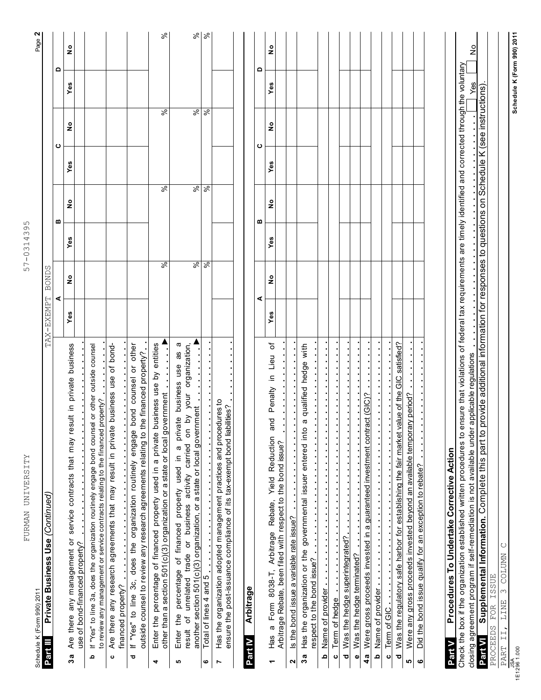| FURMAN UNIVERSITY<br>Schedule K (Form 990) 2011                                                                                                                                                                                                                                    |            |               | $\circ$<br>$\infty$<br>$57 - 0314$ | ഗ                        |     |                          |                            | Page 2        |
|------------------------------------------------------------------------------------------------------------------------------------------------------------------------------------------------------------------------------------------------------------------------------------|------------|---------------|------------------------------------|--------------------------|-----|--------------------------|----------------------------|---------------|
| Private Business Use (Continued)<br>Part III                                                                                                                                                                                                                                       | TAX-EXEMPT | <b>BONDS</b>  |                                    |                          |     |                          |                            |               |
|                                                                                                                                                                                                                                                                                    |            | ⋖             |                                    | m                        |     | ပ                        | Δ                          |               |
| sult in private business<br>Are there any management or service contracts that may re<br>use of bond-financed property?<br>3a                                                                                                                                                      | Yes        | $\frac{1}{2}$ | Yes                                | ە<br>2                   | Yes | 。<br>2                   | Yes                        | 。<br>2        |
| If "Yes" to line 3a, does the organization routinely engage bond counsel or other outside counsel<br>property?<br>to review any management or service contracts relating to the financed<br>ء                                                                                      |            |               |                                    |                          |     |                          |                            |               |
| Are there any research agreements that may result in private business use of bond-<br>financed property?<br>ပ                                                                                                                                                                      |            |               |                                    |                          |     |                          |                            |               |
| bond counsel or other<br>outside counsel to review any research agreements relating to the financed property?<br>If "Yes" to line 3c, does the organization routinely engage<br>ਠ                                                                                                  |            |               |                                    |                          |     |                          |                            |               |
| business use by entities<br>other than a section 501(c)(3) organization or a state or local government<br>Enter the percentage of financed property used in a private<br>4                                                                                                         |            | $\frac{8}{6}$ |                                    | $\overline{\mathcal{S}}$ |     | %                        |                            | %             |
| œ<br>by your organization,<br>æ<br>Enter the percentage of financed property used in a private business use<br>another section 501(c)(3) organization, or a state or local government<br>δ<br>of unrelated trade or business activity carried<br>result<br>မာ                      |            | $\frac{8}{6}$ |                                    | $\overline{\mathcal{S}}$ |     | $\overline{\mathcal{S}}$ |                            | ಸಿ            |
| Total of lines 4 and 5<br>ဖ                                                                                                                                                                                                                                                        |            | $\sqrt{2}$    |                                    | ∣ड़                      |     | $\overline{\frac{8}{5}}$ |                            | $\frac{8}{3}$ |
| Has the organization adopted management practices and procedures to<br>ensure the post-issuance compliance of its tax-exempt bond liabilities?<br>N                                                                                                                                |            |               |                                    |                          |     |                          |                            |               |
|                                                                                                                                                                                                                                                                                    |            |               |                                    |                          |     |                          |                            |               |
| Arbitrage<br>Part IV                                                                                                                                                                                                                                                               |            | ⋖             |                                    | m                        |     | ပ                        | ٥                          |               |
| Lieu of<br>Penalty in<br>and<br>Arbitrage Rebate, Yield Reduction<br>a Form 8038-T,<br>98H<br>٣                                                                                                                                                                                    | Yes        | ە<br>2        | Yes                                | ە<br>2                   | Yes | ە<br>2                   | Yes                        | ە<br>2        |
| Arbitrage Rebate, been filed with respect to the bond issue?                                                                                                                                                                                                                       |            |               |                                    |                          |     |                          |                            |               |
| Is the bond issue a variable rate issue?<br>$\boldsymbol{\mathsf{a}}$                                                                                                                                                                                                              |            |               |                                    |                          |     |                          |                            |               |
| qualified hedge with<br>$\sigma$<br>Has the organization or the governmental issuer entered into<br>respect to the bond issue?<br>3a                                                                                                                                               |            |               |                                    |                          |     |                          |                            |               |
| Name of provider<br>ء                                                                                                                                                                                                                                                              |            |               |                                    |                          |     |                          |                            |               |
| Term of hedge<br>$\circ$                                                                                                                                                                                                                                                           |            |               |                                    |                          |     |                          |                            |               |
| Was the hedge superintegrated?<br>ਠ                                                                                                                                                                                                                                                |            |               |                                    |                          |     |                          |                            |               |
| Was the hedge terminated?<br>$\bullet$                                                                                                                                                                                                                                             |            |               |                                    |                          |     |                          |                            |               |
| act (GIC)?<br>Were gross proceeds invested in a guaranteed investment contr<br>4a                                                                                                                                                                                                  |            |               |                                    |                          |     |                          |                            |               |
| Name of provider and a contract of the contract of provider<br><u>م</u>                                                                                                                                                                                                            |            |               |                                    |                          |     |                          |                            |               |
| Term of GIC<br>$\mathbf{o}$                                                                                                                                                                                                                                                        |            |               |                                    |                          |     |                          |                            |               |
| satisfied?<br>Was the regulatory safe harbor for establishing the fair market value of the GIC<br>Were any gross proceeds invested beyond an available temporary period?<br>ರ<br>LO.                                                                                               |            |               |                                    |                          |     |                          |                            |               |
| Did the bond issue qualify for an exception to rebate?<br>ဖ                                                                                                                                                                                                                        |            |               |                                    |                          |     |                          |                            |               |
|                                                                                                                                                                                                                                                                                    |            |               |                                    |                          |     |                          |                            |               |
| Procedures To Undertake Corrective Action<br>Part V                                                                                                                                                                                                                                |            |               |                                    |                          |     |                          |                            |               |
| Check the box if the organization established written procedures to ensure that violations of federal tax requirements are timely identified and corrected through the voluntary<br>applicable regulations<br>closing agreement program if self-remediation is not available under |            |               |                                    |                          |     |                          | Yes                        | ş             |
| provide additional information for responses to questions on Schedule K (see instructions)<br>Supplemental Information. Complete this part to<br>Part VI                                                                                                                           |            |               |                                    |                          |     |                          |                            |               |
| PROCEEDS FOR ISSUE                                                                                                                                                                                                                                                                 |            |               |                                    |                          |     |                          |                            |               |
| 3 COLUMN C<br>LINE<br>PART II,                                                                                                                                                                                                                                                     |            |               |                                    |                          |     |                          |                            |               |
| $\frac{JSA}{1500}$                                                                                                                                                                                                                                                                 |            |               |                                    |                          |     |                          | Schedule K (Form 990) 2011 |               |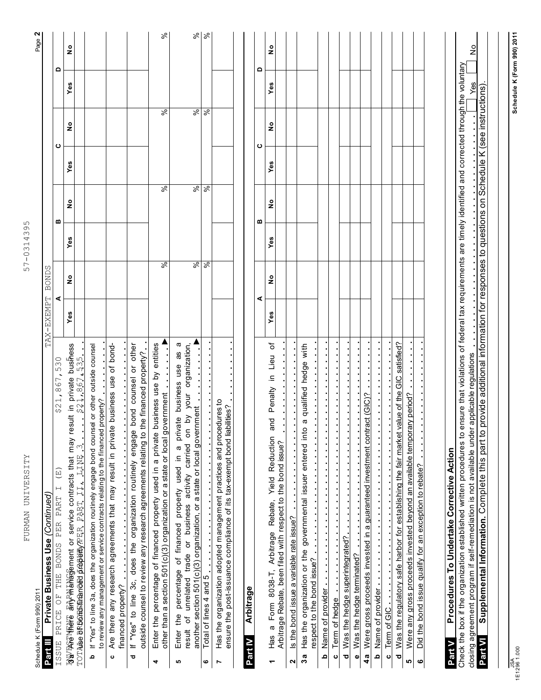| <b>BONDS</b><br>TAX-EXEMPT |     |                          |     |               |        |                                                                                                                                                                                                                                                                                          |
|----------------------------|-----|--------------------------|-----|---------------|--------|------------------------------------------------------------------------------------------------------------------------------------------------------------------------------------------------------------------------------------------------------------------------------------------|
| ⋖                          |     |                          |     |               |        |                                                                                                                                                                                                                                                                                          |
| ە<br>2                     | Yes | ş                        | Yes | $\frac{1}{2}$ | Yes    | ە<br>2                                                                                                                                                                                                                                                                                   |
|                            |     |                          |     |               |        |                                                                                                                                                                                                                                                                                          |
|                            |     |                          |     |               |        |                                                                                                                                                                                                                                                                                          |
|                            |     |                          |     |               |        |                                                                                                                                                                                                                                                                                          |
| $\frac{8}{6}$              |     | रू                       |     | వి            |        | %                                                                                                                                                                                                                                                                                        |
| $\frac{8}{6}$              |     | $\overline{\mathcal{S}}$ |     | %             |        | %                                                                                                                                                                                                                                                                                        |
| వ్                         |     | $\overline{\mathcal{S}}$ |     | $\%$          |        | $\%$                                                                                                                                                                                                                                                                                     |
|                            |     |                          |     |               |        |                                                                                                                                                                                                                                                                                          |
|                            |     |                          |     |               |        |                                                                                                                                                                                                                                                                                          |
|                            |     |                          |     |               |        |                                                                                                                                                                                                                                                                                          |
| $\frac{1}{2}$              | Yes | $\frac{1}{2}$            | Yes | $\frac{1}{2}$ | Yes    | $\frac{1}{2}$                                                                                                                                                                                                                                                                            |
|                            |     |                          |     |               |        |                                                                                                                                                                                                                                                                                          |
|                            |     |                          |     |               |        |                                                                                                                                                                                                                                                                                          |
|                            |     |                          |     |               |        |                                                                                                                                                                                                                                                                                          |
|                            |     |                          |     |               |        |                                                                                                                                                                                                                                                                                          |
|                            |     |                          |     |               |        |                                                                                                                                                                                                                                                                                          |
|                            |     |                          |     |               |        |                                                                                                                                                                                                                                                                                          |
|                            |     |                          |     |               |        |                                                                                                                                                                                                                                                                                          |
|                            |     |                          |     |               |        |                                                                                                                                                                                                                                                                                          |
|                            |     |                          |     |               |        |                                                                                                                                                                                                                                                                                          |
|                            |     |                          |     |               |        |                                                                                                                                                                                                                                                                                          |
|                            |     |                          |     |               |        |                                                                                                                                                                                                                                                                                          |
|                            |     |                          |     |               |        |                                                                                                                                                                                                                                                                                          |
|                            |     |                          |     |               | Yes    | $\frac{1}{2}$                                                                                                                                                                                                                                                                            |
|                            |     |                          |     |               |        |                                                                                                                                                                                                                                                                                          |
| ⋖                          |     | m<br>⋒                   |     |               | ပ<br>ပ | Check the box if the organization established written procedures to ensure that violations of federal tax requirements are timely identified and corrected through the voluntary<br>Δ<br>Δ<br>provide additional information for responses to questions on Schedule K (see instructions) |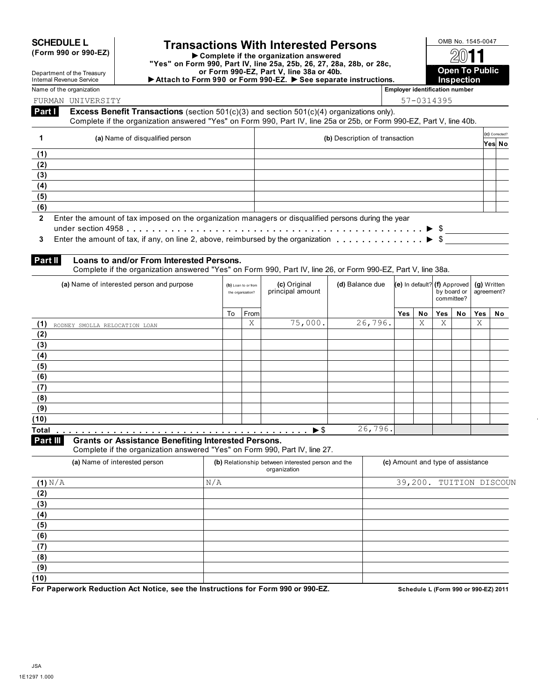### **SCHEDULE L Transactions With Interested Persons**  $\frac{\text{OMB No. 1545-0047}}{\text{Domblete if the organization answered}}$

**(Form 990 or 990-EZ) Complete if the organization answered "Yes" on Form 990, Part IV, line 25a, 25b, 26, 27, 28a, 28b, or 28c, or Form 990-EZ, Part V, line 38a or 40b.** ▶ Attach to Form 990 or Form 990-EZ. ▶ See separate instructions. **IN Inspection** 

 $\mathcal{D}$ **Open To Public**

Internal Revenue Service Name of the organization **Employer identification number Employer identification number** 

Department of the Treasury

FURMAN UNIVERSITY 57-0314395

\$ \$

**Excess Benefit Transactions** (section 501(c)(3) and section 501(c)(4) organizations only). Complete if the organization answered "Yes" on Form 990, Part IV, line 25a or 25b, or Form 990-EZ, Part V, line 40b. **Part I**

|                | (a) Name of disqualified person                                                                      | (b) Description of transaction | (c) Corrected? |  |
|----------------|------------------------------------------------------------------------------------------------------|--------------------------------|----------------|--|
|                |                                                                                                      |                                | Yes No         |  |
| (1)            |                                                                                                      |                                |                |  |
| (2)            |                                                                                                      |                                |                |  |
| (3)            |                                                                                                      |                                |                |  |
| (4)            |                                                                                                      |                                |                |  |
| (5)            |                                                                                                      |                                |                |  |
| (6)            |                                                                                                      |                                |                |  |
| $\overline{2}$ | Enter the amount of tax imposed on the organization managers or disqualified persons during the year |                                |                |  |
|                |                                                                                                      |                                |                |  |
|                |                                                                                                      |                                |                |  |

### **Loans to and/or From Interested Persons. Part II**

Complete if the organization answered "Yes" on Form 990, Part IV, line 26, or Form 990-EZ, Part V, line 38a.

| (a) Name of interested person and purpose |    | (b) Loan to or from<br>the organization? | (c) Original<br>principal amount | (d) Balance due | (e) In default? (f) Approved |    | by board or<br>committee? |    | (g) Written<br>agreement? |    |
|-------------------------------------------|----|------------------------------------------|----------------------------------|-----------------|------------------------------|----|---------------------------|----|---------------------------|----|
|                                           | To | From                                     |                                  |                 | Yes                          | No | <b>Yes</b>                | No | Yes                       | No |
| (1)<br>RODNEY SMOLLA RELOCATION LOAN      |    | Χ                                        | 75,000.                          | 26,796.         |                              | Χ  | Χ                         |    | X                         |    |
| (2)                                       |    |                                          |                                  |                 |                              |    |                           |    |                           |    |
| (3)                                       |    |                                          |                                  |                 |                              |    |                           |    |                           |    |
| (4)                                       |    |                                          |                                  |                 |                              |    |                           |    |                           |    |
| (5)                                       |    |                                          |                                  |                 |                              |    |                           |    |                           |    |
| (6)                                       |    |                                          |                                  |                 |                              |    |                           |    |                           |    |
| (7)                                       |    |                                          |                                  |                 |                              |    |                           |    |                           |    |
| (8)                                       |    |                                          |                                  |                 |                              |    |                           |    |                           |    |
| (9)                                       |    |                                          |                                  |                 |                              |    |                           |    |                           |    |
| (10)                                      |    |                                          |                                  |                 |                              |    |                           |    |                           |    |
| <b>Total</b>                              |    |                                          |                                  | 26,796.         |                              |    |                           |    |                           |    |

**Part III**

**Grants or Assistance Benefiting Interested Persons.**

Complete if the organization answered "Yes" on Form 990, Part IV, line 27.

| (a) Name of interested person | (b) Relationship between interested person and the<br>organization | (c) Amount and type of assistance |
|-------------------------------|--------------------------------------------------------------------|-----------------------------------|
| (1) N/A                       | N/A                                                                | 39,200. TUITION DISCOUN           |
| (2)                           |                                                                    |                                   |
| (3)                           |                                                                    |                                   |
| (4)                           |                                                                    |                                   |
| (5)                           |                                                                    |                                   |
| (6)                           |                                                                    |                                   |
| (7)                           |                                                                    |                                   |
| (8)                           |                                                                    |                                   |
| (9)                           |                                                                    |                                   |
| (10)                          |                                                                    |                                   |
| .                             | ---- ----                                                          |                                   |

**For Paperwork Reduction Act Notice, see the Instructions for Form 990 or 990-EZ. Schedule L (Form 990 or 990-EZ) 2011**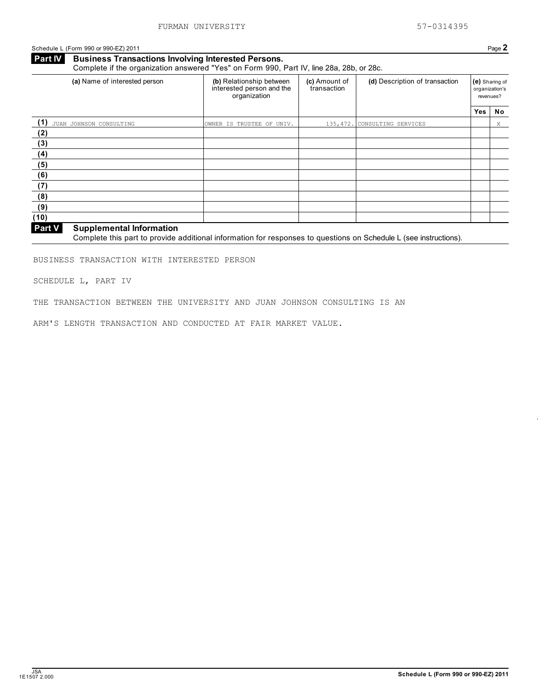Schedule L (Form 990 or 990-EZ) 2011 Page 2

**Business Transactions Involving Interested Persons.** Complete if the organization answered "Yes" on Form 990, Part IV, line 28a, 28b, or 28c. **Part IV**

| (a) Name of interested person                              | (b) Relationship between<br>interested person and the<br>organization | (c) Amount of<br>transaction | (d) Description of transaction | revenues?  | (e) Sharing of<br>organization's |
|------------------------------------------------------------|-----------------------------------------------------------------------|------------------------------|--------------------------------|------------|----------------------------------|
|                                                            |                                                                       |                              |                                | <b>Yes</b> | No                               |
| (1)<br>JUAN JOHNSON CONSULTING                             | OWNER IS TRUSTEE OF UNIV.                                             |                              | 135,472. CONSULTING SERVICES   |            | X                                |
| (2)                                                        |                                                                       |                              |                                |            |                                  |
| (3)                                                        |                                                                       |                              |                                |            |                                  |
| (4)                                                        |                                                                       |                              |                                |            |                                  |
| (5)                                                        |                                                                       |                              |                                |            |                                  |
| (6)                                                        |                                                                       |                              |                                |            |                                  |
| (7)                                                        |                                                                       |                              |                                |            |                                  |
| (8)                                                        |                                                                       |                              |                                |            |                                  |
| (9)                                                        |                                                                       |                              |                                |            |                                  |
| (10)                                                       |                                                                       |                              |                                |            |                                  |
| $\sim$ $\sim$<br>$\sim$ $\sim$ $\sim$ $\sim$ $\sim$ $\sim$ |                                                                       |                              |                                |            |                                  |

### **Supplemental Information Part V**

Complete this part to provide additional information for responses to questions on Schedule L (see instructions).

BUSINESS TRANSACTION WITH INTERESTED PERSON

SCHEDULE L, PART IV

THE TRANSACTION BETWEEN THE UNIVERSITY AND JUAN JOHNSON CONSULTING IS AN

ARM'S LENGTH TRANSACTION AND CONDUCTED AT FAIR MARKET VALUE.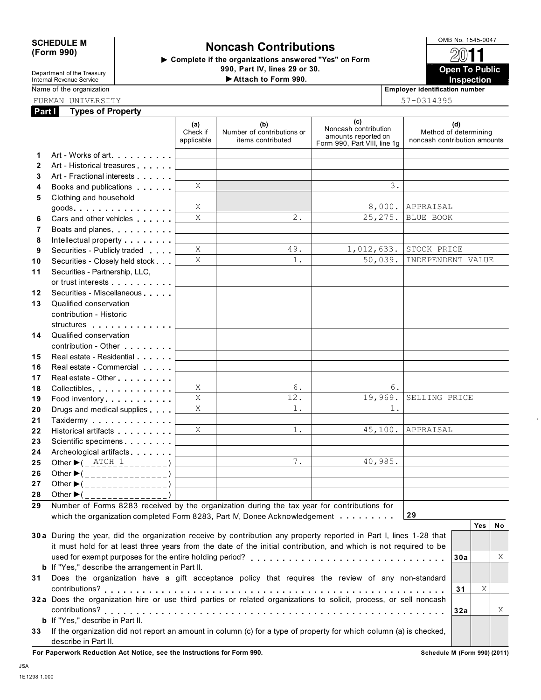### SCHEDULE M **Noncash Contributions**<br>
(Form 990) **Semplets if the aggregating assumed "Yes" or Form** 20011

 **Complete if the organizations answered "Yes" on Form 990, Part IV, lines 29 or 30.**

**Open To Public**

Department of the Treasury Internal Revenue Service Name of the organization **Employer identification number Employer identification number** 

### FURMAN UNIVERSITY 57-0314395

| Part I       | <b>Types of Property</b>                                                                                                                                                                                                       |                               |                                                        |                                                                                    |                                                              |
|--------------|--------------------------------------------------------------------------------------------------------------------------------------------------------------------------------------------------------------------------------|-------------------------------|--------------------------------------------------------|------------------------------------------------------------------------------------|--------------------------------------------------------------|
|              |                                                                                                                                                                                                                                | (a)<br>Check if<br>applicable | (b)<br>Number of contributions or<br>items contributed | (c)<br>Noncash contribution<br>amounts reported on<br>Form 990, Part VIII, line 1g | (d)<br>Method of determining<br>noncash contribution amounts |
| 1            | Art - Works of art.                                                                                                                                                                                                            |                               |                                                        |                                                                                    |                                                              |
| $\mathbf{2}$ | Art - Historical treasures                                                                                                                                                                                                     |                               |                                                        |                                                                                    |                                                              |
| 3            | Art - Fractional interests                                                                                                                                                                                                     |                               |                                                        |                                                                                    |                                                              |
| 4            | Books and publications <b>Solutions</b>                                                                                                                                                                                        | X                             |                                                        | 3.                                                                                 |                                                              |
| 5            | Clothing and household                                                                                                                                                                                                         |                               |                                                        |                                                                                    |                                                              |
|              | $goods$                                                                                                                                                                                                                        | Χ                             |                                                        | 8,000.                                                                             | APPRAISAL                                                    |
| 6            | Cars and other vehicles                                                                                                                                                                                                        | X                             | $2$ .                                                  | 25, 275.                                                                           | BLUE BOOK                                                    |
| 7            | Boats and planes                                                                                                                                                                                                               |                               |                                                        |                                                                                    |                                                              |
| 8            | Intellectual property <b>Algebra</b>                                                                                                                                                                                           |                               |                                                        |                                                                                    |                                                              |
| 9            | Securities - Publicly traded                                                                                                                                                                                                   | X                             | 49.                                                    | 1,012,633.                                                                         | STOCK PRICE                                                  |
| 10           | Securities - Closely held stock                                                                                                                                                                                                | X                             | $1$ .                                                  | 50,039.                                                                            | INDEPENDENT VALUE                                            |
| 11           | Securities - Partnership, LLC,                                                                                                                                                                                                 |                               |                                                        |                                                                                    |                                                              |
|              | or trust interests experience to the control of the state of the state of the state of the state of the state of the state of the state of the state of the state of the state of the state of the state of the state of the s |                               |                                                        |                                                                                    |                                                              |
| 12           | Securities - Miscellaneous                                                                                                                                                                                                     |                               |                                                        |                                                                                    |                                                              |
| 13           | Qualified conservation                                                                                                                                                                                                         |                               |                                                        |                                                                                    |                                                              |
|              | contribution - Historic                                                                                                                                                                                                        |                               |                                                        |                                                                                    |                                                              |
|              | structures experiences                                                                                                                                                                                                         |                               |                                                        |                                                                                    |                                                              |
| 14           | Qualified conservation                                                                                                                                                                                                         |                               |                                                        |                                                                                    |                                                              |
|              | contribution - Other <b>Canadian American</b>                                                                                                                                                                                  |                               |                                                        |                                                                                    |                                                              |
| 15           | Real estate - Residential                                                                                                                                                                                                      |                               |                                                        |                                                                                    |                                                              |
| 16           | Real estate - Commercial                                                                                                                                                                                                       |                               |                                                        |                                                                                    |                                                              |
| 17           |                                                                                                                                                                                                                                |                               |                                                        |                                                                                    |                                                              |
| 18           | Collectibles                                                                                                                                                                                                                   | Χ                             | 6.                                                     | 6.                                                                                 |                                                              |
| 19           | Food inventory                                                                                                                                                                                                                 | X                             | 12.                                                    | 19,969.                                                                            | SELLING PRICE                                                |
| 20           | Drugs and medical supplies                                                                                                                                                                                                     | X                             | 1.                                                     | 1.                                                                                 |                                                              |
| 21           | Taxidermy                                                                                                                                                                                                                      |                               |                                                        |                                                                                    |                                                              |
| 22           | Historical artifacts                                                                                                                                                                                                           | X                             | 1.                                                     | 45,100.                                                                            | APPRAISAL                                                    |
| 23           | Scientific specimens <b>Scientific specimens SCIENTIFIC SCIENCI</b>                                                                                                                                                            |                               |                                                        |                                                                                    |                                                              |
| 24           | Archeological artifacts                                                                                                                                                                                                        |                               |                                                        |                                                                                    |                                                              |
| 25           | Other $\blacktriangleright$ ( $\frac{\text{ATCH}}{\text{ATC}}$ 1                                                                                                                                                               |                               | 7.                                                     | 40,985.                                                                            |                                                              |
| 26           | Other $\blacktriangleright$ (_______________)                                                                                                                                                                                  |                               |                                                        |                                                                                    |                                                              |
| 27           | Other $\blacktriangleright$ (________________)                                                                                                                                                                                 |                               |                                                        |                                                                                    |                                                              |
| 28           | Other $\blacktriangleright$ (_______________)                                                                                                                                                                                  |                               |                                                        |                                                                                    |                                                              |
| 29           | Number of Forms 8283 received by the organization during the tax year for contributions for                                                                                                                                    |                               |                                                        |                                                                                    |                                                              |
|              | which the organization completed Form 8283, Part IV, Donee Acknowledgement                                                                                                                                                     |                               |                                                        |                                                                                    | 29                                                           |
|              |                                                                                                                                                                                                                                |                               |                                                        |                                                                                    | Yes<br>No                                                    |
|              | 30a During the year, did the organization receive by contribution any property reported in Part I, lines 1-28 that                                                                                                             |                               |                                                        |                                                                                    |                                                              |
|              | it must hold for at least three years from the date of the initial contribution, and which is not required to be                                                                                                               |                               |                                                        |                                                                                    |                                                              |
|              |                                                                                                                                                                                                                                |                               |                                                        |                                                                                    | 30a<br>Χ                                                     |
|              | <b>b</b> If "Yes," describe the arrangement in Part II.                                                                                                                                                                        |                               |                                                        |                                                                                    |                                                              |
| 31           | Does the organization have a gift acceptance policy that requires the review of any non-standard                                                                                                                               |                               |                                                        |                                                                                    |                                                              |
|              |                                                                                                                                                                                                                                |                               |                                                        |                                                                                    | Χ<br>31                                                      |
|              | 32a Does the organization hire or use third parties or related organizations to solicit, process, or sell noncash                                                                                                              |                               |                                                        |                                                                                    |                                                              |
|              |                                                                                                                                                                                                                                |                               |                                                        |                                                                                    | 32a<br>X                                                     |
|              | b If "Yes," describe in Part II.                                                                                                                                                                                               |                               |                                                        |                                                                                    |                                                              |
| 33           | If the organization did not report an amount in column (c) for a type of property for which column (a) is checked,<br>describe in Part II.                                                                                     |                               |                                                        |                                                                                    |                                                              |

For Paperwork Reduction Act Notice, see the Instructions for Form 990. **Schedule M** (Form 990) (2011) **Schedule M** (Form 990) (2011)

**Attach to Form 990. Inspection**

201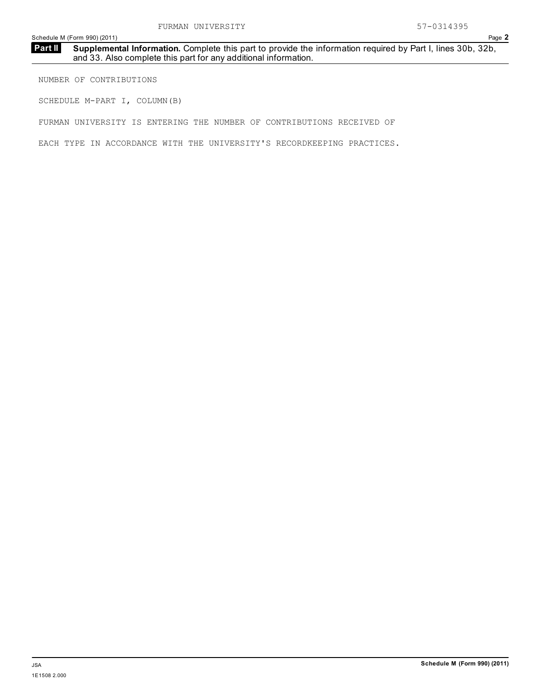### **Supplemental Information.** Complete this part to provide the information required by Part I, lines 30b, 32b, and 33. Also complete this part for any additional information. **Part II**

NUMBER OF CONTRIBUTIONS

SCHEDULE M-PART I, COLUMN(B)

FURMAN UNIVERSITY IS ENTERING THE NUMBER OF CONTRIBUTIONS RECEIVED OF

EACH TYPE IN ACCORDANCE WITH THE UNIVERSITY'S RECORDKEEPING PRACTICES.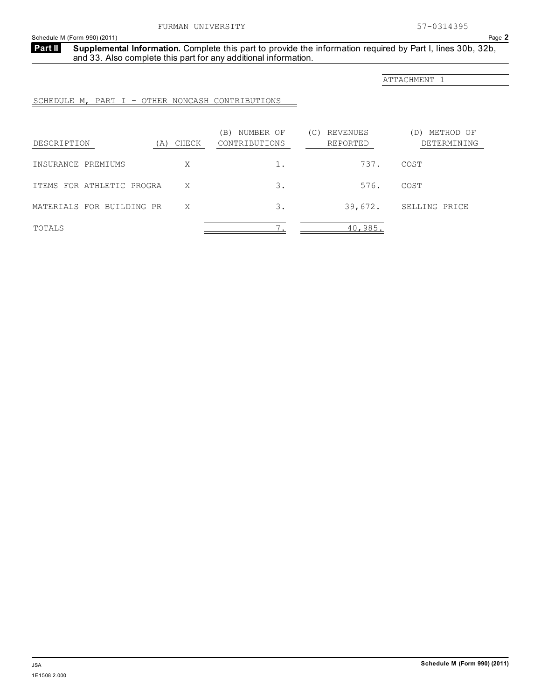**Supplemental Information.** Complete this part to provide the information required by Part I, lines 30b, 32b, and 33. Also complete this part for any additional information. **Part II**

ATTACHMENT 1

SCHEDULE M, PART I - OTHER NONCASH CONTRIBUTIONS

| DESCRIPTION               | (A) CHECK | NUMBER OF<br>ΈB)<br>CONTRIBUTIONS | REVENUES<br>(C)<br>REPORTED | METHOD OF<br>(D)<br>DETERMINING |
|---------------------------|-----------|-----------------------------------|-----------------------------|---------------------------------|
| INSURANCE PREMIUMS        | Χ         | 1.                                | 737.                        | COST                            |
| ITEMS FOR ATHLETIC PROGRA | X         | 3.                                | 576.                        | COST                            |
| MATERIALS FOR BUILDING PR | X         | 3.                                | 39,672.                     | SELLING PRICE                   |
| TOTALS                    |           | $\overline{\phantom{0}}$          | 40,985.                     |                                 |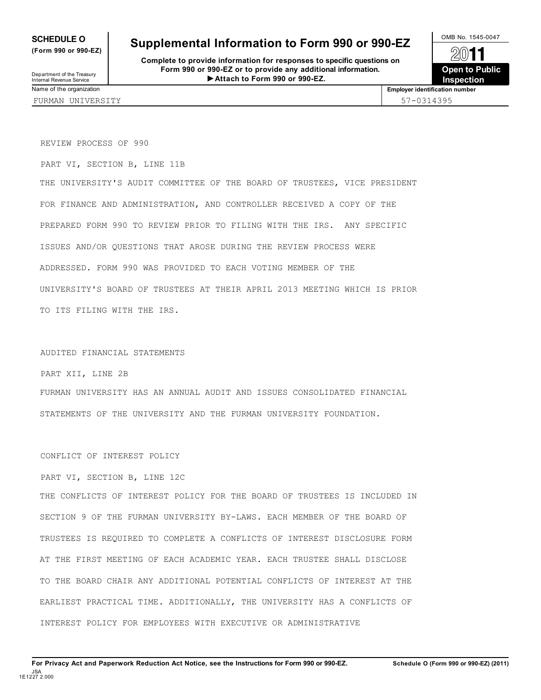**(Form 990 or 990-EZ)**

### **SCHEDULE O** Supplemental Information to Form 990 or 990-EZ  $\frac{\text{OMB No. }1545-0047}{\text{OMB}}$

**Complete to provide information for responses to specific questions on Form 990 or 990-EZ or to provide any additional information. Attach to Form 990 or 990-EZ.** Department of the Treasury<br>Internal Revenue Service<br> **Internal Revenue Service** 



REVIEW PROCESS OF 990

PART VI, SECTION B, LINE 11B

THE UNIVERSITY'S AUDIT COMMITTEE OF THE BOARD OF TRUSTEES, VICE PRESIDENT FOR FINANCE AND ADMINISTRATION, AND CONTROLLER RECEIVED A COPY OF THE PREPARED FORM 990 TO REVIEW PRIOR TO FILING WITH THE IRS. ANY SPECIFIC ISSUES AND/OR QUESTIONS THAT AROSE DURING THE REVIEW PROCESS WERE ADDRESSED. FORM 990 WAS PROVIDED TO EACH VOTING MEMBER OF THE UNIVERSITY'S BOARD OF TRUSTEES AT THEIR APRIL 2013 MEETING WHICH IS PRIOR TO ITS FILING WITH THE IRS.

### AUDITED FINANCIAL STATEMENTS

PART XII, LINE 2B

FURMAN UNIVERSITY HAS AN ANNUAL AUDIT AND ISSUES CONSOLIDATED FINANCIAL STATEMENTS OF THE UNIVERSITY AND THE FURMAN UNIVERSITY FOUNDATION.

### CONFLICT OF INTEREST POLICY

### PART VI, SECTION B, LINE 12C

THE CONFLICTS OF INTEREST POLICY FOR THE BOARD OF TRUSTEES IS INCLUDED IN SECTION 9 OF THE FURMAN UNIVERSITY BY-LAWS. EACH MEMBER OF THE BOARD OF TRUSTEES IS REQUIRED TO COMPLETE A CONFLICTS OF INTEREST DISCLOSURE FORM AT THE FIRST MEETING OF EACH ACADEMIC YEAR. EACH TRUSTEE SHALL DISCLOSE TO THE BOARD CHAIR ANY ADDITIONAL POTENTIAL CONFLICTS OF INTEREST AT THE EARLIEST PRACTICAL TIME. ADDITIONALLY, THE UNIVERSITY HAS A CONFLICTS OF INTEREST POLICY FOR EMPLOYEES WITH EXECUTIVE OR ADMINISTRATIVE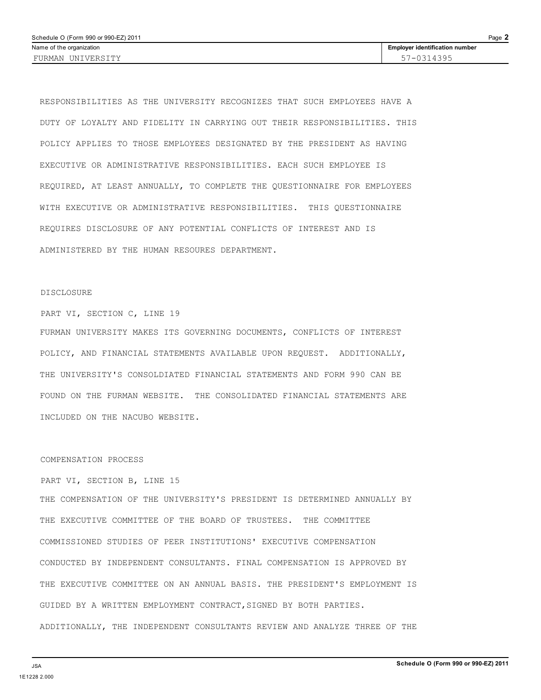RESPONSIBILITIES AS THE UNIVERSITY RECOGNIZES THAT SUCH EMPLOYEES HAVE A DUTY OF LOYALTY AND FIDELITY IN CARRYING OUT THEIR RESPONSIBILITIES. THIS POLICY APPLIES TO THOSE EMPLOYEES DESIGNATED BY THE PRESIDENT AS HAVING EXECUTIVE OR ADMINISTRATIVE RESPONSIBILITIES. EACH SUCH EMPLOYEE IS REQUIRED, AT LEAST ANNUALLY, TO COMPLETE THE QUESTIONNAIRE FOR EMPLOYEES WITH EXECUTIVE OR ADMINISTRATIVE RESPONSIBILITIES. THIS QUESTIONNAIRE REQUIRES DISCLOSURE OF ANY POTENTIAL CONFLICTS OF INTEREST AND IS ADMINISTERED BY THE HUMAN RESOURES DEPARTMENT.

### DISCLOSURE

PART VI, SECTION C, LINE 19

FURMAN UNIVERSITY MAKES ITS GOVERNING DOCUMENTS, CONFLICTS OF INTEREST POLICY, AND FINANCIAL STATEMENTS AVAILABLE UPON REQUEST. ADDITIONALLY, THE UNIVERSITY'S CONSOLDIATED FINANCIAL STATEMENTS AND FORM 990 CAN BE FOUND ON THE FURMAN WEBSITE. THE CONSOLIDATED FINANCIAL STATEMENTS ARE INCLUDED ON THE NACUBO WEBSITE.

### COMPENSATION PROCESS

PART VI, SECTION B, LINE 15

THE COMPENSATION OF THE UNIVERSITY'S PRESIDENT IS DETERMINED ANNUALLY BY THE EXECUTIVE COMMITTEE OF THE BOARD OF TRUSTEES. THE COMMITTEE COMMISSIONED STUDIES OF PEER INSTITUTIONS' EXECUTIVE COMPENSATION CONDUCTED BY INDEPENDENT CONSULTANTS. FINAL COMPENSATION IS APPROVED BY THE EXECUTIVE COMMITTEE ON AN ANNUAL BASIS. THE PRESIDENT'S EMPLOYMENT IS GUIDED BY A WRITTEN EMPLOYMENT CONTRACT,SIGNED BY BOTH PARTIES. ADDITIONALLY, THE INDEPENDENT CONSULTANTS REVIEW AND ANALYZE THREE OF THE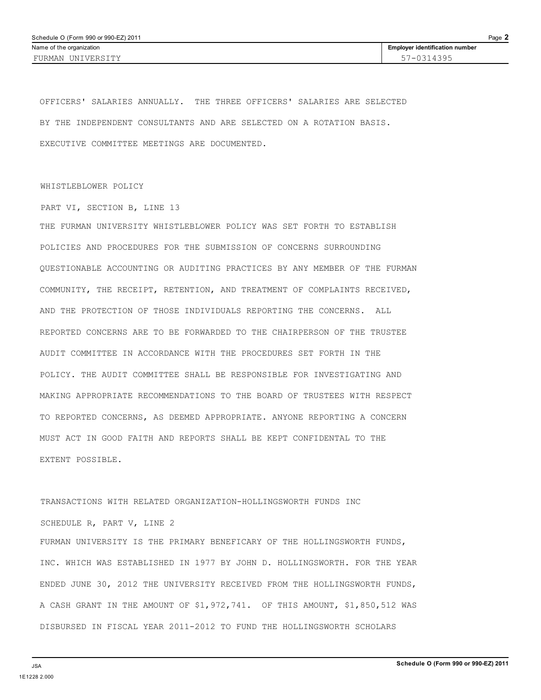OFFICERS' SALARIES ANNUALLY. THE THREE OFFICERS' SALARIES ARE SELECTED BY THE INDEPENDENT CONSULTANTS AND ARE SELECTED ON A ROTATION BASIS. EXECUTIVE COMMITTEE MEETINGS ARE DOCUMENTED.

### WHISTLEBLOWER POLICY

PART VI, SECTION B, LINE 13

THE FURMAN UNIVERSITY WHISTLEBLOWER POLICY WAS SET FORTH TO ESTABLISH POLICIES AND PROCEDURES FOR THE SUBMISSION OF CONCERNS SURROUNDING QUESTIONABLE ACCOUNTING OR AUDITING PRACTICES BY ANY MEMBER OF THE FURMAN COMMUNITY, THE RECEIPT, RETENTION, AND TREATMENT OF COMPLAINTS RECEIVED, AND THE PROTECTION OF THOSE INDIVIDUALS REPORTING THE CONCERNS. ALL REPORTED CONCERNS ARE TO BE FORWARDED TO THE CHAIRPERSON OF THE TRUSTEE AUDIT COMMITTEE IN ACCORDANCE WITH THE PROCEDURES SET FORTH IN THE POLICY. THE AUDIT COMMITTEE SHALL BE RESPONSIBLE FOR INVESTIGATING AND MAKING APPROPRIATE RECOMMENDATIONS TO THE BOARD OF TRUSTEES WITH RESPECT TO REPORTED CONCERNS, AS DEEMED APPROPRIATE. ANYONE REPORTING A CONCERN MUST ACT IN GOOD FAITH AND REPORTS SHALL BE KEPT CONFIDENTAL TO THE EXTENT POSSIBLE.

TRANSACTIONS WITH RELATED ORGANIZATION-HOLLINGSWORTH FUNDS INC SCHEDULE R, PART V, LINE 2 FURMAN UNIVERSITY IS THE PRIMARY BENEFICARY OF THE HOLLINGSWORTH FUNDS, INC. WHICH WAS ESTABLISHED IN 1977 BY JOHN D. HOLLINGSWORTH. FOR THE YEAR ENDED JUNE 30, 2012 THE UNIVERSITY RECEIVED FROM THE HOLLINGSWORTH FUNDS, A CASH GRANT IN THE AMOUNT OF \$1,972,741. OF THIS AMOUNT, \$1,850,512 WAS DISBURSED IN FISCAL YEAR 2011-2012 TO FUND THE HOLLINGSWORTH SCHOLARS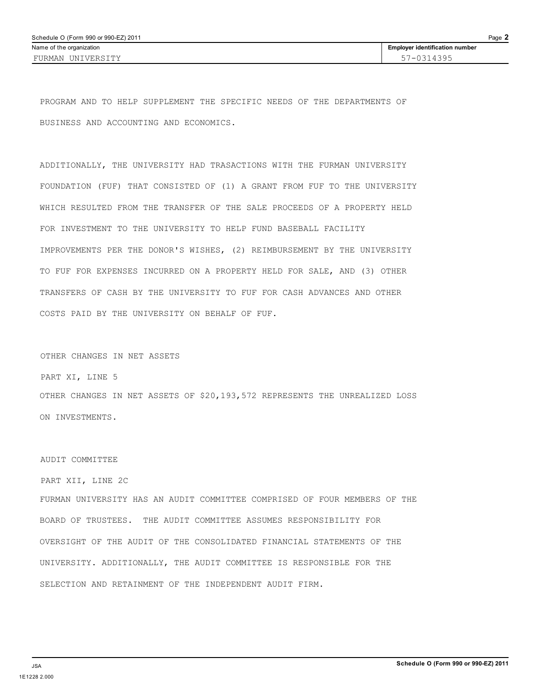PROGRAM AND TO HELP SUPPLEMENT THE SPECIFIC NEEDS OF THE DEPARTMENTS OF BUSINESS AND ACCOUNTING AND ECONOMICS.

ADDITIONALLY, THE UNIVERSITY HAD TRASACTIONS WITH THE FURMAN UNIVERSITY FOUNDATION (FUF) THAT CONSISTED OF (1) A GRANT FROM FUF TO THE UNIVERSITY WHICH RESULTED FROM THE TRANSFER OF THE SALE PROCEEDS OF A PROPERTY HELD FOR INVESTMENT TO THE UNIVERSITY TO HELP FUND BASEBALL FACILITY IMPROVEMENTS PER THE DONOR'S WISHES, (2) REIMBURSEMENT BY THE UNIVERSITY TO FUF FOR EXPENSES INCURRED ON A PROPERTY HELD FOR SALE, AND (3) OTHER TRANSFERS OF CASH BY THE UNIVERSITY TO FUF FOR CASH ADVANCES AND OTHER COSTS PAID BY THE UNIVERSITY ON BEHALF OF FUF.

### OTHER CHANGES IN NET ASSETS

PART XI, LINE 5

OTHER CHANGES IN NET ASSETS OF \$20,193,572 REPRESENTS THE UNREALIZED LOSS ON INVESTMENTS.

### AUDIT COMMITTEE

### PART XII, LINE 2C

FURMAN UNIVERSITY HAS AN AUDIT COMMITTEE COMPRISED OF FOUR MEMBERS OF THE BOARD OF TRUSTEES. THE AUDIT COMMITTEE ASSUMES RESPONSIBILITY FOR OVERSIGHT OF THE AUDIT OF THE CONSOLIDATED FINANCIAL STATEMENTS OF THE UNIVERSITY. ADDITIONALLY, THE AUDIT COMMITTEE IS RESPONSIBLE FOR THE SELECTION AND RETAINMENT OF THE INDEPENDENT AUDIT FIRM.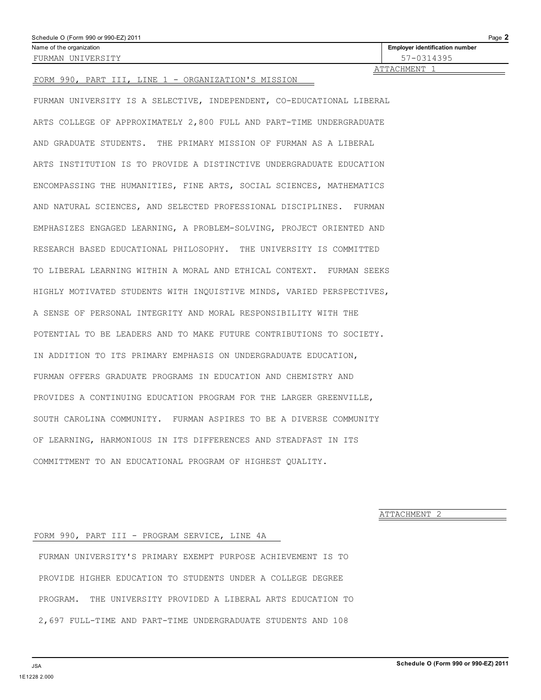| Schedule O (Form 990 or 990-EZ) 2011 | Page 2                                |
|--------------------------------------|---------------------------------------|
| Name of the organization             | <b>Employer identification number</b> |
| FURMAN UNIVERSITY                    | 57-0314395                            |
|                                      | ATTACHMENT                            |

### FORM 990, PART III, LINE 1 - ORGANIZATION'S MISSION

FURMAN UNIVERSITY IS A SELECTIVE, INDEPENDENT, CO-EDUCATIONAL LIBERAL ARTS COLLEGE OF APPROXIMATELY 2,800 FULL AND PART-TIME UNDERGRADUATE AND GRADUATE STUDENTS. THE PRIMARY MISSION OF FURMAN AS A LIBERAL ARTS INSTITUTION IS TO PROVIDE A DISTINCTIVE UNDERGRADUATE EDUCATION ENCOMPASSING THE HUMANITIES, FINE ARTS, SOCIAL SCIENCES, MATHEMATICS AND NATURAL SCIENCES, AND SELECTED PROFESSIONAL DISCIPLINES. FURMAN EMPHASIZES ENGAGED LEARNING, A PROBLEM-SOLVING, PROJECT ORIENTED AND RESEARCH BASED EDUCATIONAL PHILOSOPHY. THE UNIVERSITY IS COMMITTED TO LIBERAL LEARNING WITHIN A MORAL AND ETHICAL CONTEXT. FURMAN SEEKS HIGHLY MOTIVATED STUDENTS WITH INQUISTIVE MINDS, VARIED PERSPECTIVES, A SENSE OF PERSONAL INTEGRITY AND MORAL RESPONSIBILITY WITH THE POTENTIAL TO BE LEADERS AND TO MAKE FUTURE CONTRIBUTIONS TO SOCIETY. IN ADDITION TO ITS PRIMARY EMPHASIS ON UNDERGRADUATE EDUCATION, FURMAN OFFERS GRADUATE PROGRAMS IN EDUCATION AND CHEMISTRY AND PROVIDES A CONTINUING EDUCATION PROGRAM FOR THE LARGER GREENVILLE, SOUTH CAROLINA COMMUNITY. FURMAN ASPIRES TO BE A DIVERSE COMMUNITY OF LEARNING, HARMONIOUS IN ITS DIFFERENCES AND STEADFAST IN ITS COMMITTMENT TO AN EDUCATIONAL PROGRAM OF HIGHEST QUALITY.

ATTACHMENT 2

### FORM 990, PART III - PROGRAM SERVICE, LINE 4A

FURMAN UNIVERSITY'S PRIMARY EXEMPT PURPOSE ACHIEVEMENT IS TO PROVIDE HIGHER EDUCATION TO STUDENTS UNDER A COLLEGE DEGREE PROGRAM. THE UNIVERSITY PROVIDED A LIBERAL ARTS EDUCATION TO 2,697 FULL-TIME AND PART-TIME UNDERGRADUATE STUDENTS AND 108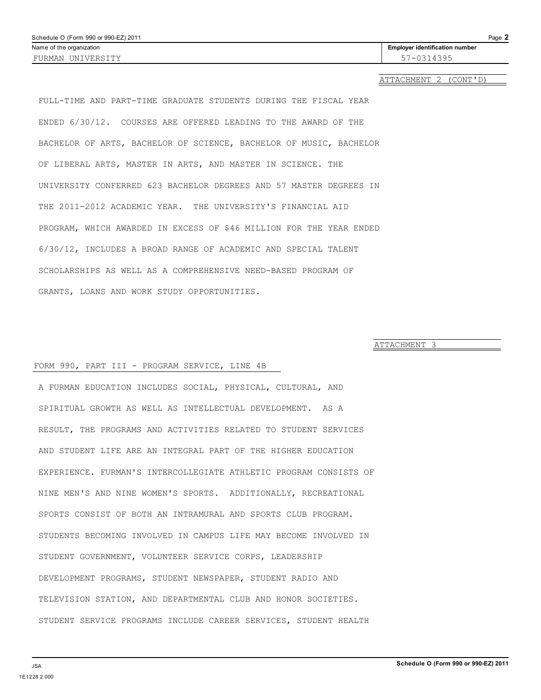| Schedule O (Form 990 or 990-EZ) 2011 |                                       | Page 2 |
|--------------------------------------|---------------------------------------|--------|
| Name of the organization             | <b>Employer identification number</b> |        |
| FURMAN UNIVERSITY                    | 57-0314395                            |        |
|                                      |                                       |        |

ATTACHMENT 2 (CONT'D)

FULL-TIME AND PART-TIME GRADUATE STUDENTS DURING THE FISCAL YEAR ENDED 6/30/12. COURSES ARE OFFERED LEADING TO THE AWARD OF THE BACHELOR OF ARTS, BACHELOR OF SCIENCE, BACHELOR OF MUSIC, BACHELOR OF LIBERAL ARTS, MASTER IN ARTS, AND MASTER IN SCIENCE. THE UNIVERSITY CONFERRED 623 BACHELOR DEGREES AND 57 MASTER DEGREES IN THE 2011-2012 ACADEMIC YEAR. THE UNIVERSITY'S FINANCIAL AID PROGRAM, WHICH AWARDED IN EXCESS OF \$46 MILLION FOR THE YEAR ENDED 6/30/12, INCLUDES A BROAD RANGE OF ACADEMIC AND SPECIAL TALENT SCHOLARSHIPS AS WELL AS A COMPREHENSIVE NEED-BASED PROGRAM OF GRANTS, LOANS AND WORK STUDY OPPORTUNITIES.

ATTACHMENT 3

### FORM 990, PART III - PROGRAM SERVICE, LINE 4B

A FURMAN EDUCATION INCLUDES SOCIAL, PHYSICAL, CULTURAL, AND SPIRITUAL GROWTH AS WELL AS INTELLECTUAL DEVELOPMENT. AS A RESULT, THE PROGRAMS AND ACTIVITIES RELATED TO STUDENT SERVICES AND STUDENT LIFE ARE AN INTEGRAL PART OF THE HIGHER EDUCATION EXPERIENCE. FURMAN'S INTERCOLLEGIATE ATHLETIC PROGRAM CONSISTS OF NINE MEN'S AND NINE WOMEN'S SPORTS. ADDITIONALLY, RECREATIONAL SPORTS CONSIST OF BOTH AN INTRAMURAL AND SPORTS CLUB PROGRAM. STUDENTS BECOMING INVOLVED IN CAMPUS LIFE MAY BECOME INVOLVED IN STUDENT GOVERNMENT, VOLUNTEER SERVICE CORPS, LEADERSHIP DEVELOPMENT PROGRAMS, STUDENT NEWSPAPER, STUDENT RADIO AND TELEVISION STATION, AND DEPARTMENTAL CLUB AND HONOR SOCIETIES. STUDENT SERVICE PROGRAMS INCLUDE CAREER SERVICES, STUDENT HEALTH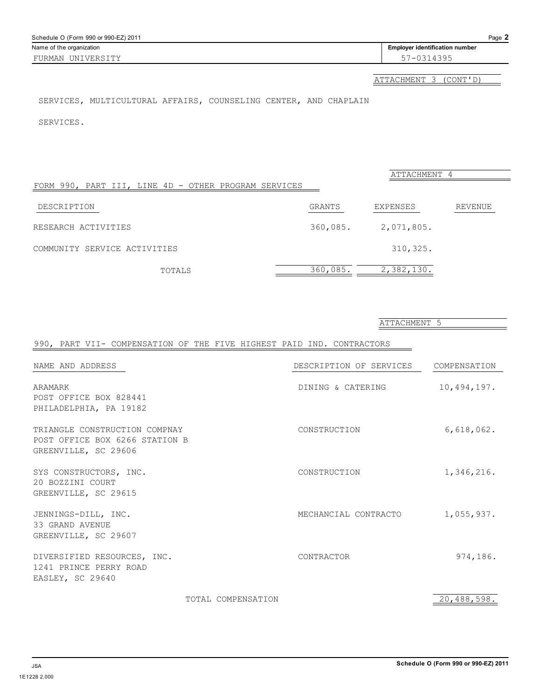| Schedule O (Form 990 or 990-EZ) 2011 |                                       | Page 2 |
|--------------------------------------|---------------------------------------|--------|
| Name of the organization             | <b>Employer identification number</b> |        |
| FURMAN UNIVERSITY                    | 57-0314395                            |        |

ATTACHMENT 3 (CONT'D)

### SERVICES, MULTICULTURAL AFFAIRS, COUNSELING CENTER, AND CHAPLAIN

SERVICES.

|                                                      |          | ATTACHMENT 4 |         |
|------------------------------------------------------|----------|--------------|---------|
| FORM 990, PART III, LINE 4D - OTHER PROGRAM SERVICES |          |              |         |
| DESCRIPTION                                          | GRANTS   | EXPENSES     | REVENUE |
| RESEARCH ACTIVITIES                                  | 360,085. | 2,071,805.   |         |
| COMMUNITY SERVICE ACTIVITIES                         |          | 310,325.     |         |
| TOTALS                                               | 360,085. | 2,382,130.   |         |

|                                                                                         |                    | UTTUCHLILINI O          |              |
|-----------------------------------------------------------------------------------------|--------------------|-------------------------|--------------|
| 990, PART VII- COMPENSATION OF THE FIVE HIGHEST PAID IND. CONTRACTORS                   |                    |                         |              |
| NAME AND ADDRESS                                                                        |                    | DESCRIPTION OF SERVICES | COMPENSATION |
| ARAMARK<br>POST OFFICE BOX 828441<br>PHILADELPHIA, PA 19182                             |                    | DINING & CATERING       | 10,494,197.  |
| TRIANGLE CONSTRUCTION COMPNAY<br>POST OFFICE BOX 6266 STATION B<br>GREENVILLE, SC 29606 |                    | CONSTRUCTION            | 6,618,062.   |
| SYS CONSTRUCTORS, INC.<br>20 BOZZINI COURT<br>GREENVILLE, SC 29615                      |                    | CONSTRUCTION            | 1,346,216.   |
| JENNINGS-DILL, INC.<br>33 GRAND AVENUE<br>GREENVILLE, SC 29607                          |                    | MECHANCIAL CONTRACTO    | 1,055,937.   |
| DIVERSIFIED RESOURCES, INC.<br>1241 PRINCE PERRY ROAD<br>EASLEY, SC 29640               |                    | CONTRACTOR              | 974,186.     |
|                                                                                         | TOTAL COMPENSATION |                         | 20,488,598.  |

### ATTACHMENT 5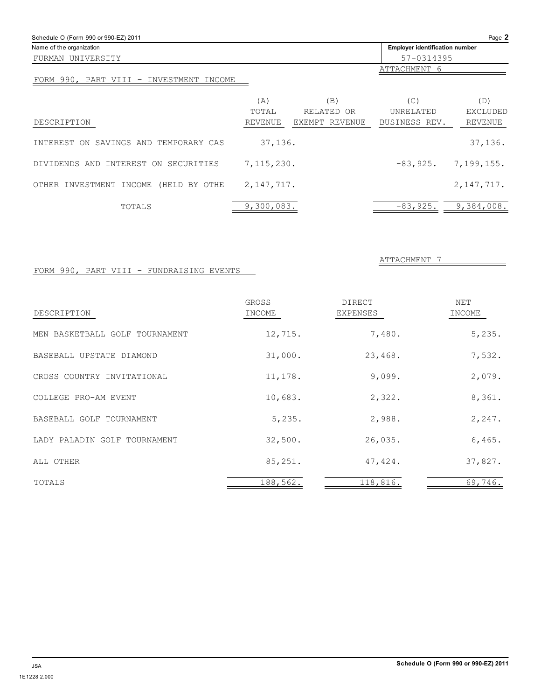| Schedule O (Form 990 or 990-EZ) 2011     |              |                   |                                | Page 2                 |
|------------------------------------------|--------------|-------------------|--------------------------------|------------------------|
| Name of the organization                 |              |                   | Employer identification number |                        |
| FURMAN UNIVERSITY                        |              |                   | 57-0314395                     |                        |
| FORM 990, PART VIII - INVESTMENT INCOME  |              |                   | ATTACHMENT 6                   |                        |
|                                          | (A)<br>TOTAL | (B)<br>RELATED OR | (C)<br>UNRELATED               | (D)<br><b>EXCLUDED</b> |
| DESCRIPTION                              | REVENUE      | EXEMPT REVENUE    | BUSINESS REV.                  | <b>REVENUE</b>         |
| SAVINGS AND TEMPORARY CAS<br>INTEREST ON | 37,136.      |                   |                                | 37,136.                |
| DIVIDENDS AND INTEREST ON SECURITIES     | 7,115,230.   |                   | $-83,925.$                     | 7,199,155.             |
| OTHER INVESTMENT INCOME<br>(HELD BY OTHE | 2, 147, 717. |                   |                                | 2, 147, 717.           |
| TOTALS                                   | 9,300,083.   |                   | $-83,925.$                     | 9,384,008.             |

### FORM 990, PART VIII - FUNDRAISING EVENTS

| DESCRIPTION                    | GROSS<br>INCOME | <b>DIRECT</b><br>EXPENSES | <b>NET</b><br>INCOME |
|--------------------------------|-----------------|---------------------------|----------------------|
| MEN BASKETBALL GOLF TOURNAMENT | 12,715.         | 7,480.                    | 5,235.               |
| BASEBALL UPSTATE DIAMOND       | 31,000.         | 23,468.                   | 7,532.               |
| CROSS COUNTRY INVITATIONAL     | 11,178.         | 9,099.                    | 2,079.               |
| COLLEGE PRO-AM EVENT           | 10,683.         | 2,322.                    | 8,361.               |
| BASEBALL GOLF TOURNAMENT       | 5,235.          | 2,988.                    | 2, 247.              |
| LADY PALADIN GOLF TOURNAMENT   | 32,500.         | 26,035.                   | 6,465.               |
| ALL OTHER                      | 85,251.         | 47,424.                   | 37,827.              |
| TOTALS                         | 188,562.        | 118,816.                  | 69,746.              |

ATTACHMENT 7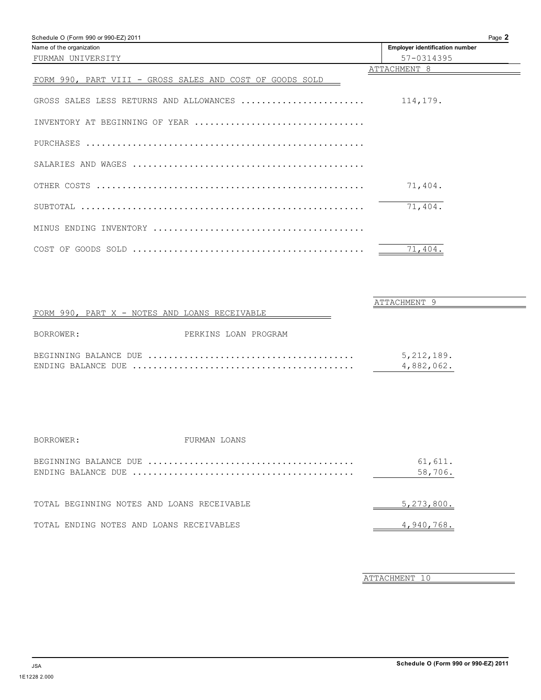| Schedule O (Form 990 or 990-EZ) 2011                     | Page 2                                |
|----------------------------------------------------------|---------------------------------------|
| Name of the organization                                 | <b>Employer identification number</b> |
| FURMAN UNIVERSITY                                        | 57-0314395                            |
|                                                          | ATTACHMENT 8                          |
| FORM 990, PART VIII - GROSS SALES AND COST OF GOODS SOLD |                                       |
| GROSS SALES LESS RETURNS AND ALLOWANCES                  | 114,179.                              |
| INVENTORY AT BEGINNING OF YEAR                           |                                       |
|                                                          |                                       |
|                                                          |                                       |
|                                                          | 71,404.                               |
|                                                          | 71,404.                               |
|                                                          |                                       |
|                                                          | 71,404.                               |

|                                               |                      | ATTACHMENT 9               |  |
|-----------------------------------------------|----------------------|----------------------------|--|
| FORM 990, PART X - NOTES AND LOANS RECEIVABLE |                      |                            |  |
| BORROWER:                                     | PERKINS LOAN PROGRAM |                            |  |
|                                               |                      | 5, 212, 189.<br>4,882,062. |  |

| BORROWER: | FURMAN LOANS                               |                    |
|-----------|--------------------------------------------|--------------------|
|           |                                            | 61,611.<br>58,706. |
|           | TOTAL BEGINNING NOTES AND LOANS RECEIVABLE | 5,273,800.         |
|           | TOTAL ENDING NOTES AND LOANS RECEIVABLES   | 4,940,768.         |

ATTACHMENT 10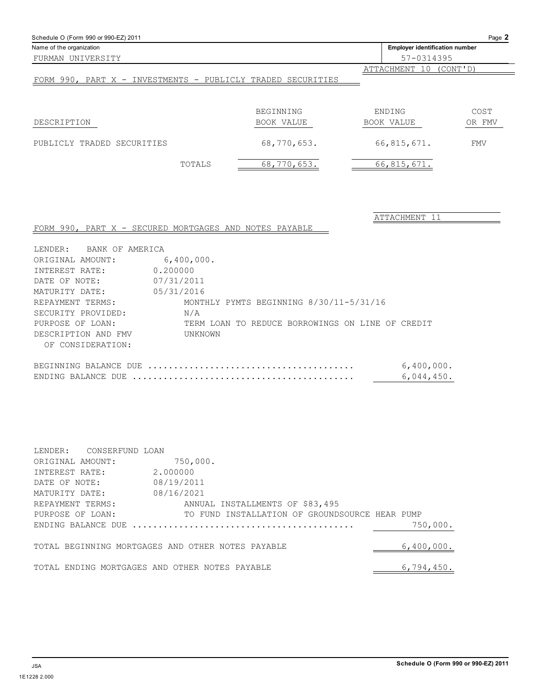| Schedule O (Form 990 or 990-EZ) 2011                        |            |                                                  |                                       | Page 2 |
|-------------------------------------------------------------|------------|--------------------------------------------------|---------------------------------------|--------|
| Name of the organization                                    |            |                                                  | <b>Employer identification number</b> |        |
| FURMAN UNIVERSITY                                           |            |                                                  | 57-0314395                            |        |
|                                                             |            |                                                  | ATTACHMENT 10 (CONT'D)                |        |
| FORM 990, PART X - INVESTMENTS - PUBLICLY TRADED SECURITIES |            |                                                  |                                       |        |
|                                                             |            |                                                  |                                       |        |
|                                                             |            | BEGINNING                                        | ENDING                                | COST   |
| DESCRIPTION                                                 |            | BOOK VALUE                                       | BOOK VALUE                            | OR FMV |
|                                                             |            |                                                  |                                       |        |
| PUBLICLY TRADED SECURITIES                                  |            | 68,770,653.                                      | 66,815,671.                           | FMV    |
|                                                             |            |                                                  |                                       |        |
|                                                             | TOTALS     | $\overline{68}$ , 770, 653.                      | 66, 815, 671.                         |        |
|                                                             |            |                                                  |                                       |        |
|                                                             |            |                                                  |                                       |        |
|                                                             |            |                                                  |                                       |        |
|                                                             |            |                                                  | ATTACHMENT 11                         |        |
| FORM 990, PART X - SECURED MORTGAGES AND NOTES PAYABLE      |            |                                                  |                                       |        |
|                                                             |            |                                                  |                                       |        |
| LENDER:<br>BANK OF AMERICA                                  |            |                                                  |                                       |        |
| ORIGINAL AMOUNT:                                            | 6,400,000. |                                                  |                                       |        |
| INTEREST RATE:                                              | 0.200000   |                                                  |                                       |        |
| DATE OF NOTE:                                               | 07/31/2011 |                                                  |                                       |        |
| MATURITY DATE:                                              | 05/31/2016 |                                                  |                                       |        |
| REPAYMENT TERMS:                                            |            | MONTHLY PYMTS BEGINNING 8/30/11-5/31/16          |                                       |        |
| SECURITY PROVIDED:                                          | N/A        |                                                  |                                       |        |
| PURPOSE OF LOAN:                                            |            | TERM LOAN TO REDUCE BORROWINGS ON LINE OF CREDIT |                                       |        |
| DESCRIPTION AND FMV                                         | UNKNOWN    |                                                  |                                       |        |
| OF CONSIDERATION:                                           |            |                                                  |                                       |        |
|                                                             |            |                                                  |                                       |        |
|                                                             |            |                                                  | 6,400,000.                            |        |
|                                                             |            |                                                  | 6,044,450.                            |        |
|                                                             |            |                                                  |                                       |        |
|                                                             |            |                                                  |                                       |        |
|                                                             |            |                                                  |                                       |        |
|                                                             |            |                                                  |                                       |        |
|                                                             |            |                                                  |                                       |        |
| LENDER: CONSERFUND LOAN                                     |            |                                                  |                                       |        |
| ORIGINAL AMOUNT:                                            | 750,000.   |                                                  |                                       |        |
| INTEREST RATE:                                              | 2.000000   |                                                  |                                       |        |
| DATE OF NOTE:                                               | 08/19/2011 |                                                  |                                       |        |
| MATURITY DATE:                                              | 08/16/2021 |                                                  |                                       |        |
| REPAYMENT TERMS:                                            |            | ANNUAL INSTALLMENTS OF \$83,495                  |                                       |        |
| PURPOSE OF LOAN:                                            |            | TO FUND INSTALLATION OF GROUNDSOURCE HEAR PUMP   |                                       |        |
|                                                             |            |                                                  | 750,000.                              |        |
|                                                             |            |                                                  |                                       |        |

|  | TOTAL BEGINNING MORTGAGES AND OTHER NOTES PAYABLE |  |  | 6,400,000. |
|--|---------------------------------------------------|--|--|------------|
|  | TOTAL ENDING MORTGAGES AND OTHER NOTES PAYABLE    |  |  | 6,794,450. |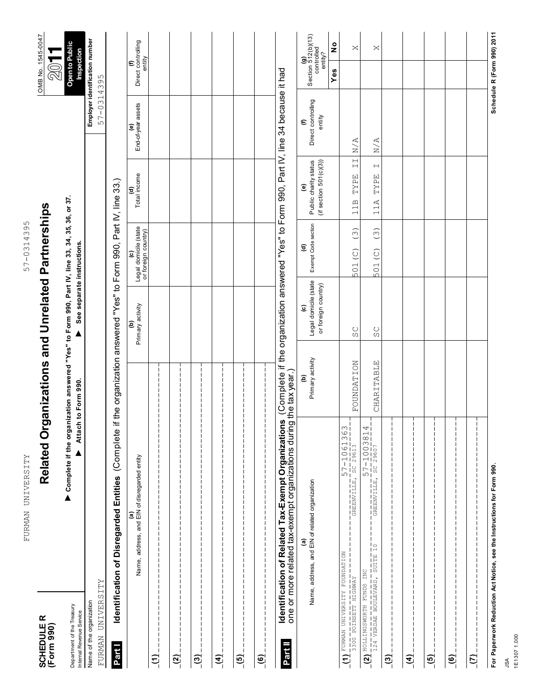| SCHEDULE R<br>(Form 990)                                   | <b>Related Or</b>                                                                                                        | rganizations and Unrelated Partnerships                                                   |                                                                        |                                                   |                                                                                     |                                                 | OMB No. 1545-0047<br>$\otimes$                     |                            |
|------------------------------------------------------------|--------------------------------------------------------------------------------------------------------------------------|-------------------------------------------------------------------------------------------|------------------------------------------------------------------------|---------------------------------------------------|-------------------------------------------------------------------------------------|-------------------------------------------------|----------------------------------------------------|----------------------------|
| Department of the Treasury<br>Internal Revenue Service     | ▶ Complete if the organization answered "Yes" to Form 990, Part IV, line 33, 34, 35, 36, or 37.<br>▲                     | Attach to Form 990.                                                                       | See separate instructions.                                             |                                                   |                                                                                     |                                                 | Open to Public<br>Inspection                       |                            |
| FURMAN UNIVERSITY<br>Name of the organization              |                                                                                                                          |                                                                                           |                                                                        |                                                   |                                                                                     | Employer identification number<br>57-0314395    |                                                    |                            |
| Part I                                                     | (Complete<br>Identification of Disregarded Entities                                                                      | if the organization answered "Yes" to Form 990, Part IV, line 33.)                        |                                                                        |                                                   |                                                                                     |                                                 |                                                    |                            |
|                                                            | Name, address, and EIN of disregarded entity<br>ම                                                                        |                                                                                           | Primary activity<br>ê                                                  | Legal domicile (state<br>or foreign country)<br>ͽ | (d)<br>Total income                                                                 | (e)<br>End-of-year assets                       | (f)<br>Direct controlling<br>entity                |                            |
| $\widehat{\boldsymbol{\Xi}}_{\parallel}$                   |                                                                                                                          |                                                                                           |                                                                        |                                                   |                                                                                     |                                                 |                                                    |                            |
| <u>୍ସ</u>                                                  |                                                                                                                          |                                                                                           |                                                                        |                                                   |                                                                                     |                                                 |                                                    |                            |
| $\overline{c}$                                             |                                                                                                                          |                                                                                           |                                                                        |                                                   |                                                                                     |                                                 |                                                    |                            |
| $\widehat{\mathbf{f}}$                                     |                                                                                                                          |                                                                                           |                                                                        |                                                   |                                                                                     |                                                 |                                                    |                            |
| $\overline{[6]}$                                           |                                                                                                                          |                                                                                           |                                                                        |                                                   |                                                                                     |                                                 |                                                    |                            |
| $\mathbf{e}$                                               |                                                                                                                          |                                                                                           |                                                                        |                                                   |                                                                                     |                                                 |                                                    |                            |
| Part II                                                    | one or more related tax-exempt organizations during the tax year.)<br>Identification of Related Tax-Exempt Organizations | (Complete if the organization answered "Yes" to Form 990, Part IV, line 34 because it had |                                                                        |                                                   |                                                                                     |                                                 |                                                    |                            |
|                                                            | Name, address, and EIN of related organization<br>a                                                                      | Primary activity<br>ê                                                                     | Legal domicile (state<br>or foreign country)<br>$\widehat{\mathbf{c}}$ | Exempt Code section<br>$\widehat{\mathbf{c}}$     | Public charity status<br>(if section 501(c)(3))<br>T                                | Direct controlling<br>entity<br>$\bm{\epsilon}$ | (g)<br>Section 512(b)(13)<br>controlled<br>entity? |                            |
|                                                            |                                                                                                                          |                                                                                           |                                                                        |                                                   |                                                                                     |                                                 | Yes                                                | $\frac{\circ}{\mathbf{z}}$ |
| MODERATION ATTERS THE ROUNDRITION<br>S300 POINSETT HIGHWAY | $57 - 1061363$<br>$rac{13}{50}$ $rac{13}{29613}$<br>GREENVILLE,                                                          | FOUNDATION                                                                                | SC                                                                     | $\widetilde{(\cdot)}$<br>501(C)                   | $\overline{\phantom{0}}$<br><br><br><br><br><br><br><br><br><br><br><br>TYPE<br>11B | N/A                                             |                                                    | $\bowtie$                  |
| <b>BOLLINGSWORTH FUNDS INC</b><br>$\overline{a}$           | $\frac{57 - 1003814}{s}$<br>$\overline{\text{GREBNVILLE}}$                                                               | CHARITABLE                                                                                | SC                                                                     | $\widetilde{(\cdot)}$<br>501 (C)                  | $\vdash$<br>TYPE<br>11A                                                             | $\rm N/A$                                       |                                                    | ×                          |
| $\overline{c_0}$                                           |                                                                                                                          |                                                                                           |                                                                        |                                                   |                                                                                     |                                                 |                                                    |                            |
| $\widehat{A}$                                              |                                                                                                                          |                                                                                           |                                                                        |                                                   |                                                                                     |                                                 |                                                    |                            |
| <u>(5)</u>                                                 |                                                                                                                          |                                                                                           |                                                                        |                                                   |                                                                                     |                                                 |                                                    |                            |
| $\overline{\mathbf{e}}$                                    |                                                                                                                          |                                                                                           |                                                                        |                                                   |                                                                                     |                                                 |                                                    |                            |
| $\overline{(\overline{L})}$                                |                                                                                                                          |                                                                                           |                                                                        |                                                   |                                                                                     |                                                 |                                                    |                            |
|                                                            | For Paperwork Reduction Act Notice, see the Instructions for Form 990.                                                   |                                                                                           |                                                                        |                                                   |                                                                                     |                                                 | Schedule R (Form 990) 2011                         |                            |

57-0314395

### FURMAN UNIVERSITY 57-0314395 FURMAN UNIVERSITY

JSA 1E1307 1.000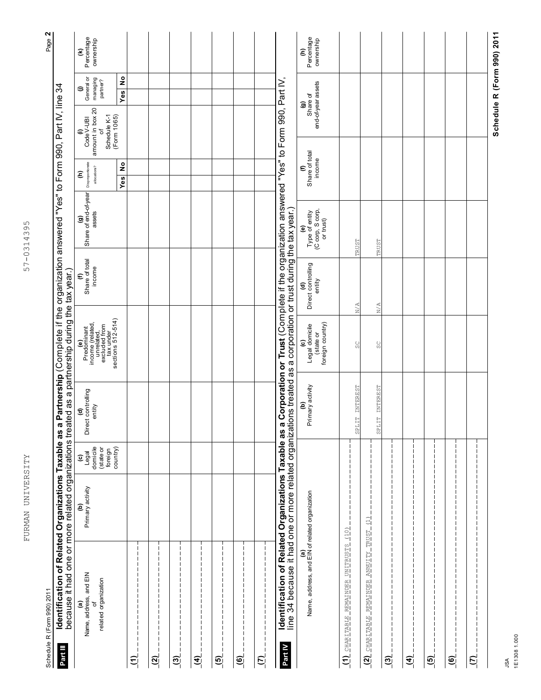| Part III                 | Identification of Related Organizations Taxable as<br>Schedule R (Form 990) 2011                                                                                       |                       |                                                                                  |                                                        |                                                                                                                |                                             | a Partnership (Complete if the organization answered "Yes" to Form 990, Part IV, line 34 |                                                                                    |                                                                         |                                     |                                                                               | Page 2                       |
|--------------------------|------------------------------------------------------------------------------------------------------------------------------------------------------------------------|-----------------------|----------------------------------------------------------------------------------|--------------------------------------------------------|----------------------------------------------------------------------------------------------------------------|---------------------------------------------|------------------------------------------------------------------------------------------|------------------------------------------------------------------------------------|-------------------------------------------------------------------------|-------------------------------------|-------------------------------------------------------------------------------|------------------------------|
|                          | because it had one or more related organizations treated as a partnership during the tax year.)                                                                        |                       |                                                                                  |                                                        |                                                                                                                |                                             |                                                                                          |                                                                                    |                                                                         |                                     |                                                                               |                              |
|                          | (a)<br>Name, address, and EIN<br>related organization<br>ŏ                                                                                                             | Primary activity<br>ê | domicile<br>country)<br>(state or<br>foreign<br>Legal<br>$\widehat{\bm{\omega}}$ | Direct controlling<br>entity<br>$\widehat{\mathbf{c}}$ | Predominant<br>income (related,<br>excluded for<br>excluded for<br>tax under<br>tax under<br>sections 512-514) | Share of total<br>income<br>$\bm{\epsilon}$ | Share of end-of-year<br>assets<br>$\widehat{\mathbf{e}}$                                 | Disproportionate<br>$\overset{\mathtt{o}}{\mathtt{z}}$<br>allocations?<br>ε<br>Yes | amount in box 20<br>(Form 1065)<br>Schedule K-1<br>Code V-UBI<br>৳<br>€ | Yes                                 | $\overset{\mathtt{o}}{\mathtt{z}}$<br>General or<br>managing<br>partner?<br>⊜ | Percentage<br>ownership<br>€ |
| $\tilde{c}$              |                                                                                                                                                                        |                       |                                                                                  |                                                        |                                                                                                                |                                             |                                                                                          |                                                                                    |                                                                         |                                     |                                                                               |                              |
| $\overline{2}$           |                                                                                                                                                                        |                       |                                                                                  |                                                        |                                                                                                                |                                             |                                                                                          |                                                                                    |                                                                         |                                     |                                                                               |                              |
| <u>୍ମ</u>                |                                                                                                                                                                        |                       |                                                                                  |                                                        |                                                                                                                |                                             |                                                                                          |                                                                                    |                                                                         |                                     |                                                                               |                              |
| $\widetilde{\mathbf{f}}$ |                                                                                                                                                                        |                       |                                                                                  |                                                        |                                                                                                                |                                             |                                                                                          |                                                                                    |                                                                         |                                     |                                                                               |                              |
| $\tilde{\mathbf{e}}$     |                                                                                                                                                                        |                       |                                                                                  |                                                        |                                                                                                                |                                             |                                                                                          |                                                                                    |                                                                         |                                     |                                                                               |                              |
| $\widetilde{\mathbf{e}}$ |                                                                                                                                                                        |                       |                                                                                  |                                                        |                                                                                                                |                                             |                                                                                          |                                                                                    |                                                                         |                                     |                                                                               |                              |
| ମ୍                       | -1<br>1                                                                                                                                                                |                       |                                                                                  |                                                        |                                                                                                                |                                             |                                                                                          |                                                                                    |                                                                         |                                     |                                                                               |                              |
| Part IV                  | line 34 because it had one or more related organizations treated as a corporation or trust during the tax year.)<br>Identification of Related Organizations Taxable as |                       |                                                                                  |                                                        |                                                                                                                |                                             | a Corporation or Trust (Complete if the organization answered "Yes" to Form 990, Part IV |                                                                                    |                                                                         |                                     |                                                                               |                              |
|                          | (a)<br>Name, address, and EIN of related organization                                                                                                                  |                       |                                                                                  | Primary activity<br>ê                                  | foreign country)<br><b>(C)</b><br>Legal domicile<br>(state or                                                  | (d)<br>Direct controlling<br>entity         | (e)<br>Type of entity<br>(C corp, S corp,<br>or trust)                                   | (f)<br>Share of total<br>income                                                    |                                                                         | end-of-year assets<br>Share of<br>ම |                                                                               | Percentage<br>ownership<br>ε |
| $\widehat{z}$            | <u>CHARITABLE REMAINDER UNITRUSTS</u>                                                                                                                                  | (10)                  |                                                                                  | SPLIT INTEREST                                         | SC                                                                                                             | N/A                                         | TRUST                                                                                    |                                                                                    |                                                                         |                                     |                                                                               |                              |
| <u>(2)</u>               | <b>ANUITY TRUST</b><br><u>CHARITABLE REMAINDER</u>                                                                                                                     | $\Xi$                 |                                                                                  | SPLIT INTEREST                                         | SC                                                                                                             | $\mathbb{N}/\mathbb{A}$                     | TRUST                                                                                    |                                                                                    |                                                                         |                                     |                                                                               |                              |
| <u>ଗ୍</u>                |                                                                                                                                                                        |                       |                                                                                  |                                                        |                                                                                                                |                                             |                                                                                          |                                                                                    |                                                                         |                                     |                                                                               |                              |
| $\widehat{\mathbf{d}}$   |                                                                                                                                                                        |                       |                                                                                  |                                                        |                                                                                                                |                                             |                                                                                          |                                                                                    |                                                                         |                                     |                                                                               |                              |
| $\overline{5}$           |                                                                                                                                                                        |                       |                                                                                  |                                                        |                                                                                                                |                                             |                                                                                          |                                                                                    |                                                                         |                                     |                                                                               |                              |
| <u>(6)</u>               |                                                                                                                                                                        |                       |                                                                                  |                                                        |                                                                                                                |                                             |                                                                                          |                                                                                    |                                                                         |                                     |                                                                               |                              |
| $\overline{c}$           |                                                                                                                                                                        |                       |                                                                                  |                                                        |                                                                                                                |                                             |                                                                                          |                                                                                    |                                                                         |                                     |                                                                               |                              |
|                          |                                                                                                                                                                        |                       |                                                                                  |                                                        |                                                                                                                |                                             |                                                                                          |                                                                                    |                                                                         |                                     |                                                                               | Schedule R (Form 990) 2011   |

57-0314395 FURMAN UNIVERSITY 57-0314395

FURMAN UNIVERSITY

JSA 1E1308 1.000

**Schedule R (Form 990) 2011**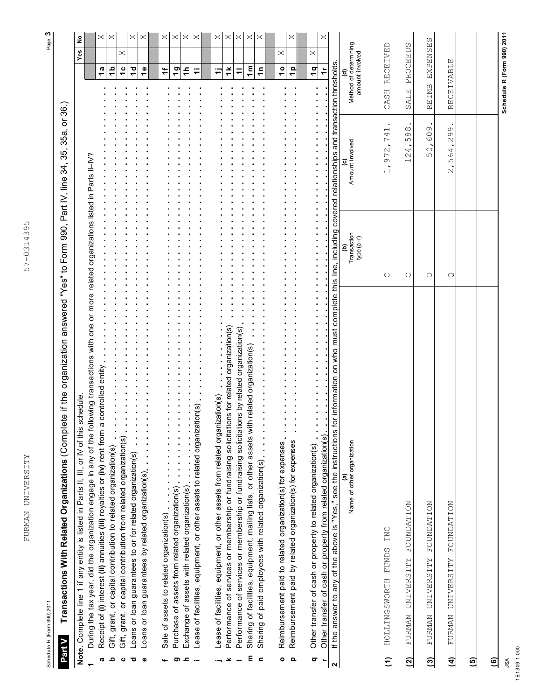FURMAN UNIVERSITY 57-0314395 FURMAN UNIVERSITY

Schedule R (Form 990) 2011

Transactions With Related Organizations (Complete if the organization answered "Yes" to Form 990, Part IV, line 34, 35, 35a, or 36.) **Transactions With Related Organizations** (Complete if the organization answered "Yes" to Form 990, Part IV, line 34, 35, 35a, or 36.) **Part V**

|                         | schedule.<br>Note. Complete line 1 if any entity is listed in Parts II, III, or IV of this                                                                                      |                                   |                                                                      |                                                 | ş<br>Yes        |
|-------------------------|---------------------------------------------------------------------------------------------------------------------------------------------------------------------------------|-----------------------------------|----------------------------------------------------------------------|-------------------------------------------------|-----------------|
|                         | During the tax year, did the organization engage in any of the following transactions with one or more related organizations listed in Parts II–IV?                             |                                   |                                                                      |                                                 |                 |
| œ                       | a controlled entity<br>Receipt of (i) interest (ii) annuities (iii) royalties or (iv) rent from                                                                                 |                                   |                                                                      | $\frac{a}{b}$                                   | X               |
| ء                       | Gift, grant, or capital contribution to related organization(s)                                                                                                                 |                                   |                                                                      | $\frac{a}{b}$                                   | ×               |
| ပ                       | Gift, grant, or capital contribution from related organization(s)                                                                                                               |                                   |                                                                      | $\frac{c}{1}$                                   | ×               |
| ਹ                       | Loans or loan guarantees to or for related organization(s)                                                                                                                      |                                   |                                                                      | $\frac{1}{2}$                                   | ×               |
| Φ                       | Loans or loan guarantees by related organization(s)                                                                                                                             |                                   |                                                                      | $\frac{6}{1}$                                   | ×               |
|                         |                                                                                                                                                                                 |                                   |                                                                      |                                                 |                 |
|                         | Sale of assets to related organization(s)                                                                                                                                       |                                   |                                                                      | ÷                                               | ×               |
|                         | Purchase of assets from related organization(s)                                                                                                                                 |                                   |                                                                      | $\overline{9}$                                  | ×               |
| ᇰ<br>ರಾ                 |                                                                                                                                                                                 |                                   |                                                                      | $\frac{4}{7}$                                   | $\times$        |
|                         | Lease of facilities, equipment, or other assets to related organization(s)<br>Exchange of assets with related organization(s)                                                   |                                   |                                                                      | ₹                                               | ×               |
|                         |                                                                                                                                                                                 |                                   |                                                                      |                                                 |                 |
|                         | Lease of facilities, equipment, or other assets from related organization(s)                                                                                                    |                                   |                                                                      | ╤                                               | ×               |
| ×                       | Performance of services or membership or fundraising solicitations for related organization(s)                                                                                  |                                   |                                                                      | $\breve{=}$                                     | ×               |
|                         | Performance of services or membership or fundraising solicitations by related organization(s)                                                                                   |                                   |                                                                      | $\equiv$                                        | $\times$        |
| ε                       | Sharing of facilities, equipment, mailing lists, or other assets with related organization(s)                                                                                   |                                   |                                                                      | 1 <sub>m</sub>                                  | ×               |
| $\blacksquare$          | Sharing of paid employees with related organization(s)                                                                                                                          |                                   |                                                                      | $\frac{1}{2}$                                   | ×               |
|                         |                                                                                                                                                                                 |                                   |                                                                      |                                                 |                 |
| ۰                       | Reimbursement paid to related organization(s) for expenses                                                                                                                      |                                   |                                                                      | $\frac{1}{2}$                                   | $\times$        |
| Q                       | Reimbursement paid by related organization(s) for expenses                                                                                                                      |                                   |                                                                      | $\frac{p}{1}$                                   | ×               |
| $\overline{\mathbf{C}}$ | Other transfer of cash or property to related organization(s)                                                                                                                   |                                   |                                                                      | $\frac{q}{1}$                                   | ×               |
|                         | Other transfer of cash or property from related organization(s).                                                                                                                |                                   |                                                                      | $\ddot{\tau}$                                   |                 |
| 2                       | for information on who must complete this line, including covered relationships and transaction thresholds.<br>If the answer to any of the above is "Yes," see the instructions |                                   |                                                                      |                                                 |                 |
|                         |                                                                                                                                                                                 |                                   |                                                                      |                                                 |                 |
|                         | Name of other organization                                                                                                                                                      | Transaction<br>type $(a-r)$<br>වු | Amount involved                                                      | (d)<br>Method of determining<br>amount involved |                 |
| $\widehat{\epsilon}$    | INC<br><b>FUNDS</b><br>HOLLINGSWORTH                                                                                                                                            | U                                 | $\vdash$<br>74<br>972<br>$\overline{\phantom{0}}$                    | RECEIVED<br>CASH                                |                 |
| ି                       | FOUNDATION<br><b>UNIVERSITY</b><br>FURMAN                                                                                                                                       | U                                 | $\infty$<br>$\infty$<br>ഗ<br>4<br>$\sim$<br>$\overline{\phantom{0}}$ | PROCEEDS<br>SALE                                |                 |
| ම                       | <b>NOTINATION</b><br><b>UNIVERSITY</b><br>FURMAN                                                                                                                                | O                                 | 609<br>50,                                                           | REIMB                                           | <b>EXPENSES</b> |
| $\widehat{f}$           | FOUNDATION<br>FURMAN UNIVERSITY                                                                                                                                                 | Q                                 | G<br>$\frac{6}{2}$<br>64<br>ഗ<br>$\mathcal{Q}$                       | RECEIVABLE                                      |                 |
| $\overline{5}$          |                                                                                                                                                                                 |                                   |                                                                      |                                                 |                 |
| ම                       |                                                                                                                                                                                 |                                   |                                                                      |                                                 |                 |

JSA 1E1309 1.000

**Schedule R (Form 990) 2011**

Schedule R (Form 990) 2011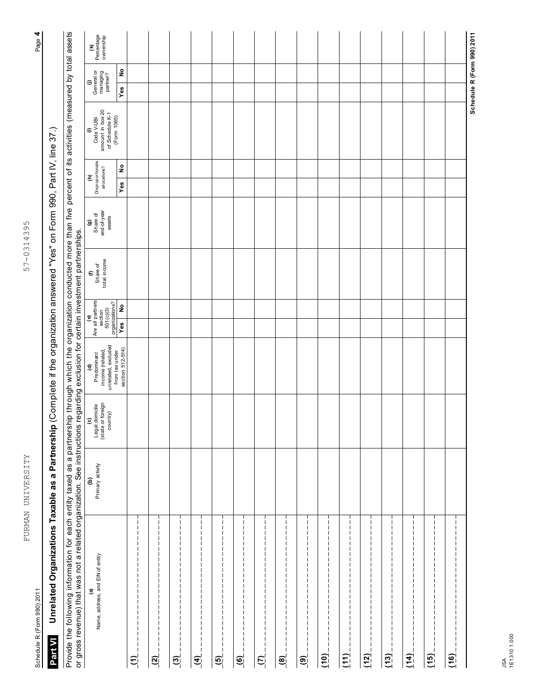| and the state of the state of the state of the state of the state of the state of the state of the state of th |  |
|----------------------------------------------------------------------------------------------------------------|--|
|                                                                                                                |  |
|                                                                                                                |  |

| $\frac{1}{2}$            |
|--------------------------|
| .<br>י                   |
|                          |
| l                        |
|                          |
|                          |
| l                        |
|                          |
|                          |
|                          |
| $\ddot{\phantom{a}}$     |
| ً<br>و                   |
| j                        |
|                          |
| ,                        |
|                          |
|                          |
|                          |
|                          |
| $\overline{\phantom{a}}$ |
|                          |
|                          |
| ŕ                        |
| ſ<br>٢<br>٥              |
|                          |
| 2<br>ĺ<br>ť              |
|                          |
|                          |
|                          |
|                          |
|                          |
|                          |
|                          |
|                          |
|                          |
|                          |
|                          |

Part VI Unrelated Organizations Taxable as a Partnership (Complete if the organization answered "Yes" on Form 990, Part IV, line 37.)<br>Provide the following information for each entity taxed as a partnership through which t Provide the following information for each entity taxed as a partnership through which the organization conducted more than five percent of its activities (measured by total assets

| Percentage<br>ownership<br>$\epsilon$                                                                                                                                                          |                                    |                                                        |                           |                        |                                                                       |                                    |                       |                   |                          |      |           |      |           |           |      | Schedule R (Form 990) 2011 |
|------------------------------------------------------------------------------------------------------------------------------------------------------------------------------------------------|------------------------------------|--------------------------------------------------------|---------------------------|------------------------|-----------------------------------------------------------------------|------------------------------------|-----------------------|-------------------|--------------------------|------|-----------|------|-----------|-----------|------|----------------------------|
| (j)<br>General or<br>managing<br>partner?                                                                                                                                                      | $\overset{\mathtt{o}}{\mathtt{z}}$ |                                                        |                           |                        |                                                                       |                                    |                       |                   |                          |      |           |      |           |           |      |                            |
|                                                                                                                                                                                                | Yes                                |                                                        |                           |                        |                                                                       |                                    |                       |                   |                          |      |           |      |           |           |      |                            |
| Code V-UBI<br>amount in box 20<br>of Schedule K-1<br>(Form 1065)<br>$\in$                                                                                                                      |                                    |                                                        |                           |                        |                                                                       |                                    |                       |                   |                          |      |           |      |           |           |      |                            |
|                                                                                                                                                                                                | $\overset{\mathtt{o}}{\mathtt{z}}$ |                                                        |                           |                        |                                                                       |                                    |                       |                   |                          |      |           |      |           |           |      |                            |
| Disproportionate<br>$\widehat{\boldsymbol{\epsilon}}$                                                                                                                                          | Yes                                |                                                        |                           |                        |                                                                       |                                    |                       |                   |                          |      |           |      |           |           |      |                            |
| $\begin{array}{c} \bf{(g)} \\ \rm{Share~of} \\ \rm{end-of-year} \end{array}$                                                                                                                   |                                    |                                                        |                           |                        |                                                                       |                                    |                       |                   |                          |      |           |      |           |           |      |                            |
| total income<br>Share of<br>$\bm{\epsilon}$                                                                                                                                                    |                                    |                                                        |                           |                        |                                                                       |                                    |                       |                   |                          |      |           |      |           |           |      |                            |
|                                                                                                                                                                                                | $\frac{1}{2}$                      |                                                        |                           |                        |                                                                       |                                    |                       |                   |                          |      |           |      |           |           |      |                            |
| Are all partners<br>section<br>section<br>organizations?<br>organizations?                                                                                                                     | Yes                                |                                                        |                           |                        |                                                                       |                                    |                       |                   |                          |      |           |      |           |           |      |                            |
| unrelated, excluded<br>income (related,<br>(d)<br>Predominant                                                                                                                                  | from tax under<br>section 512-514) |                                                        |                           |                        |                                                                       |                                    |                       |                   |                          |      |           |      |           |           |      |                            |
| (c)<br>Legal domicile<br>(state or foreign<br>country)                                                                                                                                         |                                    |                                                        |                           |                        |                                                                       |                                    |                       |                   |                          |      |           |      |           |           |      |                            |
| Primary activity<br>ê                                                                                                                                                                          |                                    |                                                        |                           |                        |                                                                       |                                    |                       |                   |                          |      |           |      |           |           |      |                            |
| or gross revenue) that was not a related organization. See instructions regarding exclusion for certain investment partnerships.<br>Name, address, and EIN of entity<br>$\widehat{\mathbf{e}}$ | 의                                  | -1<br>H<br>ш<br>ш<br>ш<br>$\widetilde{\mathbf{S}}_{i}$ | H<br>$\tilde{\mathbf{S}}$ | $\widehat{\mathbf{d}}$ | -1<br>п<br>ш<br>ш<br>ш<br>ш<br>ш<br>ш<br>П<br>$\overline{\mathbf{e}}$ | п<br>п<br>$\widetilde{\mathbf{e}}$ | $\tilde{\mathcal{L}}$ | H<br>$\mathbf{e}$ | $\widetilde{\mathbf{e}}$ | (10) | ш<br>(11) | (12) | ш<br>(13) | П<br>(14) | (15) | (16)                       |

**Schedule R (Form 990) 2011**